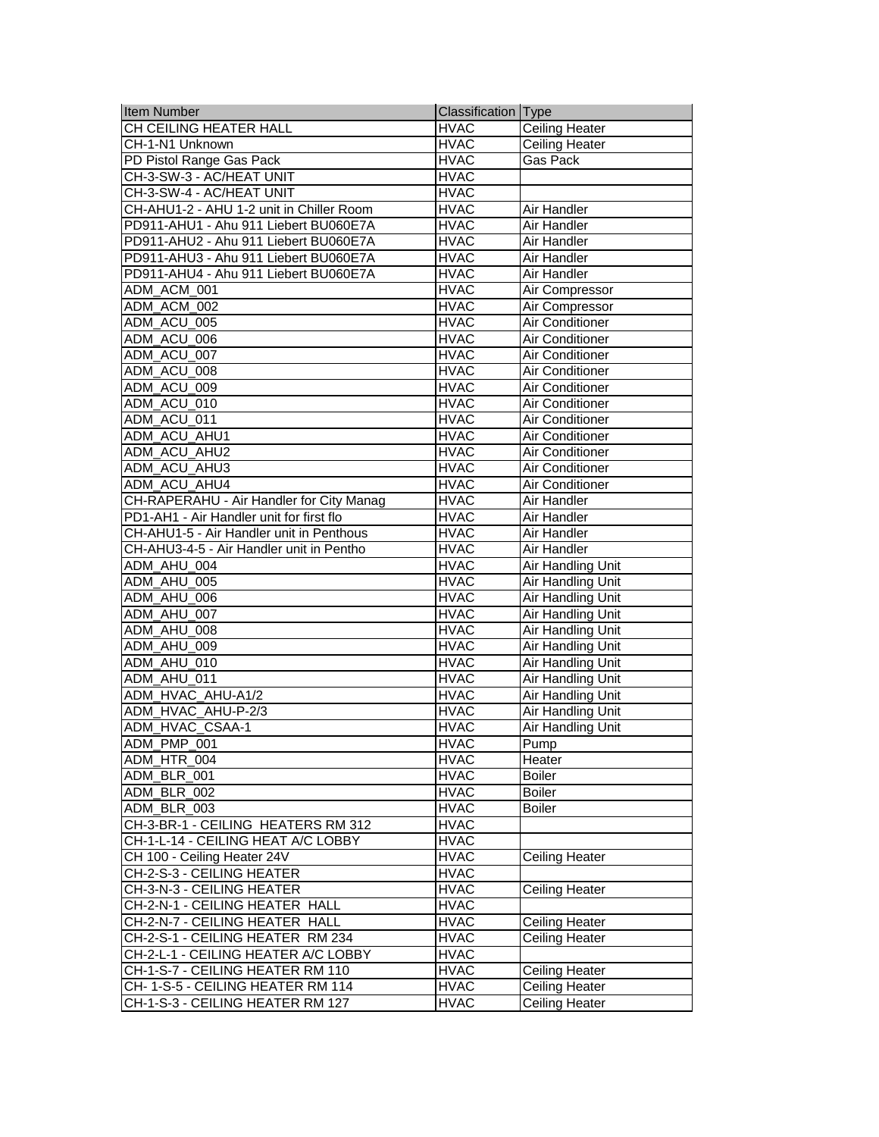| <b>Item Number</b>                       | Classification   Type |                          |
|------------------------------------------|-----------------------|--------------------------|
| CH CEILING HEATER HALL                   | <b>HVAC</b>           | <b>Ceiling Heater</b>    |
| CH-1-N1 Unknown                          | <b>HVAC</b>           | <b>Ceiling Heater</b>    |
| PD Pistol Range Gas Pack                 | <b>HVAC</b>           | Gas Pack                 |
| CH-3-SW-3 - AC/HEAT UNIT                 | <b>HVAC</b>           |                          |
| CH-3-SW-4 - AC/HEAT UNIT                 | <b>HVAC</b>           |                          |
| CH-AHU1-2 - AHU 1-2 unit in Chiller Room | <b>HVAC</b>           | Air Handler              |
| PD911-AHU1 - Ahu 911 Liebert BU060E7A    | <b>HVAC</b>           | Air Handler              |
| PD911-AHU2 - Ahu 911 Liebert BU060E7A    | <b>HVAC</b>           | Air Handler              |
| PD911-AHU3 - Ahu 911 Liebert BU060E7A    | <b>HVAC</b>           | Air Handler              |
| PD911-AHU4 - Ahu 911 Liebert BU060E7A    | <b>HVAC</b>           | <b>Air Handler</b>       |
| ADM_ACM_001                              | <b>HVAC</b>           | Air Compressor           |
| ADM_ACM_002                              | <b>HVAC</b>           | Air Compressor           |
| ADM_ACU_005                              | <b>HVAC</b>           | Air Conditioner          |
| ADM_ACU_006                              | <b>HVAC</b>           | Air Conditioner          |
| ADM_ACU_007                              | <b>HVAC</b>           | Air Conditioner          |
| ADM_ACU_008                              | <b>HVAC</b>           | Air Conditioner          |
| ADM_ACU_009                              | <b>HVAC</b>           | Air Conditioner          |
| ADM ACU 010                              | <b>HVAC</b>           | Air Conditioner          |
| ADM ACU 011                              | <b>HVAC</b>           | <b>Air Conditioner</b>   |
| ADM ACU AHU1                             | <b>HVAC</b>           | <b>Air Conditioner</b>   |
| ADM_ACU_AHU2                             | <b>HVAC</b>           | <b>Air Conditioner</b>   |
| ADM_ACU_AHU3                             | <b>HVAC</b>           | Air Conditioner          |
| ADM_ACU_AHU4                             | <b>HVAC</b>           | Air Conditioner          |
| CH-RAPERAHU - Air Handler for City Manag | <b>HVAC</b>           | Air Handler              |
| PD1-AH1 - Air Handler unit for first flo | <b>HVAC</b>           | Air Handler              |
| CH-AHU1-5 - Air Handler unit in Penthous | <b>HVAC</b>           | Air Handler              |
| CH-AHU3-4-5 - Air Handler unit in Pentho | <b>HVAC</b>           | Air Handler              |
| ADM_AHU_004                              | <b>HVAC</b>           | Air Handling Unit        |
| ADM_AHU_005                              | <b>HVAC</b>           | Air Handling Unit        |
| ADM_AHU_006                              | <b>HVAC</b>           | Air Handling Unit        |
| ADM_AHU_007                              | <b>HVAC</b>           | <b>Air Handling Unit</b> |
| ADM AHU 008                              | <b>HVAC</b>           | <b>Air Handling Unit</b> |
| ADM_AHU_009                              | <b>HVAC</b>           | <b>Air Handling Unit</b> |
| ADM AHU 010                              | <b>HVAC</b>           | Air Handling Unit        |
| ADM_AHU_011                              | <b>HVAC</b>           | Air Handling Unit        |
| ADM_HVAC_AHU-A1/2                        | <b>HVAC</b>           | Air Handling Unit        |
| ADM_HVAC_AHU-P-2/3                       | <b>HVAC</b>           | Air Handling Unit        |
| ADM_HVAC_CSAA-1                          | <b>HVAC</b>           | Air Handling Unit        |
| ADM_PMP_001                              | <b>HVAC</b>           | Pump                     |
| ADM_HTR_004                              | <b>HVAC</b>           | Heater                   |
| ADM BLR 001                              | <b>HVAC</b>           | <b>Boiler</b>            |
| ADM BLR 002                              | <b>HVAC</b>           | <b>Boiler</b>            |
| ADM BLR 003                              | <b>HVAC</b>           | <b>Boiler</b>            |
| CH-3-BR-1 - CEILING HEATERS RM 312       | <b>HVAC</b>           |                          |
| CH-1-L-14 - CEILING HEAT A/C LOBBY       | <b>HVAC</b>           |                          |
| CH 100 - Ceiling Heater 24V              | <b>HVAC</b>           | Ceiling Heater           |
| CH-2-S-3 - CEILING HEATER                | <b>HVAC</b>           |                          |
| CH-3-N-3 - CEILING HEATER                | <b>HVAC</b>           | <b>Ceiling Heater</b>    |
| CH-2-N-1 - CEILING HEATER HALL           | <b>HVAC</b>           |                          |
| CH-2-N-7 - CEILING HEATER HALL           | <b>HVAC</b>           | <b>Ceiling Heater</b>    |
| CH-2-S-1 - CEILING HEATER RM 234         | <b>HVAC</b>           | <b>Ceiling Heater</b>    |
| CH-2-L-1 - CEILING HEATER A/C LOBBY      | <b>HVAC</b>           |                          |
| CH-1-S-7 - CEILING HEATER RM 110         | <b>HVAC</b>           | <b>Ceiling Heater</b>    |
| CH-1-S-5 - CEILING HEATER RM 114         | <b>HVAC</b>           | <b>Ceiling Heater</b>    |
| CH-1-S-3 - CEILING HEATER RM 127         | <b>HVAC</b>           | Ceiling Heater           |
|                                          |                       |                          |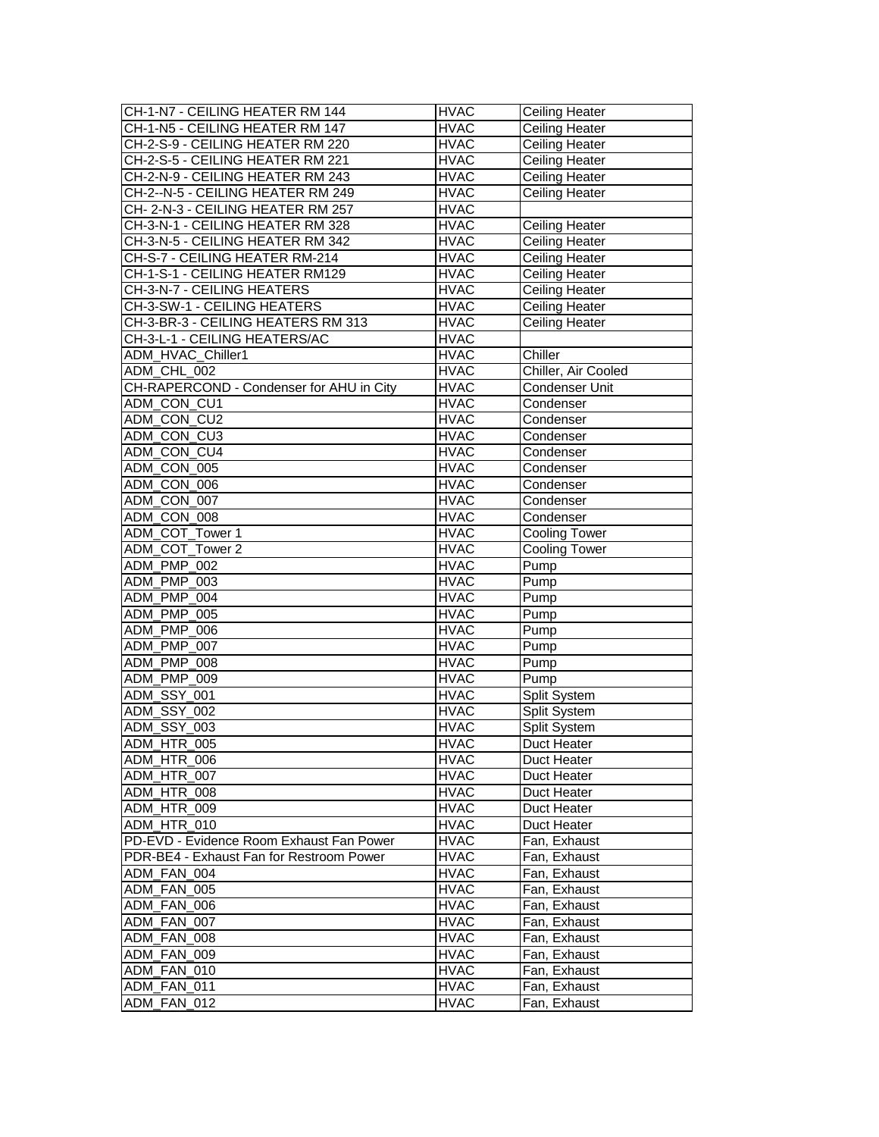| CH-1-N7 - CEILING HEATER RM 144          | <b>HVAC</b>                | <b>Ceiling Heater</b>        |
|------------------------------------------|----------------------------|------------------------------|
| CH-1-N5 - CEILING HEATER RM 147          | <b>HVAC</b>                | Ceiling Heater               |
| CH-2-S-9 - CEILING HEATER RM 220         | <b>HVAC</b>                | Ceiling Heater               |
| CH-2-S-5 - CEILING HEATER RM 221         | <b>HVAC</b>                | Ceiling Heater               |
| CH-2-N-9 - CEILING HEATER RM 243         | <b>HVAC</b>                | <b>Ceiling Heater</b>        |
| CH-2--N-5 - CEILING HEATER RM 249        | <b>HVAC</b>                | Ceiling Heater               |
| CH-2-N-3 - CEILING HEATER RM 257         | <b>HVAC</b>                |                              |
| CH-3-N-1 - CEILING HEATER RM 328         | <b>HVAC</b>                | <b>Ceiling Heater</b>        |
| CH-3-N-5 - CEILING HEATER RM 342         | <b>HVAC</b>                | Ceiling Heater               |
| CH-S-7 - CEILING HEATER RM-214           | <b>HVAC</b>                | Ceiling Heater               |
| CH-1-S-1 - CEILING HEATER RM129          | <b>HVAC</b>                | <b>Ceiling Heater</b>        |
| CH-3-N-7 - CEILING HEATERS               | <b>HVAC</b>                | <b>Ceiling Heater</b>        |
| CH-3-SW-1 - CEILING HEATERS              | <b>HVAC</b>                | <b>Ceiling Heater</b>        |
| CH-3-BR-3 - CEILING HEATERS RM 313       | <b>HVAC</b>                | <b>Ceiling Heater</b>        |
| CH-3-L-1 - CEILING HEATERS/AC            | <b>HVAC</b>                |                              |
| ADM_HVAC_Chiller1                        | <b>HVAC</b>                | Chiller                      |
| ADM_CHL_002                              | <b>HVAC</b>                | Chiller, Air Cooled          |
| CH-RAPERCOND - Condenser for AHU in City | <b>HVAC</b>                | Condenser Unit               |
| ADM CON CU1                              | <b>HVAC</b>                | Condenser                    |
| ADM CON CU2                              | <b>HVAC</b>                | Condenser                    |
| ADM CON CU3                              | <b>HVAC</b>                | Condenser                    |
| ADM_CON_CU4                              | <b>HVAC</b>                | Condenser                    |
| ADM_CON_005                              | <b>HVAC</b>                | Condenser                    |
| ADM_CON_006                              | <b>HVAC</b>                | Condenser                    |
| ADM_CON_007                              | <b>HVAC</b>                | Condenser                    |
| ADM_CON_008                              | <b>HVAC</b>                | Condenser                    |
| ADM_COT_Tower 1                          | <b>HVAC</b>                | Cooling Tower                |
| ADM_COT_Tower 2                          | <b>HVAC</b>                | <b>Cooling Tower</b>         |
|                                          |                            |                              |
| ADM_PMP_002                              | <b>HVAC</b>                | Pump                         |
| ADM_PMP_003                              | <b>HVAC</b>                | Pump                         |
| ADM_PMP_004                              | <b>HVAC</b>                | Pump                         |
| ADM_PMP_005                              | <b>HVAC</b>                | Pump                         |
| ADM_PMP_006                              | <b>HVAC</b>                | Pump                         |
| ADM_PMP_007                              | <b>HVAC</b>                | Pump                         |
| ADM_PMP_008                              | <b>HVAC</b>                | Pump                         |
| ADM_PMP_009                              | <b>HVAC</b>                | Pump                         |
| <b>ADM_SSY_001</b>                       | <b>HVAC</b>                | Split System                 |
| <b>ADM_SSY_002</b>                       | <b>HVAC</b>                | Split System                 |
| ADM_SSY_003                              | <b>HVAC</b>                | Split System                 |
| ADM HTR 005                              | <b>HVAC</b>                | Duct Heater                  |
| ADM_HTR_006                              | <b>HVAC</b>                | Duct Heater                  |
| ADM_HTR_007                              | <b>HVAC</b>                | Duct Heater                  |
| ADM_HTR_008                              | <b>HVAC</b>                | Duct Heater                  |
| ADM_HTR_009                              | <b>HVAC</b>                | Duct Heater                  |
| ADM_HTR_010                              | <b>HVAC</b>                | Duct Heater                  |
| PD-EVD - Evidence Room Exhaust Fan Power | <b>HVAC</b>                | Fan. Exhaust                 |
| PDR-BE4 - Exhaust Fan for Restroom Power | <b>HVAC</b>                | Fan, Exhaust                 |
| ADM FAN 004                              | <b>HVAC</b>                | Fan, Exhaust                 |
| ADM_FAN_005                              | <b>HVAC</b>                | Fan, Exhaust                 |
| ADM_FAN_006                              | <b>HVAC</b>                | Fan, Exhaust                 |
| ADM_FAN_007                              | <b>HVAC</b>                | Fan, Exhaust                 |
| ADM_FAN_008                              | <b>HVAC</b>                | Fan, Exhaust                 |
| ADM_FAN_009                              | <b>HVAC</b>                | Fan, Exhaust                 |
| ADM FAN 010                              | <b>HVAC</b>                | Fan, Exhaust                 |
| ADM FAN 011<br>ADM_FAN_012               | <b>HVAC</b><br><b>HVAC</b> | Fan, Exhaust<br>Fan, Exhaust |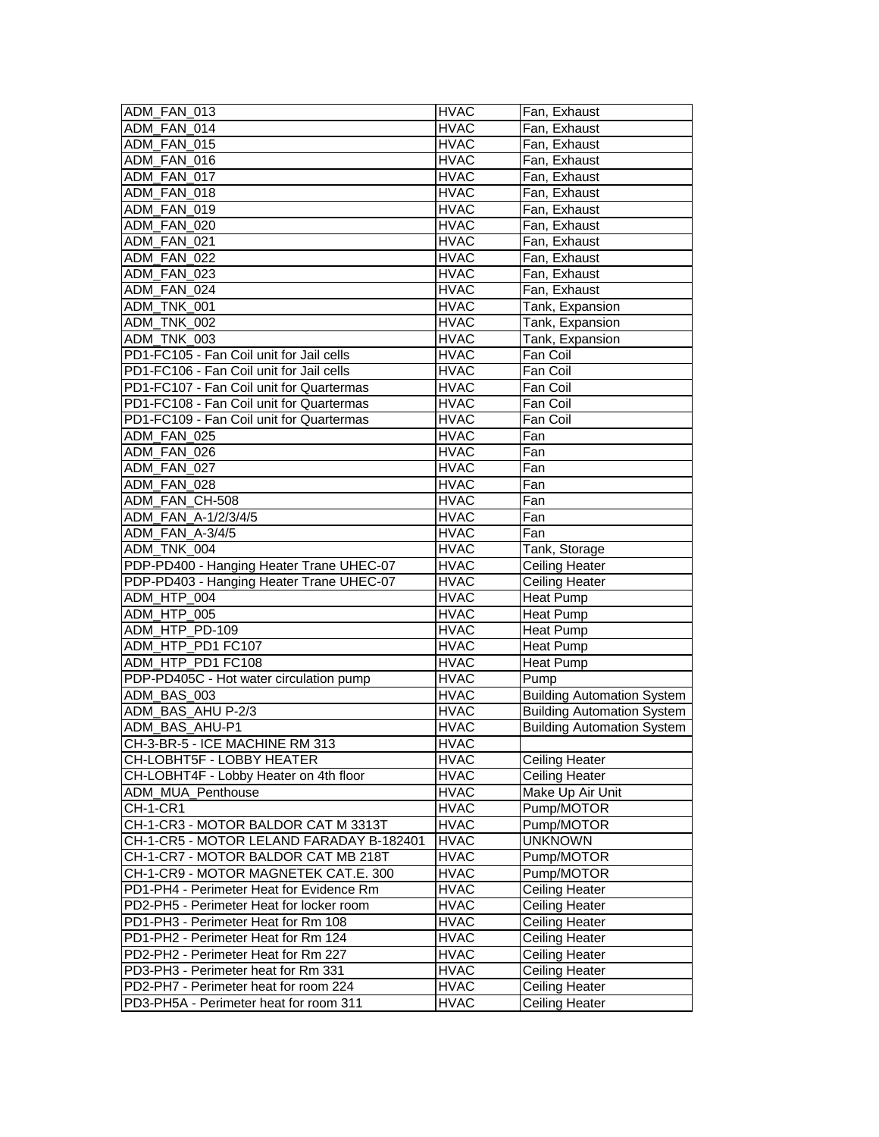| ADM FAN 013                              | <b>HVAC</b> | Fan, Exhaust                      |
|------------------------------------------|-------------|-----------------------------------|
| ADM_FAN_014                              | <b>HVAC</b> | Fan, Exhaust                      |
| ADM FAN 015                              | <b>HVAC</b> | Fan, Exhaust                      |
| ADM FAN 016                              | <b>HVAC</b> | Fan, Exhaust                      |
| ADM FAN 017                              | <b>HVAC</b> | Fan, Exhaust                      |
| ADM FAN 018                              | <b>HVAC</b> | Fan, Exhaust                      |
| ADM_FAN_019                              | <b>HVAC</b> | Fan, Exhaust                      |
| ADM FAN 020                              | <b>HVAC</b> | Fan, Exhaust                      |
| ADM FAN 021                              | <b>HVAC</b> | Fan, Exhaust                      |
| ADM FAN 022                              | <b>HVAC</b> | Fan, Exhaust                      |
| ADM FAN 023                              | <b>HVAC</b> | Fan, Exhaust                      |
| ADM FAN 024                              | <b>HVAC</b> | Fan, Exhaust                      |
| ADM_TNK_001                              | <b>HVAC</b> | Tank, Expansion                   |
| ADM_TNK_002                              | <b>HVAC</b> | Tank, Expansion                   |
| ADM_TNK_003                              | <b>HVAC</b> | Tank, Expansion                   |
| PD1-FC105 - Fan Coil unit for Jail cells | <b>HVAC</b> | Fan Coil                          |
| PD1-FC106 - Fan Coil unit for Jail cells | <b>HVAC</b> | Fan Coil                          |
| PD1-FC107 - Fan Coil unit for Quartermas | <b>HVAC</b> | Fan Coil                          |
| PD1-FC108 - Fan Coil unit for Quartermas | <b>HVAC</b> | Fan Coil                          |
| PD1-FC109 - Fan Coil unit for Quartermas | <b>HVAC</b> | Fan Coil                          |
| ADM FAN 025                              | <b>HVAC</b> | Fan                               |
| ADM FAN 026                              | <b>HVAC</b> | Fan                               |
| ADM_FAN_027                              | <b>HVAC</b> | Fan                               |
| ADM_FAN_028                              | <b>HVAC</b> | Fan                               |
| ADM_FAN_CH-508                           | <b>HVAC</b> | Fan                               |
| ADM_FAN_A-1/2/3/4/5                      | <b>HVAC</b> | Fan                               |
| ADM FAN A-3/4/5                          | <b>HVAC</b> | Fan                               |
| ADM_TNK_004                              | <b>HVAC</b> | Tank, Storage                     |
| PDP-PD400 - Hanging Heater Trane UHEC-07 | <b>HVAC</b> | Ceiling Heater                    |
| PDP-PD403 - Hanging Heater Trane UHEC-07 | <b>HVAC</b> | <b>Ceiling Heater</b>             |
| ADM_HTP_004                              | <b>HVAC</b> | Heat Pump                         |
| ADM_HTP_005                              | <b>HVAC</b> | <b>Heat Pump</b>                  |
| ADM_HTP_PD-109                           | <b>HVAC</b> | <b>Heat Pump</b>                  |
| ADM_HTP_PD1 FC107                        | <b>HVAC</b> | Heat Pump                         |
| ADM HTP PD1 FC108                        | <b>HVAC</b> | <b>Heat Pump</b>                  |
| PDP-PD405C - Hot water circulation pump  | <b>HVAC</b> | Pump                              |
| ADM BAS 003                              | <b>HVAC</b> | <b>Building Automation System</b> |
| ADM BAS AHU P-2/3                        | <b>HVAC</b> | <b>Building Automation System</b> |
| ADM_BAS_AHU-P1                           | <b>HVAC</b> | <b>Building Automation System</b> |
| CH-3-BR-5 - ICE MACHINE RM 313           | <b>HVAC</b> |                                   |
| CH-LOBHT5F - LOBBY HEATER                | <b>HVAC</b> | <b>Ceiling Heater</b>             |
| CH-LOBHT4F - Lobby Heater on 4th floor   | <b>HVAC</b> | <b>Ceiling Heater</b>             |
| ADM_MUA_Penthouse                        | <b>HVAC</b> | Make Up Air Unit                  |
| <b>CH-1-CR1</b>                          | <b>HVAC</b> | Pump/MOTOR                        |
| CH-1-CR3 - MOTOR BALDOR CAT M 3313T      | <b>HVAC</b> | Pump/MOTOR                        |
| CH-1-CR5 - MOTOR LELAND FARADAY B-182401 | <b>HVAC</b> | <b>UNKNOWN</b>                    |
| CH-1-CR7 - MOTOR BALDOR CAT MB 218T      | <b>HVAC</b> | Pump/MOTOR                        |
| CH-1-CR9 - MOTOR MAGNETEK CAT.E. 300     | <b>HVAC</b> | Pump/MOTOR                        |
| PD1-PH4 - Perimeter Heat for Evidence Rm | <b>HVAC</b> | <b>Ceiling Heater</b>             |
| PD2-PH5 - Perimeter Heat for locker room | <b>HVAC</b> | <b>Ceiling Heater</b>             |
| PD1-PH3 - Perimeter Heat for Rm 108      | <b>HVAC</b> | Ceiling Heater                    |
| PD1-PH2 - Perimeter Heat for Rm 124      | <b>HVAC</b> | Ceiling Heater                    |
| PD2-PH2 - Perimeter Heat for Rm 227      | <b>HVAC</b> | <b>Ceiling Heater</b>             |
| PD3-PH3 - Perimeter heat for Rm 331      | <b>HVAC</b> | Ceiling Heater                    |
| PD2-PH7 - Perimeter heat for room 224    | <b>HVAC</b> | <b>Ceiling Heater</b>             |
| PD3-PH5A - Perimeter heat for room 311   | <b>HVAC</b> | Ceiling Heater                    |
|                                          |             |                                   |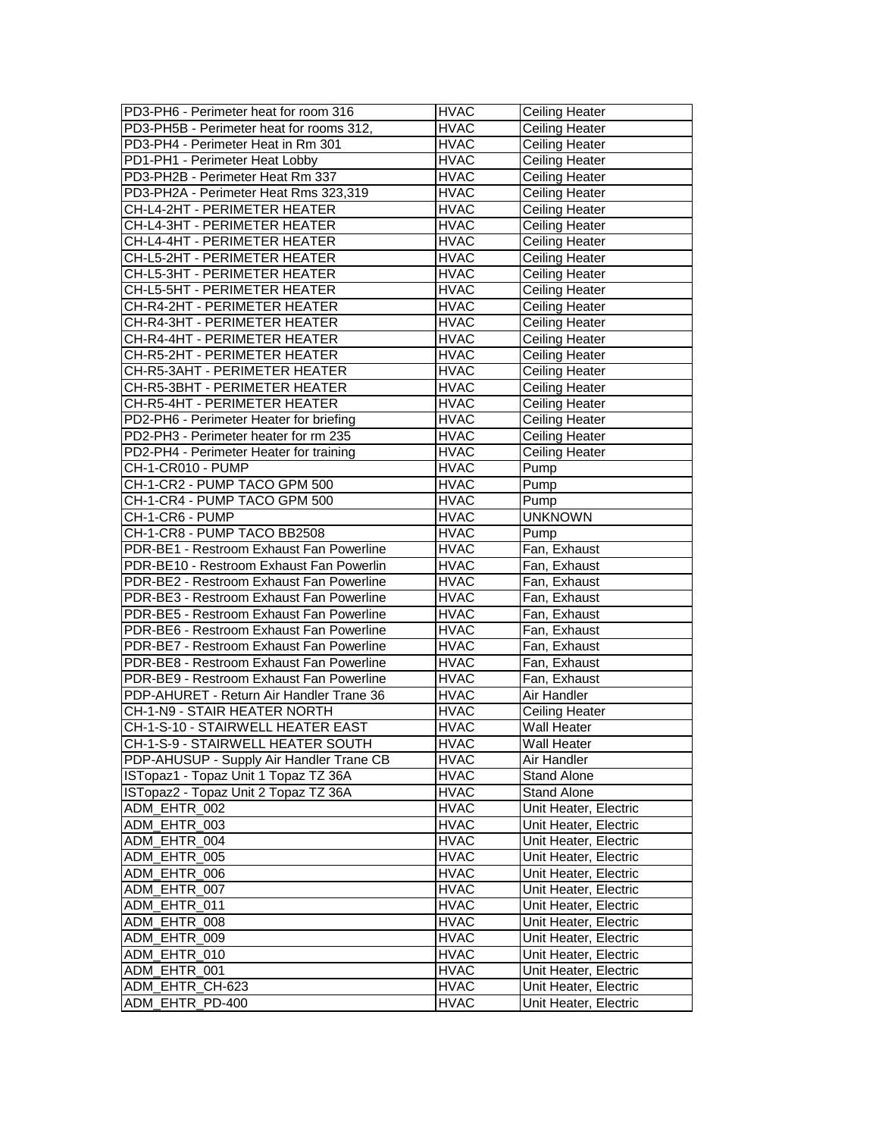| PD3-PH6 - Perimeter heat for room 316    | <b>HVAC</b> | <b>Ceiling Heater</b> |
|------------------------------------------|-------------|-----------------------|
| PD3-PH5B - Perimeter heat for rooms 312, | <b>HVAC</b> | Ceiling Heater        |
| PD3-PH4 - Perimeter Heat in Rm 301       | <b>HVAC</b> | <b>Ceiling Heater</b> |
| PD1-PH1 - Perimeter Heat Lobby           | <b>HVAC</b> | Ceiling Heater        |
| PD3-PH2B - Perimeter Heat Rm 337         | <b>HVAC</b> | <b>Ceiling Heater</b> |
| PD3-PH2A - Perimeter Heat Rms 323,319    | <b>HVAC</b> | Ceiling Heater        |
| CH-L4-2HT - PERIMETER HEATER             | <b>HVAC</b> | Ceiling Heater        |
| CH-L4-3HT - PERIMETER HEATER             | <b>HVAC</b> | Ceiling Heater        |
| CH-L4-4HT - PERIMETER HEATER             | <b>HVAC</b> | Ceiling Heater        |
| CH-L5-2HT - PERIMETER HEATER             | <b>HVAC</b> | Ceiling Heater        |
| CH-L5-3HT - PERIMETER HEATER             | <b>HVAC</b> | Ceiling Heater        |
| CH-L5-5HT - PERIMETER HEATER             | <b>HVAC</b> | Ceiling Heater        |
| CH-R4-2HT - PERIMETER HEATER             | <b>HVAC</b> | <b>Ceiling Heater</b> |
| CH-R4-3HT - PERIMETER HEATER             | <b>HVAC</b> | <b>Ceiling Heater</b> |
| CH-R4-4HT - PERIMETER HEATER             | <b>HVAC</b> | <b>Ceiling Heater</b> |
| CH-R5-2HT - PERIMETER HEATER             | <b>HVAC</b> | Ceiling Heater        |
| CH-R5-3AHT - PERIMETER HEATER            | <b>HVAC</b> | Ceiling Heater        |
| CH-R5-3BHT - PERIMETER HEATER            | <b>HVAC</b> | <b>Ceiling Heater</b> |
| CH-R5-4HT - PERIMETER HEATER             | <b>HVAC</b> | Ceiling Heater        |
| PD2-PH6 - Perimeter Heater for briefing  | <b>HVAC</b> | <b>Ceiling Heater</b> |
| PD2-PH3 - Perimeter heater for rm 235    | <b>HVAC</b> | Ceiling Heater        |
| PD2-PH4 - Perimeter Heater for training  | <b>HVAC</b> | <b>Ceiling Heater</b> |
|                                          |             |                       |
| CH-1-CR010 - PUMP                        | <b>HVAC</b> | Pump                  |
| CH-1-CR2 - PUMP TACO GPM 500             | HVAC        | Pump                  |
| CH-1-CR4 - PUMP TACO GPM 500             | <b>HVAC</b> | Pump                  |
| CH-1-CR6 - PUMP                          | <b>HVAC</b> | <b>UNKNOWN</b>        |
| CH-1-CR8 - PUMP TACO BB2508              | <b>HVAC</b> | Pump                  |
| PDR-BE1 - Restroom Exhaust Fan Powerline | <b>HVAC</b> | Fan, Exhaust          |
| PDR-BE10 - Restroom Exhaust Fan Powerlin | <b>HVAC</b> | Fan, Exhaust          |
| PDR-BE2 - Restroom Exhaust Fan Powerline | <b>HVAC</b> | Fan, Exhaust          |
| PDR-BE3 - Restroom Exhaust Fan Powerline | <b>HVAC</b> | Fan, Exhaust          |
| PDR-BE5 - Restroom Exhaust Fan Powerline | <b>HVAC</b> | Fan, Exhaust          |
| PDR-BE6 - Restroom Exhaust Fan Powerline | <b>HVAC</b> | Fan, Exhaust          |
| PDR-BE7 - Restroom Exhaust Fan Powerline | <b>HVAC</b> | Fan, Exhaust          |
| PDR-BE8 - Restroom Exhaust Fan Powerline | <b>HVAC</b> | Fan, Exhaust          |
| PDR-BE9 - Restroom Exhaust Fan Powerline | <b>HVAC</b> | Fan, Exhaust          |
| PDP-AHURET - Return Air Handler Trane 36 | <b>HVAC</b> | Air Handler           |
| CH-1-N9 - STAIR HEATER NORTH             | <b>HVAC</b> | <b>Ceiling Heater</b> |
| CH-1-S-10 - STAIRWELL HEATER EAST        | <b>HVAC</b> | Wall Heater           |
| CH-1-S-9 - STAIRWELL HEATER SOUTH        | <b>HVAC</b> | Wall Heater           |
| PDP-AHUSUP - Supply Air Handler Trane CB | <b>HVAC</b> | Air Handler           |
| ISTopaz1 - Topaz Unit 1 Topaz TZ 36A     | <b>HVAC</b> | <b>Stand Alone</b>    |
| ISTopaz2 - Topaz Unit 2 Topaz TZ 36A     | <b>HVAC</b> | Stand Alone           |
| ADM_EHTR_002                             | <b>HVAC</b> | Unit Heater, Electric |
| ADM_EHTR_003                             | <b>HVAC</b> | Unit Heater, Electric |
| ADM_EHTR_004                             | <b>HVAC</b> | Unit Heater, Electric |
| ADM_EHTR_005                             | <b>HVAC</b> | Unit Heater, Electric |
| ADM_EHTR_006                             | <b>HVAC</b> | Unit Heater, Electric |
| ADM_EHTR_007                             | <b>HVAC</b> | Unit Heater, Electric |
|                                          |             |                       |
| ADM_EHTR_011                             | <b>HVAC</b> | Unit Heater, Electric |
| ADM_EHTR_008                             | <b>HVAC</b> | Unit Heater, Electric |
| ADM_EHTR_009                             | <b>HVAC</b> | Unit Heater, Electric |
| ADM_EHTR_010                             | <b>HVAC</b> | Unit Heater, Electric |
| ADM_EHTR_001                             | <b>HVAC</b> | Unit Heater, Electric |
| ADM_EHTR_CH-623                          | <b>HVAC</b> | Unit Heater, Electric |
| ADM_EHTR_PD-400                          | <b>HVAC</b> | Unit Heater, Electric |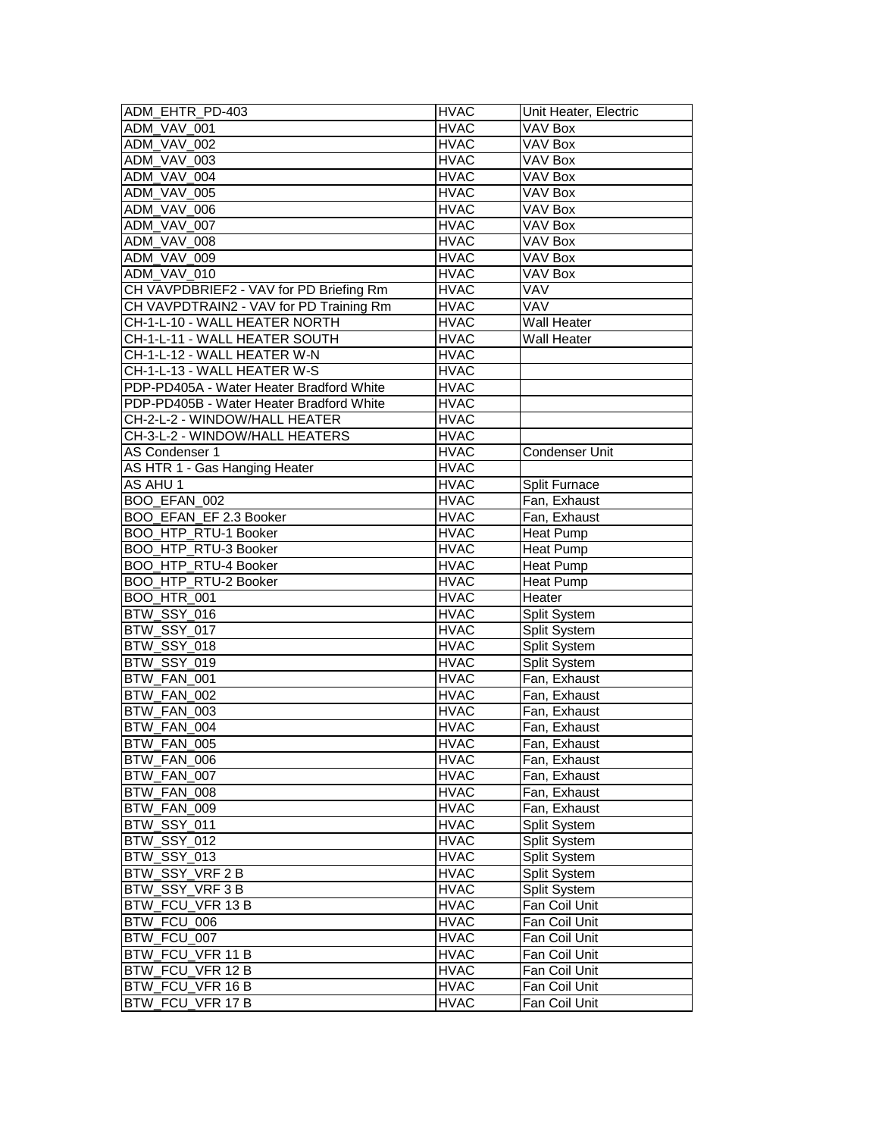| ADM_EHTR_PD-403                          | <b>HVAC</b>                | Unit Heater, Electric |
|------------------------------------------|----------------------------|-----------------------|
| ADM VAV 001                              | <b>HVAC</b>                | VAV Box               |
| ADM_VAV_002                              | <b>HVAC</b>                | VAV Box               |
| ADM_VAV_003                              | <b>HVAC</b>                | $\overline{VAV}$ Box  |
| ADM_VAV_004                              | <b>HVAC</b>                | VAV Box               |
| ADM_VAV_005                              | <b>HVAC</b>                | VAV Box               |
| ADM_VAV_006                              | <b>HVAC</b>                | <b>VAV Box</b>        |
| ADM_VAV_007                              | <b>HVAC</b>                | VAV Box               |
| ADM VAV 008                              | <b>HVAC</b>                | VAV Box               |
| ADM_VAV_009                              | <b>HVAC</b>                | <b>VAV Box</b>        |
| ADM_VAV_010                              | <b>HVAC</b>                | VAV Box               |
| CH VAVPDBRIEF2 - VAV for PD Briefing Rm  | <b>HVAC</b>                | VAV                   |
| CH VAVPDTRAIN2 - VAV for PD Training Rm  | <b>HVAC</b>                | VAV                   |
| CH-1-L-10 - WALL HEATER NORTH            | <b>HVAC</b>                | Wall Heater           |
| CH-1-L-11 - WALL HEATER SOUTH            | <b>HVAC</b>                | Wall Heater           |
| CH-1-L-12 - WALL HEATER W-N              | <b>HVAC</b>                |                       |
| CH-1-L-13 - WALL HEATER W-S              | <b>HVAC</b>                |                       |
| PDP-PD405A - Water Heater Bradford White | <b>HVAC</b>                |                       |
| PDP-PD405B - Water Heater Bradford White | <b>HVAC</b>                |                       |
| CH-2-L-2 - WINDOW/HALL HEATER            | <b>HVAC</b>                |                       |
| CH-3-L-2 - WINDOW/HALL HEATERS           | <b>HVAC</b>                |                       |
| AS Condenser 1                           | <b>HVAC</b>                | <b>Condenser Unit</b> |
| AS HTR 1 - Gas Hanging Heater            | <b>HVAC</b>                |                       |
| AS AHU 1                                 | <b>HVAC</b>                | Split Furnace         |
| BOO_EFAN_002                             | <b>HVAC</b>                | Fan, Exhaust          |
| BOO_EFAN_EF 2.3 Booker                   | <b>HVAC</b>                | Fan, Exhaust          |
| BOO_HTP_RTU-1 Booker                     | <b>HVAC</b>                | <b>Heat Pump</b>      |
| BOO_HTP_RTU-3 Booker                     | <b>HVAC</b>                | <b>Heat Pump</b>      |
| BOO_HTP_RTU-4 Booker                     | <b>HVAC</b>                | <b>Heat Pump</b>      |
| BOO_HTP_RTU-2 Booker                     | <b>HVAC</b>                | <b>Heat Pump</b>      |
| <b>BOO HTR 001</b>                       | <b>HVAC</b>                | Heater                |
| <b>BTW_SSY_016</b>                       | <b>HVAC</b>                | Split System          |
| BTW_SSY_017                              | <b>HVAC</b>                | Split System          |
| BTW_SSY_018                              | <b>HVAC</b>                | Split System          |
| BTW_SSY_019                              | <b>HVAC</b>                | Split System          |
| BTW_FAN_001                              | <b>HVAC</b>                | Fan, Exhaust          |
| BTW_FAN_002                              | <b>HVAC</b>                | Fan, Exhaust          |
| BTW_FAN_003                              | <b>HVAC</b>                | Fan, Exhaust          |
| BTW_FAN_004                              | <b>HVAC</b>                | Fan, Exhaust          |
| BTW FAN 005                              | <b>HVAC</b>                | Fan, Exhaust          |
| BTW_FAN_006                              | <b>HVAC</b>                | Fan, Exhaust          |
| BTW_FAN_007                              | <b>HVAC</b>                | Fan, Exhaust          |
| BTW_FAN_008                              | <b>HVAC</b>                | Fan, Exhaust          |
| BTW_FAN_009                              | <b>HVAC</b>                | Fan, Exhaust          |
| BTW_SSY_011                              | <b>HVAC</b>                |                       |
|                                          |                            | Split System          |
| BTW_SSY_012                              | <b>HVAC</b>                | Split System          |
| BTW_SSY_013                              | <b>HVAC</b>                | Split System          |
| BTW_SSY_VRF2B<br>BTW_SSY_VRF3B           | <b>HVAC</b><br><b>HVAC</b> | Split System          |
|                                          |                            | Split System          |
| BTW_FCU_VFR 13 B                         | <b>HVAC</b>                | Fan Coil Unit         |
| BTW_FCU_006                              | <b>HVAC</b>                | Fan Coil Unit         |
| BTW_FCU_007                              | <b>HVAC</b>                | Fan Coil Unit         |
| BTW_FCU_VFR 11 B                         | <b>HVAC</b>                | Fan Coil Unit         |
| BTW_FCU_VFR 12 B                         | <b>HVAC</b>                | Fan Coil Unit         |
| BTW FCU VFR 16 B                         | <b>HVAC</b>                | Fan Coil Unit         |
| BTW_FCU_VFR 17 B                         | <b>HVAC</b>                | Fan Coil Unit         |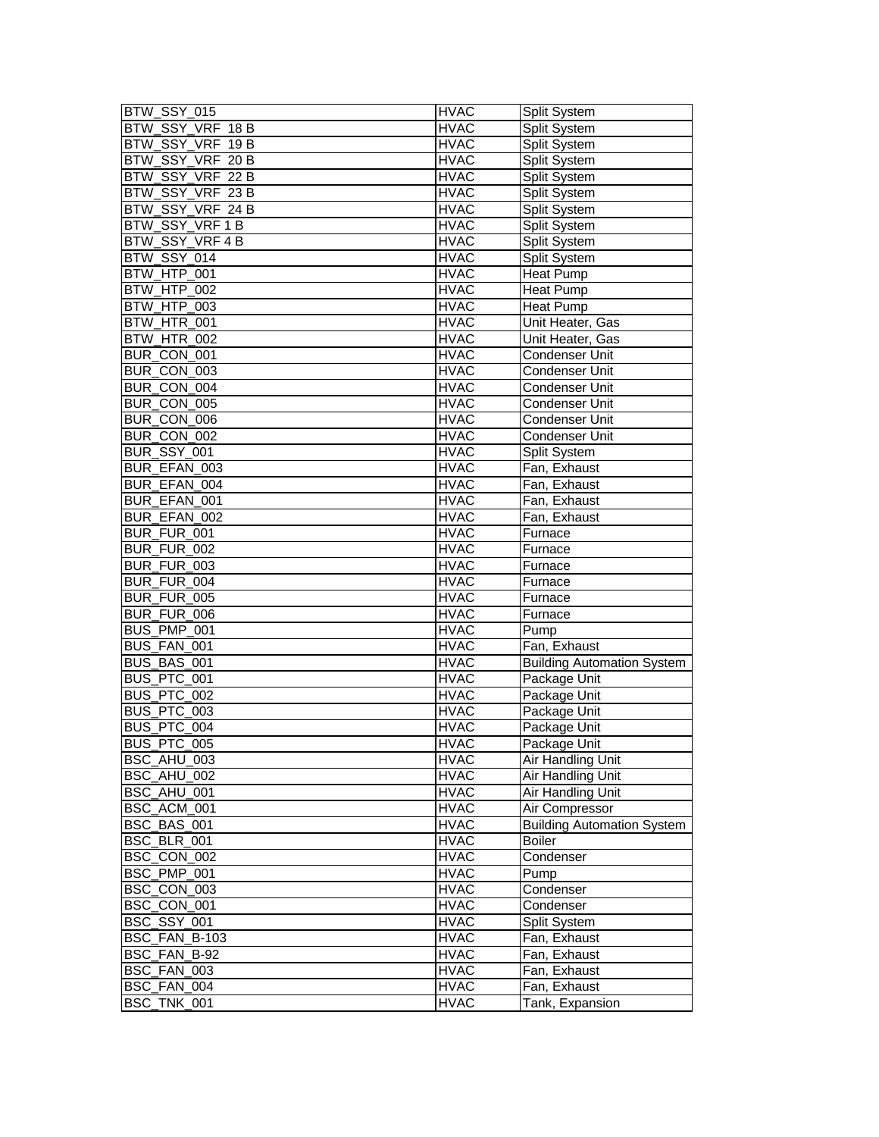| BTW_SSY_015        | <b>HVAC</b> | Split System                      |
|--------------------|-------------|-----------------------------------|
| BTW_SSY_VRF 18 B   | <b>HVAC</b> | Split System                      |
| BTW_SSY_VRF 19 B   | <b>HVAC</b> | Split System                      |
| BTW_SSY_VRF 20 B   | <b>HVAC</b> | Split System                      |
| BTW_SSY_VRF 22 B   | <b>HVAC</b> | Split System                      |
| BTW_SSY_VRF 23 B   | <b>HVAC</b> | Split System                      |
| BTW_SSY_VRF 24 B   | <b>HVAC</b> | Split System                      |
| BTW SSY VRF1B      | <b>HVAC</b> | Split System                      |
| BTW SSY VRF 4 B    | <b>HVAC</b> | Split System                      |
| BTW_SSY_014        | <b>HVAC</b> | Split System                      |
| BTW_HTP_001        | <b>HVAC</b> | <b>Heat Pump</b>                  |
| BTW HTP 002        | <b>HVAC</b> | <b>Heat Pump</b>                  |
| BTW HTP 003        | <b>HVAC</b> | Heat Pump                         |
| BTW_HTR_001        | <b>HVAC</b> | Unit Heater, Gas                  |
| BTW_HTR_002        | <b>HVAC</b> | Unit Heater, Gas                  |
| BUR_CON_001        | <b>HVAC</b> | Condenser Unit                    |
| BUR CON 003        | <b>HVAC</b> | Condenser Unit                    |
| BUR_CON_004        | <b>HVAC</b> | Condenser Unit                    |
| BUR_CON_005        | <b>HVAC</b> | Condenser Unit                    |
| BUR CON 006        | <b>HVAC</b> | <b>Condenser Unit</b>             |
| BUR_CON_002        | <b>HVAC</b> | Condenser Unit                    |
| BUR_SSY_001        | <b>HVAC</b> | Split System                      |
| BUR_EFAN_003       | <b>HVAC</b> | Fan, Exhaust                      |
| BUR_EFAN_004       | <b>HVAC</b> | Fan, Exhaust                      |
| BUR EFAN 001       | <b>HVAC</b> | Fan, Exhaust                      |
| BUR EFAN 002       | <b>HVAC</b> | Fan, Exhaust                      |
| BUR_FUR_001        | <b>HVAC</b> | Furnace                           |
| BUR_FUR_002        | <b>HVAC</b> | Furnace                           |
| BUR_FUR_003        | <b>HVAC</b> | Furnace                           |
| BUR_FUR_004        | <b>HVAC</b> | Furnace                           |
| BUR_FUR_005        | <b>HVAC</b> | Furnace                           |
| BUR_FUR_006        | <b>HVAC</b> | Furnace                           |
| BUS PMP 001        | <b>HVAC</b> | Pump                              |
| BUS FAN 001        | <b>HVAC</b> | Fan, Exhaust                      |
| BUS BAS 001        | <b>HVAC</b> | <b>Building Automation System</b> |
| BUS_PTC_001        | <b>HVAC</b> | Package Unit                      |
| BUS PTC 002        | <b>HVAC</b> | Package Unit                      |
| BUS_PTC_003        | <b>HVAC</b> | Package Unit                      |
| BUS_PTC_004        | <b>HVAC</b> | Package Unit                      |
| BUS PTC 005        | <b>HVAC</b> | Package Unit                      |
| BSC_AHU_003        | <b>HVAC</b> | Air Handling Unit                 |
| BSC_AHU_002        | <b>HVAC</b> | <b>Air Handling Unit</b>          |
| BSC_AHU_001        | <b>HVAC</b> | Air Handling Unit                 |
| BSC ACM 001        | <b>HVAC</b> | Air Compressor                    |
| BSC_BAS_001        | <b>HVAC</b> | <b>Building Automation System</b> |
| BSC_BLR_001        | <b>HVAC</b> | <b>Boiler</b>                     |
| BSC_CON_002        | <b>HVAC</b> | Condenser                         |
| BSC_PMP_001        | <b>HVAC</b> | Pump                              |
| BSC_CON_003        | <b>HVAC</b> | Condenser                         |
| BSC_CON_001        | <b>HVAC</b> | Condenser                         |
| <b>BSC_SSY_001</b> | <b>HVAC</b> | Split System                      |
| BSC_FAN_B-103      | <b>HVAC</b> | Fan, Exhaust                      |
| BSC_FAN_B-92       | <b>HVAC</b> | Fan, Exhaust                      |
| BSC_FAN_003        | <b>HVAC</b> | Fan, Exhaust                      |
| BSC_FAN_004        | <b>HVAC</b> | Fan, Exhaust                      |
| BSC_TNK_001        | <b>HVAC</b> | Tank, Expansion                   |
|                    |             |                                   |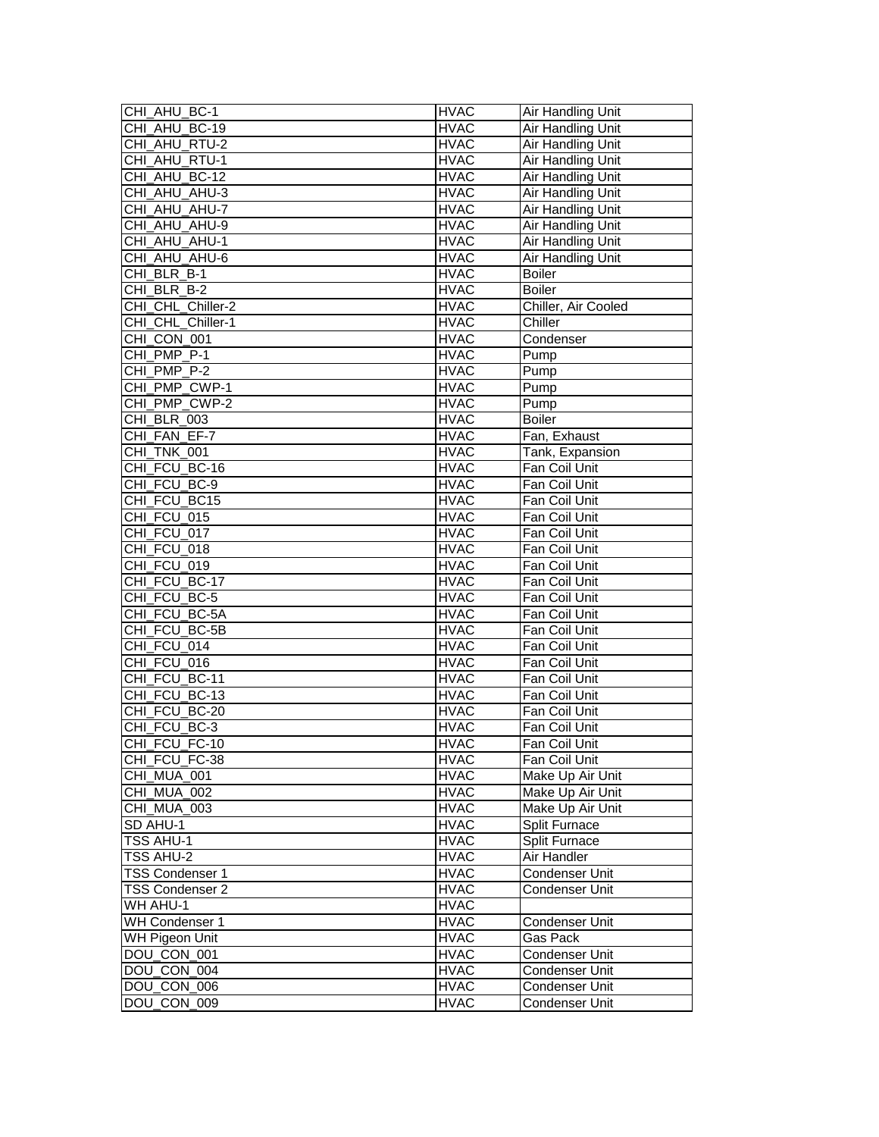| CHI AHU BC-1      | <b>HVAC</b> | Air Handling Unit        |
|-------------------|-------------|--------------------------|
| CHI_AHU_BC-19     | <b>HVAC</b> | Air Handling Unit        |
| CHI_AHU_RTU-2     | <b>HVAC</b> | Air Handling Unit        |
| CHI_AHU_RTU-1     | <b>HVAC</b> | <b>Air Handling Unit</b> |
| CHI_AHU_BC-12     | <b>HVAC</b> | Air Handling Unit        |
| CHI_AHU_AHU-3     | <b>HVAC</b> | Air Handling Unit        |
| CHI_AHU_AHU-7     | <b>HVAC</b> | Air Handling Unit        |
| CHI AHU AHU-9     | <b>HVAC</b> | Air Handling Unit        |
| CHI_AHU_AHU-1     | <b>HVAC</b> | <b>Air Handling Unit</b> |
| CHI AHU AHU-6     | <b>HVAC</b> | Air Handling Unit        |
| CHI BLR B-1       | <b>HVAC</b> | <b>Boiler</b>            |
| CHI BLR B-2       | <b>HVAC</b> | <b>Boiler</b>            |
| CHI_CHL_Chiller-2 | <b>HVAC</b> | Chiller, Air Cooled      |
| CHI_CHL_Chiller-1 | <b>HVAC</b> | Chiller                  |
| CHI_CON_001       | <b>HVAC</b> | Condenser                |
| CHI_PMP_P-1       | <b>HVAC</b> | Pump                     |
| CHI PMP P-2       |             |                          |
|                   | <b>HVAC</b> | Pump                     |
| CHI PMP_CWP-1     | <b>HVAC</b> | Pump                     |
| CHI PMP CWP-2     | <b>HVAC</b> | Pump                     |
| CHI BLR 003       | <b>HVAC</b> | <b>Boiler</b>            |
| CHI FAN EF-7      | <b>HVAC</b> | Fan, Exhaust             |
| CHI_TNK_001       | <b>HVAC</b> | Tank, Expansion          |
| CHI FCU BC-16     | <b>HVAC</b> | Fan Coil Unit            |
| CHI_FCU_BC-9      | <b>HVAC</b> | Fan Coil Unit            |
| CHI_FCU_BC15      | <b>HVAC</b> | Fan Coil Unit            |
| CHI FCU 015       | <b>HVAC</b> | Fan Coil Unit            |
| CHI FCU 017       | <b>HVAC</b> | Fan Coil Unit            |
| CHI_FCU_018       | <b>HVAC</b> | Fan Coil Unit            |
| CHI FCU 019       | <b>HVAC</b> | Fan Coil Unit            |
| CHI_FCU_BC-17     | <b>HVAC</b> | Fan Coil Unit            |
| CHI_FCU_BC-5      | <b>HVAC</b> | Fan Coil Unit            |
| CHI_FCU_BC-5A     | <b>HVAC</b> | Fan Coil Unit            |
| CHI FCU BC-5B     | <b>HVAC</b> | Fan Coil Unit            |
| CHI FCU 014       | <b>HVAC</b> | Fan Coil Unit            |
| CHI FCU 016       | <b>HVAC</b> | Fan Coil Unit            |
| CHI_FCU_BC-11     | <b>HVAC</b> | Fan Coil Unit            |
| CHI_FCU_BC-13     | <b>HVAC</b> | Fan Coil Unit            |
| CHI_FCU_BC-20     | <b>HVAC</b> | Fan Coil Unit            |
| CHI_FCU_BC-3      | <b>HVAC</b> | Fan Coil Unit            |
| CHI_FCU_FC-10     | <b>HVAC</b> | Fan Coil Unit            |
| CHI FCU FC-38     | <b>HVAC</b> | Fan Coil Unit            |
| CHI_MUA_001       | <b>HVAC</b> | Make Up Air Unit         |
| CHI_MUA_002       | <b>HVAC</b> | Make Up Air Unit         |
| CHI MUA 003       | <b>HVAC</b> | Make Up Air Unit         |
| SD AHU-1          | <b>HVAC</b> | Split Furnace            |
| TSS AHU-1         | <b>HVAC</b> | Split Furnace            |
|                   |             |                          |
| TSS AHU-2         | <b>HVAC</b> | Air Handler              |
| TSS Condenser 1   | <b>HVAC</b> | Condenser Unit           |
| TSS Condenser 2   | <b>HVAC</b> | Condenser Unit           |
| WH AHU-1          | <b>HVAC</b> |                          |
| WH Condenser 1    | <b>HVAC</b> | Condenser Unit           |
| WH Pigeon Unit    | <b>HVAC</b> | Gas Pack                 |
| DOU_CON_001       | <b>HVAC</b> | <b>Condenser Unit</b>    |
| DOU CON 004       | <b>HVAC</b> | Condenser Unit           |
| DOU_CON_006       | <b>HVAC</b> | Condenser Unit           |
| DOU_CON_009       | <b>HVAC</b> | Condenser Unit           |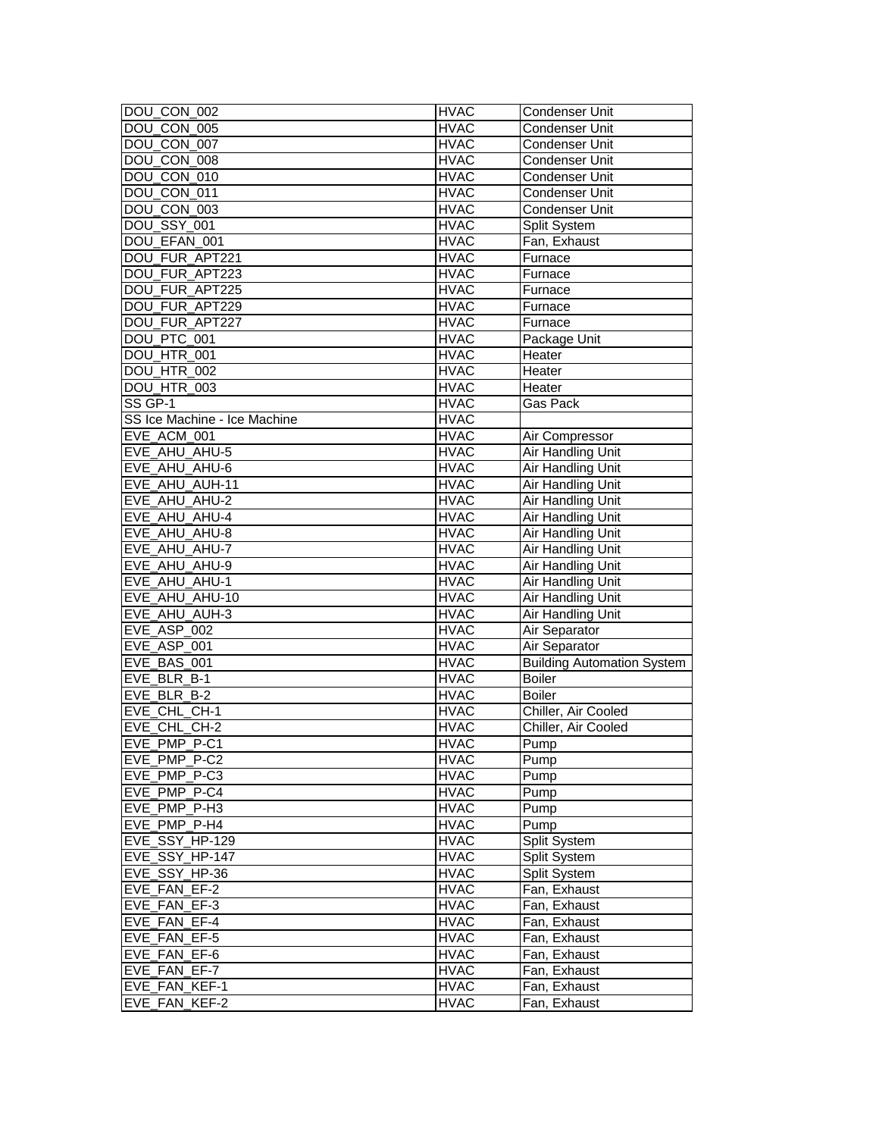| DOU_CON_002                  | <b>HVAC</b> | Condenser Unit                    |
|------------------------------|-------------|-----------------------------------|
| DOU CON_005                  | <b>HVAC</b> | Condenser Unit                    |
| DOU_CON_007                  | <b>HVAC</b> | Condenser Unit                    |
| DOU_CON_008                  | <b>HVAC</b> | Condenser Unit                    |
| DOU_CON_010                  | <b>HVAC</b> | Condenser Unit                    |
| DOU_CON_011                  | <b>HVAC</b> | Condenser Unit                    |
| DOU_CON_003                  | <b>HVAC</b> | Condenser Unit                    |
| <b>DOU_SSY_001</b>           | <b>HVAC</b> | Split System                      |
| DOU_EFAN_001                 | <b>HVAC</b> | Fan, Exhaust                      |
| DOU_FUR_APT221               | <b>HVAC</b> | Furnace                           |
| DOU_FUR_APT223               | <b>HVAC</b> | Furnace                           |
| DOU_FUR_APT225               | <b>HVAC</b> | Furnace                           |
| DOU_FUR_APT229               | <b>HVAC</b> | Furnace                           |
| DOU_FUR_APT227               | <b>HVAC</b> | Furnace                           |
| DOU_PTC_001                  | <b>HVAC</b> | Package Unit                      |
| DOU_HTR_001                  | <b>HVAC</b> | Heater                            |
| DOU HTR 002                  | <b>HVAC</b> | Heater                            |
| DOU HTR 003                  | <b>HVAC</b> | Heater                            |
| SS GP-1                      | <b>HVAC</b> | Gas Pack                          |
| SS Ice Machine - Ice Machine | <b>HVAC</b> |                                   |
| EVE_ACM_001                  | <b>HVAC</b> | Air Compressor                    |
| EVE_AHU_AHU-5                | <b>HVAC</b> | Air Handling Unit                 |
| EVE_AHU_AHU-6                | <b>HVAC</b> | Air Handling Unit                 |
| EVE_AHU_AUH-11               | <b>HVAC</b> | <b>Air Handling Unit</b>          |
| EVE_AHU_AHU-2                | <b>HVAC</b> | <b>Air Handling Unit</b>          |
| EVE AHU AHU-4                | <b>HVAC</b> | Air Handling Unit                 |
| EVE_AHU_AHU-8                | <b>HVAC</b> | Air Handling Unit                 |
| EVE_AHU_AHU-7                | <b>HVAC</b> | Air Handling Unit                 |
| EVE_AHU_AHU-9                | <b>HVAC</b> | Air Handling Unit                 |
| EVE_AHU_AHU-1                | <b>HVAC</b> | Air Handling Unit                 |
| EVE_AHU_AHU-10               | <b>HVAC</b> | <b>Air Handling Unit</b>          |
| EVE_AHU_AUH-3                | <b>HVAC</b> | Air Handling Unit                 |
| EVE_ASP_002                  | <b>HVAC</b> | Air Separator                     |
| EVE_ASP_001                  | <b>HVAC</b> | Air Separator                     |
|                              |             |                                   |
| EVE_BAS_001                  | <b>HVAC</b> | <b>Building Automation System</b> |
| EVE BLR B-1<br>EVE BLR B-2   | <b>HVAC</b> | <b>Boiler</b><br><b>Boiler</b>    |
|                              | <b>HVAC</b> |                                   |
| EVE CHL CH-1                 | <b>HVAC</b> | Chiller, Air Cooled               |
| EVE_CHL_CH-2                 | <b>HVAC</b> | Chiller, Air Cooled               |
| EVE PMP P-C1                 | <b>HVAC</b> | Pump                              |
| EVE_PMP_P-C2                 | <b>HVAC</b> | Pump                              |
| EVE_PMP_P-C3                 | <b>HVAC</b> | Pump                              |
| EVE PMP P-C4                 | <b>HVAC</b> | Pump                              |
| EVE PMP P-H3                 | <b>HVAC</b> | Pump                              |
| EVE PMP P-H4                 | <b>HVAC</b> | Pump                              |
| EVE_SSY_HP-129               | <b>HVAC</b> | Split System                      |
| EVE SSY_HP-147               | <b>HVAC</b> | Split System                      |
| EVE_SSY_HP-36                | <b>HVAC</b> | <b>Split System</b>               |
| EVE_FAN_EF-2                 | <b>HVAC</b> | Fan, Exhaust                      |
| EVE_FAN_EF-3                 | <b>HVAC</b> | Fan, Exhaust                      |
| EVE FAN EF-4                 | <b>HVAC</b> | Fan, Exhaust                      |
| EVE_FAN_EF-5                 | <b>HVAC</b> | Fan, Exhaust                      |
| EVE FAN EF-6                 | <b>HVAC</b> | Fan, Exhaust                      |
| EVE FAN EF-7                 | <b>HVAC</b> | Fan, Exhaust                      |
| EVE FAN KEF-1                | <b>HVAC</b> | Fan, Exhaust                      |
| EVE FAN KEF-2                | <b>HVAC</b> | Fan, Exhaust                      |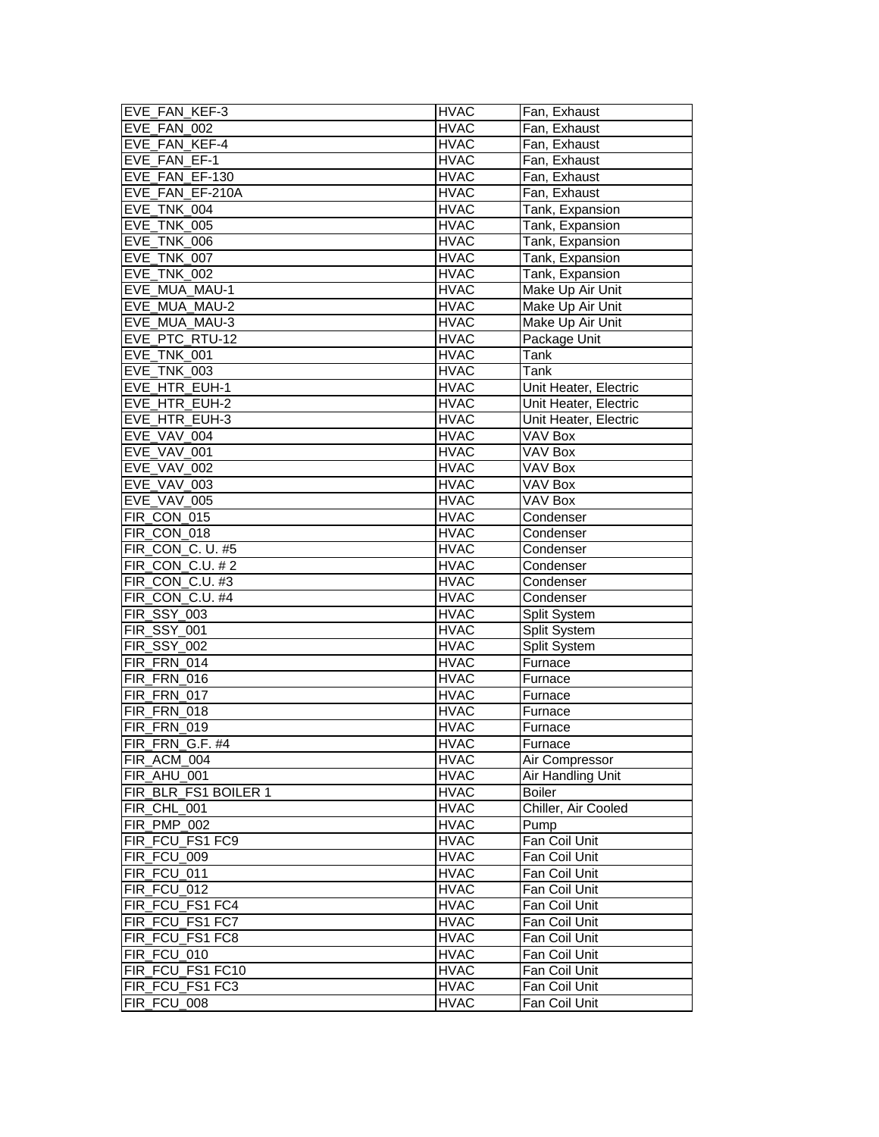| EVE_FAN_KEF-3        | <b>HVAC</b> | Fan, Exhaust          |
|----------------------|-------------|-----------------------|
| EVE_FAN_002          | <b>HVAC</b> | Fan, Exhaust          |
| EVE_FAN_KEF-4        | <b>HVAC</b> | Fan, Exhaust          |
| EVE FAN EF-1         | <b>HVAC</b> | Fan, Exhaust          |
| EVE_FAN_EF-130       | <b>HVAC</b> | Fan, Exhaust          |
| EVE_FAN_EF-210A      | <b>HVAC</b> | Fan. Exhaust          |
| EVE_TNK_004          | <b>HVAC</b> | Tank, Expansion       |
| EVE_TNK_005          | <b>HVAC</b> | Tank, Expansion       |
| EVE_TNK_006          | <b>HVAC</b> | Tank, Expansion       |
| EVE_TNK_007          | <b>HVAC</b> | Tank, Expansion       |
| EVE_TNK_002          | <b>HVAC</b> | Tank, Expansion       |
| EVE MUA MAU-1        | <b>HVAC</b> | Make Up Air Unit      |
| EVE_MUA_MAU-2        | <b>HVAC</b> | Make Up Air Unit      |
| EVE MUA MAU-3        | <b>HVAC</b> | Make Up Air Unit      |
| EVE_PTC_RTU-12       | <b>HVAC</b> | Package Unit          |
| EVE_TNK_001          | <b>HVAC</b> | Tank                  |
| EVE_TNK_003          | <b>HVAC</b> | Tank                  |
| EVE HTR EUH-1        | <b>HVAC</b> | Unit Heater, Electric |
| EVE HTR EUH-2        | <b>HVAC</b> | Unit Heater, Electric |
| EVE HTR EUH-3        | <b>HVAC</b> | Unit Heater, Electric |
| EVE VAV 004          | <b>HVAC</b> | VAV Box               |
| EVE_VAV_001          | <b>HVAC</b> | <b>VAV Box</b>        |
| EVE_VAV_002          | <b>HVAC</b> | VAV Box               |
| EVE_VAV_003          | <b>HVAC</b> | VAV Box               |
| EVE_VAV_005          | <b>HVAC</b> | VAV Box               |
| FIR CON 015          | <b>HVAC</b> | Condenser             |
| FIR_CON_018          | <b>HVAC</b> | Condenser             |
| FIR_CON_C. U. #5     | <b>HVAC</b> | Condenser             |
| FIR CON C.U. #2      | <b>HVAC</b> | Condenser             |
| FIR_CON_C.U. #3      | <b>HVAC</b> | Condenser             |
| FIR_CON_C.U. #4      | <b>HVAC</b> | Condenser             |
| FIR_SSY_003          | <b>HVAC</b> | Split System          |
| <b>FIR_SSY_001</b>   | <b>HVAC</b> | Split System          |
| <b>FIR_SSY_002</b>   | <b>HVAC</b> | Split System          |
| FIR_FRN_014          | <b>HVAC</b> | Furnace               |
| FIR_FRN_016          | <b>HVAC</b> | Furnace               |
| FIR_FRN_017          | <b>HVAC</b> | Furnace               |
| FIR_FRN_018          | <b>HVAC</b> | Furnace               |
| FIR_FRN_019          | <b>HVAC</b> | Furnace               |
| FIR_FRN_G.F. #4      | <b>HVAC</b> | Furnace               |
| FIR_ACM_004          | <b>HVAC</b> | Air Compressor        |
| FIR_AHU_001          | <b>HVAC</b> | Air Handling Unit     |
| FIR_BLR_FS1 BOILER 1 | <b>HVAC</b> | Boiler                |
| FIR CHL 001          | <b>HVAC</b> | Chiller, Air Cooled   |
| FIR_PMP_002          | <b>HVAC</b> | Pump                  |
| FIR_FCU_FS1 FC9      | <b>HVAC</b> | Fan Coil Unit         |
| FIR FCU 009          | <b>HVAC</b> | Fan Coil Unit         |
| FIR_FCU_011          | <b>HVAC</b> | Fan Coil Unit         |
| FIR_FCU_012          | <b>HVAC</b> | Fan Coil Unit         |
| FIR FCU FS1 FC4      | <b>HVAC</b> | Fan Coil Unit         |
| FIR_FCU_FS1 FC7      | <b>HVAC</b> | Fan Coil Unit         |
| FIR FCU_FS1 FC8      | <b>HVAC</b> | Fan Coil Unit         |
| FIR_FCU_010          | <b>HVAC</b> | Fan Coil Unit         |
| FIR FCU FS1 FC10     | <b>HVAC</b> | Fan Coil Unit         |
| FIR_FCU_FS1 FC3      | <b>HVAC</b> | Fan Coil Unit         |
| FIR_FCU_008          | <b>HVAC</b> | Fan Coil Unit         |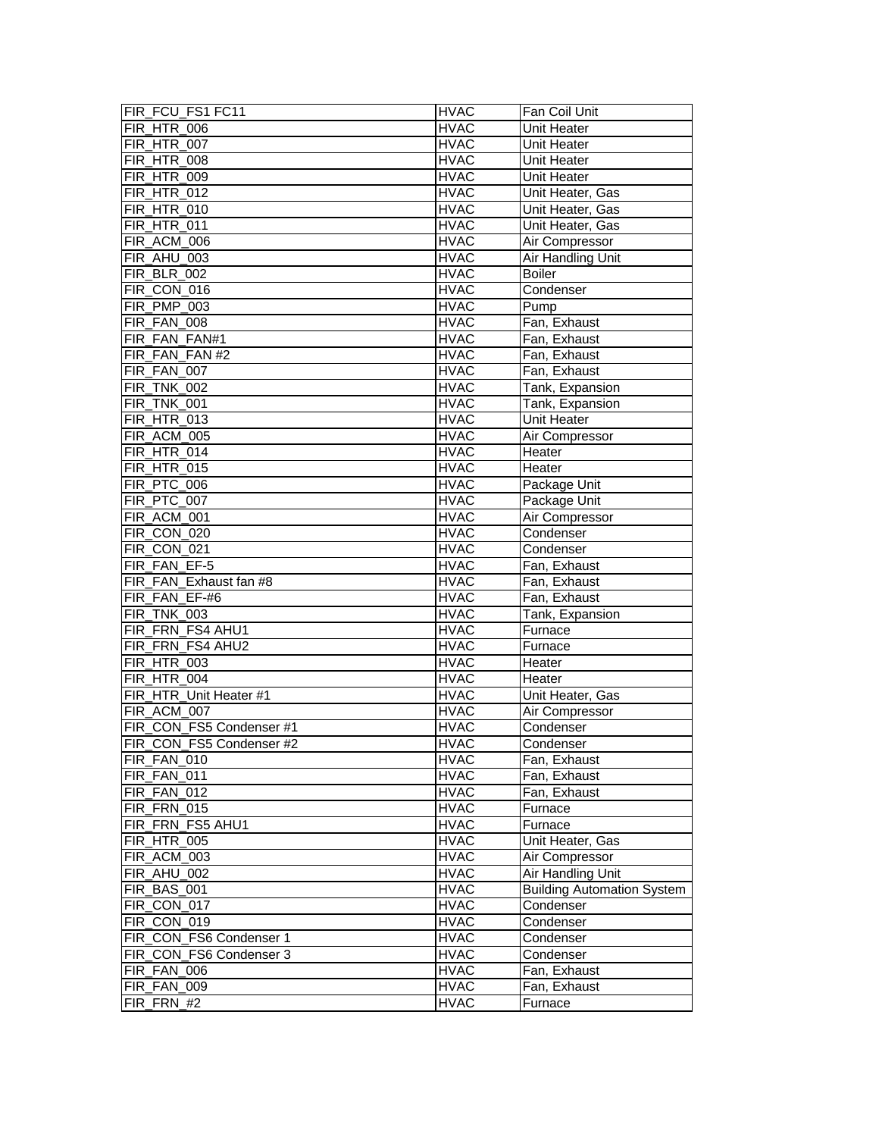| FIR_FCU_FS1 FC11         | <b>HVAC</b> | Fan Coil Unit                     |
|--------------------------|-------------|-----------------------------------|
| FIR_HTR_006              | <b>HVAC</b> | Unit Heater                       |
| FIR_HTR_007              | <b>HVAC</b> | Unit Heater                       |
| <b>FIR_HTR_008</b>       | <b>HVAC</b> | Unit Heater                       |
| <b>FIR_HTR_009</b>       | <b>HVAC</b> | Unit Heater                       |
| FIR_HTR_012              | <b>HVAC</b> | Unit Heater, Gas                  |
| <b>FIR_HTR_010</b>       | <b>HVAC</b> | Unit Heater, Gas                  |
| <b>FIR_HTR_011</b>       | <b>HVAC</b> | Unit Heater, Gas                  |
| FIR_ACM_006              | <b>HVAC</b> | Air Compressor                    |
| FIR_AHU_003              | <b>HVAC</b> | Air Handling Unit                 |
| FIR BLR 002              | <b>HVAC</b> | <b>Boiler</b>                     |
| FIR_CON_016              | <b>HVAC</b> | Condenser                         |
| FIR PMP 003              | <b>HVAC</b> | Pump                              |
| FIR_FAN_008              | <b>HVAC</b> | Fan, Exhaust                      |
| FIR_FAN_FAN#1            | <b>HVAC</b> | Fan, Exhaust                      |
| FIR FAN FAN #2           | <b>HVAC</b> | Fan, Exhaust                      |
| FIR_FAN_007              | <b>HVAC</b> | Fan, Exhaust                      |
| FIR_TNK_002              | <b>HVAC</b> | Tank, Expansion                   |
| FIR_TNK_001              | <b>HVAC</b> | Tank, Expansion                   |
| FIR_HTR_013              | <b>HVAC</b> | <b>Unit Heater</b>                |
| FIR_ACM_005              | <b>HVAC</b> | Air Compressor                    |
| FIR_HTR_014              | <b>HVAC</b> | Heater                            |
| FIR_HTR_015              | <b>HVAC</b> | Heater                            |
| FIR_PTC_006              | <b>HVAC</b> | Package Unit                      |
| FIR_PTC_007              | <b>HVAC</b> | Package Unit                      |
| FIR ACM 001              | <b>HVAC</b> | Air Compressor                    |
| FIR_CON_020              | <b>HVAC</b> | Condenser                         |
| FIR CON 021              | <b>HVAC</b> | Condenser                         |
| FIR FAN EF-5             | <b>HVAC</b> | Fan, Exhaust                      |
| FIR_FAN_Exhaust fan #8   | <b>HVAC</b> | Fan, Exhaust                      |
| FIR_FAN_EF-#6            | <b>HVAC</b> | Fan, Exhaust                      |
| FIR_TNK_003              | <b>HVAC</b> | Tank, Expansion                   |
| FIR FRN FS4 AHU1         | <b>HVAC</b> | Furnace                           |
| FIR FRN FS4 AHU2         | <b>HVAC</b> | Furnace                           |
| <b>FIR_HTR_003</b>       | <b>HVAC</b> | Heater                            |
| FIR HTR 004              | <b>HVAC</b> | Heater                            |
| FIR_HTR_Unit Heater #1   | <b>HVAC</b> | Unit Heater, Gas                  |
| FIR_ACM_007              | <b>HVAC</b> | Air Compressor                    |
| FIR_CON_FS5 Condenser #1 | <b>HVAC</b> | Condenser                         |
| FIR_CON_FS5 Condenser #2 | <b>HVAC</b> | Condenser                         |
| FIR_FAN_010              | <b>HVAC</b> | Fan, Exhaust                      |
| FIR_FAN_011              | <b>HVAC</b> | Fan, Exhaust                      |
| FIR FAN 012              | <b>HVAC</b> | Fan, Exhaust                      |
| FIR_FRN_015              | <b>HVAC</b> | Furnace                           |
| FIR_FRN_FS5 AHU1         | <b>HVAC</b> | Furnace                           |
| FIR_HTR_005              | <b>HVAC</b> | Unit Heater, Gas                  |
| FIR_ACM_003              | <b>HVAC</b> | Air Compressor                    |
| FIR_AHU_002              | <b>HVAC</b> | <b>Air Handling Unit</b>          |
| FIR_BAS_001              | <b>HVAC</b> | <b>Building Automation System</b> |
| FIR_CON_017              | <b>HVAC</b> | Condenser                         |
| FIR_CON_019              | <b>HVAC</b> | Condenser                         |
| FIR_CON_FS6 Condenser 1  | <b>HVAC</b> | Condenser                         |
| FIR_CON_FS6 Condenser 3  | <b>HVAC</b> | Condenser                         |
| FIR_FAN_006              | <b>HVAC</b> | Fan, Exhaust                      |
| FIR_FAN_009              | <b>HVAC</b> | Fan, Exhaust                      |
| FIR_FRN_#2               | <b>HVAC</b> | Furnace                           |
|                          |             |                                   |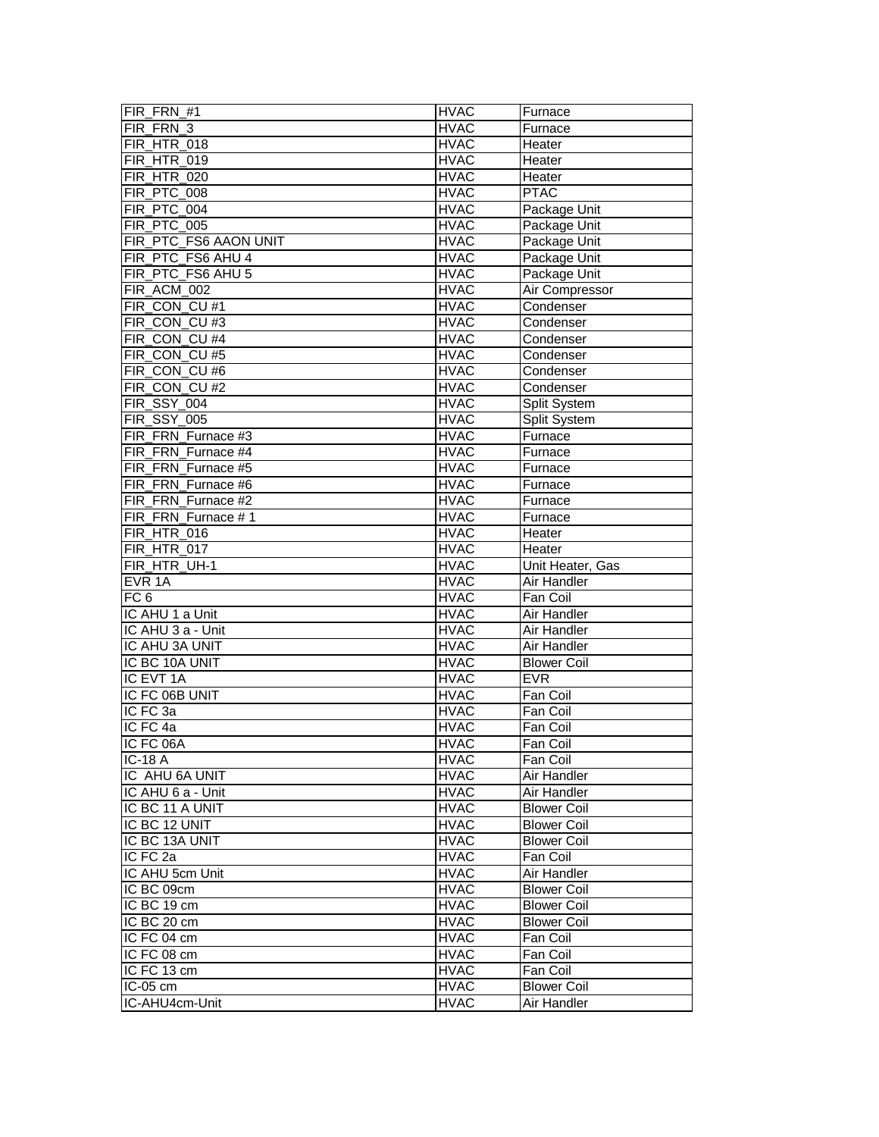| FIR FRN #1                 | <b>HVAC</b>                | Furnace                           |
|----------------------------|----------------------------|-----------------------------------|
| FIR_FRN_3                  | <b>HVAC</b>                | Furnace                           |
| FIR_HTR_018                | <b>HVAC</b>                | Heater                            |
| <b>FIR HTR 019</b>         | <b>HVAC</b>                | Heater                            |
| <b>FIR_HTR_020</b>         | <b>HVAC</b>                | Heater                            |
| FIR_PTC_008                | <b>HVAC</b>                | <b>PTAC</b>                       |
| FIR_PTC_004                | <b>HVAC</b>                | Package Unit                      |
| FIR_PTC_005                | <b>HVAC</b>                | Package Unit                      |
| FIR_PTC_FS6 AAON UNIT      | <b>HVAC</b>                | Package Unit                      |
| FIR_PTC_FS6 AHU 4          | <b>HVAC</b>                | Package Unit                      |
| FIR PTC FS6 AHU 5          | <b>HVAC</b>                | Package Unit                      |
| FIR_ACM_002                | <b>HVAC</b>                | Air Compressor                    |
| FIR_CON_CU #1              | <b>HVAC</b>                | Condenser                         |
| FIR_CON_CU #3              | <b>HVAC</b>                | Condenser                         |
| FIR_CON_CU #4              | <b>HVAC</b>                | Condenser                         |
| FIR_CON_CU #5              | <b>HVAC</b>                | Condenser                         |
| FIR_CON_CU #6              | <b>HVAC</b>                | Condenser                         |
| FIR_CON_CU #2              | <b>HVAC</b>                | Condenser                         |
| FIR SSY 004                | <b>HVAC</b>                | Split System                      |
| <b>FIR_SSY_005</b>         | <b>HVAC</b>                | Split System                      |
| FIR FRN Furnace #3         | <b>HVAC</b>                | Furnace                           |
| FIR_FRN_Furnace #4         | <b>HVAC</b>                | Furnace                           |
| FIR_FRN_Furnace #5         | <b>HVAC</b>                | Furnace                           |
| FIR_FRN_Furnace #6         | <b>HVAC</b>                | Furnace                           |
| FIR_FRN_Furnace #2         | <b>HVAC</b>                | Furnace                           |
| FIR FRN Furnace #1         | <b>HVAC</b>                | Furnace                           |
| <b>FIR_HTR_016</b>         | <b>HVAC</b>                | Heater                            |
| FIR_HTR_017                | <b>HVAC</b>                | Heater                            |
|                            |                            |                                   |
|                            |                            |                                   |
| FIR HTR UH-1               | <b>HVAC</b>                | Unit Heater, Gas                  |
| EVR <sub>1A</sub>          | <b>HVAC</b>                | Air Handler                       |
| FC <sub>6</sub>            | <b>HVAC</b>                | Fan Coil                          |
| IC AHU 1 a Unit            | <b>HVAC</b>                | Air Handler                       |
| IC AHU 3 a - Unit          | <b>HVAC</b>                | Air Handler                       |
| IC AHU 3A UNIT             | <b>HVAC</b>                | Air Handler                       |
| IC BC 10A UNIT             | <b>HVAC</b>                | <b>Blower Coil</b>                |
| IC EVT 1A                  | <b>HVAC</b>                | <b>EVR</b>                        |
| IC FC 06B UNIT             | <b>HVAC</b>                | Fan Coil                          |
| IC FC 3a                   | <b>HVAC</b>                | Fan Coil                          |
| IC FC 4a                   | <b>HVAC</b>                | Fan Coil                          |
| IC FC 06A                  | <b>HVAC</b>                | Fan Coil                          |
| <b>IC-18 A</b>             | <b>HVAC</b>                | Fan Coil                          |
| IC AHU 6A UNIT             | <b>HVAC</b>                | Air Handler                       |
| IC AHU 6 a - Unit          | <b>HVAC</b>                | Air Handler                       |
| IC BC 11 A UNIT            | <b>HVAC</b>                | <b>Blower Coil</b>                |
| IC BC 12 UNIT              | <b>HVAC</b>                | <b>Blower Coil</b>                |
| IC BC 13A UNIT             | <b>HVAC</b>                | <b>Blower Coil</b>                |
| IC FC 2a                   | <b>HVAC</b>                | Fan Coil                          |
| IC AHU 5cm Unit            | <b>HVAC</b>                | Air Handler                       |
| IC BC 09cm                 | <b>HVAC</b>                | <b>Blower Coil</b>                |
| IC BC 19 cm                | <b>HVAC</b>                | <b>Blower Coil</b>                |
| IC BC 20 cm                | <b>HVAC</b>                | <b>Blower Coil</b>                |
| IC FC 04 cm                | <b>HVAC</b>                | Fan Coil                          |
| IC FC 08 cm                | <b>HVAC</b>                | Fan Coil                          |
| IC FC 13 cm                | <b>HVAC</b>                | Fan Coil                          |
| IC-05 cm<br>IC-AHU4cm-Unit | <b>HVAC</b><br><b>HVAC</b> | <b>Blower Coil</b><br>Air Handler |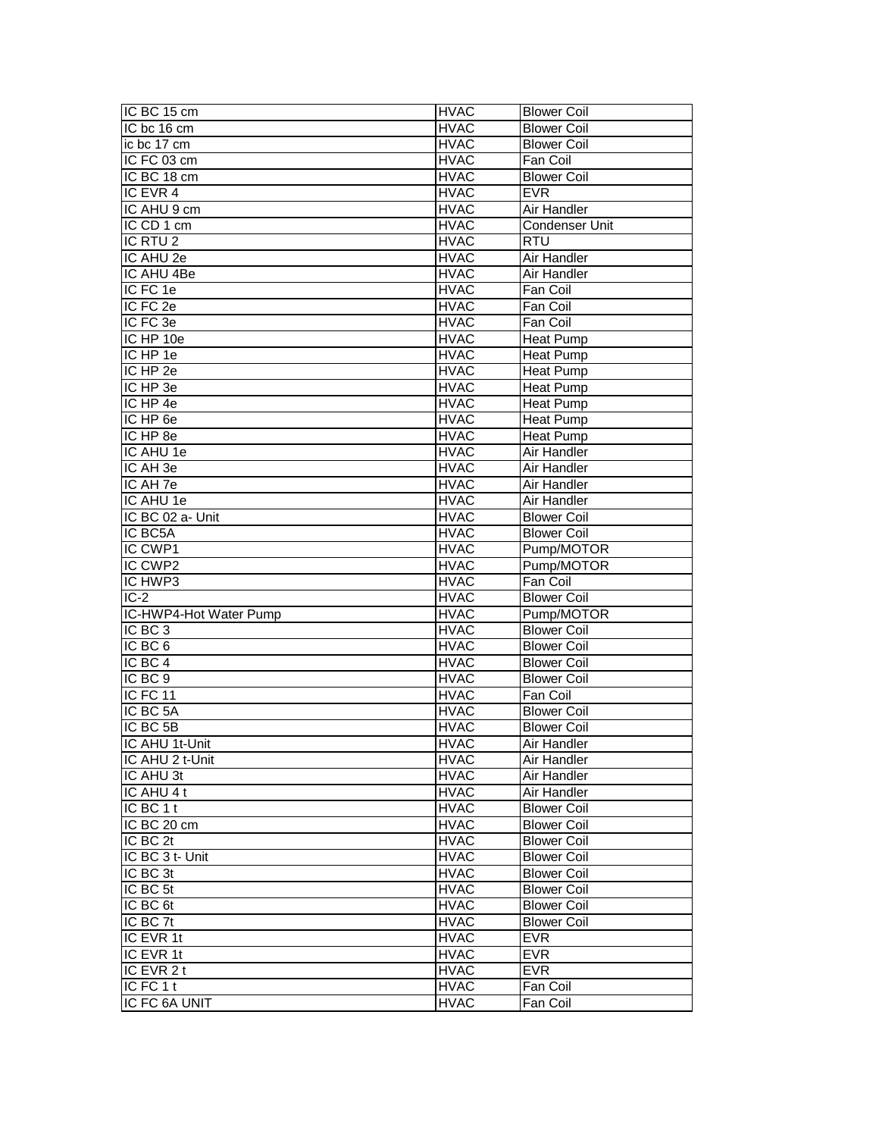| IC BC 15 cm            | <b>HVAC</b> | <b>Blower Coil</b> |
|------------------------|-------------|--------------------|
| IC bc 16 cm            | <b>HVAC</b> | <b>Blower Coil</b> |
| ic bc 17 cm            | <b>HVAC</b> | <b>Blower Coil</b> |
| IC FC 03 cm            | <b>HVAC</b> | Fan Coil           |
| IC BC 18 cm            | <b>HVAC</b> | <b>Blower Coil</b> |
| IC EVR 4               | <b>HVAC</b> | <b>EVR</b>         |
| IC AHU 9 cm            | <b>HVAC</b> | Air Handler        |
| IC CD 1 cm             | <b>HVAC</b> | Condenser Unit     |
| IC RTU <sub>2</sub>    | <b>HVAC</b> | <b>RTU</b>         |
| IC AHU 2e              | <b>HVAC</b> | Air Handler        |
| IC AHU 4Be             | <b>HVAC</b> | Air Handler        |
| IC FC 1e               | <b>HVAC</b> | Fan Coil           |
| IC FC 2e               | <b>HVAC</b> | Fan Coil           |
| IC FC 3e               | <b>HVAC</b> | Fan Coil           |
| IC HP 10e              | <b>HVAC</b> | <b>Heat Pump</b>   |
| IC HP 1e               | <b>HVAC</b> | <b>Heat Pump</b>   |
| IC HP 2e               | <b>HVAC</b> | <b>Heat Pump</b>   |
| $IC$ HP 3e             | <b>HVAC</b> | <b>Heat Pump</b>   |
| IC HP 4e               | <b>HVAC</b> | Heat Pump          |
| IC HP 6e               | <b>HVAC</b> | <b>Heat Pump</b>   |
| IC HP 8e               | <b>HVAC</b> | <b>Heat Pump</b>   |
| IC AHU 1e              | <b>HVAC</b> | Air Handler        |
| IC AH 3e               | <b>HVAC</b> | Air Handler        |
| IC AH 7e               | <b>HVAC</b> | Air Handler        |
| IC AHU 1e              | <b>HVAC</b> | Air Handler        |
| IC BC 02 a- Unit       | <b>HVAC</b> | <b>Blower Coil</b> |
| IC BC5A                | <b>HVAC</b> | <b>Blower Coil</b> |
| IC CWP1                | <b>HVAC</b> | Pump/MOTOR         |
| IC CWP2                | <b>HVAC</b> | Pump/MOTOR         |
| IC HWP3                | <b>HVAC</b> | Fan Coil           |
| $IC-2$                 | <b>HVAC</b> | <b>Blower Coil</b> |
| IC-HWP4-Hot Water Pump | <b>HVAC</b> | Pump/MOTOR         |
| IC BC <sub>3</sub>     | <b>HVAC</b> | <b>Blower Coil</b> |
| IC BC 6                | <b>HVAC</b> | <b>Blower Coil</b> |
| IC BC 4                | <b>HVAC</b> | <b>Blower Coil</b> |
| IC BC 9                | <b>HVAC</b> | <b>Blower Coil</b> |
| IC FC 11               | <b>HVAC</b> | Fan Coil           |
| IC BC 5A               | <b>HVAC</b> | <b>Blower Coil</b> |
| IC BC 5B               | <b>HVAC</b> | <b>Blower Coil</b> |
| IC AHU 1t-Unit         | <b>HVAC</b> | Air Handler        |
| IC AHU 2 t-Unit        | <b>HVAC</b> | Air Handler        |
| IC AHU 3t              | <b>HVAC</b> | Air Handler        |
| IC AHU 4 t             | <b>HVAC</b> | Air Handler        |
| IC BC 1 t              | <b>HVAC</b> | <b>Blower Coil</b> |
| IC BC 20 cm            | <b>HVAC</b> | <b>Blower Coil</b> |
| IC BC 2t               | <b>HVAC</b> | <b>Blower Coil</b> |
| IC BC 3 t- Unit        | <b>HVAC</b> | <b>Blower Coil</b> |
| IC BC 3t               | <b>HVAC</b> | <b>Blower Coil</b> |
| IC BC 5t               | <b>HVAC</b> | <b>Blower Coil</b> |
| IC BC 6t               | <b>HVAC</b> | <b>Blower Coil</b> |
| IC BC 7t               | <b>HVAC</b> | <b>Blower Coil</b> |
| IC EVR 1t              | <b>HVAC</b> | <b>EVR</b>         |
| IC EVR 1t              | <b>HVAC</b> | <b>EVR</b>         |
| IC EVR 2 t             | <b>HVAC</b> | <b>EVR</b>         |
| IC FC 1 t              | <b>HVAC</b> | Fan Coil           |
| IC FC 6A UNIT          | <b>HVAC</b> | Fan Coil           |
|                        |             |                    |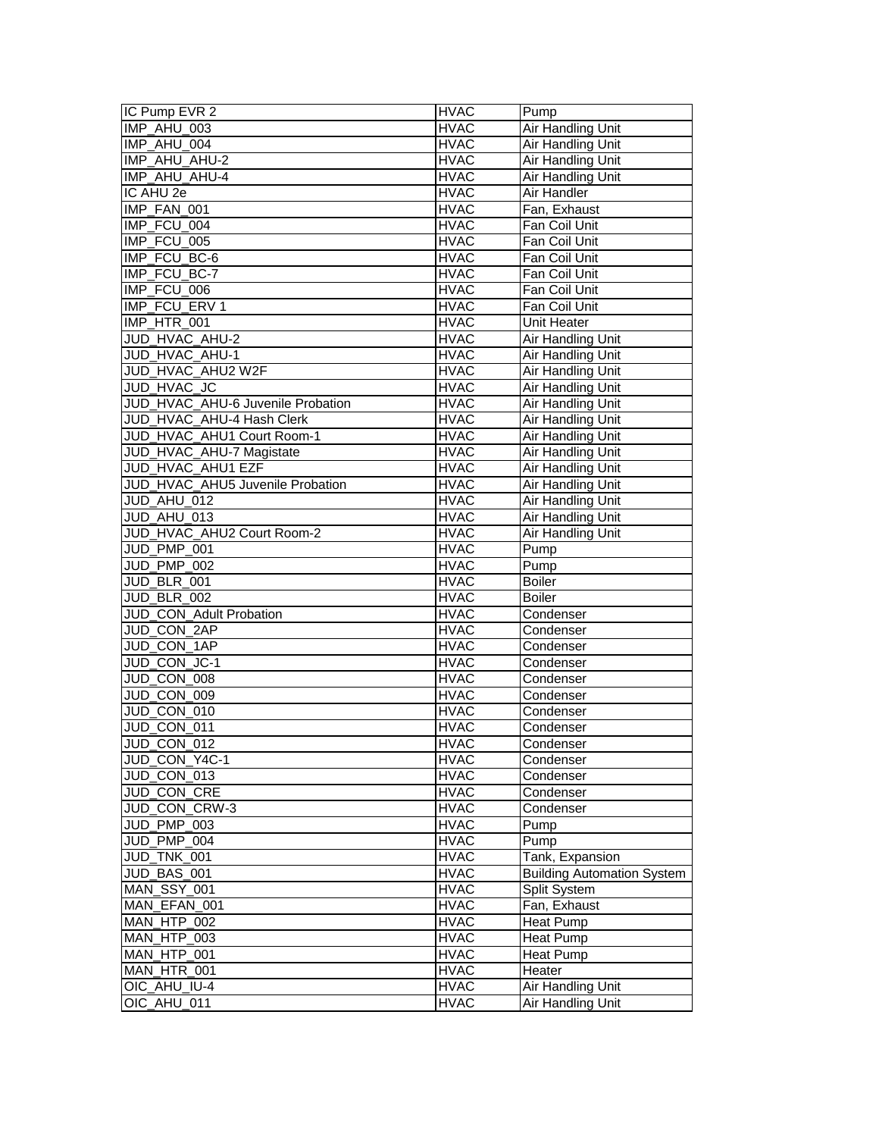| IC Pump EVR 2                             | <b>HVAC</b>                | Pump                                          |
|-------------------------------------------|----------------------------|-----------------------------------------------|
| IMP_AHU_003                               | <b>HVAC</b>                | Air Handling Unit                             |
| IMP_AHU_004                               | <b>HVAC</b>                | Air Handling Unit                             |
| IMP_AHU_AHU-2                             | <b>HVAC</b>                | <b>Air Handling Unit</b>                      |
| IMP_AHU_AHU-4                             | <b>HVAC</b>                | Air Handling Unit                             |
| IC AHU 2e                                 | <b>HVAC</b>                | Air Handler                                   |
| IMP_FAN_001                               | <b>HVAC</b>                | Fan, Exhaust                                  |
| IMP FCU 004                               | <b>HVAC</b>                | Fan Coil Unit                                 |
| IMP FCU 005                               | <b>HVAC</b>                | Fan Coil Unit                                 |
| IMP FCU BC-6                              | <b>HVAC</b>                | Fan Coil Unit                                 |
| IMP_FCU_BC-7                              | <b>HVAC</b>                | Fan Coil Unit                                 |
| IMP_FCU_006                               | <b>HVAC</b>                | Fan Coil Unit                                 |
| IMP_FCU_ERV 1                             | <b>HVAC</b>                | Fan Coil Unit                                 |
| IMP_HTR_001                               | <b>HVAC</b>                | Unit Heater                                   |
| JUD_HVAC_AHU-2                            | <b>HVAC</b>                | Air Handling Unit                             |
| JUD_HVAC_AHU-1                            | <b>HVAC</b>                | Air Handling Unit                             |
| JUD_HVAC_AHU2 W2F                         | <b>HVAC</b>                | Air Handling Unit                             |
| JUD HVAC JC                               | <b>HVAC</b>                | <b>Air Handling Unit</b>                      |
| JUD_HVAC_AHU-6 Juvenile Probation         | <b>HVAC</b>                | Air Handling Unit                             |
| JUD_HVAC_AHU-4 Hash Clerk                 | <b>HVAC</b>                | Air Handling Unit                             |
| JUD_HVAC_AHU1 Court Room-1                | <b>HVAC</b>                | Air Handling Unit                             |
| JUD_HVAC_AHU-7 Magistate                  | <b>HVAC</b>                | Air Handling Unit                             |
| JUD_HVAC_AHU1 EZF                         | <b>HVAC</b>                |                                               |
|                                           |                            | Air Handling Unit                             |
| JUD_HVAC_AHU5 Juvenile Probation          | <b>HVAC</b>                | Air Handling Unit<br><b>Air Handling Unit</b> |
| JUD_AHU_012                               | <b>HVAC</b>                | Air Handling Unit                             |
| JUD_AHU_013<br>JUD_HVAC_AHU2 Court Room-2 | <b>HVAC</b><br><b>HVAC</b> | <b>Air Handling Unit</b>                      |
| JUD_PMP_001                               | <b>HVAC</b>                |                                               |
| JUD PMP 002                               |                            | Pump<br>Pump                                  |
| JUD_BLR_001                               | <b>HVAC</b><br><b>HVAC</b> | <b>Boiler</b>                                 |
| <b>JUD_BLR_002</b>                        | <b>HVAC</b>                | <b>Boiler</b>                                 |
| JUD_CON_Adult Probation                   | <b>HVAC</b>                |                                               |
| JUD CON 2AP                               | <b>HVAC</b>                | Condenser<br>Condenser                        |
| JUD_CON_1AP                               | <b>HVAC</b>                | Condenser                                     |
| JUD_CON_JC-1                              | <b>HVAC</b>                | Condenser                                     |
| JUD_CON_008                               | <b>HVAC</b>                |                                               |
| JUD_CON_009                               | <b>HVAC</b>                | Condenser                                     |
|                                           |                            | Condenser                                     |
| JUD_CON_010                               | <b>HVAC</b>                | Condenser                                     |
| JUD_CON_011                               | <b>HVAC</b>                | Condenser                                     |
| JUD CON 012                               | <b>HVAC</b>                | Condenser                                     |
| JUD CON Y4C-1                             | <b>HVAC</b>                | Condenser                                     |
| JUD CON 013                               | <b>HVAC</b>                | Condenser                                     |
| JUD_CON_CRE                               | <b>HVAC</b>                | Condenser                                     |
| JUD_CON_CRW-3                             | <b>HVAC</b>                | Condenser                                     |
| JUD_PMP_003                               | <b>HVAC</b>                | Pump                                          |
| JUD PMP 004                               | <b>HVAC</b>                | Pump                                          |
| JUD_TNK_001                               | <b>HVAC</b>                | Tank, Expansion                               |
| JUD_BAS_001                               | <b>HVAC</b>                | <b>Building Automation System</b>             |
| MAN_SSY_001                               | <b>HVAC</b>                | Split System                                  |
| MAN_EFAN_001                              | <b>HVAC</b>                | Fan, Exhaust                                  |
| MAN_HTP_002                               | <b>HVAC</b>                | <b>Heat Pump</b>                              |
| MAN_HTP_003                               | <b>HVAC</b>                | <b>Heat Pump</b>                              |
| MAN_HTP_001                               | <b>HVAC</b>                | Heat Pump                                     |
| MAN_HTR_001                               | <b>HVAC</b>                | Heater                                        |
| OIC_AHU_IU-4                              | <b>HVAC</b>                | <b>Air Handling Unit</b>                      |
| OIC_AHU_011                               | <b>HVAC</b>                | Air Handling Unit                             |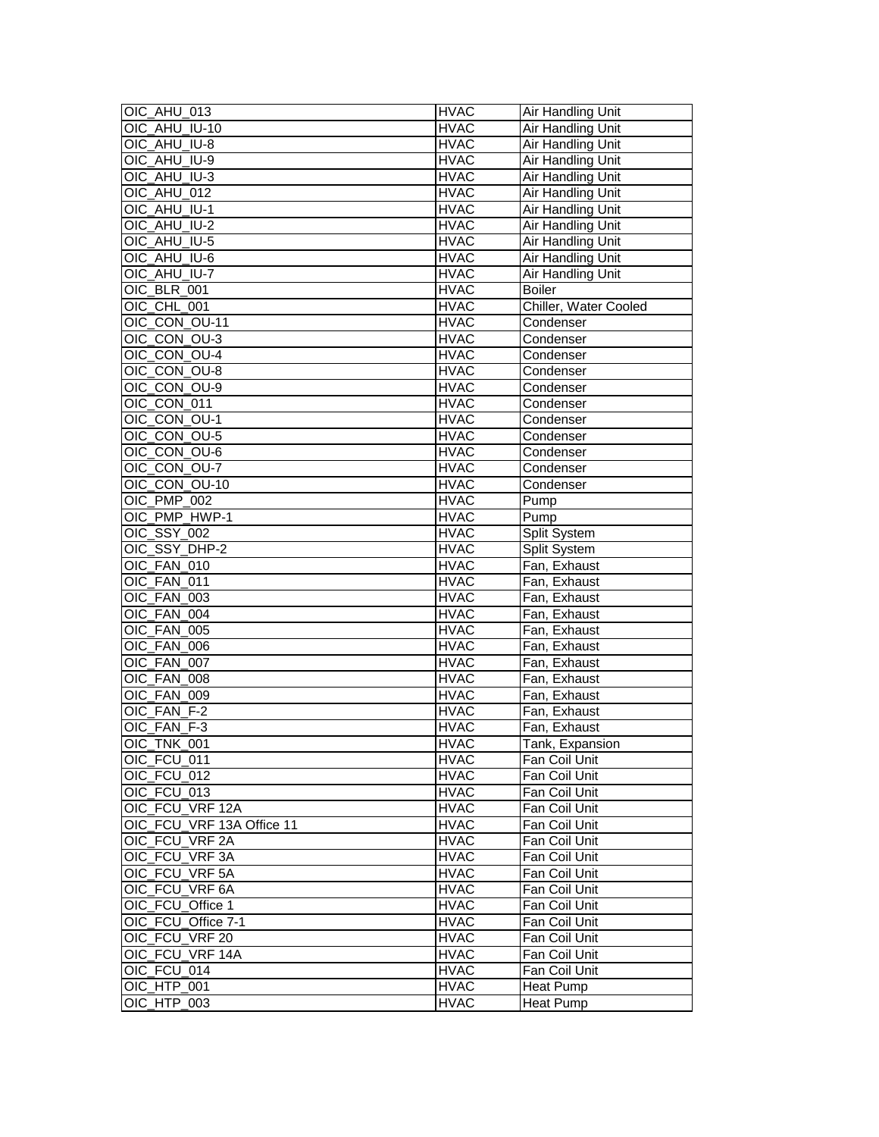| OIC_AHU_013               | <b>HVAC</b> | Air Handling Unit     |
|---------------------------|-------------|-----------------------|
| OIC_AHU_IU-10             | <b>HVAC</b> | Air Handling Unit     |
| OIC AHU IU-8              | <b>HVAC</b> | Air Handling Unit     |
| OIC_AHU_IU-9              | <b>HVAC</b> | Air Handling Unit     |
| OIC_AHU_IU-3              | <b>HVAC</b> | Air Handling Unit     |
| OIC_AHU_012               | <b>HVAC</b> | Air Handling Unit     |
| OIC AHU IU-1              | <b>HVAC</b> | Air Handling Unit     |
| OIC AHU IU-2              | <b>HVAC</b> | Air Handling Unit     |
| OIC AHU IU-5              | <b>HVAC</b> | Air Handling Unit     |
| OIC_AHU_IU-6              | <b>HVAC</b> | Air Handling Unit     |
| OIC_AHU_IU-7              | <b>HVAC</b> | Air Handling Unit     |
| OIC BLR 001               | <b>HVAC</b> | <b>Boiler</b>         |
| OIC_CHL_001               | <b>HVAC</b> | Chiller, Water Cooled |
| OIC_CON_OU-11             | <b>HVAC</b> | Condenser             |
| OIC_CON_OU-3              | <b>HVAC</b> | Condenser             |
| OIC CON OU-4              | <b>HVAC</b> | Condenser             |
| OIC CON OU-8              | <b>HVAC</b> | Condenser             |
| OIC_CON_OU-9              | <b>HVAC</b> | Condenser             |
| OIC_CON_011               | <b>HVAC</b> | Condenser             |
| OIC CON OU-1              | <b>HVAC</b> | Condenser             |
| OIC CON OU-5              | <b>HVAC</b> | Condenser             |
| OIC_CON_OU-6              | <b>HVAC</b> | Condenser             |
| OIC_CON_OU-7              | <b>HVAC</b> | Condenser             |
| OIC_CON_OU-10             | <b>HVAC</b> | Condenser             |
| OIC_PMP_002               | <b>HVAC</b> | Pump                  |
| OIC PMP_HWP-1             | <b>HVAC</b> | Pump                  |
| OIC_SSY_002               | <b>HVAC</b> | Split System          |
| OIC_SSY_DHP-2             | <b>HVAC</b> | Split System          |
| OIC_FAN_010               | <b>HVAC</b> | Fan, Exhaust          |
| OIC_FAN_011               | <b>HVAC</b> | Fan, Exhaust          |
| OIC_FAN_003               | <b>HVAC</b> | Fan, Exhaust          |
| OIC_FAN_004               | <b>HVAC</b> | Fan, Exhaust          |
| OIC FAN 005               | <b>HVAC</b> | Fan, Exhaust          |
| OIC FAN 006               | <b>HVAC</b> | Fan, Exhaust          |
| OIC FAN 007               | <b>HVAC</b> | Fan, Exhaust          |
| OIC_FAN_008               | <b>HVAC</b> | Fan, Exhaust          |
| OIC_FAN_009               | <b>HVAC</b> | Fan, Exhaust          |
| OIC FAN F-2               | <b>HVAC</b> | Fan, Exhaust          |
| OIC_FAN_F-3               | <b>HVAC</b> | Fan, Exhaust          |
| OIC_TNK_001               | <b>HVAC</b> | Tank, Expansion       |
| OIC_FCU_011               | <b>HVAC</b> | Fan Coil Unit         |
| OIC_FCU_012               | <b>HVAC</b> | Fan Coil Unit         |
| OIC FCU 013               | <b>HVAC</b> | Fan Coil Unit         |
| OIC_FCU_VRF 12A           | <b>HVAC</b> | Fan Coil Unit         |
| OIC FCU VRF 13A Office 11 | <b>HVAC</b> | Fan Coil Unit         |
| OIC FCU VRF 2A            | <b>HVAC</b> | Fan Coil Unit         |
| OIC_FCU_VRF3A             | <b>HVAC</b> | Fan Coil Unit         |
| OIC_FCU_VRF 5A            | <b>HVAC</b> | Fan Coil Unit         |
| OIC_FCU_VRF 6A            | <b>HVAC</b> | Fan Coil Unit         |
| OIC_FCU_Office 1          | <b>HVAC</b> | Fan Coil Unit         |
| OIC_FCU_Office 7-1        | <b>HVAC</b> | Fan Coil Unit         |
| OIC FCU VRF 20            | <b>HVAC</b> | Fan Coil Unit         |
| OIC_FCU_VRF 14A           | <b>HVAC</b> | Fan Coil Unit         |
| OIC_FCU_014               | <b>HVAC</b> | Fan Coil Unit         |
| OIC_HTP_001               | <b>HVAC</b> | <b>Heat Pump</b>      |
| OIC_HTP_003               | <b>HVAC</b> | Heat Pump             |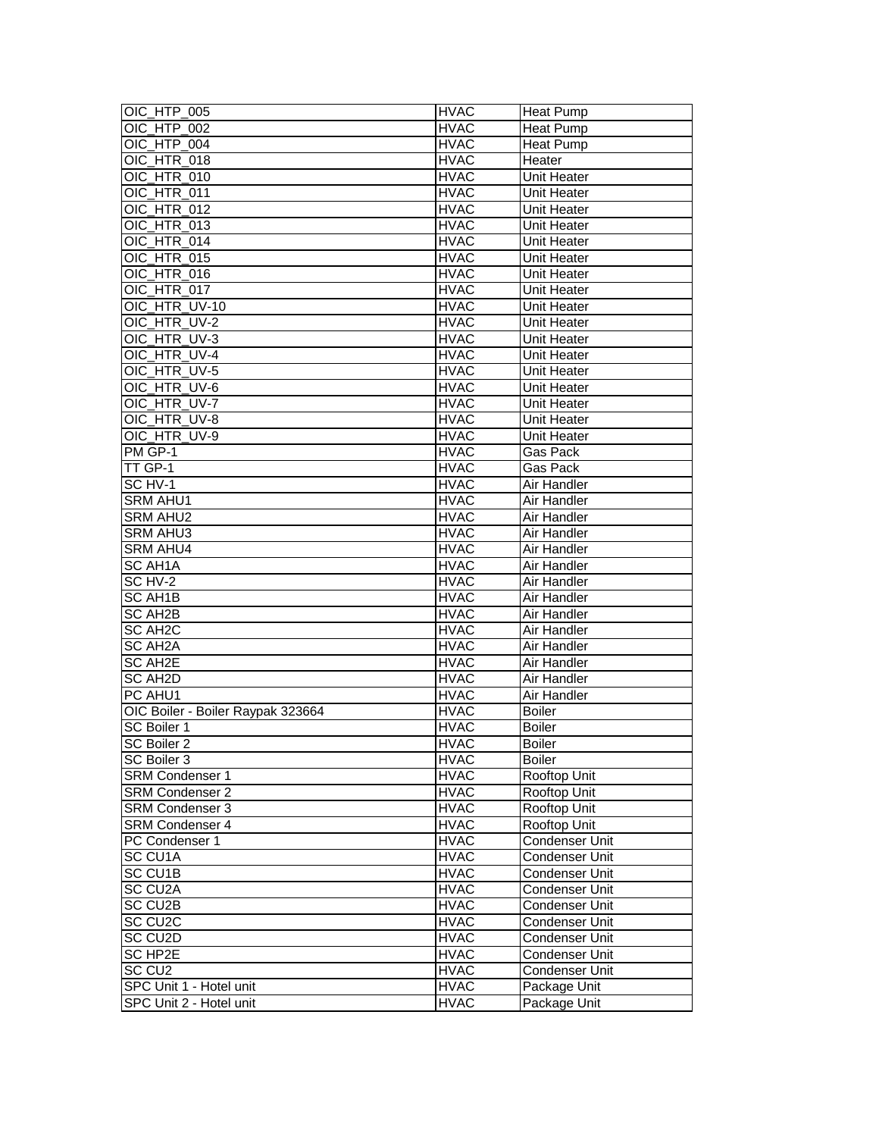| OIC HTP 005                       | <b>HVAC</b> | <b>Heat Pump</b>   |
|-----------------------------------|-------------|--------------------|
| OIC HTP 002                       | <b>HVAC</b> | <b>Heat Pump</b>   |
| OIC_HTP_004                       | <b>HVAC</b> | <b>Heat Pump</b>   |
| OIC_HTR_018                       | <b>HVAC</b> | Heater             |
| OIC_HTR_010                       | <b>HVAC</b> | Unit Heater        |
| OIC_HTR_011                       | <b>HVAC</b> | Unit Heater        |
| OIC_HTR_012                       | <b>HVAC</b> | Unit Heater        |
| OIC_HTR_013                       | <b>HVAC</b> | Unit Heater        |
| OIC HTR 014                       | <b>HVAC</b> | Unit Heater        |
| OIC HTR_015                       | <b>HVAC</b> | <b>Unit Heater</b> |
| OIC HTR 016                       | <b>HVAC</b> | <b>Unit Heater</b> |
| OIC HTR 017                       | <b>HVAC</b> | Unit Heater        |
| OIC_HTR_UV-10                     | <b>HVAC</b> | Unit Heater        |
| OIC_HTR_UV-2                      | <b>HVAC</b> | Unit Heater        |
|                                   |             |                    |
| OIC_HTR_UV-3                      | <b>HVAC</b> | Unit Heater        |
| OIC_HTR_UV-4                      | <b>HVAC</b> | Unit Heater        |
| OIC_HTR_UV-5                      | <b>HVAC</b> | Unit Heater        |
| OIC HTR UV-6                      | <b>HVAC</b> | <b>Unit Heater</b> |
| OIC HTR UV-7                      | <b>HVAC</b> | <b>Unit Heater</b> |
| OIC_HTR_UV-8                      | <b>HVAC</b> | <b>Unit Heater</b> |
| OIC_HTR_UV-9                      | <b>HVAC</b> | Unit Heater        |
| PM GP-1                           | <b>HVAC</b> | Gas Pack           |
| TT GP-1                           | <b>HVAC</b> | Gas Pack           |
| SC HV-1                           | <b>HVAC</b> | Air Handler        |
| <b>SRM AHU1</b>                   | <b>HVAC</b> | Air Handler        |
| <b>SRM AHU2</b>                   | <b>HVAC</b> | Air Handler        |
| <b>SRM AHU3</b>                   | <b>HVAC</b> | Air Handler        |
| <b>SRM AHU4</b>                   | <b>HVAC</b> | Air Handler        |
| <b>SC AH1A</b>                    | <b>HVAC</b> | Air Handler        |
| SC HV-2                           | <b>HVAC</b> | Air Handler        |
| SC AH1B                           | <b>HVAC</b> | Air Handler        |
| SC AH2B                           | <b>HVAC</b> | Air Handler        |
| <b>SC AH2C</b>                    | <b>HVAC</b> | Air Handler        |
| <b>SC AH2A</b>                    | <b>HVAC</b> | <b>Air Handler</b> |
| SC AH2E                           | <b>HVAC</b> | Air Handler        |
| SC AH2D                           | <b>HVAC</b> | Air Handler        |
| PC AHU1                           | <b>HVAC</b> | Air Handler        |
| OIC Boiler - Boiler Raypak 323664 | <b>HVAC</b> | <b>Boiler</b>      |
| SC Boiler 1                       | <b>HVAC</b> | <b>Boiler</b>      |
| SC Boiler 2                       | <b>HVAC</b> | <b>Boiler</b>      |
| SC Boiler 3                       | <b>HVAC</b> | <b>Boiler</b>      |
| SRM Condenser 1                   | <b>HVAC</b> | Rooftop Unit       |
| <b>SRM Condenser 2</b>            | <b>HVAC</b> | Rooftop Unit       |
| <b>SRM Condenser 3</b>            | <b>HVAC</b> | Rooftop Unit       |
| <b>SRM Condenser 4</b>            | <b>HVAC</b> | Rooftop Unit       |
| PC Condenser 1                    | <b>HVAC</b> | Condenser Unit     |
| SC CU1A                           | <b>HVAC</b> | Condenser Unit     |
| <b>SC CU1B</b>                    | <b>HVAC</b> | Condenser Unit     |
| SC CU2A                           | <b>HVAC</b> | Condenser Unit     |
| SC CU2B                           | <b>HVAC</b> | Condenser Unit     |
| SC CU <sub>2</sub> C              | <b>HVAC</b> | Condenser Unit     |
| SC CU <sub>2</sub> D              | <b>HVAC</b> | Condenser Unit     |
| SC HP2E                           | <b>HVAC</b> | Condenser Unit     |
| SC CU <sub>2</sub>                | <b>HVAC</b> | Condenser Unit     |
| SPC Unit 1 - Hotel unit           | <b>HVAC</b> | Package Unit       |
| SPC Unit 2 - Hotel unit           | <b>HVAC</b> | Package Unit       |
|                                   |             |                    |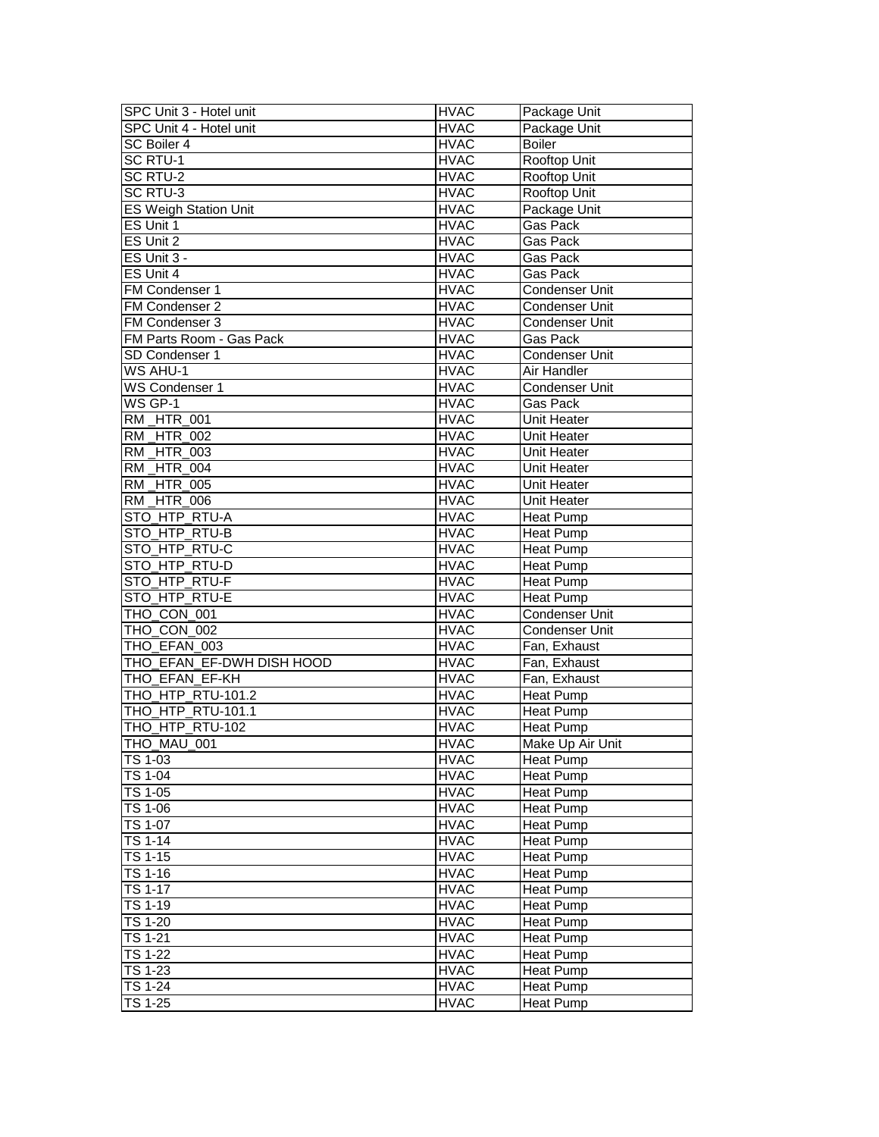| SPC Unit 3 - Hotel unit      | <b>HVAC</b> | Package Unit          |
|------------------------------|-------------|-----------------------|
| SPC Unit 4 - Hotel unit      | <b>HVAC</b> | Package Unit          |
| SC Boiler 4                  | <b>HVAC</b> | <b>Boiler</b>         |
| SC RTU-1                     | <b>HVAC</b> | <b>Rooftop Unit</b>   |
| SC RTU-2                     | <b>HVAC</b> | Rooftop Unit          |
| <b>SC RTU-3</b>              | <b>HVAC</b> | Rooftop Unit          |
| <b>ES Weigh Station Unit</b> | <b>HVAC</b> | Package Unit          |
| ES Unit 1                    | <b>HVAC</b> | <b>Gas Pack</b>       |
| ES Unit 2                    | <b>HVAC</b> | Gas Pack              |
| ES Unit 3 -                  | <b>HVAC</b> | Gas Pack              |
| ES Unit 4                    | <b>HVAC</b> | <b>Gas Pack</b>       |
| FM Condenser 1               | <b>HVAC</b> | Condenser Unit        |
| FM Condenser 2               | <b>HVAC</b> | <b>Condenser Unit</b> |
| FM Condenser 3               | <b>HVAC</b> | Condenser Unit        |
| FM Parts Room - Gas Pack     | <b>HVAC</b> | Gas Pack              |
| SD Condenser 1               | <b>HVAC</b> | <b>Condenser Unit</b> |
| <b>WS AHU-1</b>              | <b>HVAC</b> | Air Handler           |
| WS Condenser 1               | <b>HVAC</b> | Condenser Unit        |
| WS GP-1                      | <b>HVAC</b> | Gas Pack              |
| <b>RM_HTR_001</b>            | <b>HVAC</b> | Unit Heater           |
| <b>RM_HTR_002</b>            | <b>HVAC</b> | Unit Heater           |
| <b>RM_HTR_003</b>            | <b>HVAC</b> | Unit Heater           |
| <b>RM_HTR_004</b>            | <b>HVAC</b> | Unit Heater           |
| <b>RM_HTR_005</b>            | <b>HVAC</b> | Unit Heater           |
| <b>RM_HTR_006</b>            | <b>HVAC</b> | Unit Heater           |
| STO HTP RTU-A                | <b>HVAC</b> | <b>Heat Pump</b>      |
| STO_HTP_RTU-B                | <b>HVAC</b> | <b>Heat Pump</b>      |
| STO_HTP_RTU-C                | <b>HVAC</b> | <b>Heat Pump</b>      |
| STO_HTP_RTU-D                | <b>HVAC</b> | <b>Heat Pump</b>      |
| STO_HTP_RTU-F                | <b>HVAC</b> | <b>Heat Pump</b>      |
| STO_HTP_RTU-E                | <b>HVAC</b> | Heat Pump             |
| THO_CON_001                  | <b>HVAC</b> | <b>Condenser Unit</b> |
| THO_CON_002                  | <b>HVAC</b> | Condenser Unit        |
| THO_EFAN_003                 | <b>HVAC</b> | Fan, Exhaust          |
| THO EFAN EF-DWH DISH HOOD    | <b>HVAC</b> | Fan, Exhaust          |
| THO_EFAN_EF-KH               | <b>HVAC</b> | Fan, Exhaust          |
| THO_HTP_RTU-101.2            | <b>HVAC</b> | <b>Heat Pump</b>      |
| THO_HTP_RTU-101.1            | <b>HVAC</b> | <b>Heat Pump</b>      |
| THO HTP RTU-102              | <b>HVAC</b> | Heat Pump             |
| THO MAU 001                  | <b>HVAC</b> | Make Up Air Unit      |
| TS $1-\overline{03}$         | <b>HVAC</b> | <b>Heat Pump</b>      |
| TS 1-04                      | <b>HVAC</b> | Heat Pump             |
| <b>TS 1-05</b>               | <b>HVAC</b> | Heat Pump             |
| TS 1-06                      | <b>HVAC</b> | Heat Pump             |
| <b>TS 1-07</b>               | <b>HVAC</b> | <b>Heat Pump</b>      |
| <b>TS 1-14</b>               | <b>HVAC</b> | Heat Pump             |
| TS 1-15                      | <b>HVAC</b> | Heat Pump             |
| $TS$ 1-16                    | <b>HVAC</b> | Heat Pump             |
| TS 1-17                      | <b>HVAC</b> | Heat Pump             |
| TS 1-19                      | <b>HVAC</b> | Heat Pump             |
| TS 1-20                      | <b>HVAC</b> | Heat Pump             |
| <b>TS 1-21</b>               | <b>HVAC</b> | Heat Pump             |
| TS 1-22                      | <b>HVAC</b> | Heat Pump             |
| <b>TS 1-23</b>               | <b>HVAC</b> | <b>Heat Pump</b>      |
| <b>TS 1-24</b>               | <b>HVAC</b> | Heat Pump             |
| <b>TS 1-25</b>               | <b>HVAC</b> | Heat Pump             |
|                              |             |                       |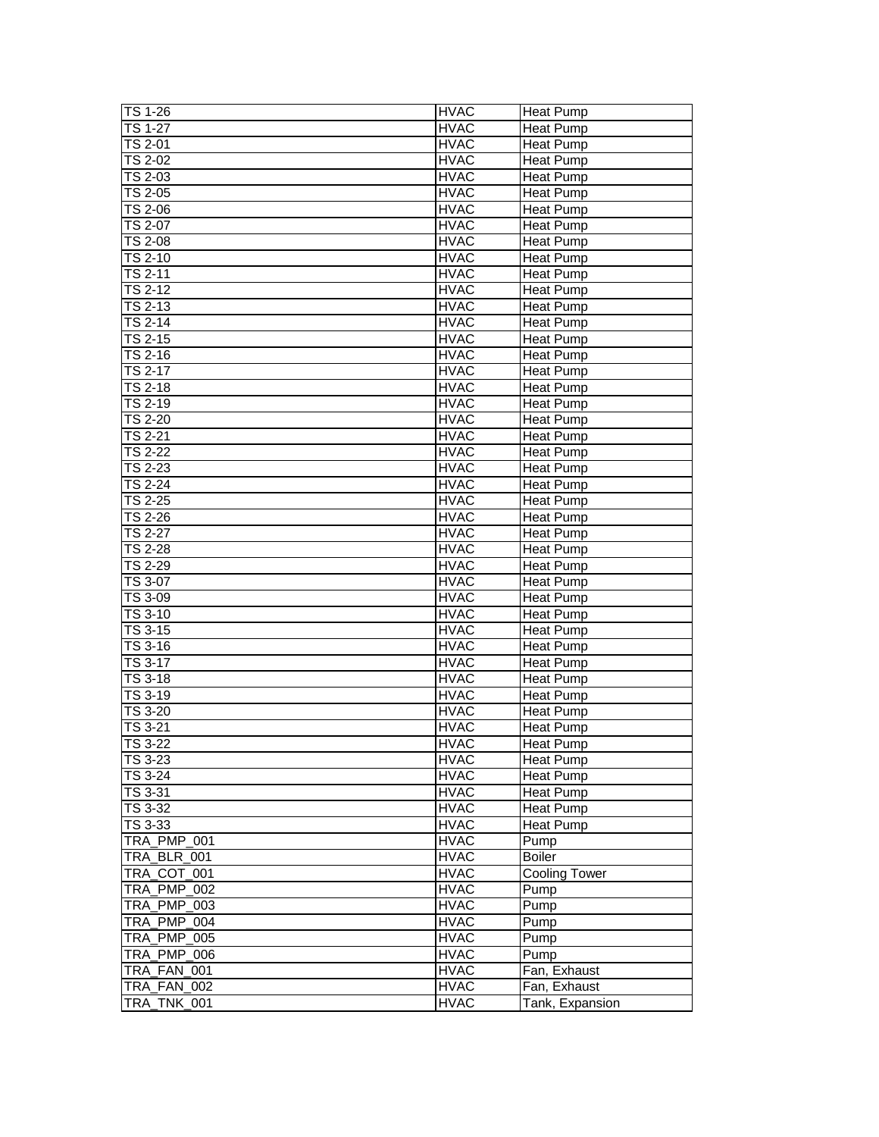| TS 1-26                           | <b>HVAC</b> | <b>Heat Pump</b>     |
|-----------------------------------|-------------|----------------------|
| TS 1-27                           | <b>HVAC</b> |                      |
|                                   | <b>HVAC</b> | Heat Pump            |
| TS 2-01                           |             | Heat Pump            |
| TS 2-02                           | <b>HVAC</b> | Heat Pump            |
| TS 2-03                           | <b>HVAC</b> | <b>Heat Pump</b>     |
| TS 2-05                           | <b>HVAC</b> | Heat Pump            |
| TS 2-06                           | <b>HVAC</b> | <b>Heat Pump</b>     |
| <b>TS 2-07</b>                    | <b>HVAC</b> | <b>Heat Pump</b>     |
| <b>TS 2-08</b>                    | <b>HVAC</b> | Heat Pump            |
| <b>TS 2-10</b>                    | <b>HVAC</b> | Heat Pump            |
| TS 2-11                           | <b>HVAC</b> | <b>Heat Pump</b>     |
| <b>TS 2-12</b>                    | <b>HVAC</b> | Heat Pump            |
| <b>TS 2-13</b>                    | <b>HVAC</b> | <b>Heat Pump</b>     |
| TS 2-14                           | <b>HVAC</b> | Heat Pump            |
| $\overline{\text{TS}}$ 2-15       | <b>HVAC</b> | <b>Heat Pump</b>     |
| $\overline{\text{TS}}$ 2-16       | <b>HVAC</b> | Heat Pump            |
| TS 2-17                           | <b>HVAC</b> | <b>Heat Pump</b>     |
| <b>TS 2-18</b>                    | <b>HVAC</b> | Heat Pump            |
| TS 2-19                           | <b>HVAC</b> | Heat Pump            |
| <b>TS 2-20</b>                    | <b>HVAC</b> |                      |
|                                   |             | <b>Heat Pump</b>     |
| <b>TS 2-21</b>                    | <b>HVAC</b> | <b>Heat Pump</b>     |
| <b>TS 2-22</b>                    | <b>HVAC</b> | <b>Heat Pump</b>     |
| TS 2-23                           | <b>HVAC</b> | Heat Pump            |
| $TS$ 2-24                         | <b>HVAC</b> | <b>Heat Pump</b>     |
| TS 2-25                           | <b>HVAC</b> | <b>Heat Pump</b>     |
| TS 2-26                           | <b>HVAC</b> | <b>Heat Pump</b>     |
| TS 2-27                           | <b>HVAC</b> | Heat Pump            |
| TS 2-28                           | <b>HVAC</b> | Heat Pump            |
| <b>TS 2-29</b>                    | <b>HVAC</b> | Heat Pump            |
| TS 3-07                           | <b>HVAC</b> | <b>Heat Pump</b>     |
| TS 3-09                           | <b>HVAC</b> | Heat Pump            |
| $TS3-10$                          | <b>HVAC</b> | Heat Pump            |
| TS 3-15                           | <b>HVAC</b> | <b>Heat Pump</b>     |
| TS 3-16                           | <b>HVAC</b> | Heat Pump            |
| <b>TS 3-17</b>                    | <b>HVAC</b> | Heat Pump            |
| TS 3-18                           | <b>HVAC</b> | <b>Heat Pump</b>     |
| TS 3-19                           | <b>HVAC</b> | Heat Pump            |
| TS 3-20                           | <b>HVAC</b> | <b>Heat Pump</b>     |
| TS 3-21                           | <b>HVAC</b> | Heat Pump            |
| <b>TS 3-22</b>                    | <b>HVAC</b> | Heat Pump            |
| TS 3-23                           | <b>HVAC</b> | <b>Heat Pump</b>     |
| TS 3-24                           | <b>HVAC</b> | Heat Pump            |
| TS 3-31                           | <b>HVAC</b> | Heat Pump            |
| TS 3-32                           |             |                      |
| TS 3-33                           | <b>HVAC</b> | Heat Pump            |
|                                   | <b>HVAC</b> | Heat Pump            |
| TRA_PMP_001                       | <b>HVAC</b> | Pump                 |
| TRA_BLR_001                       | <b>HVAC</b> | <b>Boiler</b>        |
| TRA COT 001                       | <b>HVAC</b> | <b>Cooling Tower</b> |
| <b>TRA PMP 002</b>                | <b>HVAC</b> | Pump                 |
| TRA_PMP_003                       | <b>HVAC</b> | Pump                 |
| TRA_PMP_004                       | <b>HVAC</b> | Pump                 |
| <b>TRA PMP 005</b>                | <b>HVAC</b> | Pump                 |
| TRA PMP 006                       | <b>HVAC</b> | Pump                 |
| TRA_FAN_001                       | <b>HVAC</b> | Fan, Exhaust         |
|                                   |             |                      |
| TRA_FAN_002<br><b>TRA_TNK_001</b> | <b>HVAC</b> | Fan, Exhaust         |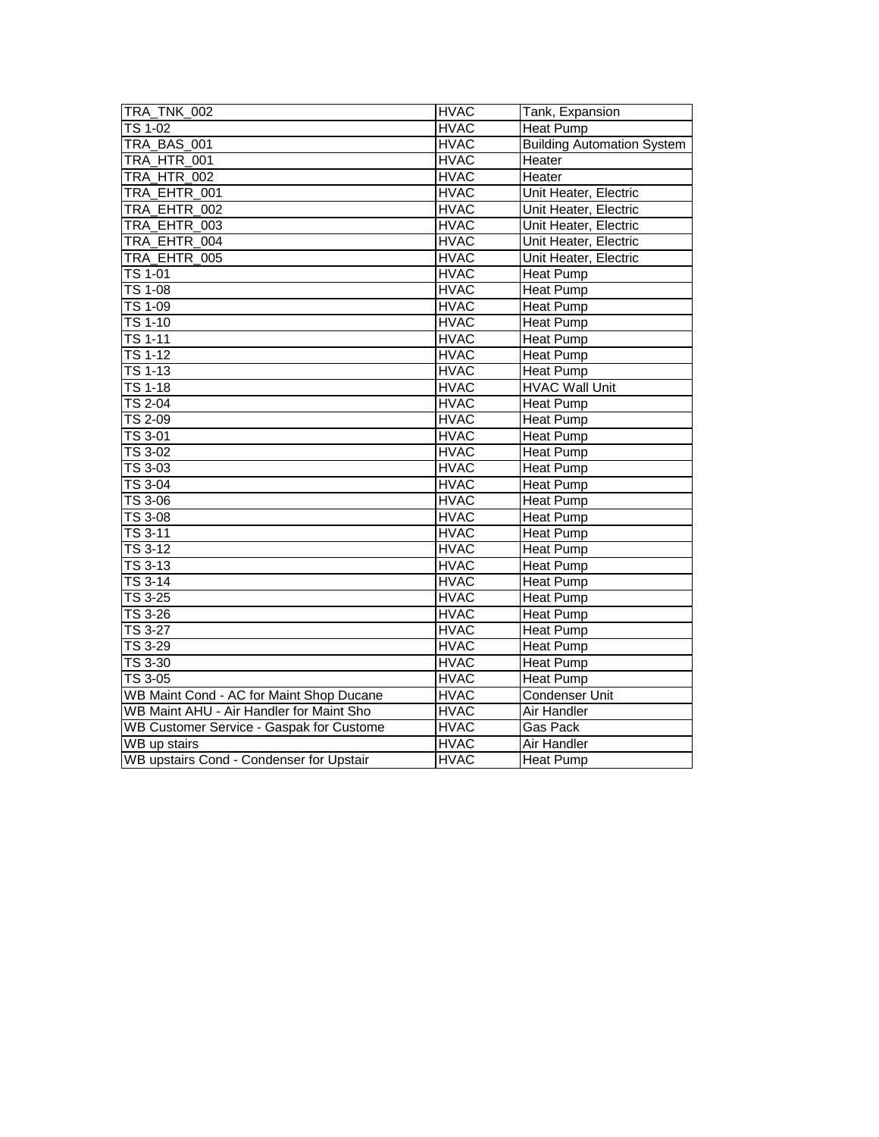| TRA_TNK_002                                     | <b>HVAC</b> | Tank, Expansion                   |
|-------------------------------------------------|-------------|-----------------------------------|
| <b>TS 1-02</b>                                  | <b>HVAC</b> | <b>Heat Pump</b>                  |
| TRA_BAS_001                                     | <b>HVAC</b> | <b>Building Automation System</b> |
| <b>TRA HTR 001</b>                              | <b>HVAC</b> | Heater                            |
| TRA_HTR_002                                     | <b>HVAC</b> | Heater                            |
| TRA_EHTR_001                                    | <b>HVAC</b> | Unit Heater, Electric             |
| TRA EHTR 002                                    | <b>HVAC</b> | Unit Heater, Electric             |
| TRA EHTR 003                                    | <b>HVAC</b> | Unit Heater, Electric             |
| TRA EHTR 004                                    | <b>HVAC</b> | Unit Heater, Electric             |
| TRA_EHTR_005                                    | <b>HVAC</b> | Unit Heater, Electric             |
| <b>TS 1-01</b>                                  | <b>HVAC</b> | <b>Heat Pump</b>                  |
| $\overline{TS}$ 1-08                            | <b>HVAC</b> | <b>Heat Pump</b>                  |
| TS 1-09                                         | <b>HVAC</b> | <b>Heat Pump</b>                  |
| <b>TS 1-10</b>                                  | <b>HVAC</b> | Heat Pump                         |
| $TS$ 1-11                                       | <b>HVAC</b> | <b>Heat Pump</b>                  |
| <b>TS 1-12</b>                                  | <b>HVAC</b> | Heat Pump                         |
| <b>TS 1-13</b>                                  | <b>HVAC</b> | Heat Pump                         |
| $TS$ 1-18                                       | <b>HVAC</b> | <b>HVAC Wall Unit</b>             |
| TS 2-04                                         | <b>HVAC</b> | <b>Heat Pump</b>                  |
| TS 2-09                                         | <b>HVAC</b> | <b>Heat Pump</b>                  |
| <b>TS 3-01</b>                                  | <b>HVAC</b> | <b>Heat Pump</b>                  |
| <b>TS 3-02</b>                                  | <b>HVAC</b> | <b>Heat Pump</b>                  |
| $\overline{\text{TS}}$ 3-03                     | <b>HVAC</b> | <b>Heat Pump</b>                  |
| TS 3-04                                         | <b>HVAC</b> | <b>Heat Pump</b>                  |
| TS 3-06                                         | <b>HVAC</b> | Heat Pump                         |
| $\overline{TS}$ 3-08                            | <b>HVAC</b> | <b>Heat Pump</b>                  |
| TS 3-11                                         | <b>HVAC</b> | <b>Heat Pump</b>                  |
| $\overline{TS}$ 3-12                            | <b>HVAC</b> | <b>Heat Pump</b>                  |
| TS 3-13                                         | <b>HVAC</b> | <b>Heat Pump</b>                  |
| <b>TS 3-14</b>                                  | <b>HVAC</b> | Heat Pump                         |
| <b>TS 3-25</b>                                  | <b>HVAC</b> | <b>Heat Pump</b>                  |
| <b>TS 3-26</b>                                  | <b>HVAC</b> | <b>Heat Pump</b>                  |
| <b>TS 3-27</b>                                  | <b>HVAC</b> | <b>Heat Pump</b>                  |
| TS 3-29                                         | <b>HVAC</b> | <b>Heat Pump</b>                  |
| TS 3-30                                         | <b>HVAC</b> | <b>Heat Pump</b>                  |
| TS 3-05                                         | <b>HVAC</b> | Heat Pump                         |
| WB Maint Cond - AC for Maint Shop Ducane        | <b>HVAC</b> | <b>Condenser Unit</b>             |
| WB Maint AHU - Air Handler for Maint Sho        | <b>HVAC</b> | <b>Air Handler</b>                |
| <b>WB Customer Service - Gaspak for Custome</b> | <b>HVAC</b> | Gas Pack                          |
| <b>WB</b> up stairs                             | <b>HVAC</b> | <b>Air Handler</b>                |
| WB upstairs Cond - Condenser for Upstair        | <b>HVAC</b> | <b>Heat Pump</b>                  |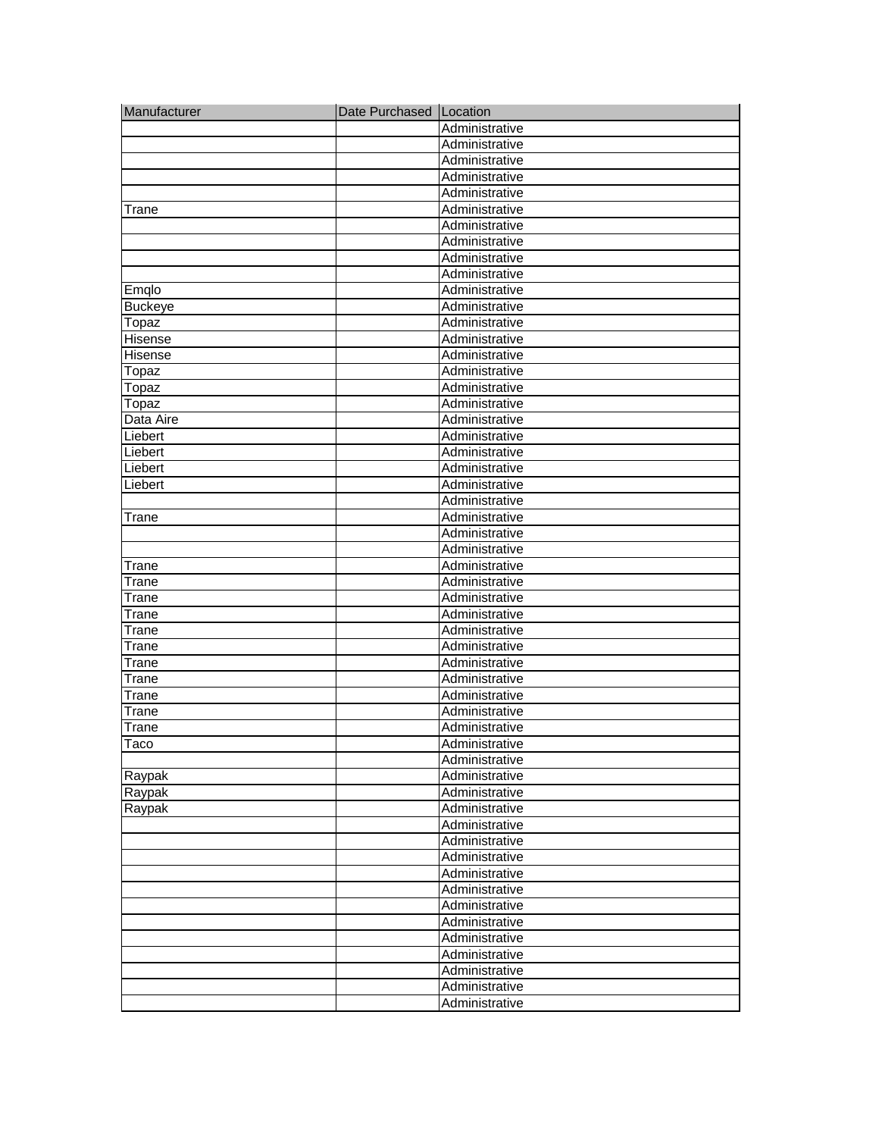| Manufacturer   | Date Purchased Location |                |
|----------------|-------------------------|----------------|
|                |                         | Administrative |
|                |                         | Administrative |
|                |                         | Administrative |
|                |                         | Administrative |
|                |                         | Administrative |
| Trane          |                         | Administrative |
|                |                         | Administrative |
|                |                         | Administrative |
|                |                         | Administrative |
|                |                         | Administrative |
| Emqlo          |                         | Administrative |
| <b>Buckeye</b> |                         | Administrative |
| Topaz          |                         | Administrative |
| Hisense        |                         | Administrative |
| <b>Hisense</b> |                         | Administrative |
| Topaz          |                         | Administrative |
| Topaz          |                         | Administrative |
| Topaz          |                         | Administrative |
| Data Aire      |                         | Administrative |
| Liebert        |                         | Administrative |
| Liebert        |                         | Administrative |
| Liebert        |                         | Administrative |
| Liebert        |                         | Administrative |
|                |                         | Administrative |
| Trane          |                         | Administrative |
|                |                         | Administrative |
|                |                         | Administrative |
| Trane          |                         | Administrative |
| Trane          |                         | Administrative |
| Trane          |                         | Administrative |
| Trane          |                         | Administrative |
| Trane          |                         | Administrative |
| Trane          |                         | Administrative |
| Trane          |                         | Administrative |
| Trane          |                         | Administrative |
| Trane          |                         | Administrative |
| Trane          |                         | Administrative |
| Trane          |                         | Administrative |
| Taco           |                         | Administrative |
|                |                         | Administrative |
| Raypak         |                         | Administrative |
| Raypak         |                         | Administrative |
| Raypak         |                         | Administrative |
|                |                         | Administrative |
|                |                         | Administrative |
|                |                         | Administrative |
|                |                         | Administrative |
|                |                         | Administrative |
|                |                         | Administrative |
|                |                         | Administrative |
|                |                         | Administrative |
|                |                         | Administrative |
|                |                         | Administrative |
|                |                         | Administrative |
|                |                         | Administrative |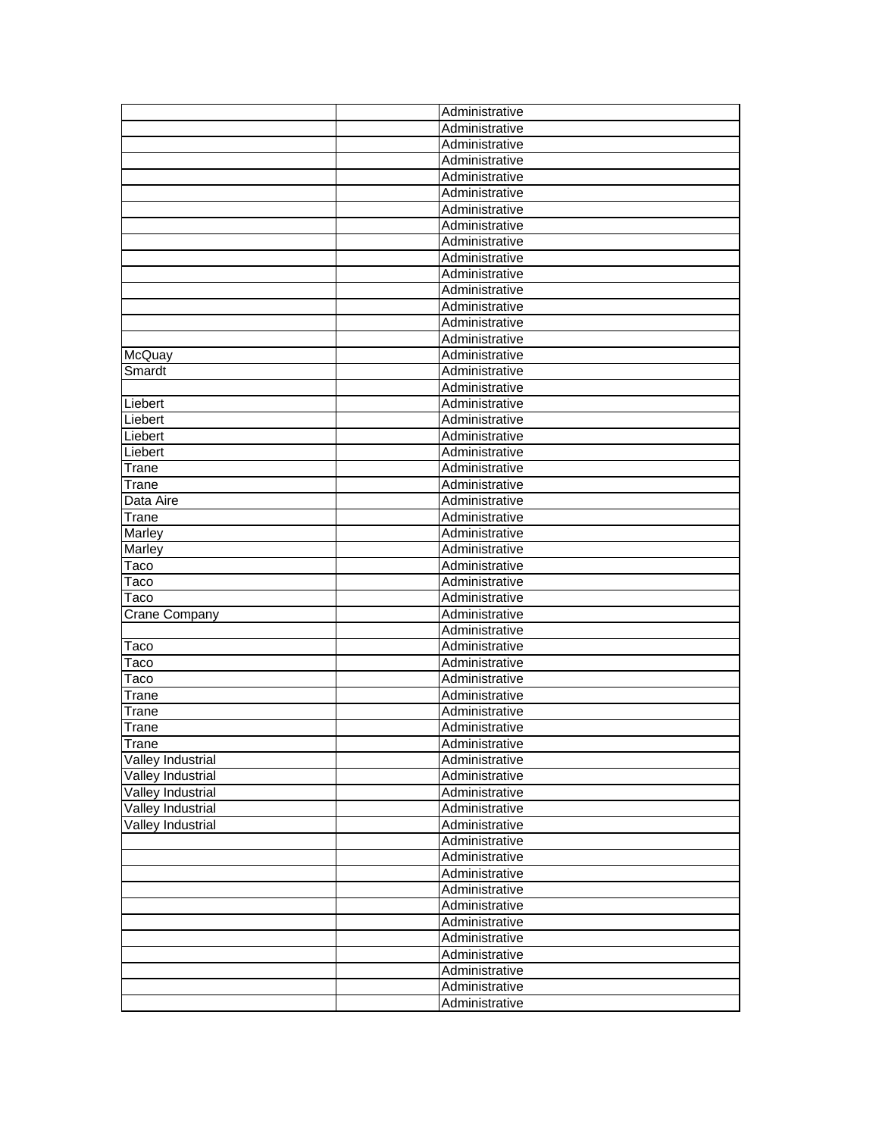|                          | Administrative |
|--------------------------|----------------|
|                          | Administrative |
|                          | Administrative |
|                          | Administrative |
|                          | Administrative |
|                          | Administrative |
|                          | Administrative |
|                          | Administrative |
|                          | Administrative |
|                          | Administrative |
|                          | Administrative |
|                          | Administrative |
|                          | Administrative |
|                          | Administrative |
|                          | Administrative |
| McQuay                   | Administrative |
| Smardt                   | Administrative |
|                          | Administrative |
| Liebert                  | Administrative |
| Liebert                  | Administrative |
| Liebert                  | Administrative |
| Liebert                  | Administrative |
| Trane                    | Administrative |
| Trane                    | Administrative |
| Data Aire                | Administrative |
| Trane                    | Administrative |
| Marley                   | Administrative |
| Marley                   | Administrative |
| Taco                     | Administrative |
| Taco                     | Administrative |
| Taco                     | Administrative |
| <b>Crane Company</b>     | Administrative |
|                          | Administrative |
| Taco                     | Administrative |
| Taco                     | Administrative |
| Taco                     | Administrative |
| Trane                    | Administrative |
| Trane                    | Administrative |
| Trane                    | Administrative |
| <b>ITrane</b>            | Administrative |
| Valley Industrial        | Administrative |
| Valley Industrial        | Administrative |
| <b>Valley Industrial</b> | Administrative |
| <b>Valley Industrial</b> | Administrative |
| <b>Valley Industrial</b> | Administrative |
|                          | Administrative |
|                          | Administrative |
|                          | Administrative |
|                          | Administrative |
|                          | Administrative |
|                          | Administrative |
|                          | Administrative |
|                          | Administrative |
|                          | Administrative |
|                          | Administrative |
|                          | Administrative |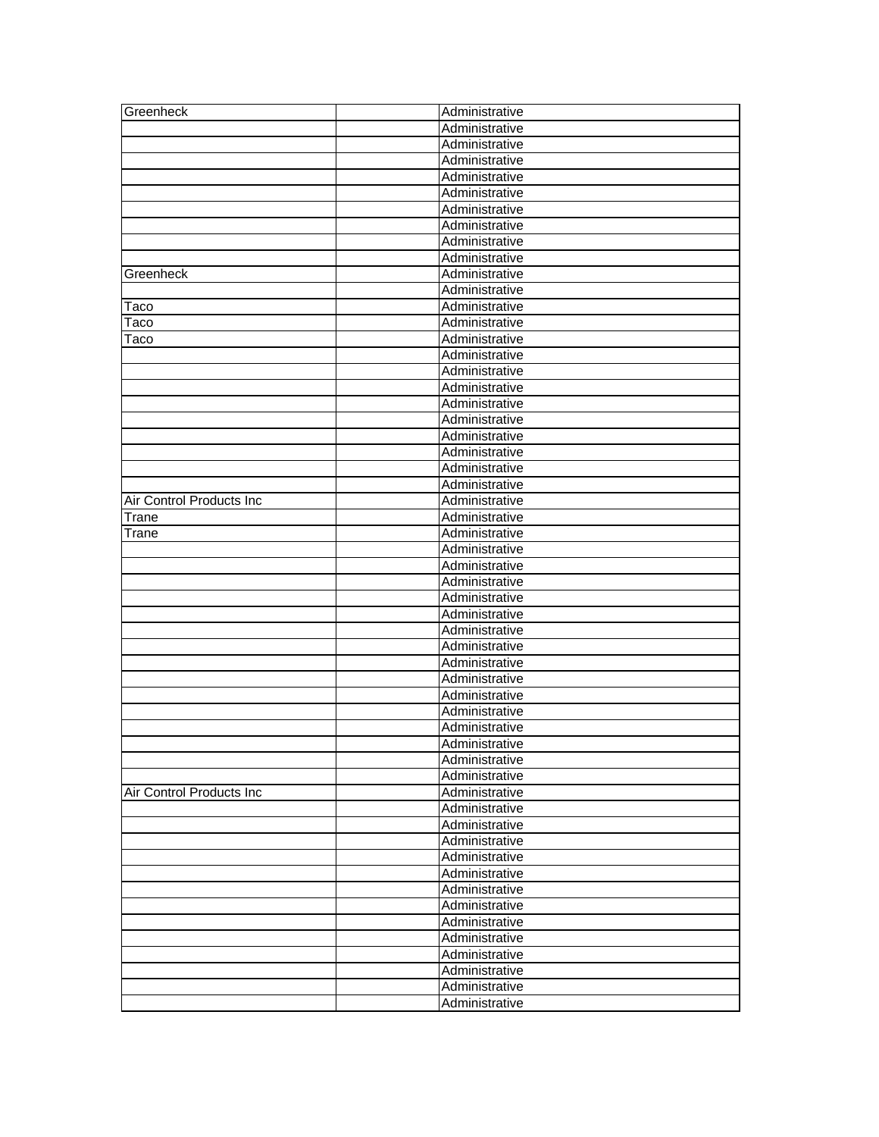| Greenheck                | Administrative                   |
|--------------------------|----------------------------------|
|                          | Administrative                   |
|                          | Administrative                   |
|                          | Administrative                   |
|                          | Administrative                   |
|                          | Administrative                   |
|                          | Administrative                   |
|                          | Administrative                   |
|                          | Administrative                   |
|                          | Administrative                   |
| Greenheck                | Administrative                   |
|                          | Administrative                   |
| Taco                     | Administrative                   |
| Taco                     | Administrative                   |
| Taco                     | Administrative                   |
|                          | Administrative                   |
|                          | Administrative                   |
|                          | Administrative                   |
|                          | Administrative                   |
|                          | Administrative                   |
|                          | Administrative                   |
|                          | Administrative                   |
|                          | Administrative                   |
|                          | Administrative                   |
| Air Control Products Inc | Administrative                   |
| Trane                    | Administrative                   |
| Trane                    | Administrative                   |
|                          | Administrative                   |
|                          | Administrative                   |
|                          | Administrative                   |
|                          | Administrative                   |
|                          | Administrative                   |
|                          | Administrative                   |
|                          | Administrative                   |
|                          | Administrative                   |
|                          | Administrative                   |
|                          | Administrative                   |
|                          | Administrative                   |
|                          | Administrative                   |
|                          | Administrative                   |
|                          | Administrative                   |
|                          | Administrative                   |
| Air Control Products Inc | Administrative                   |
|                          | Administrative                   |
|                          | Administrative                   |
|                          | Administrative                   |
|                          |                                  |
|                          | Administrative<br>Administrative |
|                          |                                  |
|                          | Administrative                   |
|                          | Administrative                   |
|                          | Administrative                   |
|                          | Administrative                   |
|                          | Administrative                   |
|                          | Administrative                   |
|                          | Administrative                   |
|                          | Administrative                   |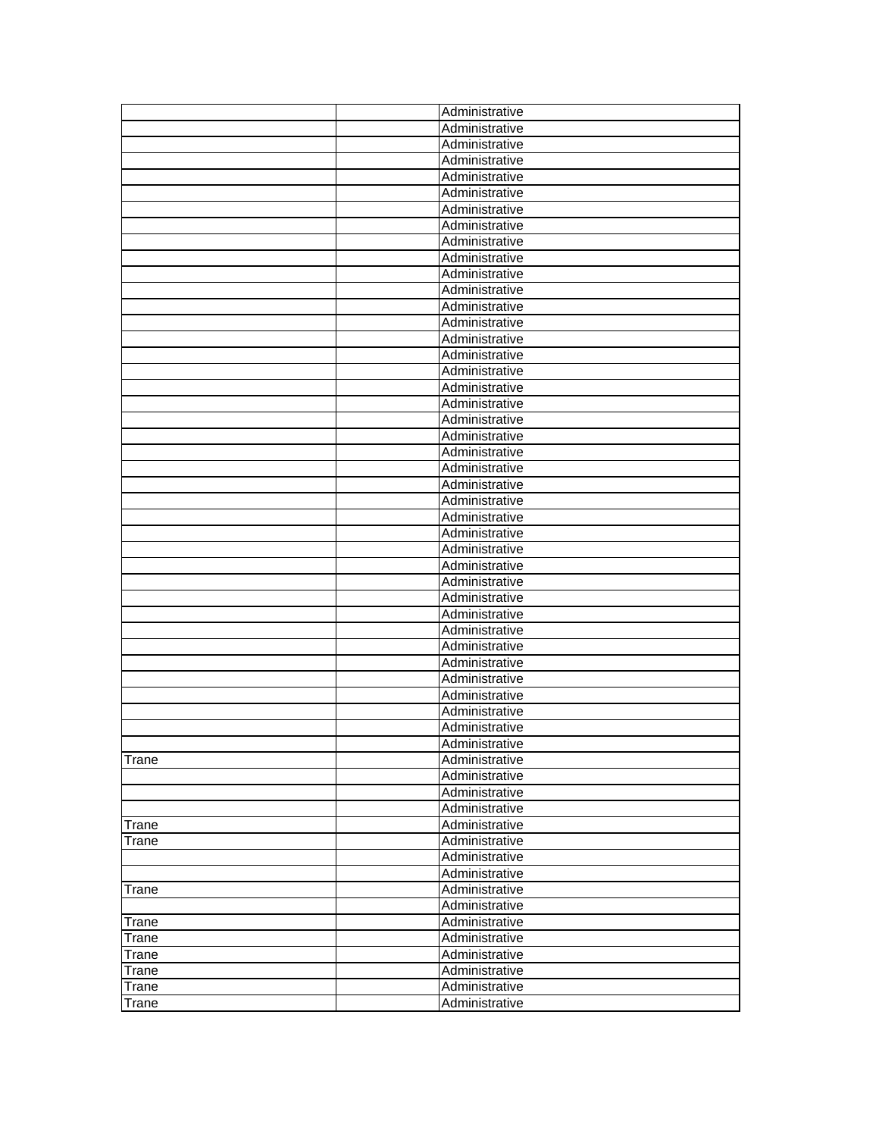| Administrative<br>Administrative<br>Administrative<br>Administrative<br>Administrative<br>Administrative<br>Administrative<br>Administrative<br>Administrative<br>Administrative<br>Administrative<br>Administrative<br>Administrative<br>Administrative<br>Administrative<br>Administrative<br>Administrative<br>Administrative<br>Administrative<br>Administrative<br>Administrative<br>Administrative<br>Administrative<br>Administrative<br>Administrative<br>Administrative<br>Administrative<br>Administrative<br>Administrative<br>Administrative<br>Administrative<br>Administrative<br>Administrative<br>Administrative<br>Administrative<br>Administrative<br>Administrative<br>Administrative<br>Administrative<br>Administrative<br>Trane<br>Administrative<br>Administrative<br>Administrative<br>Administrative<br>Trane<br>Administrative<br>Trane<br>Administrative<br>Administrative<br>Administrative<br>Trane<br>Administrative<br>Trane<br>Administrative<br>Administrative<br>Trane<br>Administrative<br>Trane<br>Administrative<br>Trane<br>Administrative<br>Trane |  | Administrative |
|-------------------------------------------------------------------------------------------------------------------------------------------------------------------------------------------------------------------------------------------------------------------------------------------------------------------------------------------------------------------------------------------------------------------------------------------------------------------------------------------------------------------------------------------------------------------------------------------------------------------------------------------------------------------------------------------------------------------------------------------------------------------------------------------------------------------------------------------------------------------------------------------------------------------------------------------------------------------------------------------------------------------------------------------------------------------------------------------|--|----------------|
|                                                                                                                                                                                                                                                                                                                                                                                                                                                                                                                                                                                                                                                                                                                                                                                                                                                                                                                                                                                                                                                                                           |  |                |
|                                                                                                                                                                                                                                                                                                                                                                                                                                                                                                                                                                                                                                                                                                                                                                                                                                                                                                                                                                                                                                                                                           |  |                |
|                                                                                                                                                                                                                                                                                                                                                                                                                                                                                                                                                                                                                                                                                                                                                                                                                                                                                                                                                                                                                                                                                           |  |                |
|                                                                                                                                                                                                                                                                                                                                                                                                                                                                                                                                                                                                                                                                                                                                                                                                                                                                                                                                                                                                                                                                                           |  |                |
|                                                                                                                                                                                                                                                                                                                                                                                                                                                                                                                                                                                                                                                                                                                                                                                                                                                                                                                                                                                                                                                                                           |  |                |
|                                                                                                                                                                                                                                                                                                                                                                                                                                                                                                                                                                                                                                                                                                                                                                                                                                                                                                                                                                                                                                                                                           |  |                |
|                                                                                                                                                                                                                                                                                                                                                                                                                                                                                                                                                                                                                                                                                                                                                                                                                                                                                                                                                                                                                                                                                           |  |                |
|                                                                                                                                                                                                                                                                                                                                                                                                                                                                                                                                                                                                                                                                                                                                                                                                                                                                                                                                                                                                                                                                                           |  |                |
|                                                                                                                                                                                                                                                                                                                                                                                                                                                                                                                                                                                                                                                                                                                                                                                                                                                                                                                                                                                                                                                                                           |  |                |
|                                                                                                                                                                                                                                                                                                                                                                                                                                                                                                                                                                                                                                                                                                                                                                                                                                                                                                                                                                                                                                                                                           |  |                |
|                                                                                                                                                                                                                                                                                                                                                                                                                                                                                                                                                                                                                                                                                                                                                                                                                                                                                                                                                                                                                                                                                           |  |                |
|                                                                                                                                                                                                                                                                                                                                                                                                                                                                                                                                                                                                                                                                                                                                                                                                                                                                                                                                                                                                                                                                                           |  |                |
|                                                                                                                                                                                                                                                                                                                                                                                                                                                                                                                                                                                                                                                                                                                                                                                                                                                                                                                                                                                                                                                                                           |  |                |
|                                                                                                                                                                                                                                                                                                                                                                                                                                                                                                                                                                                                                                                                                                                                                                                                                                                                                                                                                                                                                                                                                           |  |                |
|                                                                                                                                                                                                                                                                                                                                                                                                                                                                                                                                                                                                                                                                                                                                                                                                                                                                                                                                                                                                                                                                                           |  |                |
|                                                                                                                                                                                                                                                                                                                                                                                                                                                                                                                                                                                                                                                                                                                                                                                                                                                                                                                                                                                                                                                                                           |  |                |
|                                                                                                                                                                                                                                                                                                                                                                                                                                                                                                                                                                                                                                                                                                                                                                                                                                                                                                                                                                                                                                                                                           |  |                |
|                                                                                                                                                                                                                                                                                                                                                                                                                                                                                                                                                                                                                                                                                                                                                                                                                                                                                                                                                                                                                                                                                           |  |                |
|                                                                                                                                                                                                                                                                                                                                                                                                                                                                                                                                                                                                                                                                                                                                                                                                                                                                                                                                                                                                                                                                                           |  |                |
|                                                                                                                                                                                                                                                                                                                                                                                                                                                                                                                                                                                                                                                                                                                                                                                                                                                                                                                                                                                                                                                                                           |  |                |
|                                                                                                                                                                                                                                                                                                                                                                                                                                                                                                                                                                                                                                                                                                                                                                                                                                                                                                                                                                                                                                                                                           |  |                |
|                                                                                                                                                                                                                                                                                                                                                                                                                                                                                                                                                                                                                                                                                                                                                                                                                                                                                                                                                                                                                                                                                           |  |                |
|                                                                                                                                                                                                                                                                                                                                                                                                                                                                                                                                                                                                                                                                                                                                                                                                                                                                                                                                                                                                                                                                                           |  |                |
|                                                                                                                                                                                                                                                                                                                                                                                                                                                                                                                                                                                                                                                                                                                                                                                                                                                                                                                                                                                                                                                                                           |  |                |
|                                                                                                                                                                                                                                                                                                                                                                                                                                                                                                                                                                                                                                                                                                                                                                                                                                                                                                                                                                                                                                                                                           |  |                |
|                                                                                                                                                                                                                                                                                                                                                                                                                                                                                                                                                                                                                                                                                                                                                                                                                                                                                                                                                                                                                                                                                           |  |                |
|                                                                                                                                                                                                                                                                                                                                                                                                                                                                                                                                                                                                                                                                                                                                                                                                                                                                                                                                                                                                                                                                                           |  |                |
|                                                                                                                                                                                                                                                                                                                                                                                                                                                                                                                                                                                                                                                                                                                                                                                                                                                                                                                                                                                                                                                                                           |  |                |
|                                                                                                                                                                                                                                                                                                                                                                                                                                                                                                                                                                                                                                                                                                                                                                                                                                                                                                                                                                                                                                                                                           |  |                |
|                                                                                                                                                                                                                                                                                                                                                                                                                                                                                                                                                                                                                                                                                                                                                                                                                                                                                                                                                                                                                                                                                           |  |                |
|                                                                                                                                                                                                                                                                                                                                                                                                                                                                                                                                                                                                                                                                                                                                                                                                                                                                                                                                                                                                                                                                                           |  |                |
|                                                                                                                                                                                                                                                                                                                                                                                                                                                                                                                                                                                                                                                                                                                                                                                                                                                                                                                                                                                                                                                                                           |  |                |
|                                                                                                                                                                                                                                                                                                                                                                                                                                                                                                                                                                                                                                                                                                                                                                                                                                                                                                                                                                                                                                                                                           |  |                |
|                                                                                                                                                                                                                                                                                                                                                                                                                                                                                                                                                                                                                                                                                                                                                                                                                                                                                                                                                                                                                                                                                           |  |                |
|                                                                                                                                                                                                                                                                                                                                                                                                                                                                                                                                                                                                                                                                                                                                                                                                                                                                                                                                                                                                                                                                                           |  |                |
|                                                                                                                                                                                                                                                                                                                                                                                                                                                                                                                                                                                                                                                                                                                                                                                                                                                                                                                                                                                                                                                                                           |  |                |
|                                                                                                                                                                                                                                                                                                                                                                                                                                                                                                                                                                                                                                                                                                                                                                                                                                                                                                                                                                                                                                                                                           |  |                |
|                                                                                                                                                                                                                                                                                                                                                                                                                                                                                                                                                                                                                                                                                                                                                                                                                                                                                                                                                                                                                                                                                           |  |                |
|                                                                                                                                                                                                                                                                                                                                                                                                                                                                                                                                                                                                                                                                                                                                                                                                                                                                                                                                                                                                                                                                                           |  |                |
|                                                                                                                                                                                                                                                                                                                                                                                                                                                                                                                                                                                                                                                                                                                                                                                                                                                                                                                                                                                                                                                                                           |  |                |
|                                                                                                                                                                                                                                                                                                                                                                                                                                                                                                                                                                                                                                                                                                                                                                                                                                                                                                                                                                                                                                                                                           |  |                |
|                                                                                                                                                                                                                                                                                                                                                                                                                                                                                                                                                                                                                                                                                                                                                                                                                                                                                                                                                                                                                                                                                           |  |                |
|                                                                                                                                                                                                                                                                                                                                                                                                                                                                                                                                                                                                                                                                                                                                                                                                                                                                                                                                                                                                                                                                                           |  |                |
|                                                                                                                                                                                                                                                                                                                                                                                                                                                                                                                                                                                                                                                                                                                                                                                                                                                                                                                                                                                                                                                                                           |  |                |
|                                                                                                                                                                                                                                                                                                                                                                                                                                                                                                                                                                                                                                                                                                                                                                                                                                                                                                                                                                                                                                                                                           |  |                |
|                                                                                                                                                                                                                                                                                                                                                                                                                                                                                                                                                                                                                                                                                                                                                                                                                                                                                                                                                                                                                                                                                           |  |                |
|                                                                                                                                                                                                                                                                                                                                                                                                                                                                                                                                                                                                                                                                                                                                                                                                                                                                                                                                                                                                                                                                                           |  |                |
|                                                                                                                                                                                                                                                                                                                                                                                                                                                                                                                                                                                                                                                                                                                                                                                                                                                                                                                                                                                                                                                                                           |  |                |
|                                                                                                                                                                                                                                                                                                                                                                                                                                                                                                                                                                                                                                                                                                                                                                                                                                                                                                                                                                                                                                                                                           |  |                |
|                                                                                                                                                                                                                                                                                                                                                                                                                                                                                                                                                                                                                                                                                                                                                                                                                                                                                                                                                                                                                                                                                           |  |                |
|                                                                                                                                                                                                                                                                                                                                                                                                                                                                                                                                                                                                                                                                                                                                                                                                                                                                                                                                                                                                                                                                                           |  |                |
|                                                                                                                                                                                                                                                                                                                                                                                                                                                                                                                                                                                                                                                                                                                                                                                                                                                                                                                                                                                                                                                                                           |  |                |
|                                                                                                                                                                                                                                                                                                                                                                                                                                                                                                                                                                                                                                                                                                                                                                                                                                                                                                                                                                                                                                                                                           |  |                |
|                                                                                                                                                                                                                                                                                                                                                                                                                                                                                                                                                                                                                                                                                                                                                                                                                                                                                                                                                                                                                                                                                           |  |                |
| Trane<br>Administrative                                                                                                                                                                                                                                                                                                                                                                                                                                                                                                                                                                                                                                                                                                                                                                                                                                                                                                                                                                                                                                                                   |  |                |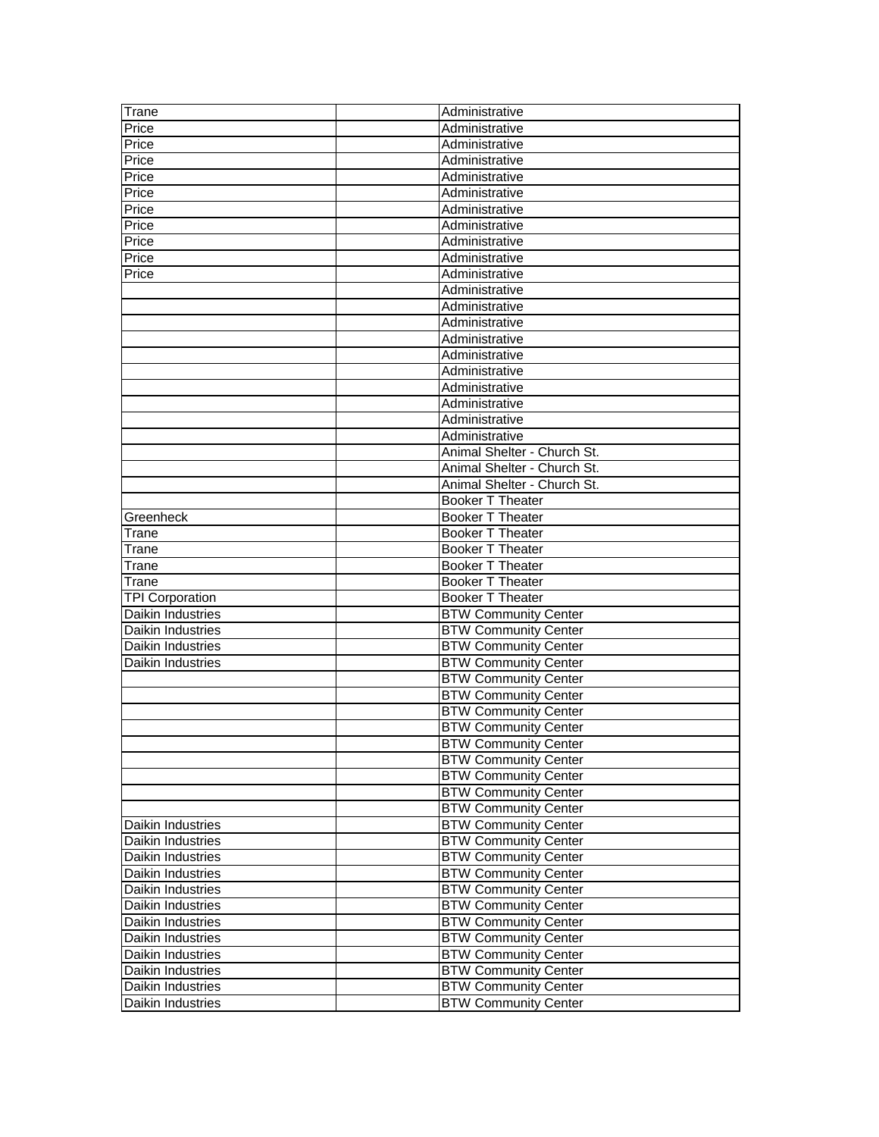| Trane                    | Administrative              |
|--------------------------|-----------------------------|
| Price                    | Administrative              |
| Price                    | Administrative              |
| Price                    | Administrative              |
| Price                    | Administrative              |
| Price                    | Administrative              |
| Price                    | Administrative              |
| Price                    | Administrative              |
| Price                    | Administrative              |
| Price                    | Administrative              |
| Price                    | Administrative              |
|                          | Administrative              |
|                          | Administrative              |
|                          | Administrative              |
|                          | Administrative              |
|                          | Administrative              |
|                          | Administrative              |
|                          | Administrative              |
|                          | Administrative              |
|                          | Administrative              |
|                          | Administrative              |
|                          | Animal Shelter - Church St. |
|                          | Animal Shelter - Church St. |
|                          | Animal Shelter - Church St. |
|                          | <b>Booker T Theater</b>     |
| Greenheck                | Booker T Theater            |
| Trane                    | Booker T Theater            |
| Trane                    | Booker T Theater            |
| Trane                    | Booker T Theater            |
| Trane                    | Booker T Theater            |
| <b>TPI Corporation</b>   | Booker T Theater            |
| Daikin Industries        | <b>BTW Community Center</b> |
| Daikin Industries        | <b>BTW Community Center</b> |
| Daikin Industries        | <b>BTW Community Center</b> |
| <b>Daikin Industries</b> | <b>BTW Community Center</b> |
|                          | <b>BTW Community Center</b> |
|                          | <b>BTW Community Center</b> |
|                          | <b>BTW Community Center</b> |
|                          | <b>BTW Community Center</b> |
|                          | <b>BTW Community Center</b> |
|                          | <b>BTW Community Center</b> |
|                          | <b>BTW Community Center</b> |
|                          | <b>BTW Community Center</b> |
|                          | <b>BTW Community Center</b> |
| Daikin Industries        | <b>BTW Community Center</b> |
| Daikin Industries        | <b>BTW Community Center</b> |
| Daikin Industries        | <b>BTW Community Center</b> |
| Daikin Industries        | <b>BTW Community Center</b> |
| Daikin Industries        | <b>BTW Community Center</b> |
| Daikin Industries        | <b>BTW Community Center</b> |
| Daikin Industries        | <b>BTW Community Center</b> |
| Daikin Industries        | <b>BTW Community Center</b> |
| Daikin Industries        | <b>BTW Community Center</b> |
| Daikin Industries        | <b>BTW Community Center</b> |
| Daikin Industries        | <b>BTW Community Center</b> |
| Daikin Industries        | <b>BTW Community Center</b> |
|                          |                             |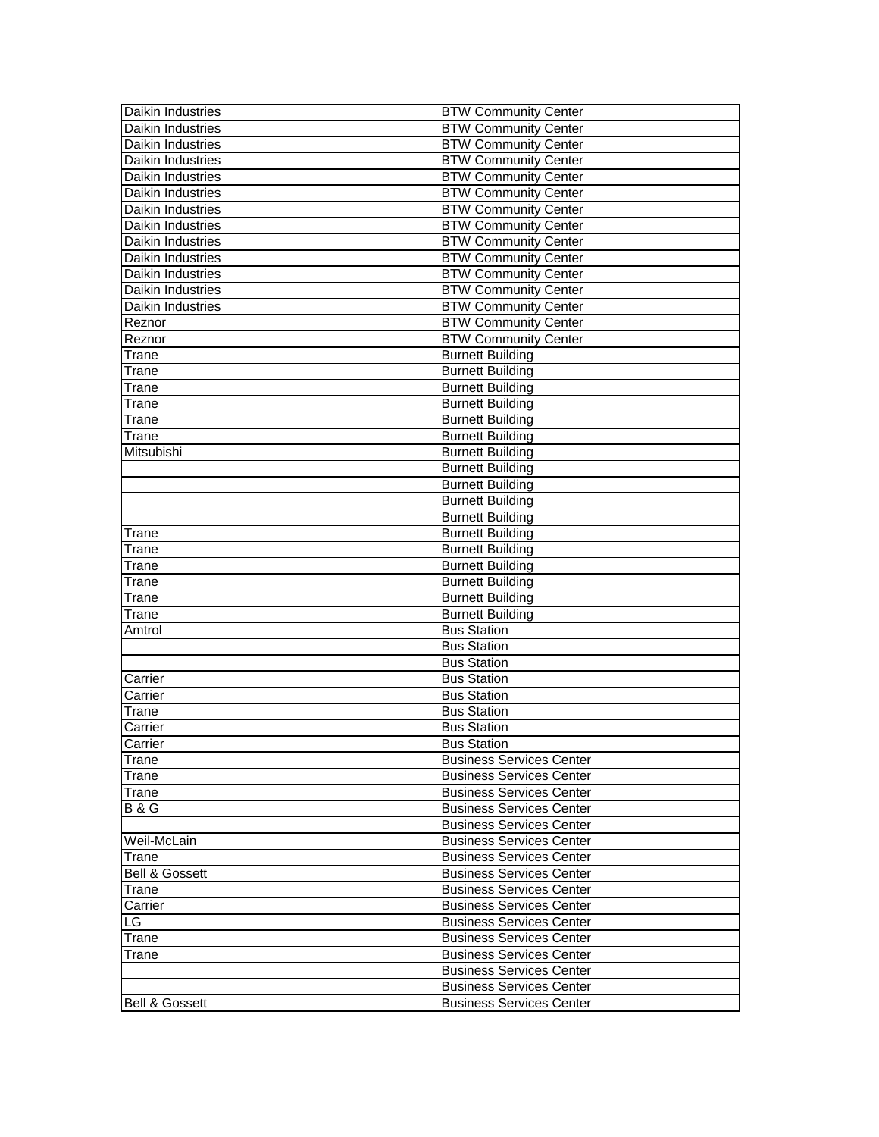| Daikin Industries         | <b>BTW Community Center</b>     |
|---------------------------|---------------------------------|
| Daikin Industries         | <b>BTW Community Center</b>     |
| Daikin Industries         | <b>BTW Community Center</b>     |
| Daikin Industries         | <b>BTW Community Center</b>     |
| Daikin Industries         | <b>BTW Community Center</b>     |
| <b>Daikin Industries</b>  | <b>BTW Community Center</b>     |
| Daikin Industries         | <b>BTW Community Center</b>     |
| Daikin Industries         | <b>BTW Community Center</b>     |
| Daikin Industries         | <b>BTW Community Center</b>     |
| Daikin Industries         | <b>BTW Community Center</b>     |
| Daikin Industries         | <b>BTW Community Center</b>     |
| <b>Daikin Industries</b>  | <b>BTW Community Center</b>     |
| Daikin Industries         | <b>BTW Community Center</b>     |
| Reznor                    | <b>BTW Community Center</b>     |
| Reznor                    | <b>BTW Community Center</b>     |
| Trane                     | <b>Burnett Building</b>         |
| Trane                     | <b>Burnett Building</b>         |
| Trane                     | <b>Burnett Building</b>         |
| Trane                     | <b>Burnett Building</b>         |
| Trane                     | <b>Burnett Building</b>         |
| Trane                     | <b>Burnett Building</b>         |
| Mitsubishi                | <b>Burnett Building</b>         |
|                           | <b>Burnett Building</b>         |
|                           | <b>Burnett Building</b>         |
|                           | <b>Burnett Building</b>         |
|                           | <b>Burnett Building</b>         |
| Trane                     | <b>Burnett Building</b>         |
| Trane                     | <b>Burnett Building</b>         |
| Trane                     | <b>Burnett Building</b>         |
| Trane                     | <b>Burnett Building</b>         |
| Trane                     | <b>Burnett Building</b>         |
| Trane                     | <b>Burnett Building</b>         |
| Amtrol                    | <b>Bus Station</b>              |
|                           | <b>Bus Station</b>              |
|                           | <b>Bus Station</b>              |
| Carrier                   | <b>Bus Station</b>              |
| Carrier                   | <b>Bus Station</b>              |
| Trane                     | <b>Bus Station</b>              |
| Carrier                   | <b>Bus Station</b>              |
| Carrier                   | <b>Bus Station</b>              |
| Trane                     | <b>Business Services Center</b> |
| Trane                     | <b>Business Services Center</b> |
| Trane                     | <b>Business Services Center</b> |
| <b>B&amp;G</b>            | <b>Business Services Center</b> |
|                           | <b>Business Services Center</b> |
| Weil-McLain               | <b>Business Services Center</b> |
| Trane                     | <b>Business Services Center</b> |
| <b>Bell &amp; Gossett</b> | <b>Business Services Center</b> |
| Trane                     | <b>Business Services Center</b> |
| Carrier                   | <b>Business Services Center</b> |
| LG.                       | <b>Business Services Center</b> |
| Trane                     | <b>Business Services Center</b> |
| Trane                     | <b>Business Services Center</b> |
|                           | <b>Business Services Center</b> |
|                           | <b>Business Services Center</b> |
| <b>Bell &amp; Gossett</b> | <b>Business Services Center</b> |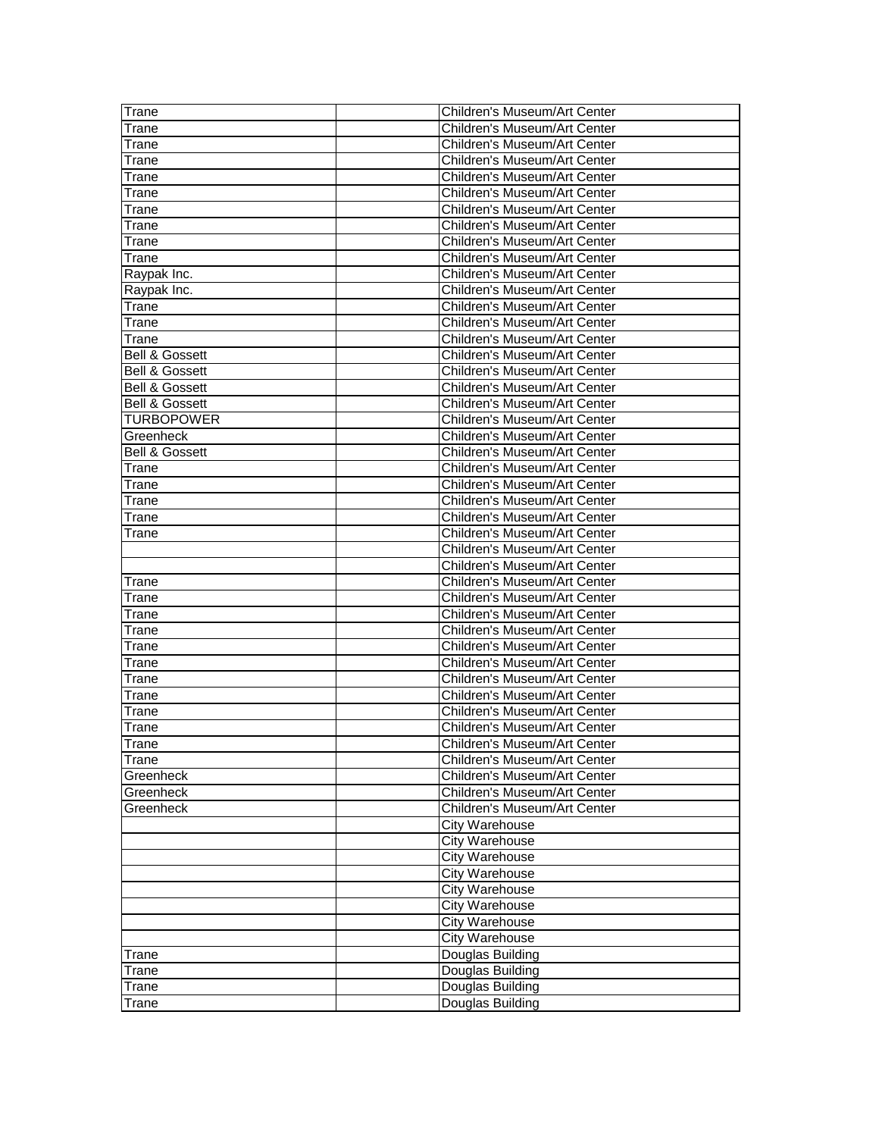| Trane                     | Children's Museum/Art Center |
|---------------------------|------------------------------|
| Trane                     | Children's Museum/Art Center |
| Trane                     | Children's Museum/Art Center |
| Trane                     | Children's Museum/Art Center |
| Trane                     | Children's Museum/Art Center |
| Trane                     | Children's Museum/Art Center |
| Trane                     | Children's Museum/Art Center |
| Trane                     | Children's Museum/Art Center |
| Trane                     | Children's Museum/Art Center |
| Trane                     | Children's Museum/Art Center |
| Raypak Inc.               | Children's Museum/Art Center |
| Raypak Inc.               | Children's Museum/Art Center |
| Trane                     | Children's Museum/Art Center |
| Trane                     | Children's Museum/Art Center |
| Trane                     | Children's Museum/Art Center |
| <b>Bell &amp; Gossett</b> | Children's Museum/Art Center |
| <b>Bell &amp; Gossett</b> | Children's Museum/Art Center |
| <b>Bell &amp; Gossett</b> | Children's Museum/Art Center |
| <b>Bell &amp; Gossett</b> | Children's Museum/Art Center |
| <b>TURBOPOWER</b>         | Children's Museum/Art Center |
| Greenheck                 | Children's Museum/Art Center |
| <b>Bell &amp; Gossett</b> | Children's Museum/Art Center |
| Trane                     | Children's Museum/Art Center |
| Trane                     | Children's Museum/Art Center |
| Trane                     | Children's Museum/Art Center |
| Trane                     | Children's Museum/Art Center |
| Trane                     | Children's Museum/Art Center |
|                           | Children's Museum/Art Center |
|                           | Children's Museum/Art Center |
| Trane                     | Children's Museum/Art Center |
| Trane                     | Children's Museum/Art Center |
| Trane                     | Children's Museum/Art Center |
| Trane                     | Children's Museum/Art Center |
| Trane                     | Children's Museum/Art Center |
| Trane                     | Children's Museum/Art Center |
| I rane                    | Children's Museum/Art Center |
| Trane                     | Children's Museum/Art Center |
| I rane                    | Children's Museum/Art Center |
| Trane                     | Children's Museum/Art Center |
| Trane                     | Children's Museum/Art Center |
| Trane                     | Children's Museum/Art Center |
| Greenheck                 | Children's Museum/Art Center |
| Greenheck                 | Children's Museum/Art Center |
| Greenheck                 | Children's Museum/Art Center |
|                           | <b>City Warehouse</b>        |
|                           | <b>City Warehouse</b>        |
|                           | <b>City Warehouse</b>        |
|                           | <b>City Warehouse</b>        |
|                           | <b>City Warehouse</b>        |
|                           | City Warehouse               |
|                           | <b>City Warehouse</b>        |
|                           | <b>City Warehouse</b>        |
| Trane                     | Douglas Building             |
| Trane                     | Douglas Building             |
| Trane                     | Douglas Building             |
| Trane                     | Douglas Building             |
|                           |                              |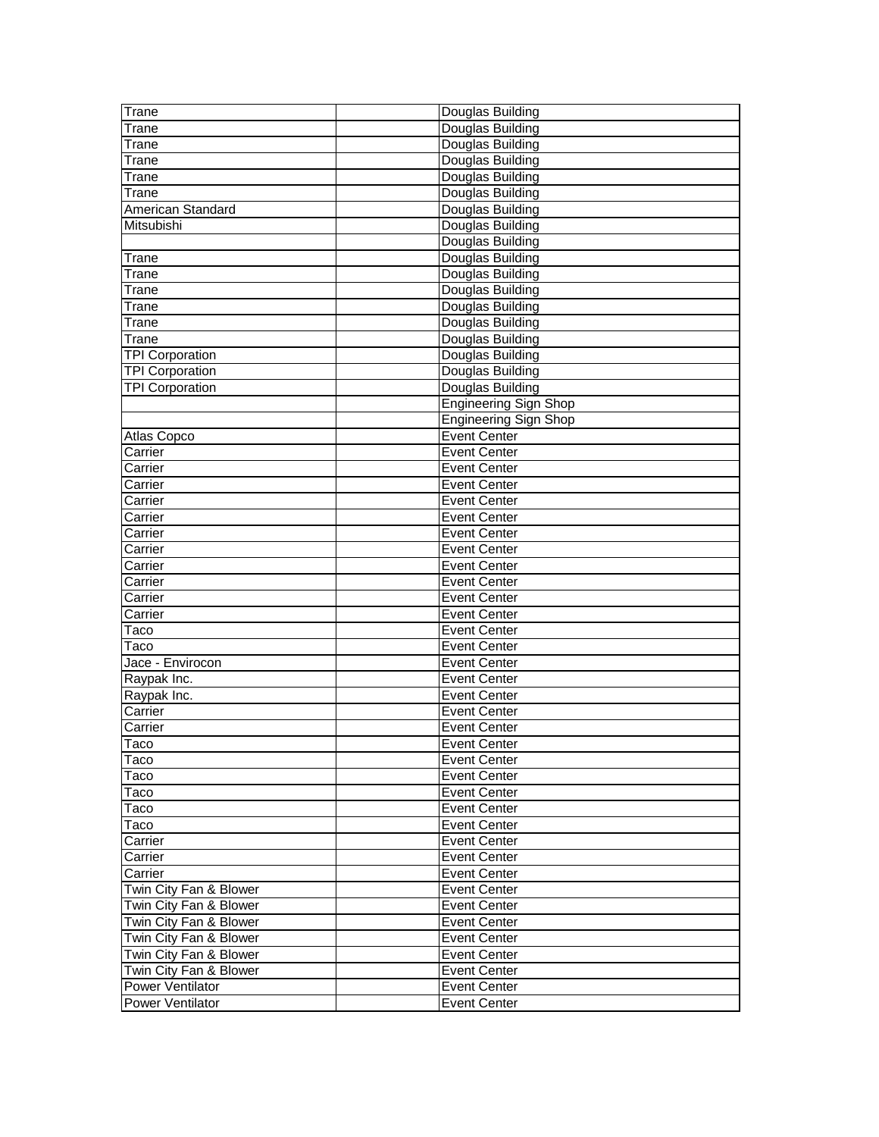| Trane                   | Douglas Building             |
|-------------------------|------------------------------|
| Trane                   | Douglas Building             |
| Trane                   | Douglas Building             |
| Trane                   | Douglas Building             |
| Trane                   | Douglas Building             |
| Trane                   | Douglas Building             |
| American Standard       | Douglas Building             |
| Mitsubishi              | Douglas Building             |
|                         | Douglas Building             |
| Trane                   | Douglas Building             |
| Trane                   | Douglas Building             |
| Trane                   | Douglas Building             |
| Trane                   | Douglas Building             |
| Trane                   | Douglas Building             |
| Trane                   | Douglas Building             |
| <b>TPI Corporation</b>  | Douglas Building             |
| <b>TPI Corporation</b>  | Douglas Building             |
| <b>TPI Corporation</b>  | Douglas Building             |
|                         | <b>Engineering Sign Shop</b> |
|                         | <b>Engineering Sign Shop</b> |
| Atlas Copco             | <b>Event Center</b>          |
| Carrier                 | <b>Event Center</b>          |
| Carrier                 | <b>Event Center</b>          |
| Carrier                 | <b>Event Center</b>          |
| Carrier                 | <b>Event Center</b>          |
| Carrier                 | <b>Event Center</b>          |
| Carrier                 | <b>Event Center</b>          |
| Carrier                 | <b>Event Center</b>          |
| Carrier                 | <b>Event Center</b>          |
| Carrier                 | <b>Event Center</b>          |
| Carrier                 | <b>Event Center</b>          |
| Carrier                 | <b>Event Center</b>          |
| Taco                    | <b>Event Center</b>          |
| Taco                    | <b>Event Center</b>          |
| Jace - Envirocon        | <b>Event Center</b>          |
| Raypak Inc.             | <b>Event Center</b>          |
| Raypak Inc.             | <b>Event Center</b>          |
| Carrier                 | <b>Event Center</b>          |
| Carrier                 | <b>Event Center</b>          |
| <b>Taco</b>             | Event Center                 |
| Taco                    | <b>Event Center</b>          |
| Taco                    | <b>Event Center</b>          |
| Taco                    | <b>Event Center</b>          |
| Taco                    | Event Center                 |
| Taco                    | <b>Event Center</b>          |
| Carrier                 | <b>Event Center</b>          |
| Carrier                 | <b>Event Center</b>          |
| Carrier                 | <b>Event Center</b>          |
| Twin City Fan & Blower  | Event Center                 |
| Twin City Fan & Blower  | Event Center                 |
| Twin City Fan & Blower  | Event Center                 |
| Twin City Fan & Blower  | Event Center                 |
| Twin City Fan & Blower  | Event Center                 |
| Twin City Fan & Blower  | <b>Event Center</b>          |
| Power Ventilator        | <b>Event Center</b>          |
| <b>Power Ventilator</b> | <b>Event Center</b>          |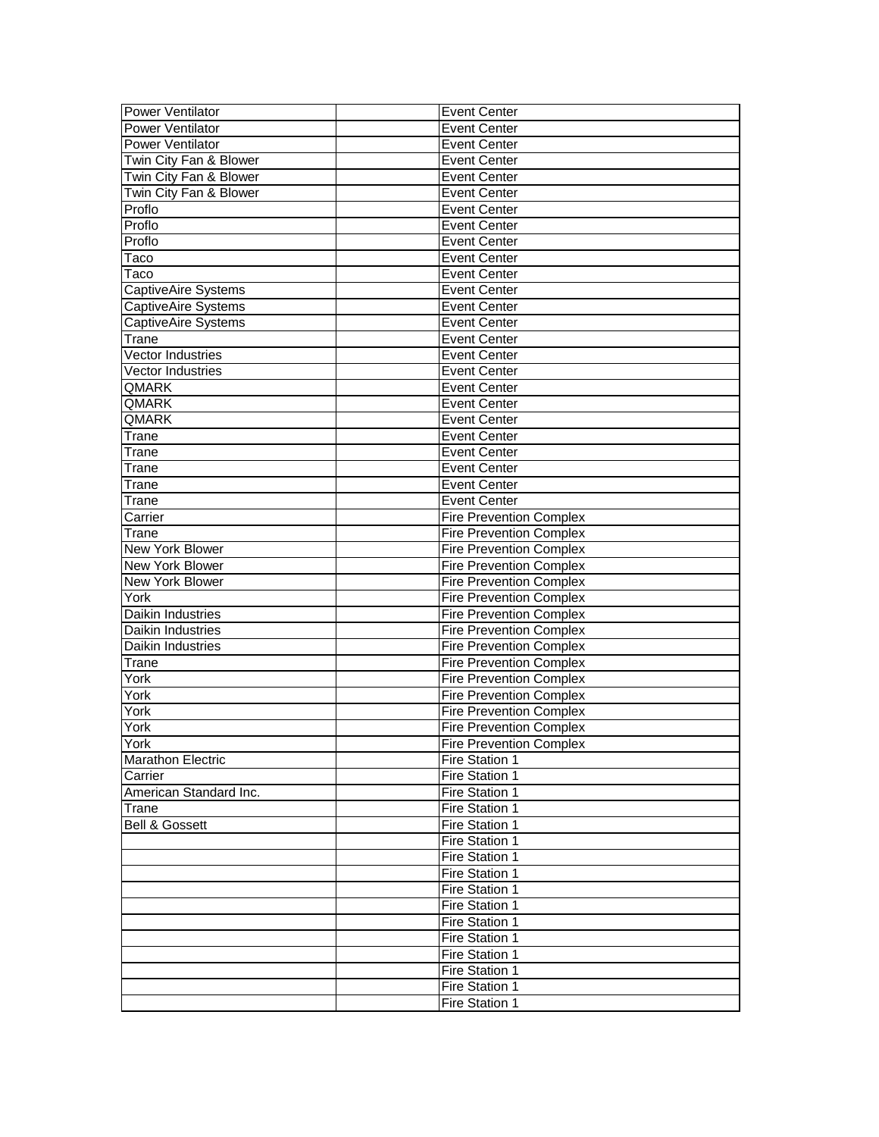| <b>Power Ventilator</b>   | <b>Event Center</b>            |
|---------------------------|--------------------------------|
| <b>Power Ventilator</b>   | <b>Event Center</b>            |
| <b>Power Ventilator</b>   | <b>Event Center</b>            |
| Twin City Fan & Blower    | <b>Event Center</b>            |
| Twin City Fan & Blower    | <b>Event Center</b>            |
| Twin City Fan & Blower    | <b>Event Center</b>            |
| Proflo                    | <b>Event Center</b>            |
| Proflo                    | <b>Event Center</b>            |
| Proflo                    | <b>Event Center</b>            |
| Taco                      | <b>Event Center</b>            |
| Taco                      | <b>Event Center</b>            |
| CaptiveAire Systems       | <b>Event Center</b>            |
| CaptiveAire Systems       | <b>Event Center</b>            |
| CaptiveAire Systems       | <b>Event Center</b>            |
| Trane                     | <b>Event Center</b>            |
| Vector Industries         | <b>Event Center</b>            |
| Vector Industries         | <b>Event Center</b>            |
| QMARK                     | <b>Event Center</b>            |
| QMARK                     | <b>Event Center</b>            |
| QMARK                     | <b>Event Center</b>            |
| Trane                     | <b>Event Center</b>            |
| Trane                     | <b>Event Center</b>            |
| Trane                     | <b>Event Center</b>            |
| Trane                     | <b>Event Center</b>            |
| Trane                     | <b>Event Center</b>            |
| Carrier                   | <b>Fire Prevention Complex</b> |
| Trane                     | <b>Fire Prevention Complex</b> |
| New York Blower           | <b>Fire Prevention Complex</b> |
| New York Blower           | <b>Fire Prevention Complex</b> |
| New York Blower           | <b>Fire Prevention Complex</b> |
| York                      | <b>Fire Prevention Complex</b> |
| Daikin Industries         | <b>Fire Prevention Complex</b> |
| Daikin Industries         | <b>Fire Prevention Complex</b> |
| Daikin Industries         | <b>Fire Prevention Complex</b> |
| Trane                     | <b>Fire Prevention Complex</b> |
| York                      | <b>Fire Prevention Complex</b> |
| York                      | <b>Fire Prevention Complex</b> |
| York                      | <b>Fire Prevention Complex</b> |
| York                      | <b>Fire Prevention Complex</b> |
| York                      | <b>Fire Prevention Complex</b> |
| <b>Marathon Electric</b>  | Fire Station 1                 |
| Carrier                   | Fire Station 1                 |
| American Standard Inc.    | Fire Station 1                 |
| Trane                     | Fire Station 1                 |
| <b>Bell &amp; Gossett</b> | Fire Station 1                 |
|                           | Fire Station 1                 |
|                           | Fire Station 1                 |
|                           | Fire Station 1                 |
|                           | Fire Station 1                 |
|                           | Fire Station 1                 |
|                           | Fire Station 1                 |
|                           | Fire Station 1                 |
|                           | Fire Station 1                 |
|                           | Fire Station 1                 |
|                           | Fire Station 1                 |
|                           |                                |
|                           | Fire Station 1                 |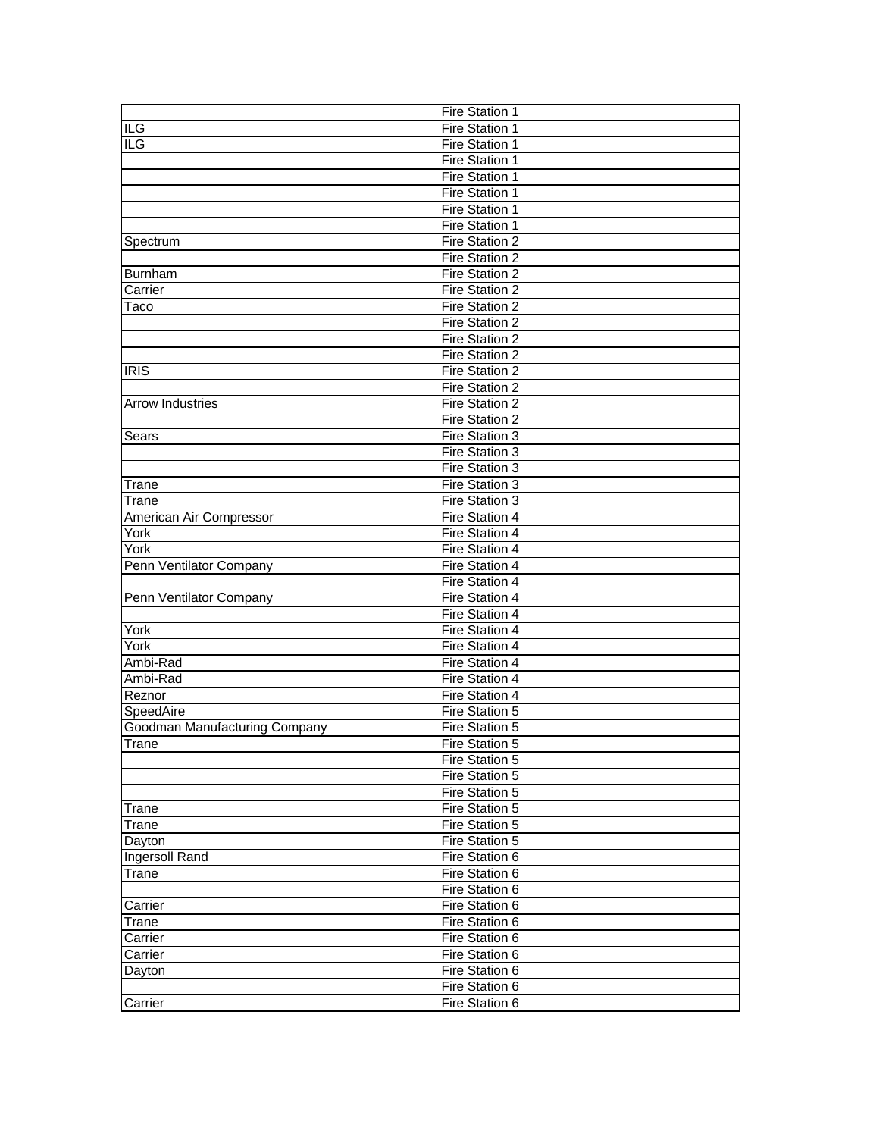|                                      | Fire Station 1                   |
|--------------------------------------|----------------------------------|
| <b>ILG</b>                           | Fire Station 1                   |
| ILG                                  | Fire Station 1                   |
|                                      | Fire Station 1                   |
|                                      | Fire Station 1                   |
|                                      | Fire Station 1                   |
|                                      | Fire Station 1                   |
|                                      | Fire Station 1                   |
| Spectrum                             | Fire Station 2                   |
|                                      | Fire Station 2                   |
| Burnham                              | Fire Station 2                   |
| Carrier                              | Fire Station 2                   |
| Taco                                 | Fire Station 2                   |
|                                      | Fire Station 2                   |
|                                      | Fire Station 2                   |
|                                      | Fire Station 2                   |
| <b>IRIS</b>                          | Fire Station 2                   |
|                                      | Fire Station 2                   |
| <b>Arrow Industries</b>              | Fire Station 2                   |
|                                      | Fire Station 2                   |
| Sears                                | Fire Station 3                   |
|                                      | Fire Station 3                   |
|                                      | Fire Station 3                   |
| Trane                                | Fire Station 3                   |
| Trane                                | Fire Station 3                   |
| American Air Compressor              | Fire Station 4                   |
| York                                 | Fire Station 4                   |
| York                                 | Fire Station 4                   |
| Penn Ventilator Company              | Fire Station 4                   |
|                                      | Fire Station 4                   |
| Penn Ventilator Company              | Fire Station 4                   |
|                                      | Fire Station 4                   |
| York                                 | Fire Station 4                   |
| York                                 | Fire Station 4                   |
| Ambi-Rad                             | Fire Station 4                   |
| Ambi-Rad                             | Fire Station 4                   |
| Reznor                               | Fire Station 4                   |
| SpeedAire                            | Fire Station 5                   |
| <b>Goodman Manufacturing Company</b> | Fire Station 5                   |
| <b>Trane</b>                         | Fire Station 5                   |
|                                      | Fire Station 5                   |
|                                      | Fire Station 5                   |
|                                      | Fire Station 5                   |
|                                      | Fire Station 5                   |
| Trane                                | Fire Station 5                   |
| Trane                                |                                  |
| Dayton                               | Fire Station 5<br>Fire Station 6 |
| Ingersoll Rand                       |                                  |
| Trane                                | Fire Station 6                   |
|                                      | Fire Station 6                   |
| Carrier                              | Fire Station 6                   |
| Trane                                | Fire Station 6                   |
| Carrier                              | Fire Station 6                   |
| Carrier                              | Fire Station 6                   |
| Dayton                               | Fire Station 6                   |
|                                      | Fire Station 6                   |
| Carrier                              | Fire Station 6                   |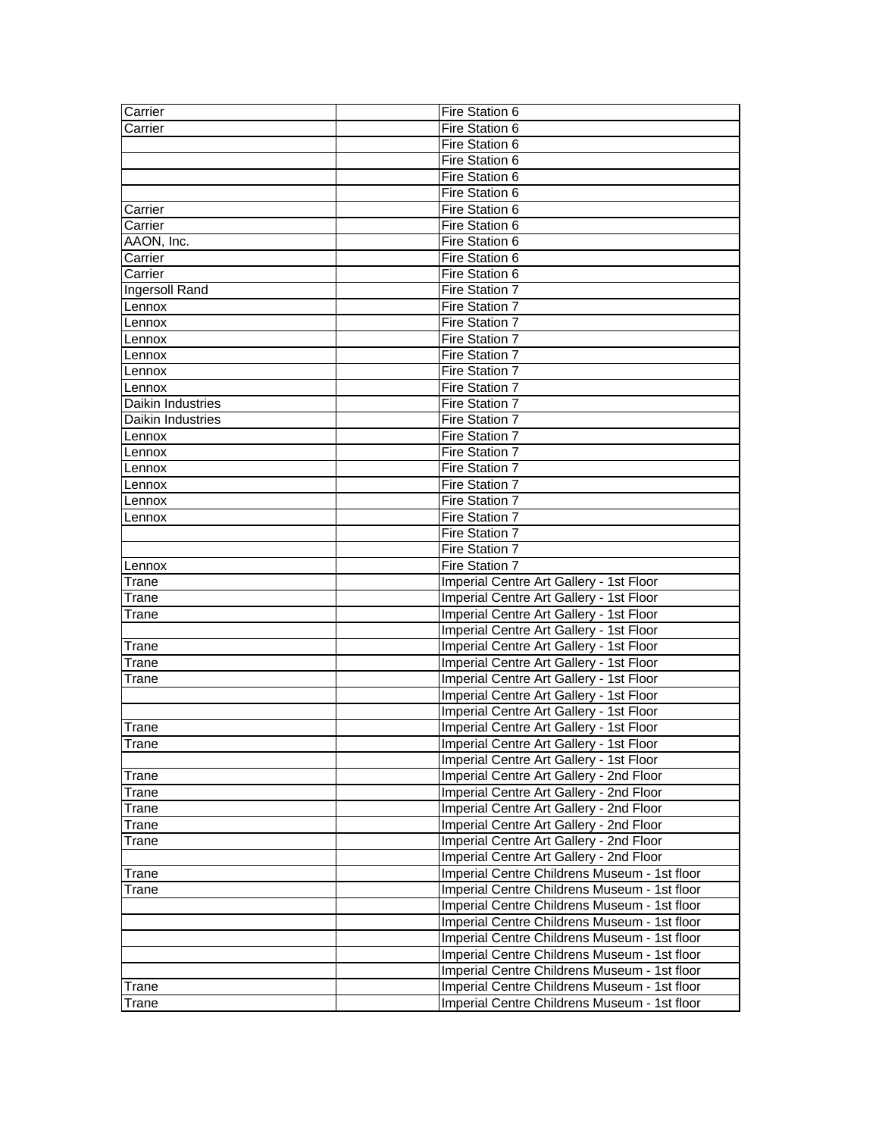| Carrier           | Fire Station 6                               |
|-------------------|----------------------------------------------|
| Carrier           | Fire Station 6                               |
|                   | Fire Station 6                               |
|                   | Fire Station 6                               |
|                   | Fire Station 6                               |
|                   | Fire Station 6                               |
| Carrier           | Fire Station 6                               |
| Carrier           | Fire Station 6                               |
| AAON, Inc.        | Fire Station 6                               |
| Carrier           | Fire Station 6                               |
| Carrier           | Fire Station 6                               |
| Ingersoll Rand    | Fire Station 7                               |
| Lennox            | Fire Station 7                               |
| Lennox            | Fire Station 7                               |
| Lennox            | Fire Station 7                               |
| Lennox            | Fire Station 7                               |
| Lennox            | Fire Station 7                               |
| Lennox            | <b>Fire Station 7</b>                        |
| Daikin Industries | Fire Station 7                               |
| Daikin Industries | Fire Station 7                               |
| Lennox            | Fire Station 7                               |
| Lennox            | Fire Station 7                               |
| Lennox            | Fire Station 7                               |
| Lennox            | Fire Station 7                               |
| Lennox            | Fire Station 7                               |
| Lennox            | Fire Station 7                               |
|                   | Fire Station 7                               |
|                   | Fire Station 7                               |
| Lennox            | Fire Station 7                               |
| Trane             | Imperial Centre Art Gallery - 1st Floor      |
| Trane             | Imperial Centre Art Gallery - 1st Floor      |
| Trane             | Imperial Centre Art Gallery - 1st Floor      |
|                   | Imperial Centre Art Gallery - 1st Floor      |
| Trane             | Imperial Centre Art Gallery - 1st Floor      |
| Trane             | Imperial Centre Art Gallery - 1st Floor      |
| Trane             | Imperial Centre Art Gallery - 1st Floor      |
|                   | Imperial Centre Art Gallery - 1st Floor      |
|                   | Imperial Centre Art Gallery - 1st Floor      |
| Trane             | Imperial Centre Art Gallery - 1st Floor      |
| Trane             | Imperial Centre Art Gallery - 1st Floor      |
|                   | Imperial Centre Art Gallery - 1st Floor      |
| Trane             | Imperial Centre Art Gallery - 2nd Floor      |
| Trane             | Imperial Centre Art Gallery - 2nd Floor      |
| Trane             | Imperial Centre Art Gallery - 2nd Floor      |
| Trane             | Imperial Centre Art Gallery - 2nd Floor      |
| Trane             | Imperial Centre Art Gallery - 2nd Floor      |
|                   | Imperial Centre Art Gallery - 2nd Floor      |
| Trane             | Imperial Centre Childrens Museum - 1st floor |
| Trane             | Imperial Centre Childrens Museum - 1st floor |
|                   | Imperial Centre Childrens Museum - 1st floor |
|                   | Imperial Centre Childrens Museum - 1st floor |
|                   | Imperial Centre Childrens Museum - 1st floor |
|                   | Imperial Centre Childrens Museum - 1st floor |
|                   | Imperial Centre Childrens Museum - 1st floor |
| Trane             | Imperial Centre Childrens Museum - 1st floor |
| Trane             | Imperial Centre Childrens Museum - 1st floor |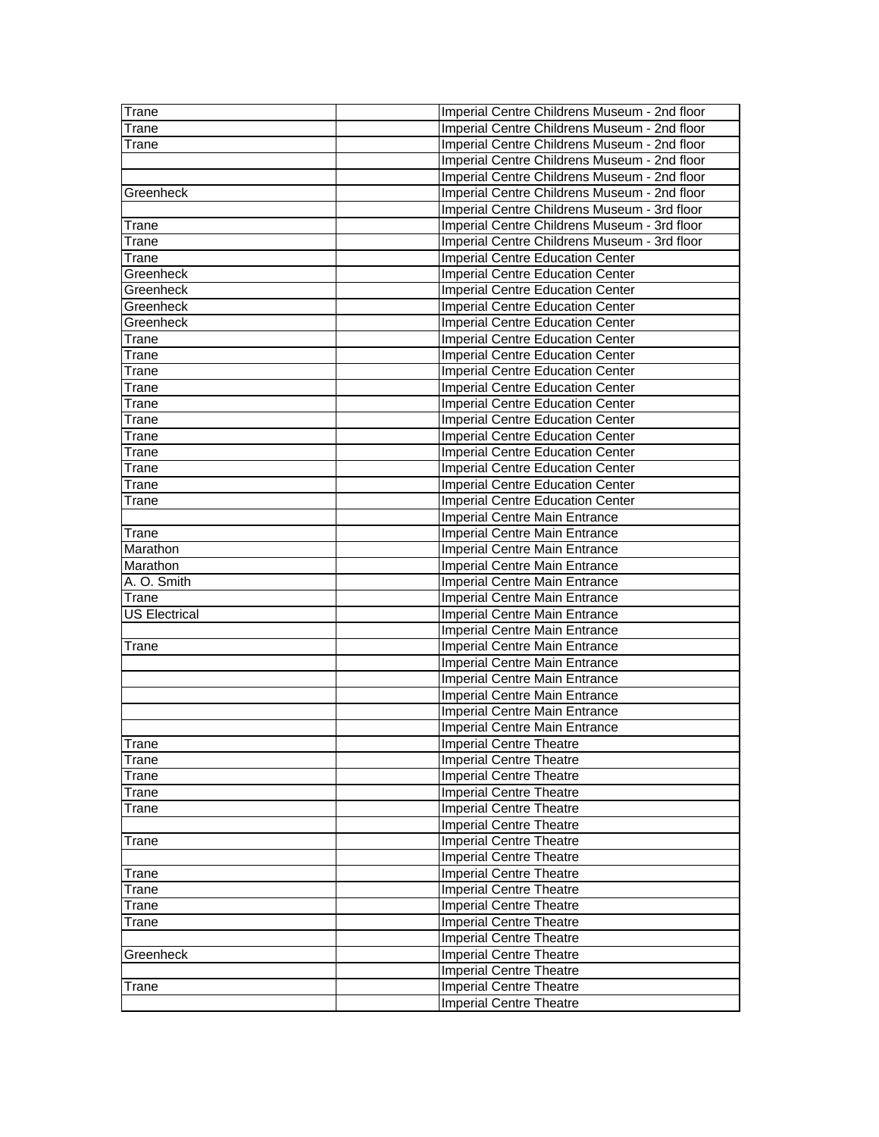| Trane                | Imperial Centre Childrens Museum - 2nd floor |
|----------------------|----------------------------------------------|
| Trane                | Imperial Centre Childrens Museum - 2nd floor |
| Trane                | Imperial Centre Childrens Museum - 2nd floor |
|                      | Imperial Centre Childrens Museum - 2nd floor |
|                      | Imperial Centre Childrens Museum - 2nd floor |
| Greenheck            | Imperial Centre Childrens Museum - 2nd floor |
|                      | Imperial Centre Childrens Museum - 3rd floor |
| Trane                | Imperial Centre Childrens Museum - 3rd floor |
| Trane                | Imperial Centre Childrens Museum - 3rd floor |
| Trane                | Imperial Centre Education Center             |
| Greenheck            | <b>Imperial Centre Education Center</b>      |
| Greenheck            | <b>Imperial Centre Education Center</b>      |
| Greenheck            | <b>Imperial Centre Education Center</b>      |
| Greenheck            | Imperial Centre Education Center             |
| Trane                | Imperial Centre Education Center             |
| Trane                | <b>Imperial Centre Education Center</b>      |
| Trane                | Imperial Centre Education Center             |
| Trane                | <b>Imperial Centre Education Center</b>      |
| Trane                | <b>Imperial Centre Education Center</b>      |
| Trane                | <b>Imperial Centre Education Center</b>      |
| Trane                | <b>Imperial Centre Education Center</b>      |
| Trane                | Imperial Centre Education Center             |
| Trane                | Imperial Centre Education Center             |
| Trane                | <b>Imperial Centre Education Center</b>      |
| Trane                | <b>Imperial Centre Education Center</b>      |
|                      | Imperial Centre Main Entrance                |
| Trane                | Imperial Centre Main Entrance                |
| Marathon             | <b>Imperial Centre Main Entrance</b>         |
| Marathon             | Imperial Centre Main Entrance                |
| A. O. Smith          | Imperial Centre Main Entrance                |
| Trane                | Imperial Centre Main Entrance                |
| <b>US Electrical</b> | Imperial Centre Main Entrance                |
|                      | Imperial Centre Main Entrance                |
| Trane                | Imperial Centre Main Entrance                |
|                      | Imperial Centre Main Entrance                |
|                      | Imperial Centre Main Entrance                |
|                      | Imperial Centre Main Entrance                |
|                      | Imperial Centre Main Entrance                |
|                      | <b>Imperial Centre Main Entrance</b>         |
| <b>Trane</b>         | Imperial Centre Theatre                      |
| Trane                | <b>Imperial Centre Theatre</b>               |
| Trane                | <b>Imperial Centre Theatre</b>               |
| Trane                | <b>Imperial Centre Theatre</b>               |
| Trane                | <b>Imperial Centre Theatre</b>               |
|                      | <b>Imperial Centre Theatre</b>               |
| Trane                | <b>Imperial Centre Theatre</b>               |
|                      | <b>Imperial Centre Theatre</b>               |
| Trane                | <b>Imperial Centre Theatre</b>               |
| Trane                | <b>Imperial Centre Theatre</b>               |
| Trane                | <b>Imperial Centre Theatre</b>               |
|                      |                                              |
| Trane                | <b>Imperial Centre Theatre</b>               |
|                      | <b>Imperial Centre Theatre</b>               |
| Greenheck            | <b>Imperial Centre Theatre</b>               |
|                      | <b>Imperial Centre Theatre</b>               |
| Trane                | <b>Imperial Centre Theatre</b>               |
|                      | <b>Imperial Centre Theatre</b>               |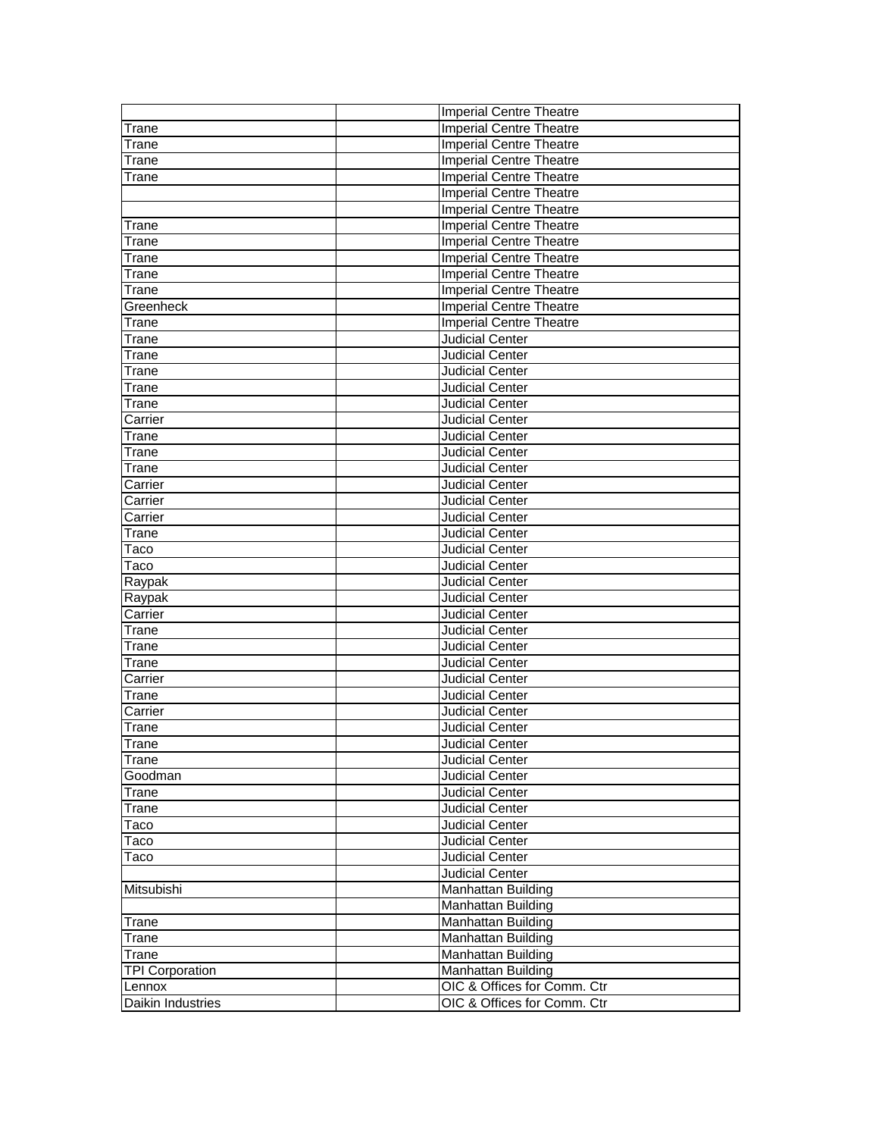|                        | <b>Imperial Centre Theatre</b> |
|------------------------|--------------------------------|
| Trane                  | <b>Imperial Centre Theatre</b> |
| Trane                  | <b>Imperial Centre Theatre</b> |
| Trane                  | <b>Imperial Centre Theatre</b> |
| Trane                  | <b>Imperial Centre Theatre</b> |
|                        | <b>Imperial Centre Theatre</b> |
|                        | <b>Imperial Centre Theatre</b> |
| Trane                  | <b>Imperial Centre Theatre</b> |
| Trane                  | <b>Imperial Centre Theatre</b> |
| Trane                  | <b>Imperial Centre Theatre</b> |
| Trane                  | <b>Imperial Centre Theatre</b> |
| Trane                  | <b>Imperial Centre Theatre</b> |
| Greenheck              | <b>Imperial Centre Theatre</b> |
| Trane                  | <b>Imperial Centre Theatre</b> |
| Trane                  | <b>Judicial Center</b>         |
| Trane                  | Judicial Center                |
| Trane                  | Judicial Center                |
| Trane                  | <b>Judicial Center</b>         |
| Trane                  | Judicial Center                |
| Carrier                | <b>Judicial Center</b>         |
| Trane                  | <b>Judicial Center</b>         |
| Trane                  | <b>Judicial Center</b>         |
| Trane                  | <b>Judicial Center</b>         |
| Carrier                | Judicial Center                |
| Carrier                | Judicial Center                |
| Carrier                | <b>Judicial Center</b>         |
| Trane                  | Judicial Center                |
| Taco                   | Judicial Center                |
| Taco                   | <b>Judicial Center</b>         |
| Raypak                 | <b>Judicial Center</b>         |
| Raypak                 | <b>Judicial Center</b>         |
| Carrier                | Judicial Center                |
| Trane                  | Judicial Center                |
| Trane                  | <b>Judicial Center</b>         |
| Trane                  | Judicial Center                |
| Carrier                | Judicial Center                |
| Trane                  | <b>Judicial Center</b>         |
| Carrier                | Judicial Center                |
| Trane                  | Judicial Center                |
| Trane                  | <b>Judicial Center</b>         |
| Trane                  | <b>Judicial Center</b>         |
| Goodman                | <b>Judicial Center</b>         |
| Trane                  | Judicial Center                |
| Trane                  | Judicial Center                |
| Taco                   | Judicial Center                |
| Taco                   | <b>Judicial Center</b>         |
| Taco                   | Judicial Center                |
|                        | Judicial Center                |
| Mitsubishi             | Manhattan Building             |
|                        | Manhattan Building             |
| Trane                  | Manhattan Building             |
| Trane                  | <b>Manhattan Building</b>      |
| Trane                  | Manhattan Building             |
| <b>TPI Corporation</b> | <b>Manhattan Building</b>      |
| Lennox                 | OIC & Offices for Comm. Ctr    |
| Daikin Industries      | OIC & Offices for Comm. Ctr    |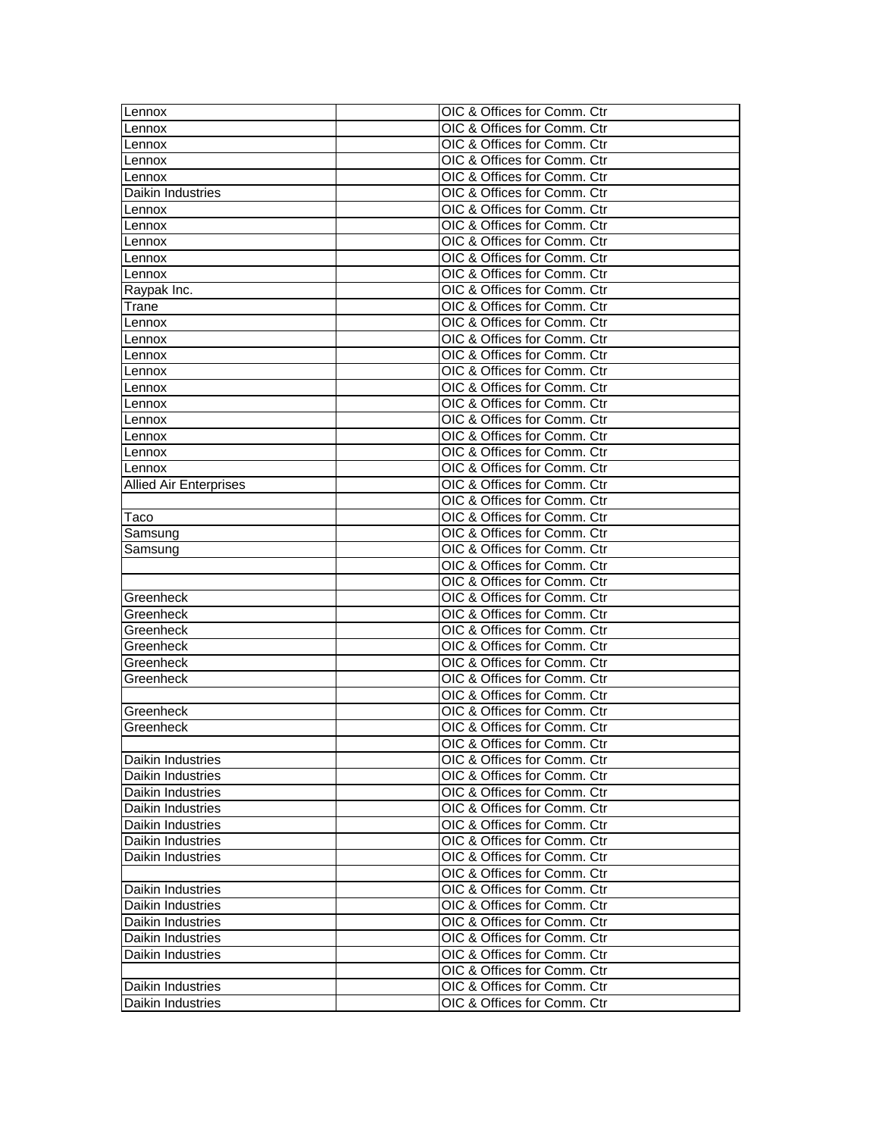| Lennox                        | OIC & Offices for Comm. Ctr |
|-------------------------------|-----------------------------|
| Lennox                        | OIC & Offices for Comm. Ctr |
| Lennox                        | OIC & Offices for Comm. Ctr |
| Lennox                        | OIC & Offices for Comm. Ctr |
| Lennox                        | OIC & Offices for Comm. Ctr |
| Daikin Industries             | OIC & Offices for Comm. Ctr |
| Lennox                        | OIC & Offices for Comm. Ctr |
| Lennox                        | OIC & Offices for Comm. Ctr |
| Lennox                        | OIC & Offices for Comm. Ctr |
| Lennox                        | OIC & Offices for Comm. Ctr |
| Lennox                        | OIC & Offices for Comm. Ctr |
| Raypak Inc.                   | OIC & Offices for Comm. Ctr |
| Trane                         | OIC & Offices for Comm. Ctr |
| Lennox                        | OIC & Offices for Comm. Ctr |
| Lennox                        | OIC & Offices for Comm. Ctr |
| Lennox                        | OIC & Offices for Comm. Ctr |
| Lennox                        | OIC & Offices for Comm. Ctr |
| Lennox                        | OIC & Offices for Comm. Ctr |
| Lennox                        | OIC & Offices for Comm. Ctr |
| Lennox                        | OIC & Offices for Comm. Ctr |
| Lennox                        | OIC & Offices for Comm. Ctr |
| Lennox                        | OIC & Offices for Comm. Ctr |
| Lennox                        | OIC & Offices for Comm. Ctr |
| <b>Allied Air Enterprises</b> | OIC & Offices for Comm. Ctr |
|                               | OIC & Offices for Comm. Ctr |
| Taco                          | OIC & Offices for Comm. Ctr |
| Samsung                       | OIC & Offices for Comm. Ctr |
| Samsung                       | OIC & Offices for Comm. Ctr |
|                               | OIC & Offices for Comm. Ctr |
|                               | OIC & Offices for Comm. Ctr |
| Greenheck                     | OIC & Offices for Comm. Ctr |
| Greenheck                     | OIC & Offices for Comm. Ctr |
| Greenheck                     | OIC & Offices for Comm. Ctr |
| Greenheck                     | OIC & Offices for Comm. Ctr |
| Greenheck                     | OIC & Offices for Comm. Ctr |
| Greenheck                     | OIC & Offices for Comm. Ctr |
|                               | OIC & Offices for Comm. Ctr |
| Greenheck                     | OIC & Offices for Comm. Ctr |
| Greenheck                     | OIC & Offices for Comm. Ctr |
|                               | OIC & Offices for Comm. Ctr |
| Daikin Industries             | OIC & Offices for Comm. Ctr |
| Daikin Industries             | OIC & Offices for Comm. Ctr |
| Daikin Industries             | OIC & Offices for Comm. Ctr |
| Daikin Industries             | OIC & Offices for Comm. Ctr |
| Daikin Industries             | OIC & Offices for Comm. Ctr |
| Daikin Industries             | OIC & Offices for Comm. Ctr |
| Daikin Industries             | OIC & Offices for Comm. Ctr |
|                               | OIC & Offices for Comm. Ctr |
| Daikin Industries             | OIC & Offices for Comm. Ctr |
| Daikin Industries             | OIC & Offices for Comm. Ctr |
| Daikin Industries             | OIC & Offices for Comm. Ctr |
| Daikin Industries             | OIC & Offices for Comm. Ctr |
| Daikin Industries             | OIC & Offices for Comm. Ctr |
|                               | OIC & Offices for Comm. Ctr |
| Daikin Industries             | OIC & Offices for Comm. Ctr |
| Daikin Industries             | OIC & Offices for Comm. Ctr |
|                               |                             |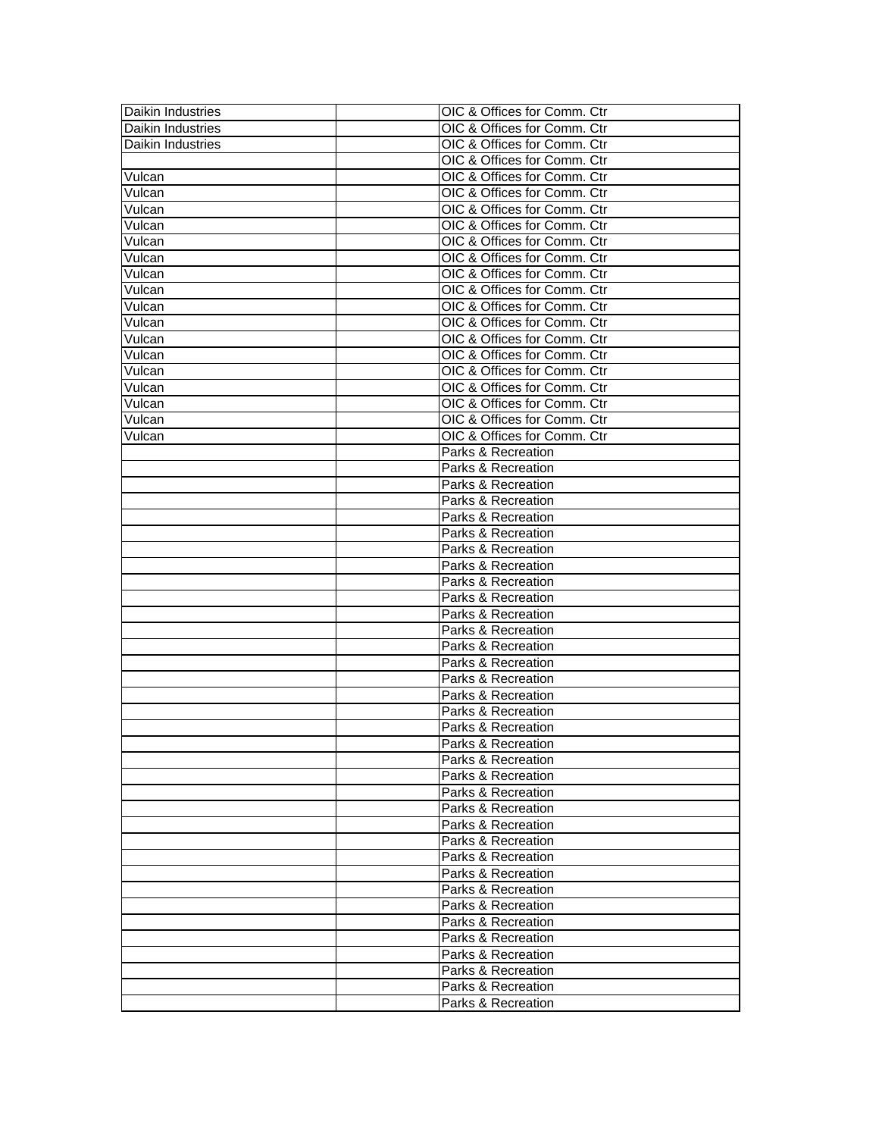| Daikin Industries             | OIC & Offices for Comm. Ctr |
|-------------------------------|-----------------------------|
| Daikin Industries             | OIC & Offices for Comm. Ctr |
| Daikin Industries             | OIC & Offices for Comm. Ctr |
|                               | OIC & Offices for Comm. Ctr |
| Vulcan                        | OIC & Offices for Comm. Ctr |
| Vulcan                        | OIC & Offices for Comm. Ctr |
| Vulcan                        | OIC & Offices for Comm. Ctr |
| Vulcan                        | OIC & Offices for Comm. Ctr |
| Vulcan                        | OIC & Offices for Comm. Ctr |
| Vulcan                        | OIC & Offices for Comm. Ctr |
| Vulcan                        | OIC & Offices for Comm. Ctr |
| Vulcan                        | OIC & Offices for Comm. Ctr |
| Vulcan                        | OIC & Offices for Comm. Ctr |
| Vulcan                        | OIC & Offices for Comm. Ctr |
| Vulcan                        | OIC & Offices for Comm. Ctr |
| Vulcan                        | OIC & Offices for Comm. Ctr |
| Vulcan                        | OIC & Offices for Comm. Ctr |
| Vulcan                        | OIC & Offices for Comm. Ctr |
| Vulcan                        | OIC & Offices for Comm. Ctr |
| Vulcan                        | OIC & Offices for Comm. Ctr |
| $\overline{\mathsf{V}}$ ulcan | OIC & Offices for Comm. Ctr |
|                               | Parks & Recreation          |
|                               | Parks & Recreation          |
|                               | Parks & Recreation          |
|                               | Parks & Recreation          |
|                               | Parks & Recreation          |
|                               | Parks & Recreation          |
|                               | Parks & Recreation          |
|                               | Parks & Recreation          |
|                               | Parks & Recreation          |
|                               | Parks & Recreation          |
|                               | Parks & Recreation          |
|                               | Parks & Recreation          |
|                               | Parks & Recreation          |
|                               | Parks & Recreation          |
|                               | Parks & Recreation          |
|                               | Parks & Recreation          |
|                               | Parks & Recreation          |
|                               | Parks & Recreation          |
|                               | Parks & Recreation          |
|                               | Parks & Recreation          |
|                               | Parks & Recreation          |
|                               | Parks & Recreation          |
|                               | Parks & Recreation          |
|                               | Parks & Recreation          |
|                               | Parks & Recreation          |
|                               | Parks & Recreation          |
|                               | Parks & Recreation          |
|                               |                             |
|                               | Parks & Recreation          |
|                               | Parks & Recreation          |
|                               | Parks & Recreation          |
|                               | Parks & Recreation          |
|                               | Parks & Recreation          |
|                               | Parks & Recreation          |
|                               | Parks & Recreation          |
|                               | Parks & Recreation          |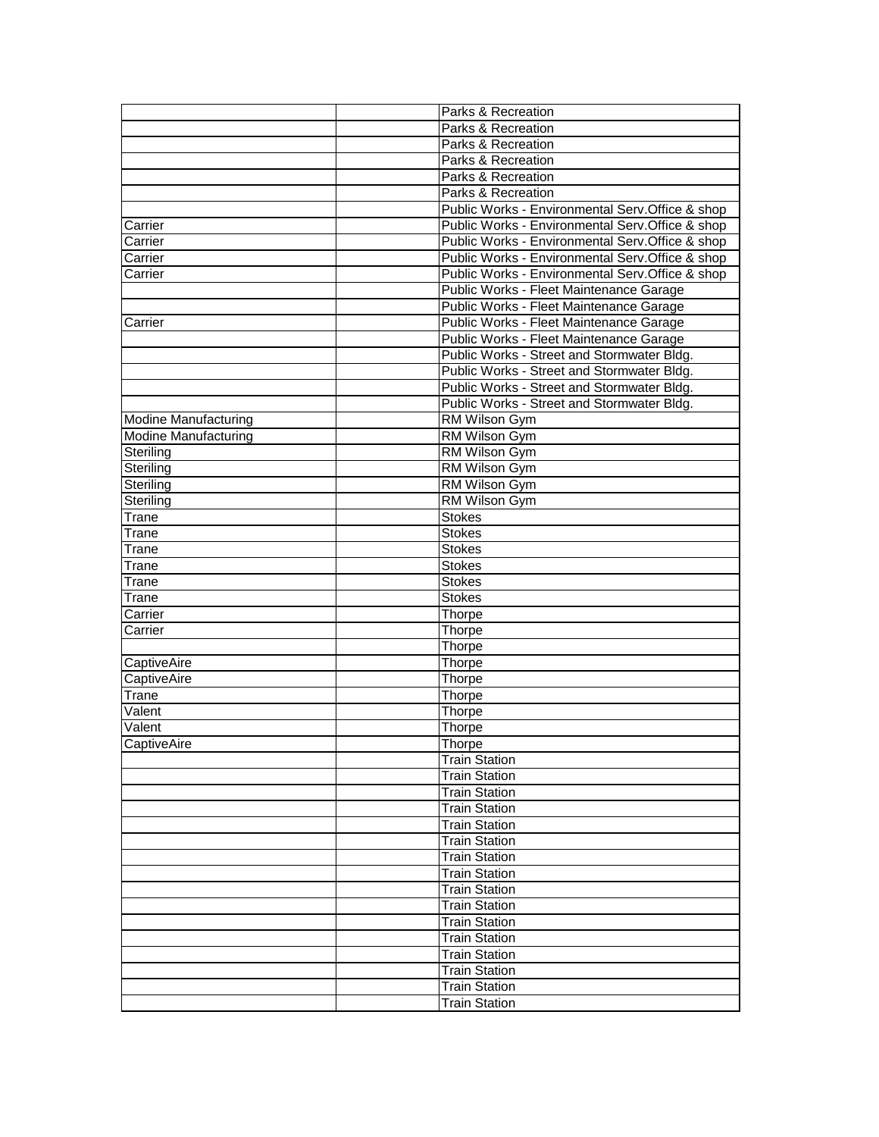|                             | Parks & Recreation                               |
|-----------------------------|--------------------------------------------------|
|                             | Parks & Recreation                               |
|                             | Parks & Recreation                               |
|                             | Parks & Recreation                               |
|                             | Parks & Recreation                               |
|                             | Parks & Recreation                               |
|                             | Public Works - Environmental Serv.Office & shop  |
| Carrier                     | Public Works - Environmental Serv.Office & shop  |
| Carrier                     | Public Works - Environmental Serv.Office & shop  |
| Carrier                     | Public Works - Environmental Serv.Office & shop  |
| Carrier                     | Public Works - Environmental Serv. Office & shop |
|                             | Public Works - Fleet Maintenance Garage          |
|                             | Public Works - Fleet Maintenance Garage          |
| Carrier                     | Public Works - Fleet Maintenance Garage          |
|                             | Public Works - Fleet Maintenance Garage          |
|                             | Public Works - Street and Stormwater Bldg.       |
|                             | Public Works - Street and Stormwater Bldg.       |
|                             | Public Works - Street and Stormwater Bldg.       |
|                             | Public Works - Street and Stormwater Bldg.       |
| <b>Modine Manufacturing</b> | <b>RM Wilson Gym</b>                             |
| <b>Modine Manufacturing</b> | RM Wilson Gym                                    |
| Steriling                   | <b>RM Wilson Gym</b>                             |
| Steriling                   | <b>RM Wilson Gym</b>                             |
| Steriling                   | <b>RM Wilson Gym</b>                             |
| Steriling                   | RM Wilson Gym                                    |
| Trane                       | Stokes                                           |
| Trane                       | Stokes                                           |
| Trane                       | Stokes                                           |
| Trane                       | <b>Stokes</b>                                    |
| Trane                       | <b>Stokes</b>                                    |
| Trane                       | <b>Stokes</b>                                    |
| Carrier                     | Thorpe                                           |
| Carrier                     | Thorpe                                           |
|                             | Thorpe                                           |
| CaptiveAire                 | Thorpe                                           |
| CaptiveAire                 | Thorpe                                           |
| Trane                       | Thorpe                                           |
| Valent                      | Thorpe                                           |
| Valent                      | Thorpe                                           |
| CaptiveAire                 | <b>Thorpe</b>                                    |
|                             | <b>Train Station</b>                             |
|                             | <b>Train Station</b>                             |
|                             | Train Station                                    |
|                             | <b>Train Station</b>                             |
|                             | <b>Train Station</b>                             |
|                             | <b>Train Station</b>                             |
|                             | <b>Train Station</b>                             |
|                             | <b>Train Station</b>                             |
|                             |                                                  |
|                             | <b>Train Station</b>                             |
|                             | <b>Train Station</b>                             |
|                             | <b>Train Station</b>                             |
|                             | <b>Train Station</b>                             |
|                             | <b>Train Station</b>                             |
|                             | <b>Train Station</b>                             |
|                             | <b>Train Station</b>                             |
|                             | <b>Train Station</b>                             |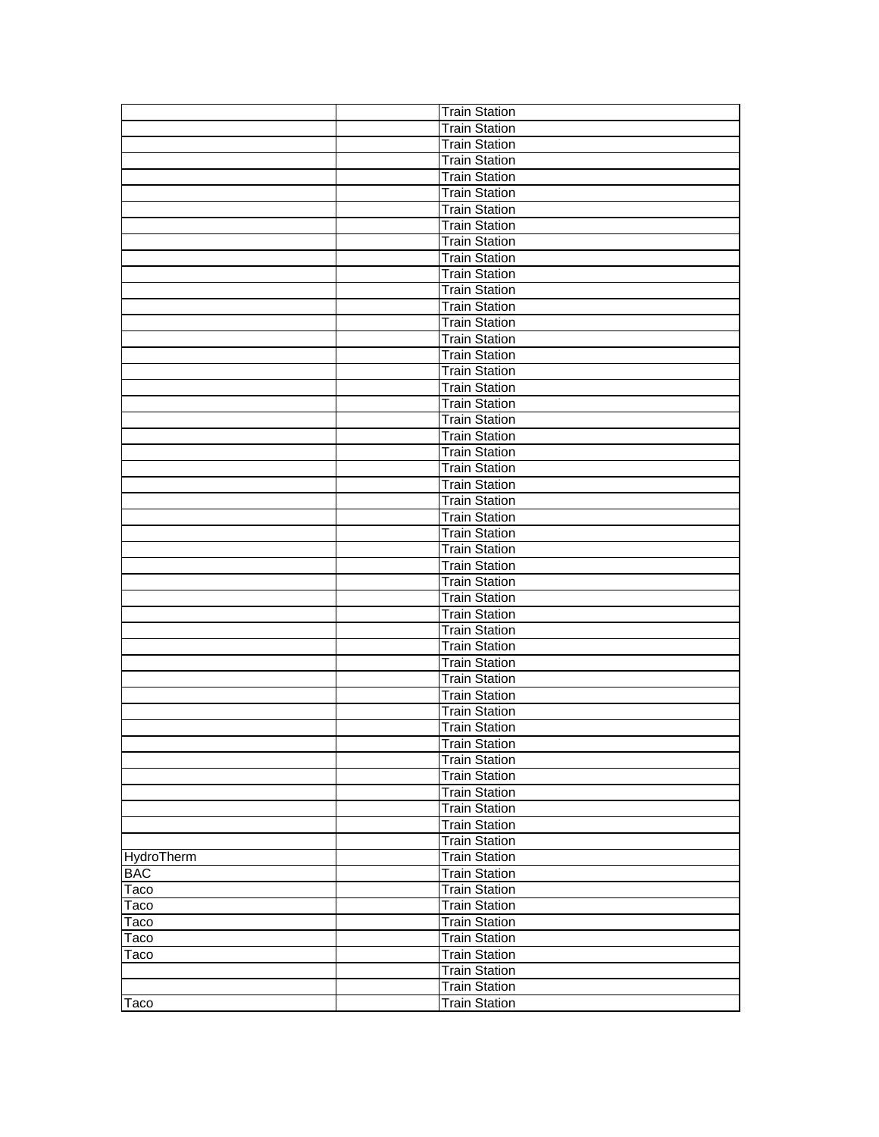|            | <b>Train Station</b> |
|------------|----------------------|
|            | <b>Train Station</b> |
|            | <b>Train Station</b> |
|            | <b>Train Station</b> |
|            | <b>Train Station</b> |
|            | <b>Train Station</b> |
|            | <b>Train Station</b> |
|            | <b>Train Station</b> |
|            | <b>Train Station</b> |
|            | <b>Train Station</b> |
|            | <b>Train Station</b> |
|            | <b>Train Station</b> |
|            | <b>Train Station</b> |
|            | <b>Train Station</b> |
|            | <b>Train Station</b> |
|            | <b>Train Station</b> |
|            | <b>Train Station</b> |
|            | <b>Train Station</b> |
|            | <b>Train Station</b> |
|            | <b>Train Station</b> |
|            | <b>Train Station</b> |
|            | <b>Train Station</b> |
|            | <b>Train Station</b> |
|            | <b>Train Station</b> |
|            | <b>Train Station</b> |
|            | Train Station        |
|            | <b>Train Station</b> |
|            | <b>Train Station</b> |
|            | <b>Train Station</b> |
|            | <b>Train Station</b> |
|            | <b>Train Station</b> |
|            | <b>Train Station</b> |
|            | <b>Train Station</b> |
|            | <b>Train Station</b> |
|            | <b>Train Station</b> |
|            | <b>Train Station</b> |
|            | <b>Train Station</b> |
|            | <b>Train Station</b> |
|            | <b>Train Station</b> |
|            | <b>Train Station</b> |
|            | <b>Train Station</b> |
|            | <b>Train Station</b> |
|            | <b>Train Station</b> |
|            | <b>Train Station</b> |
|            | <b>Train Station</b> |
|            | <b>Train Station</b> |
| HydroTherm | <b>Train Station</b> |
| <b>BAC</b> | <b>Train Station</b> |
| Taco       | <b>Train Station</b> |
| Taco       | <b>Train Station</b> |
| Taco       | <b>Train Station</b> |
| Taco       | <b>Train Station</b> |
| Taco       | <b>Train Station</b> |
|            | <b>Train Station</b> |
|            | <b>Train Station</b> |
| Taco       | <b>Train Station</b> |
|            |                      |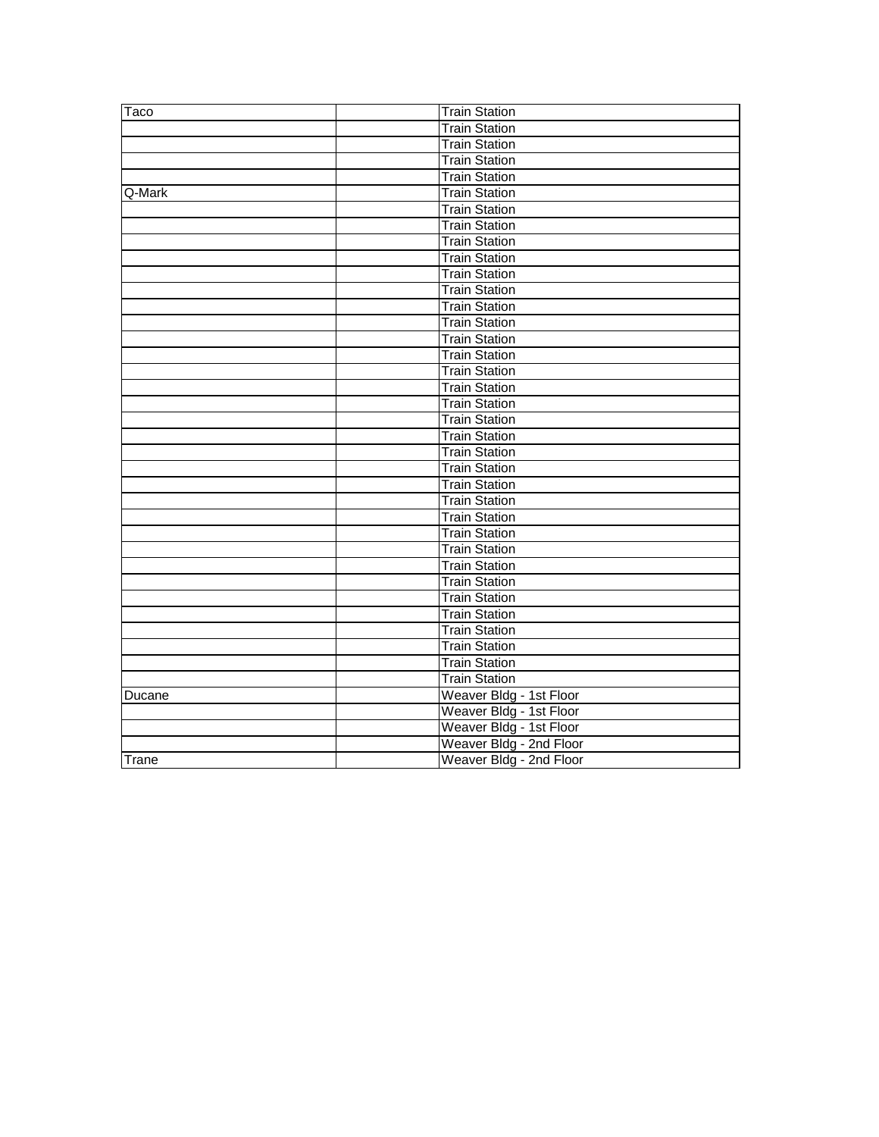| Taco   | <b>Train Station</b>    |
|--------|-------------------------|
|        | <b>Train Station</b>    |
|        | <b>Train Station</b>    |
|        | <b>Train Station</b>    |
|        | <b>Train Station</b>    |
| Q-Mark | <b>Train Station</b>    |
|        | <b>Train Station</b>    |
|        | <b>Train Station</b>    |
|        | <b>Train Station</b>    |
|        | <b>Train Station</b>    |
|        | <b>Train Station</b>    |
|        | <b>Train Station</b>    |
|        | Train Station           |
|        | <b>Train Station</b>    |
|        | <b>Train Station</b>    |
|        | <b>Train Station</b>    |
|        | <b>Train Station</b>    |
|        | <b>Train Station</b>    |
|        | <b>Train Station</b>    |
|        | <b>Train Station</b>    |
|        | <b>Train Station</b>    |
|        | <b>Train Station</b>    |
|        | <b>Train Station</b>    |
|        | <b>Train Station</b>    |
|        | <b>Train Station</b>    |
|        | <b>Train Station</b>    |
|        | <b>Train Station</b>    |
|        | <b>Train Station</b>    |
|        | <b>Train Station</b>    |
|        | <b>Train Station</b>    |
|        | <b>Train Station</b>    |
|        | <b>Train Station</b>    |
|        | <b>Train Station</b>    |
|        | <b>Train Station</b>    |
|        | <b>Train Station</b>    |
|        | <b>Train Station</b>    |
| Ducane | Weaver Bldg - 1st Floor |
|        | Weaver Bldg - 1st Floor |
|        | Weaver Bldg - 1st Floor |
|        | Weaver Bldg - 2nd Floor |
| Trane  | Weaver Bldg - 2nd Floor |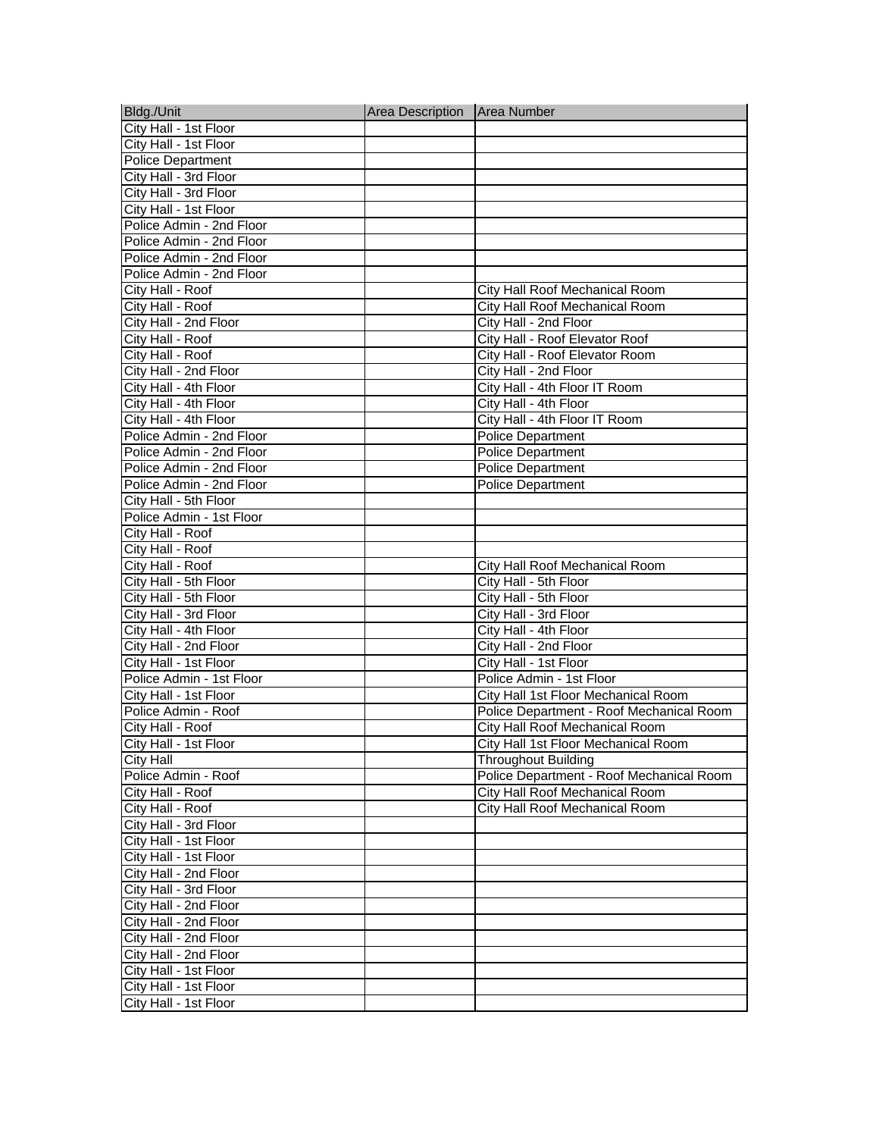| Bldg./Unit               | Area Description   Area Number |                                          |
|--------------------------|--------------------------------|------------------------------------------|
| City Hall - 1st Floor    |                                |                                          |
| City Hall - 1st Floor    |                                |                                          |
| <b>Police Department</b> |                                |                                          |
| City Hall - 3rd Floor    |                                |                                          |
| City Hall - 3rd Floor    |                                |                                          |
| City Hall - 1st Floor    |                                |                                          |
| Police Admin - 2nd Floor |                                |                                          |
| Police Admin - 2nd Floor |                                |                                          |
| Police Admin - 2nd Floor |                                |                                          |
| Police Admin - 2nd Floor |                                |                                          |
| City Hall - Roof         |                                | City Hall Roof Mechanical Room           |
| City Hall - Roof         |                                | City Hall Roof Mechanical Room           |
| City Hall - 2nd Floor    |                                | City Hall - 2nd Floor                    |
| City Hall - Roof         |                                | City Hall - Roof Elevator Roof           |
| City Hall - Roof         |                                | City Hall - Roof Elevator Room           |
| City Hall - 2nd Floor    |                                | City Hall - 2nd Floor                    |
| City Hall - 4th Floor    |                                | City Hall - 4th Floor IT Room            |
| City Hall - 4th Floor    |                                | City Hall - 4th Floor                    |
| City Hall - 4th Floor    |                                | City Hall - 4th Floor IT Room            |
| Police Admin - 2nd Floor |                                | <b>Police Department</b>                 |
| Police Admin - 2nd Floor |                                | <b>Police Department</b>                 |
| Police Admin - 2nd Floor |                                | <b>Police Department</b>                 |
| Police Admin - 2nd Floor |                                | <b>Police Department</b>                 |
| City Hall - 5th Floor    |                                |                                          |
| Police Admin - 1st Floor |                                |                                          |
| City Hall - Roof         |                                |                                          |
| City Hall - Roof         |                                |                                          |
| City Hall - Roof         |                                | City Hall Roof Mechanical Room           |
| City Hall - 5th Floor    |                                | City Hall - 5th Floor                    |
| City Hall - 5th Floor    |                                | City Hall - 5th Floor                    |
| City Hall - 3rd Floor    |                                | City Hall - 3rd Floor                    |
| City Hall - 4th Floor    |                                | City Hall - 4th Floor                    |
| City Hall - 2nd Floor    |                                | City Hall - 2nd Floor                    |
| City Hall - 1st Floor    |                                | City Hall - 1st Floor                    |
| Police Admin - 1st Floor |                                | Police Admin - 1st Floor                 |
| City Hall - 1st Floor    |                                | City Hall 1st Floor Mechanical Room      |
| Police Admin - Roof      |                                | Police Department - Roof Mechanical Room |
| City Hall - Roof         |                                | City Hall Roof Mechanical Room           |
| City Hall - 1st Floor    |                                | City Hall 1st Floor Mechanical Room      |
| <b>City Hall</b>         |                                | <b>Throughout Building</b>               |
| Police Admin - Roof      |                                | Police Department - Roof Mechanical Room |
| City Hall - Roof         |                                | City Hall Roof Mechanical Room           |
| City Hall - Roof         |                                | City Hall Roof Mechanical Room           |
| City Hall - 3rd Floor    |                                |                                          |
| City Hall - 1st Floor    |                                |                                          |
| City Hall - 1st Floor    |                                |                                          |
| City Hall - 2nd Floor    |                                |                                          |
| City Hall - 3rd Floor    |                                |                                          |
| City Hall - 2nd Floor    |                                |                                          |
| City Hall - 2nd Floor    |                                |                                          |
| City Hall - 2nd Floor    |                                |                                          |
| City Hall - 2nd Floor    |                                |                                          |
| City Hall - 1st Floor    |                                |                                          |
| City Hall - 1st Floor    |                                |                                          |
| City Hall - 1st Floor    |                                |                                          |
|                          |                                |                                          |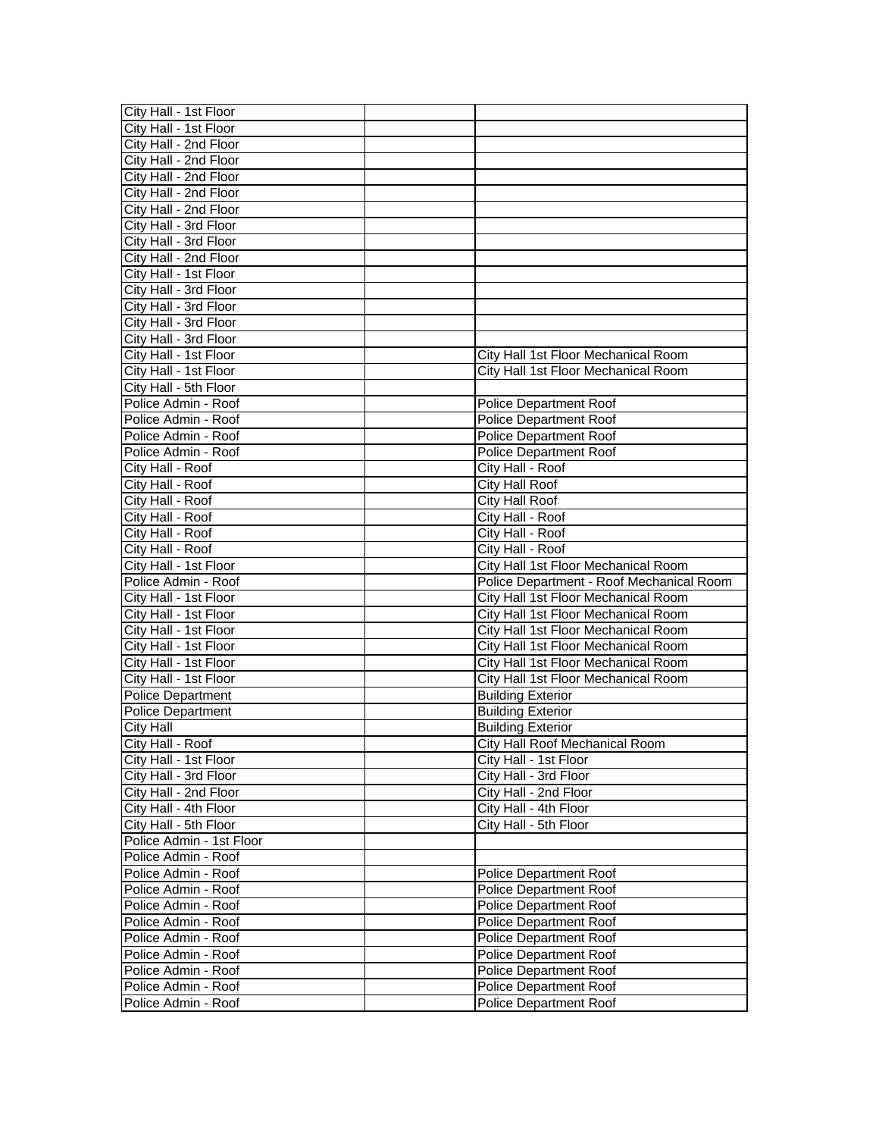| City Hall - 1st Floor                      |                                                  |
|--------------------------------------------|--------------------------------------------------|
| City Hall - 1st Floor                      |                                                  |
| City Hall - 2nd Floor                      |                                                  |
| City Hall - 2nd Floor                      |                                                  |
| City Hall - 2nd Floor                      |                                                  |
| City Hall - 2nd Floor                      |                                                  |
| City Hall - 2nd Floor                      |                                                  |
| City Hall - 3rd Floor                      |                                                  |
| City Hall - 3rd Floor                      |                                                  |
| City Hall - 2nd Floor                      |                                                  |
| City Hall - 1st Floor                      |                                                  |
| City Hall - 3rd Floor                      |                                                  |
| City Hall - 3rd Floor                      |                                                  |
| City Hall - 3rd Floor                      |                                                  |
| City Hall - 3rd Floor                      |                                                  |
| City Hall - 1st Floor                      | City Hall 1st Floor Mechanical Room              |
| City Hall - 1st Floor                      | City Hall 1st Floor Mechanical Room              |
| City Hall - 5th Floor                      |                                                  |
| Police Admin - Roof                        | Police Department Roof                           |
| Police Admin - Roof                        | <b>Police Department Roof</b>                    |
| Police Admin - Roof                        | Police Department Roof                           |
| Police Admin - Roof                        | Police Department Roof                           |
| City Hall - Roof                           | City Hall - Roof                                 |
| City Hall - Roof                           | City Hall Roof                                   |
| City Hall - Roof                           | City Hall Roof                                   |
| City Hall - Roof                           | City Hall - Roof                                 |
| City Hall - Roof                           | City Hall - Roof                                 |
| City Hall - Roof                           | City Hall - Roof                                 |
|                                            |                                                  |
|                                            |                                                  |
| City Hall - 1st Floor                      | City Hall 1st Floor Mechanical Room              |
| Police Admin - Roof                        | Police Department - Roof Mechanical Room         |
| City Hall - 1st Floor                      | City Hall 1st Floor Mechanical Room              |
| City Hall - 1st Floor                      | City Hall 1st Floor Mechanical Room              |
| City Hall - 1st Floor                      | City Hall 1st Floor Mechanical Room              |
| City Hall - 1st Floor                      | City Hall 1st Floor Mechanical Room              |
| City Hall - 1st Floor                      | City Hall 1st Floor Mechanical Room              |
| City Hall - 1st Floor                      | City Hall 1st Floor Mechanical Room              |
| <b>Police Department</b>                   | <b>Building Exterior</b>                         |
| Police Department                          | <b>Building Exterior</b>                         |
| <b>City Hall</b>                           | <b>Building Exterior</b>                         |
| City Hall - Roof                           | City Hall Roof Mechanical Room                   |
| City Hall - 1st Floor                      | City Hall - 1st Floor                            |
| City Hall - 3rd Floor                      | City Hall - 3rd Floor                            |
| City Hall - 2nd Floor                      | City Hall - 2nd Floor                            |
| City Hall - 4th Floor                      | City Hall - 4th Floor                            |
| City Hall - 5th Floor                      | City Hall - 5th Floor                            |
| Police Admin - 1st Floor                   |                                                  |
| Police Admin - Roof                        |                                                  |
| Police Admin - Roof                        | <b>Police Department Roof</b>                    |
| Police Admin - Roof                        | <b>Police Department Roof</b>                    |
| Police Admin - Roof                        | <b>Police Department Roof</b>                    |
| Police Admin - Roof                        | <b>Police Department Roof</b>                    |
| Police Admin - Roof                        | Police Department Roof                           |
| Police Admin - Roof                        | Police Department Roof                           |
| Police Admin - Roof                        | Police Department Roof                           |
| Police Admin - Roof<br>Police Admin - Roof | Police Department Roof<br>Police Department Roof |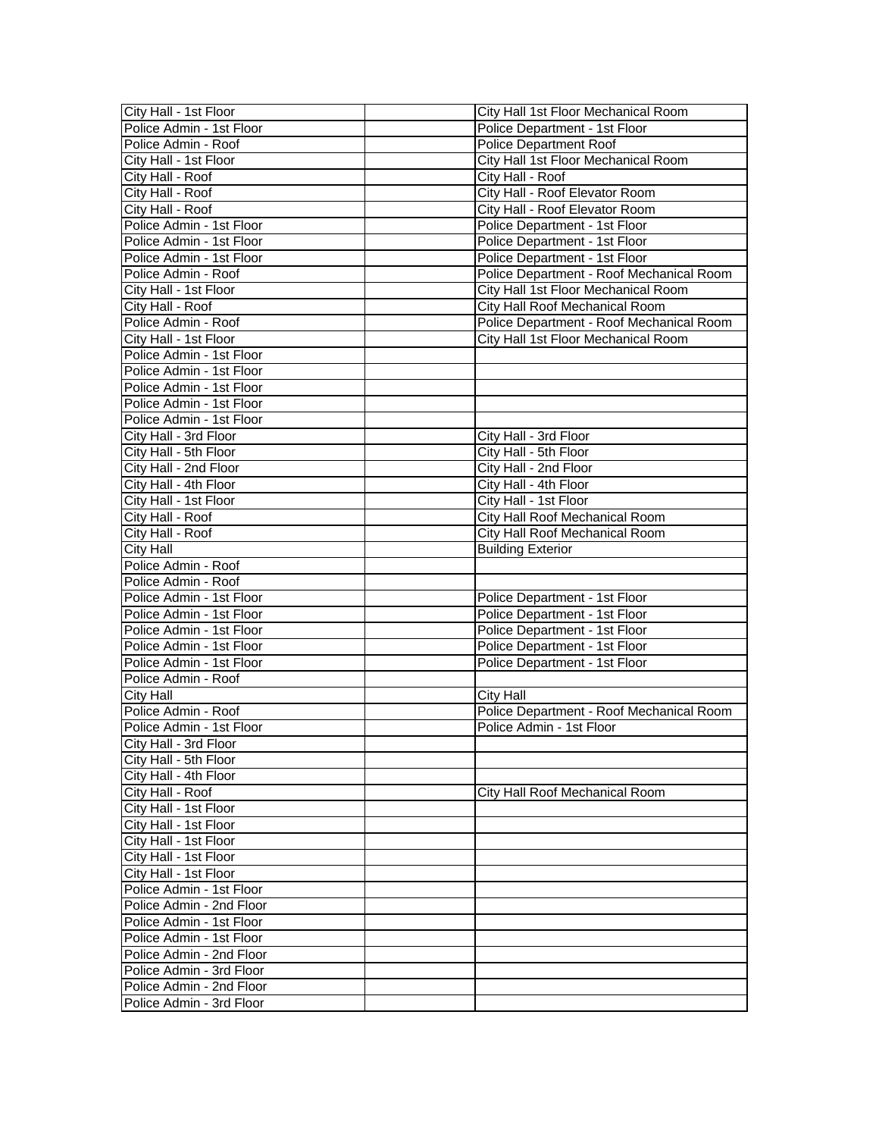| City Hall - 1st Floor                                | City Hall 1st Floor Mechanical Room      |
|------------------------------------------------------|------------------------------------------|
| Police Admin - 1st Floor                             | Police Department - 1st Floor            |
| Police Admin - Roof                                  | <b>Police Department Roof</b>            |
| City Hall - 1st Floor                                | City Hall 1st Floor Mechanical Room      |
| City Hall - Roof                                     | City Hall - Roof                         |
| City Hall - Roof                                     | City Hall - Roof Elevator Room           |
| City Hall - Roof                                     | City Hall - Roof Elevator Room           |
| Police Admin - 1st Floor                             | Police Department - 1st Floor            |
| Police Admin - 1st Floor                             | Police Department - 1st Floor            |
| Police Admin - 1st Floor                             | Police Department - 1st Floor            |
| Police Admin - Roof                                  | Police Department - Roof Mechanical Room |
| City Hall - 1st Floor                                | City Hall 1st Floor Mechanical Room      |
| City Hall - Roof                                     | City Hall Roof Mechanical Room           |
| Police Admin - Roof                                  | Police Department - Roof Mechanical Room |
| City Hall - 1st Floor                                | City Hall 1st Floor Mechanical Room      |
| Police Admin - 1st Floor                             |                                          |
| Police Admin - 1st Floor                             |                                          |
| Police Admin - 1st Floor                             |                                          |
| Police Admin - 1st Floor                             |                                          |
| Police Admin - 1st Floor                             |                                          |
| City Hall - 3rd Floor                                | City Hall - 3rd Floor                    |
| City Hall - 5th Floor                                | City Hall - 5th Floor                    |
| City Hall - 2nd Floor                                | City Hall - 2nd Floor                    |
| City Hall - 4th Floor                                | City Hall - 4th Floor                    |
| City Hall - 1st Floor                                | City Hall - 1st Floor                    |
| City Hall - Roof                                     | City Hall Roof Mechanical Room           |
| City Hall - Roof                                     | City Hall Roof Mechanical Room           |
| <b>City Hall</b>                                     | <b>Building Exterior</b>                 |
| Police Admin - Roof                                  |                                          |
| Police Admin - Roof                                  |                                          |
| Police Admin - 1st Floor                             | Police Department - 1st Floor            |
| Police Admin - 1st Floor                             | Police Department - 1st Floor            |
| Police Admin - 1st Floor                             | Police Department - 1st Floor            |
| Police Admin - 1st Floor                             | Police Department - 1st Floor            |
| Police Admin - 1st Floor                             | Police Department - 1st Floor            |
| Police Admin - Roof                                  |                                          |
| <b>City Hall</b>                                     | <b>City Hall</b>                         |
| Police Admin - Roof                                  |                                          |
|                                                      |                                          |
|                                                      | Police Department - Roof Mechanical Room |
| Police Admin - 1st Floor                             | Police Admin - 1st Floor                 |
| City Hall - 3rd Floor                                |                                          |
| City Hall - 5th Floor                                |                                          |
| City Hall - 4th Floor                                |                                          |
| City Hall - Roof                                     | City Hall Roof Mechanical Room           |
| City Hall - 1st Floor                                |                                          |
| City Hall - 1st Floor                                |                                          |
| City Hall - 1st Floor                                |                                          |
| City Hall - 1st Floor<br>City Hall - 1st Floor       |                                          |
|                                                      |                                          |
| Police Admin - 1st Floor                             |                                          |
| Police Admin - 2nd Floor<br>Police Admin - 1st Floor |                                          |
| Police Admin - 1st Floor                             |                                          |
| Police Admin - 2nd Floor                             |                                          |
|                                                      |                                          |
| Police Admin - 3rd Floor<br>Police Admin - 2nd Floor |                                          |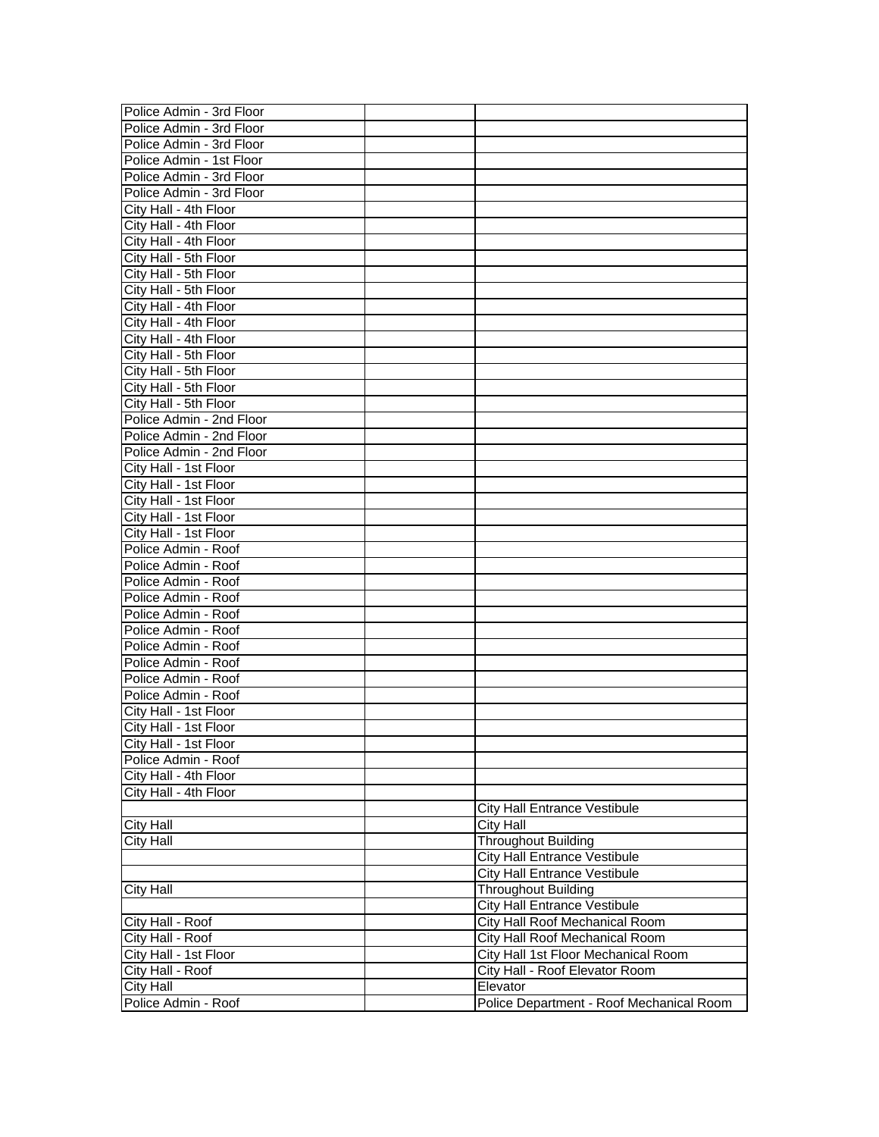| Police Admin - 3rd Floor                       |                                                         |
|------------------------------------------------|---------------------------------------------------------|
| Police Admin - 3rd Floor                       |                                                         |
| Police Admin - 3rd Floor                       |                                                         |
| Police Admin - 1st Floor                       |                                                         |
| Police Admin - 3rd Floor                       |                                                         |
| Police Admin - 3rd Floor                       |                                                         |
| City Hall - 4th Floor                          |                                                         |
| City Hall - 4th Floor                          |                                                         |
| City Hall - 4th Floor                          |                                                         |
| City Hall - 5th Floor                          |                                                         |
| City Hall - 5th Floor                          |                                                         |
| City Hall - 5th Floor                          |                                                         |
| City Hall - 4th Floor                          |                                                         |
| City Hall - 4th Floor                          |                                                         |
| City Hall - 4th Floor                          |                                                         |
| City Hall - 5th Floor                          |                                                         |
| City Hall - 5th Floor                          |                                                         |
| City Hall - 5th Floor                          |                                                         |
| City Hall - 5th Floor                          |                                                         |
| Police Admin - 2nd Floor                       |                                                         |
| Police Admin - 2nd Floor                       |                                                         |
| Police Admin - 2nd Floor                       |                                                         |
| City Hall - 1st Floor                          |                                                         |
| City Hall - 1st Floor                          |                                                         |
| City Hall - 1st Floor                          |                                                         |
| City Hall - 1st Floor                          |                                                         |
| City Hall - 1st Floor                          |                                                         |
| Police Admin - Roof                            |                                                         |
| Police Admin - Roof                            |                                                         |
| Police Admin - Roof                            |                                                         |
| Police Admin - Roof                            |                                                         |
| Police Admin - Roof                            |                                                         |
| Police Admin - Roof                            |                                                         |
| Police Admin - Roof                            |                                                         |
| Police Admin - Roof                            |                                                         |
| Police Admin - Roof                            |                                                         |
| Police Admin - Roof                            |                                                         |
| City Hall - 1st Floor                          |                                                         |
| City Hall - 1st Floor                          |                                                         |
| City Hall - 1st Floor                          |                                                         |
| Police Admin - Roof                            |                                                         |
|                                                |                                                         |
| City Hall - 4th Floor<br>City Hall - 4th Floor |                                                         |
|                                                |                                                         |
|                                                | <b>City Hall Entrance Vestibule</b><br><b>City Hall</b> |
| <b>City Hall</b>                               |                                                         |
| <b>City Hall</b>                               | <b>Throughout Building</b>                              |
|                                                | <b>City Hall Entrance Vestibule</b>                     |
|                                                | <b>City Hall Entrance Vestibule</b>                     |
| City Hall                                      | <b>Throughout Building</b>                              |
|                                                | <b>City Hall Entrance Vestibule</b>                     |
| City Hall - Roof                               | City Hall Roof Mechanical Room                          |
| City Hall - Roof                               | City Hall Roof Mechanical Room                          |
| City Hall - 1st Floor                          | City Hall 1st Floor Mechanical Room                     |
| City Hall - Roof                               | City Hall - Roof Elevator Room                          |
| <b>City Hall</b>                               | Elevator                                                |
| Police Admin - Roof                            | Police Department - Roof Mechanical Room                |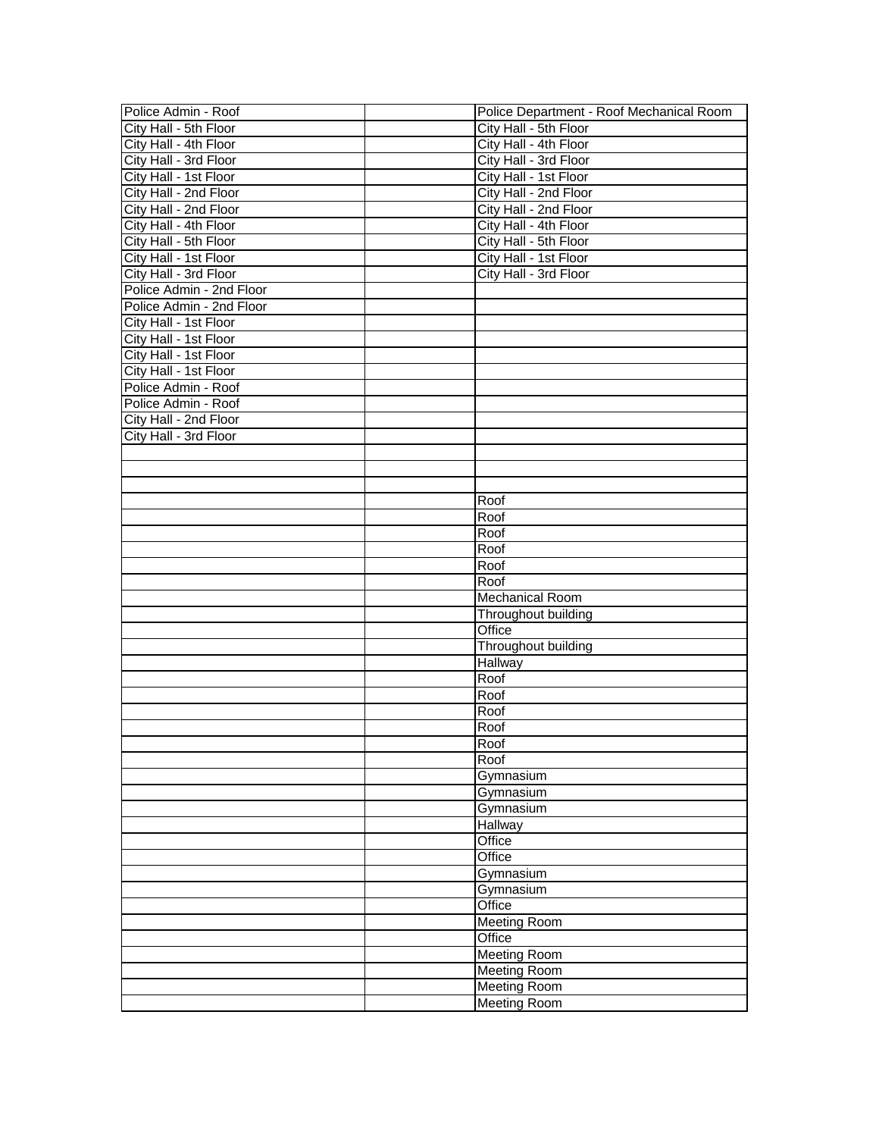| Police Admin - Roof      | Police Department - Roof Mechanical Room |
|--------------------------|------------------------------------------|
| City Hall - 5th Floor    | City Hall - 5th Floor                    |
| City Hall - 4th Floor    | City Hall - 4th Floor                    |
| City Hall - 3rd Floor    | City Hall - 3rd Floor                    |
| City Hall - 1st Floor    | City Hall - 1st Floor                    |
| City Hall - 2nd Floor    | City Hall - 2nd Floor                    |
| City Hall - 2nd Floor    | City Hall - 2nd Floor                    |
| City Hall - 4th Floor    | City Hall - 4th Floor                    |
| City Hall - 5th Floor    | City Hall - 5th Floor                    |
| City Hall - 1st Floor    | City Hall - 1st Floor                    |
| City Hall - 3rd Floor    | City Hall - 3rd Floor                    |
| Police Admin - 2nd Floor |                                          |
| Police Admin - 2nd Floor |                                          |
| City Hall - 1st Floor    |                                          |
| City Hall - 1st Floor    |                                          |
| City Hall - 1st Floor    |                                          |
| City Hall - 1st Floor    |                                          |
| Police Admin - Roof      |                                          |
| Police Admin - Roof      |                                          |
| City Hall - 2nd Floor    |                                          |
| City Hall - 3rd Floor    |                                          |
|                          |                                          |
|                          |                                          |
|                          |                                          |
|                          | Roof                                     |
|                          | Roof                                     |
|                          | Roof                                     |
|                          | Roof                                     |
|                          | Roof                                     |
|                          | Roof                                     |
|                          | <b>Mechanical Room</b>                   |
|                          | Throughout building                      |
|                          | Office                                   |
|                          | Throughout building                      |
|                          | Hallway                                  |
|                          | Roof                                     |
|                          | Roof                                     |
|                          | Roof                                     |
|                          | Roof                                     |
|                          | Roof                                     |
|                          | Roof                                     |
|                          | Gymnasium                                |
|                          | Gymnasium                                |
|                          | Gymnasium                                |
|                          | Hallway                                  |
|                          | Office                                   |
|                          | Office                                   |
|                          | Gymnasium                                |
|                          | Gymnasium                                |
|                          | Office                                   |
|                          | <b>Meeting Room</b>                      |
|                          | Office                                   |
|                          | <b>Meeting Room</b>                      |
|                          | <b>Meeting Room</b>                      |
|                          | <b>Meeting Room</b>                      |
|                          | <b>Meeting Room</b>                      |
|                          |                                          |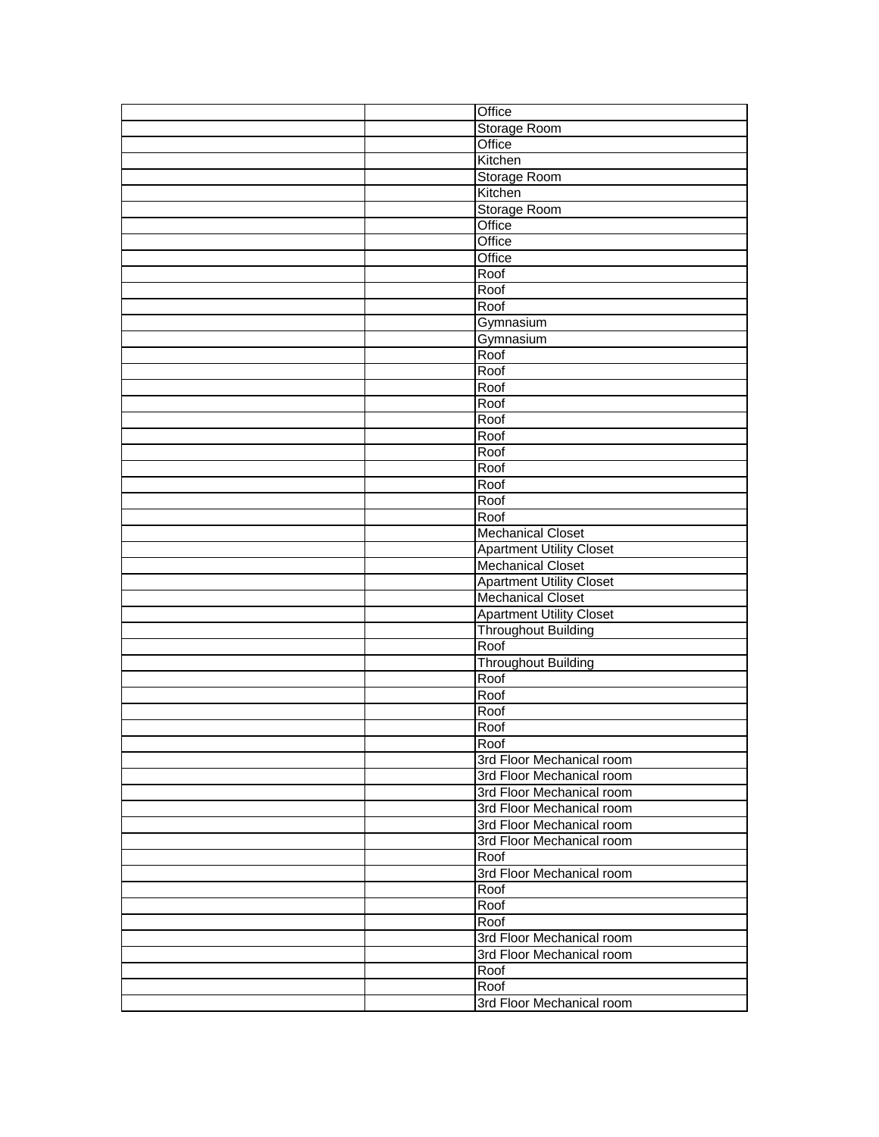|  | Office                            |
|--|-----------------------------------|
|  | Storage Room                      |
|  | Office                            |
|  | Kitchen                           |
|  | Storage Room                      |
|  | Kitchen                           |
|  | <b>Storage Room</b>               |
|  | Office                            |
|  | Office                            |
|  | Office                            |
|  | Roof                              |
|  | Roof                              |
|  | Roof                              |
|  | Gymnasium                         |
|  | Gymnasium                         |
|  | Roof                              |
|  | Roof                              |
|  | Roof                              |
|  | Roof                              |
|  | Roof                              |
|  | Roof                              |
|  | Roof                              |
|  | Roof                              |
|  | Roof                              |
|  | Roof                              |
|  | Roof                              |
|  | <b>Mechanical Closet</b>          |
|  | <b>Apartment Utility Closet</b>   |
|  | <b>Mechanical Closet</b>          |
|  |                                   |
|  |                                   |
|  | <b>Apartment Utility Closet</b>   |
|  | <b>Mechanical Closet</b>          |
|  | <b>Apartment Utility Closet</b>   |
|  | <b>Throughout Building</b>        |
|  | Roof                              |
|  | <b>Throughout Building</b>        |
|  | Roof                              |
|  | Roof                              |
|  | Roof                              |
|  | Roof<br>Roof                      |
|  |                                   |
|  | 3rd Floor Mechanical room         |
|  | 3rd Floor Mechanical room         |
|  | 3rd Floor Mechanical room         |
|  | 3rd Floor Mechanical room         |
|  | 3rd Floor Mechanical room         |
|  | 3rd Floor Mechanical room         |
|  | Roof                              |
|  | 3rd Floor Mechanical room         |
|  | Roof                              |
|  | Roof                              |
|  | Roof                              |
|  | 3rd Floor Mechanical room         |
|  | 3rd Floor Mechanical room         |
|  | Roof                              |
|  | Roof<br>3rd Floor Mechanical room |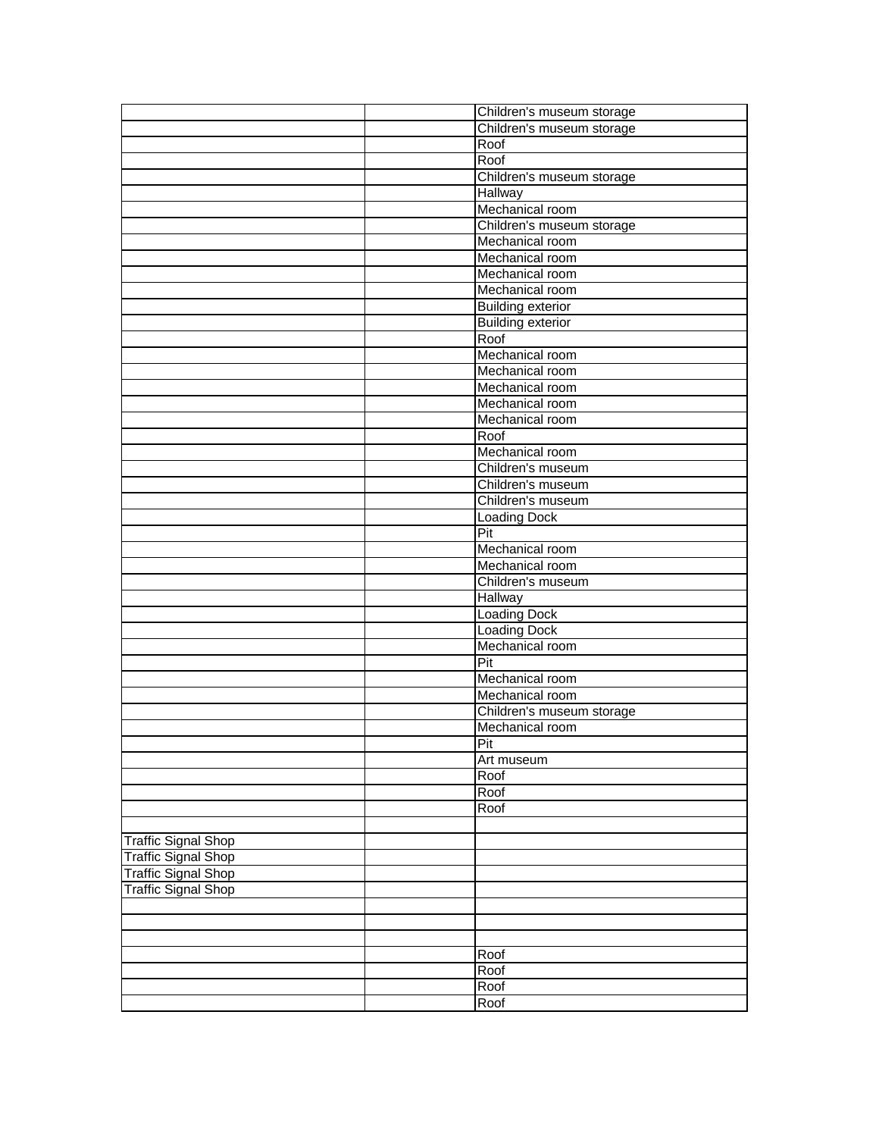|                            | Children's museum storage |
|----------------------------|---------------------------|
|                            | Children's museum storage |
|                            | Roof                      |
|                            | Roof                      |
|                            | Children's museum storage |
|                            | Hallway                   |
|                            | Mechanical room           |
|                            | Children's museum storage |
|                            | Mechanical room           |
|                            | Mechanical room           |
|                            | Mechanical room           |
|                            | Mechanical room           |
|                            | <b>Building exterior</b>  |
|                            | <b>Building exterior</b>  |
|                            | Roof                      |
|                            | Mechanical room           |
|                            | Mechanical room           |
|                            | Mechanical room           |
|                            | Mechanical room           |
|                            | Mechanical room           |
|                            | Roof                      |
|                            | Mechanical room           |
|                            | Children's museum         |
|                            | Children's museum         |
|                            | Children's museum         |
|                            | <b>Loading Dock</b>       |
|                            | Pit                       |
|                            | Mechanical room           |
|                            | Mechanical room           |
|                            | Children's museum         |
|                            | Hallway                   |
|                            | <b>Loading Dock</b>       |
|                            | Loading Dock              |
|                            | Mechanical room           |
|                            | Pit                       |
|                            | Mechanical room           |
|                            | Mechanical room           |
|                            | Children's museum storage |
|                            | Mechanical room           |
|                            | Pit                       |
|                            | Art museum                |
|                            | Roof                      |
|                            | Roof                      |
|                            | Roof                      |
|                            |                           |
| <b>Traffic Signal Shop</b> |                           |
| <b>Traffic Signal Shop</b> |                           |
| <b>Traffic Signal Shop</b> |                           |
| <b>Traffic Signal Shop</b> |                           |
|                            |                           |
|                            |                           |
|                            |                           |
|                            | Roof                      |
|                            | Roof                      |
|                            | Roof                      |
|                            | Roof                      |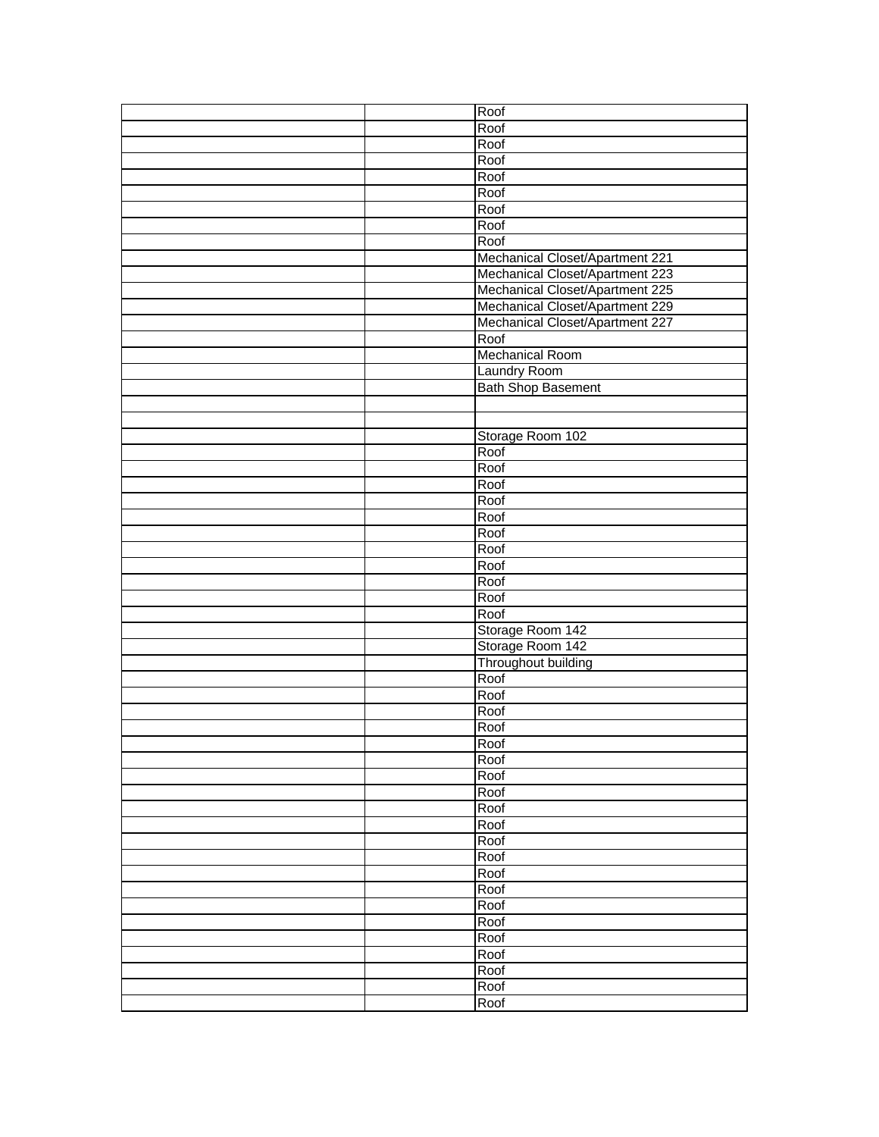|  | Roof                            |
|--|---------------------------------|
|  | Roof                            |
|  | Roof                            |
|  | Roof                            |
|  | Roof                            |
|  | Roof                            |
|  | Roof                            |
|  | Roof                            |
|  | Roof                            |
|  | Mechanical Closet/Apartment 221 |
|  | Mechanical Closet/Apartment 223 |
|  | Mechanical Closet/Apartment 225 |
|  | Mechanical Closet/Apartment 229 |
|  | Mechanical Closet/Apartment 227 |
|  | Roof                            |
|  | <b>Mechanical Room</b>          |
|  | Laundry Room                    |
|  | <b>Bath Shop Basement</b>       |
|  |                                 |
|  |                                 |
|  | Storage Room 102                |
|  | Roof                            |
|  | Roof                            |
|  | Roof                            |
|  | Roof                            |
|  | Roof                            |
|  | Roof                            |
|  | Roof                            |
|  | Roof                            |
|  | Roof                            |
|  | Roof                            |
|  | Roof                            |
|  | Storage Room 142                |
|  | Storage Room 142                |
|  | Throughout building             |
|  | Roof                            |
|  | Roof                            |
|  | Roof                            |
|  | Roof                            |
|  | Roof                            |
|  | Roof                            |
|  | Roof                            |
|  | Roof                            |
|  | Roof                            |
|  | Roof                            |
|  | Roof                            |
|  | Roof                            |
|  | Roof                            |
|  | Roof                            |
|  | Roof                            |
|  | Roof                            |
|  | Roof                            |
|  | Roof                            |
|  | Roof                            |
|  | Roof                            |
|  | Roof                            |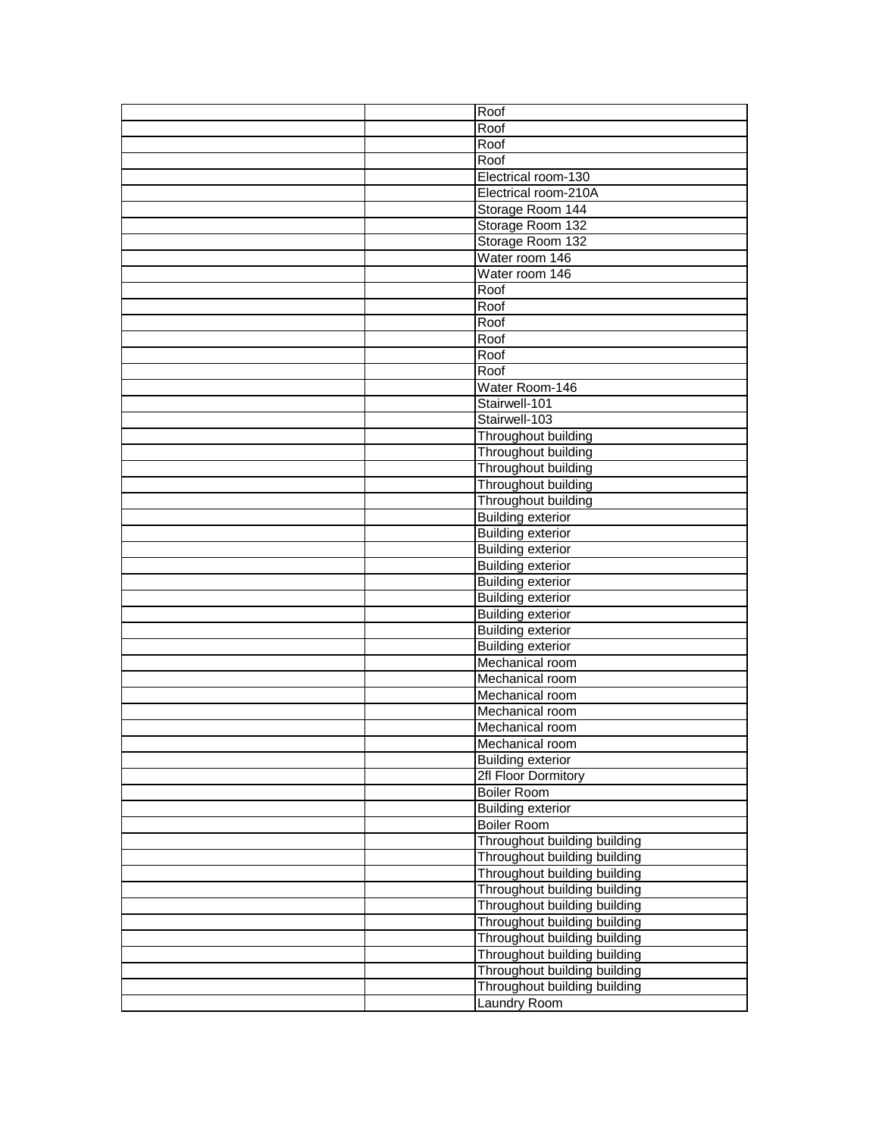|  | Roof                         |
|--|------------------------------|
|  | Roof                         |
|  | Roof                         |
|  | Roof                         |
|  | Electrical room-130          |
|  | Electrical room-210A         |
|  | Storage Room 144             |
|  | Storage Room 132             |
|  | Storage Room 132             |
|  | Water room 146               |
|  | Water room 146               |
|  | Roof                         |
|  | Roof                         |
|  | Roof                         |
|  | Roof                         |
|  | Roof                         |
|  | Roof                         |
|  | Water Room-146               |
|  | Stairwell-101                |
|  | Stairwell-103                |
|  | Throughout building          |
|  | Throughout building          |
|  | Throughout building          |
|  | Throughout building          |
|  | Throughout building          |
|  | <b>Building exterior</b>     |
|  | <b>Building exterior</b>     |
|  | <b>Building exterior</b>     |
|  | <b>Building exterior</b>     |
|  | <b>Building exterior</b>     |
|  | <b>Building exterior</b>     |
|  | <b>Building exterior</b>     |
|  | <b>Building exterior</b>     |
|  | <b>Building exterior</b>     |
|  | Mechanical room              |
|  | Mechanical room              |
|  | Mechanical room              |
|  | Mechanical room              |
|  | Mechanical room              |
|  | Mechanical room              |
|  | <b>Building exterior</b>     |
|  | 2fl Floor Dormitory          |
|  | <b>Boiler Room</b>           |
|  | <b>Building exterior</b>     |
|  | <b>Boiler Room</b>           |
|  | Throughout building building |
|  | Throughout building building |
|  | Throughout building building |
|  | Throughout building building |
|  | Throughout building building |
|  | Throughout building building |
|  | Throughout building building |
|  | Throughout building building |
|  | Throughout building building |
|  | Throughout building building |
|  | Laundry Room                 |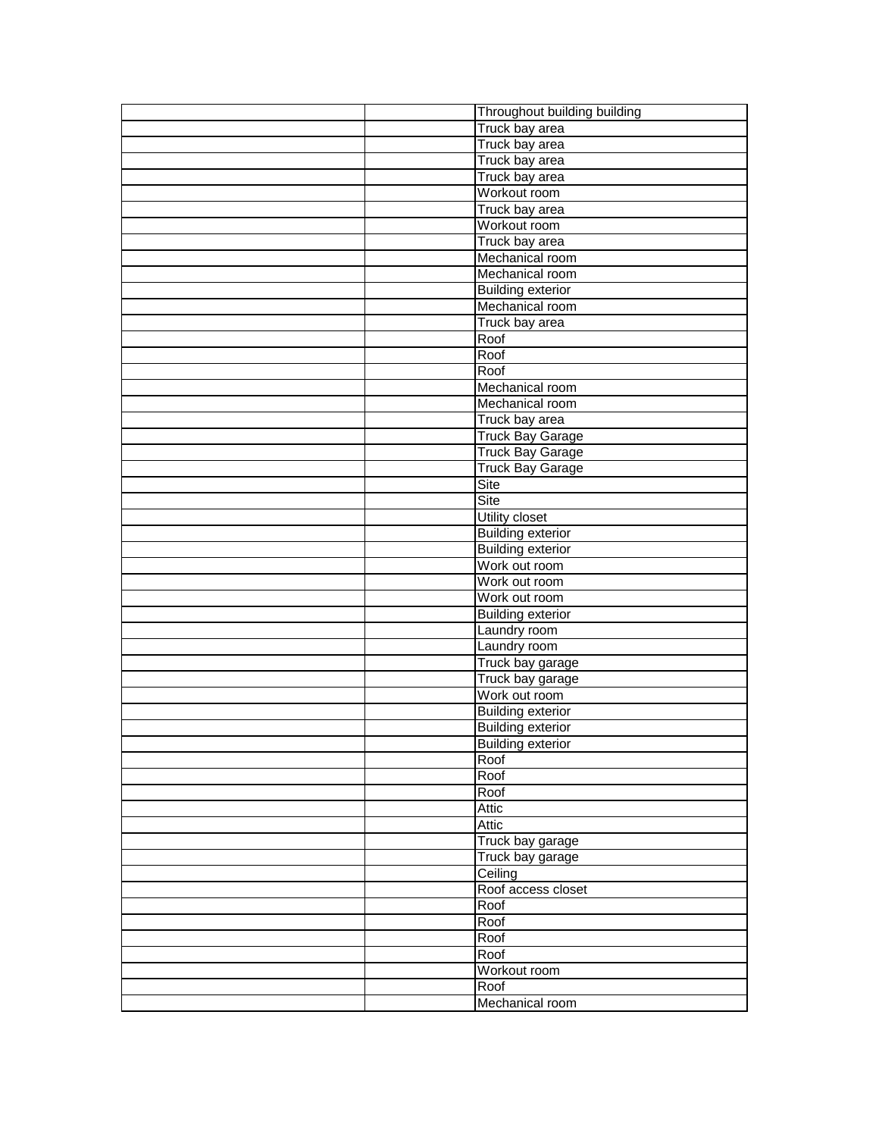|  | Throughout building building |
|--|------------------------------|
|  | Truck bay area               |
|  | Truck bay area               |
|  | Truck bay area               |
|  | Truck bay area               |
|  | Workout room                 |
|  | Truck bay area               |
|  | Workout room                 |
|  | Truck bay area               |
|  | Mechanical room              |
|  | Mechanical room              |
|  | <b>Building exterior</b>     |
|  | Mechanical room              |
|  | Truck bay area               |
|  | Roof                         |
|  | Roof                         |
|  | Roof                         |
|  | Mechanical room              |
|  | Mechanical room              |
|  | Truck bay area               |
|  | <b>Truck Bay Garage</b>      |
|  | <b>Truck Bay Garage</b>      |
|  | <b>Truck Bay Garage</b>      |
|  | Site                         |
|  | Site                         |
|  | <b>Utility closet</b>        |
|  | <b>Building exterior</b>     |
|  | <b>Building exterior</b>     |
|  | Work out room                |
|  | Work out room                |
|  | Work out room                |
|  | <b>Building exterior</b>     |
|  | Laundry room                 |
|  | Laundry room                 |
|  | Truck bay garage             |
|  | Truck bay garage             |
|  | Work out room                |
|  | <b>Building exterior</b>     |
|  | <b>Building exterior</b>     |
|  | <b>Building exterior</b>     |
|  | Roof                         |
|  | Roof                         |
|  | Roof                         |
|  | Attic                        |
|  | <b>Attic</b>                 |
|  | Truck bay garage             |
|  | Truck bay garage             |
|  | Ceiling                      |
|  | Roof access closet           |
|  | Roof                         |
|  | Roof                         |
|  | Roof                         |
|  | Roof                         |
|  | Workout room                 |
|  | Roof                         |
|  | Mechanical room              |
|  |                              |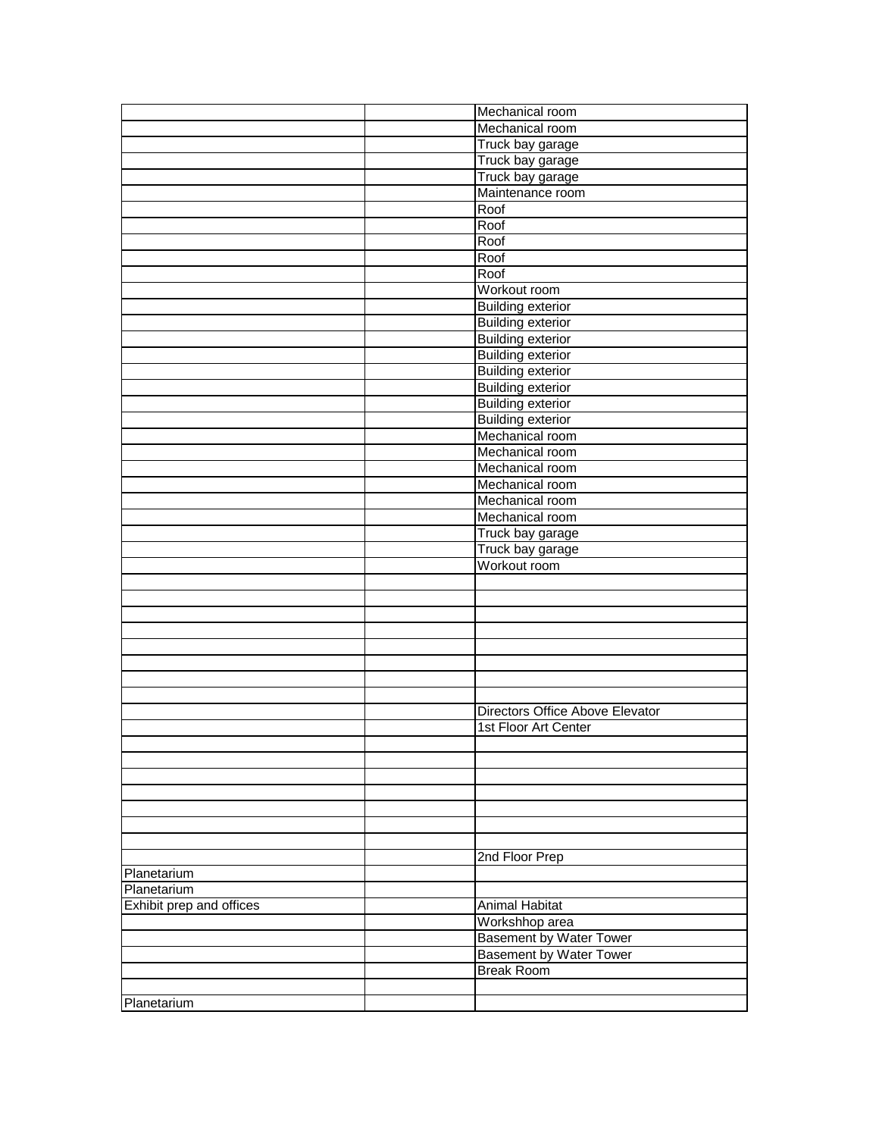|                          | Mechanical room                 |
|--------------------------|---------------------------------|
|                          | Mechanical room                 |
|                          | Truck bay garage                |
|                          | Truck bay garage                |
|                          | Truck bay garage                |
|                          | Maintenance room                |
|                          | Roof                            |
|                          | Roof                            |
|                          | Roof                            |
|                          | Roof                            |
|                          | Roof                            |
|                          | Workout room                    |
|                          | <b>Building exterior</b>        |
|                          | <b>Building exterior</b>        |
|                          | <b>Building exterior</b>        |
|                          | <b>Building exterior</b>        |
|                          | <b>Building exterior</b>        |
|                          | <b>Building exterior</b>        |
|                          | <b>Building exterior</b>        |
|                          | <b>Building exterior</b>        |
|                          | Mechanical room                 |
|                          | Mechanical room                 |
|                          | Mechanical room                 |
|                          | Mechanical room                 |
|                          | Mechanical room                 |
|                          | Mechanical room                 |
|                          | Truck bay garage                |
|                          | Truck bay garage                |
|                          | Workout room                    |
|                          |                                 |
|                          |                                 |
|                          |                                 |
|                          |                                 |
|                          |                                 |
|                          |                                 |
|                          |                                 |
|                          |                                 |
|                          | Directors Office Above Elevator |
|                          | 1st Floor Art Center            |
|                          |                                 |
|                          |                                 |
|                          |                                 |
|                          |                                 |
|                          |                                 |
|                          |                                 |
|                          |                                 |
|                          | 2nd Floor Prep                  |
| Planetarium              |                                 |
| Planetarium              |                                 |
| Exhibit prep and offices | <b>Animal Habitat</b>           |
|                          | Workshhop area                  |
|                          | <b>Basement by Water Tower</b>  |
|                          | <b>Basement by Water Tower</b>  |
|                          | <b>Break Room</b>               |
|                          |                                 |
| Planetarium              |                                 |
|                          |                                 |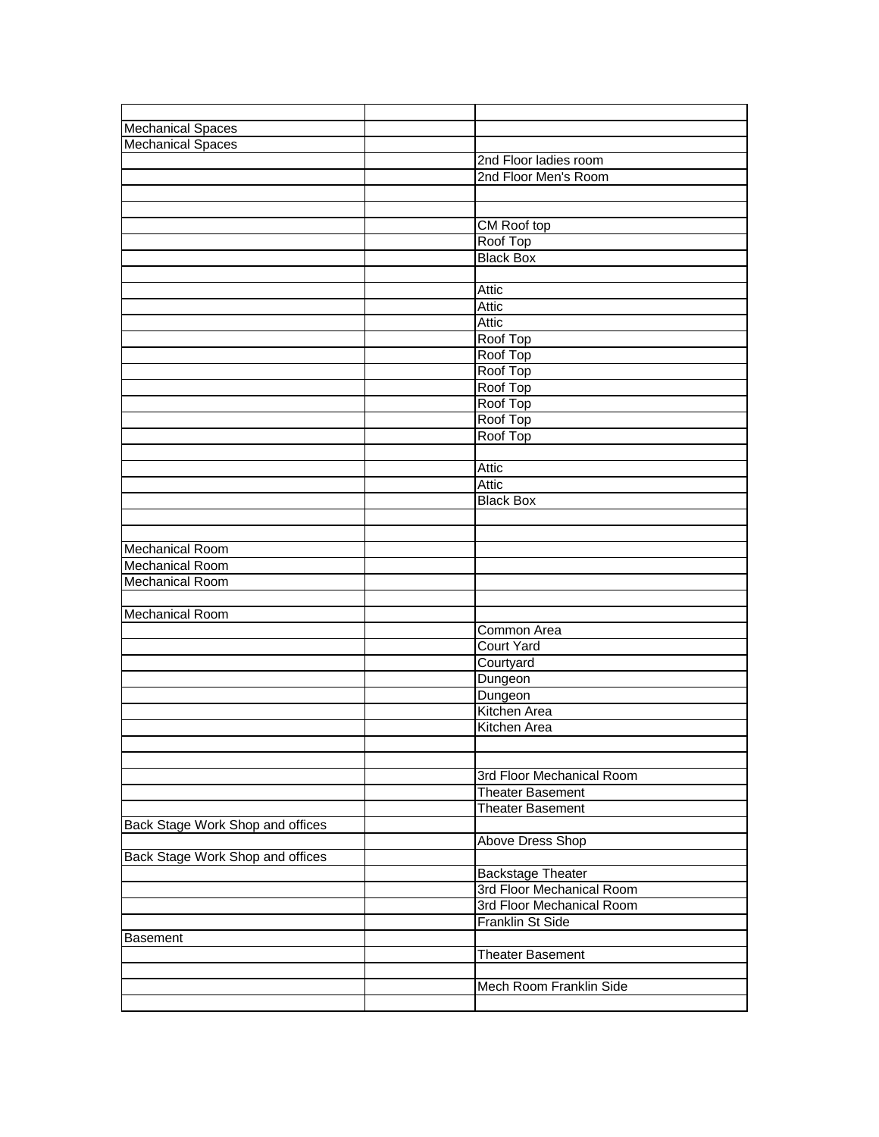| <b>Mechanical Spaces</b>         |                           |
|----------------------------------|---------------------------|
| <b>Mechanical Spaces</b>         |                           |
|                                  | 2nd Floor ladies room     |
|                                  | 2nd Floor Men's Room      |
|                                  |                           |
|                                  |                           |
|                                  | CM Roof top               |
|                                  | Roof Top                  |
|                                  | <b>Black Box</b>          |
|                                  |                           |
|                                  | Attic                     |
|                                  | Attic                     |
|                                  | Attic                     |
|                                  | Roof Top                  |
|                                  | Roof Top                  |
|                                  | Roof Top                  |
|                                  | Roof Top                  |
|                                  | Roof Top                  |
|                                  | Roof Top                  |
|                                  | Roof Top                  |
|                                  |                           |
|                                  | Attic                     |
|                                  | Attic                     |
|                                  | <b>Black Box</b>          |
|                                  |                           |
|                                  |                           |
| <b>Mechanical Room</b>           |                           |
| <b>Mechanical Room</b>           |                           |
| <b>Mechanical Room</b>           |                           |
|                                  |                           |
| <b>Mechanical Room</b>           |                           |
|                                  | Common Area               |
|                                  | <b>Court Yard</b>         |
|                                  | Courtyard                 |
|                                  | Dungeon                   |
|                                  | Dungeon                   |
|                                  | Kitchen Area              |
|                                  | Kitchen Area              |
|                                  |                           |
|                                  |                           |
|                                  | 3rd Floor Mechanical Room |
|                                  | <b>Theater Basement</b>   |
|                                  | <b>Theater Basement</b>   |
| Back Stage Work Shop and offices |                           |
|                                  | Above Dress Shop          |
| Back Stage Work Shop and offices |                           |
|                                  | <b>Backstage Theater</b>  |
|                                  | 3rd Floor Mechanical Room |
|                                  | 3rd Floor Mechanical Room |
|                                  | Franklin St Side          |
| <b>Basement</b>                  |                           |
|                                  | <b>Theater Basement</b>   |
|                                  |                           |
|                                  | Mech Room Franklin Side   |
|                                  |                           |
|                                  |                           |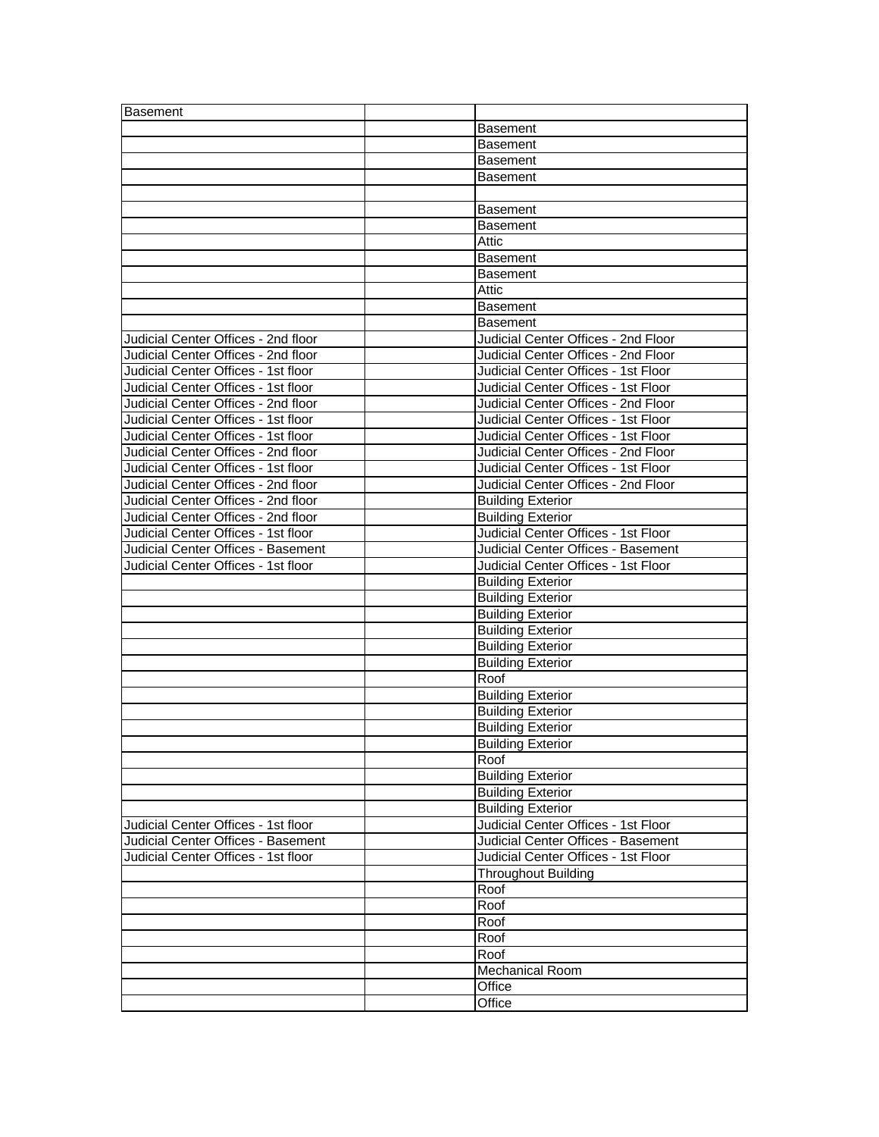| <b>Basement</b>                     |                                     |
|-------------------------------------|-------------------------------------|
|                                     | Basement                            |
|                                     | <b>Basement</b>                     |
|                                     | <b>Basement</b>                     |
|                                     | Basement                            |
|                                     |                                     |
|                                     | <b>Basement</b>                     |
|                                     | <b>Basement</b>                     |
|                                     | Attic                               |
|                                     | <b>Basement</b>                     |
|                                     | Basement                            |
|                                     | Attic                               |
|                                     | <b>Basement</b>                     |
|                                     | Basement                            |
| Judicial Center Offices - 2nd floor | Judicial Center Offices - 2nd Floor |
| Judicial Center Offices - 2nd floor | Judicial Center Offices - 2nd Floor |
| Judicial Center Offices - 1st floor | Judicial Center Offices - 1st Floor |
| Judicial Center Offices - 1st floor | Judicial Center Offices - 1st Floor |
| Judicial Center Offices - 2nd floor | Judicial Center Offices - 2nd Floor |
| Judicial Center Offices - 1st floor | Judicial Center Offices - 1st Floor |
| Judicial Center Offices - 1st floor | Judicial Center Offices - 1st Floor |
| Judicial Center Offices - 2nd floor | Judicial Center Offices - 2nd Floor |
| Judicial Center Offices - 1st floor | Judicial Center Offices - 1st Floor |
| Judicial Center Offices - 2nd floor | Judicial Center Offices - 2nd Floor |
| Judicial Center Offices - 2nd floor | <b>Building Exterior</b>            |
| Judicial Center Offices - 2nd floor | <b>Building Exterior</b>            |
| Judicial Center Offices - 1st floor | Judicial Center Offices - 1st Floor |
| Judicial Center Offices - Basement  | Judicial Center Offices - Basement  |
| Judicial Center Offices - 1st floor | Judicial Center Offices - 1st Floor |
|                                     | <b>Building Exterior</b>            |
|                                     | <b>Building Exterior</b>            |
|                                     | <b>Building Exterior</b>            |
|                                     | <b>Building Exterior</b>            |
|                                     | <b>Building Exterior</b>            |
|                                     | <b>Building Exterior</b>            |
|                                     | Roof                                |
|                                     | <b>Building Exterior</b>            |
|                                     | <b>Building Exterior</b>            |
|                                     | <b>Building Exterior</b>            |
|                                     | <b>Building Exterior</b>            |
|                                     | Roof                                |
|                                     | <b>Building Exterior</b>            |
|                                     | <b>Building Exterior</b>            |
|                                     | <b>Building Exterior</b>            |
| Judicial Center Offices - 1st floor | Judicial Center Offices - 1st Floor |
| Judicial Center Offices - Basement  | Judicial Center Offices - Basement  |
| Judicial Center Offices - 1st floor | Judicial Center Offices - 1st Floor |
|                                     | <b>Throughout Building</b>          |
|                                     | Roof                                |
|                                     |                                     |
|                                     | Roof                                |
|                                     | Roof                                |
|                                     | Roof                                |
|                                     | Roof                                |
|                                     | <b>Mechanical Room</b>              |
|                                     | Office                              |
|                                     | Office                              |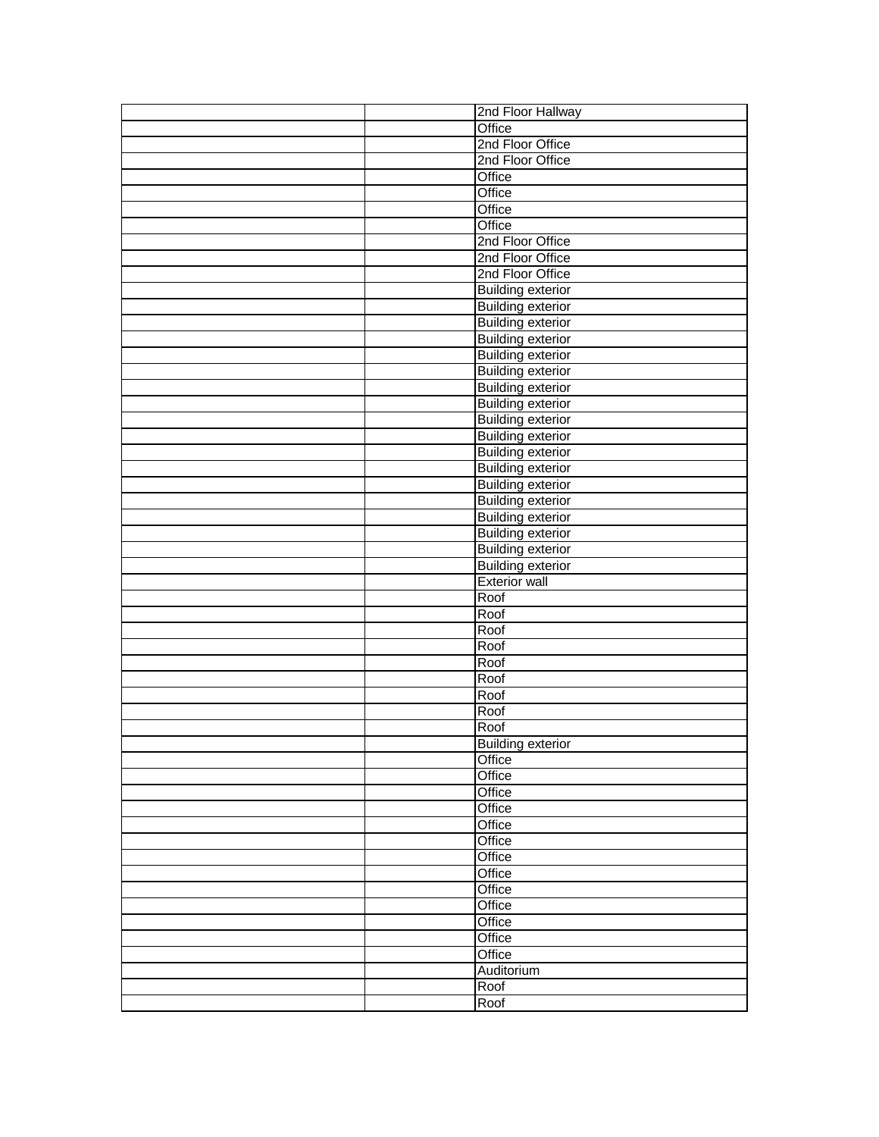|  | 2nd Floor Hallway        |
|--|--------------------------|
|  | Office                   |
|  | 2nd Floor Office         |
|  | 2nd Floor Office         |
|  | Office                   |
|  | Office                   |
|  | Office                   |
|  | Office                   |
|  | 2nd Floor Office         |
|  | 2nd Floor Office         |
|  | 2nd Floor Office         |
|  | <b>Building exterior</b> |
|  | <b>Building exterior</b> |
|  | <b>Building exterior</b> |
|  | <b>Building exterior</b> |
|  | <b>Building exterior</b> |
|  | <b>Building exterior</b> |
|  | <b>Building exterior</b> |
|  | <b>Building exterior</b> |
|  | <b>Building exterior</b> |
|  | <b>Building exterior</b> |
|  | <b>Building exterior</b> |
|  | <b>Building exterior</b> |
|  | <b>Building exterior</b> |
|  | <b>Building exterior</b> |
|  | <b>Building exterior</b> |
|  | <b>Building exterior</b> |
|  | <b>Building exterior</b> |
|  | <b>Building exterior</b> |
|  | <b>Exterior wall</b>     |
|  | Roof                     |
|  | Roof                     |
|  | Roof                     |
|  | Roof                     |
|  | Roof                     |
|  | Roof                     |
|  | Roof                     |
|  | Roof                     |
|  | Roof                     |
|  | <b>Building exterior</b> |
|  | Office                   |
|  | Office                   |
|  | Office                   |
|  | Office                   |
|  | Office                   |
|  | Office                   |
|  | Office                   |
|  | Office                   |
|  | Office                   |
|  | Office                   |
|  | Office                   |
|  | Office                   |
|  | Office                   |
|  | Auditorium               |
|  | Roof                     |
|  |                          |
|  | Roof                     |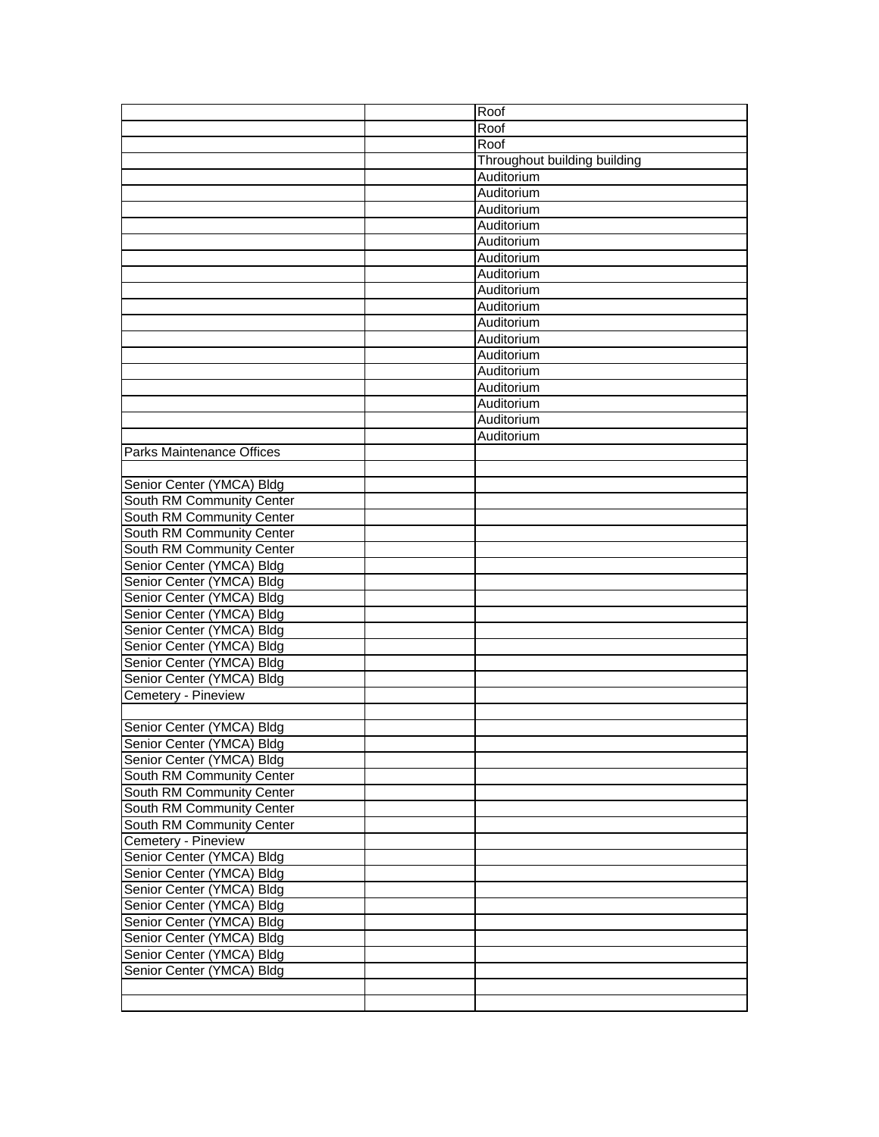|                                  | Roof                         |
|----------------------------------|------------------------------|
|                                  | Roof                         |
|                                  | Roof                         |
|                                  | Throughout building building |
|                                  | Auditorium                   |
|                                  | Auditorium                   |
|                                  | Auditorium                   |
|                                  | Auditorium                   |
|                                  | Auditorium                   |
|                                  | Auditorium                   |
|                                  | Auditorium                   |
|                                  | Auditorium                   |
|                                  | Auditorium                   |
|                                  | Auditorium                   |
|                                  | Auditorium                   |
|                                  | Auditorium                   |
|                                  | Auditorium                   |
|                                  | Auditorium                   |
|                                  | Auditorium                   |
|                                  | Auditorium                   |
|                                  | Auditorium                   |
| <b>Parks Maintenance Offices</b> |                              |
|                                  |                              |
| Senior Center (YMCA) Bldg        |                              |
| South RM Community Center        |                              |
| South RM Community Center        |                              |
| South RM Community Center        |                              |
| South RM Community Center        |                              |
| Senior Center (YMCA) Bldg        |                              |
| Senior Center (YMCA) Bldg        |                              |
| Senior Center (YMCA) Bldg        |                              |
| Senior Center (YMCA) Bldg        |                              |
| Senior Center (YMCA) Bldg        |                              |
| Senior Center (YMCA) Bldg        |                              |
| Senior Center (YMCA) Bldg        |                              |
| Senior Center (YMCA) Bldg        |                              |
| Cemetery - Pineview              |                              |
|                                  |                              |
|                                  |                              |
| Senior Center (YMCA) Bldg        |                              |
| Senior Center (YMCA) Bldg        |                              |
| Senior Center (YMCA) Bldg        |                              |
| South RM Community Center        |                              |
| South RM Community Center        |                              |
| South RM Community Center        |                              |
| South RM Community Center        |                              |
| Cemetery - Pineview              |                              |
| Senior Center (YMCA) Bldg        |                              |
| Senior Center (YMCA) Bldg        |                              |
| Senior Center (YMCA) Bldg        |                              |
| Senior Center (YMCA) Bldg        |                              |
| Senior Center (YMCA) Bldg        |                              |
| Senior Center (YMCA) Bldg        |                              |
| Senior Center (YMCA) Bldg        |                              |
| Senior Center (YMCA) Bldg        |                              |
|                                  |                              |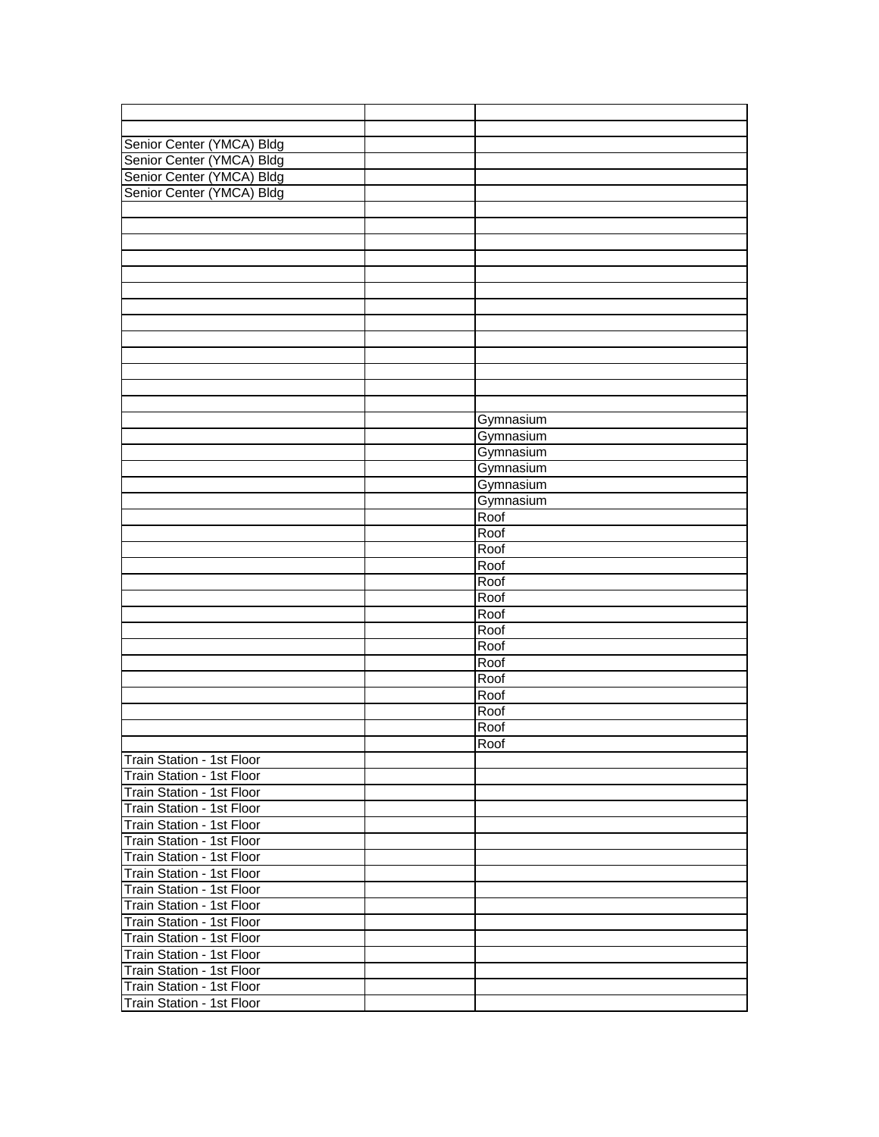| Senior Center (YMCA) Bldg |           |
|---------------------------|-----------|
| Senior Center (YMCA) Bldg |           |
| Senior Center (YMCA) Bldg |           |
| Senior Center (YMCA) Bldg |           |
|                           |           |
|                           |           |
|                           |           |
|                           |           |
|                           |           |
|                           |           |
|                           |           |
|                           |           |
|                           |           |
|                           |           |
|                           |           |
|                           |           |
|                           |           |
|                           |           |
|                           | Gymnasium |
|                           | Gymnasium |
|                           | Gymnasium |
|                           | Gymnasium |
|                           | Gymnasium |
|                           |           |
|                           | Gymnasium |
|                           | Roof      |
|                           | Roof      |
|                           | Roof      |
|                           | Roof      |
|                           | Roof      |
|                           | Roof      |
|                           | Roof      |
|                           | Roof      |
|                           | Roof      |
|                           | Roof      |
|                           | Roof      |
|                           | Roof      |
|                           | Roof      |
|                           | Roof      |
|                           | Roof      |
| Train Station - 1st Floor |           |
| Train Station - 1st Floor |           |
| Train Station - 1st Floor |           |
| Train Station - 1st Floor |           |
| Train Station - 1st Floor |           |
| Train Station - 1st Floor |           |
|                           |           |
| Train Station - 1st Floor |           |
| Train Station - 1st Floor |           |
| Train Station - 1st Floor |           |
| Train Station - 1st Floor |           |
| Train Station - 1st Floor |           |
| Train Station - 1st Floor |           |
| Train Station - 1st Floor |           |
| Train Station - 1st Floor |           |
| Train Station - 1st Floor |           |
| Train Station - 1st Floor |           |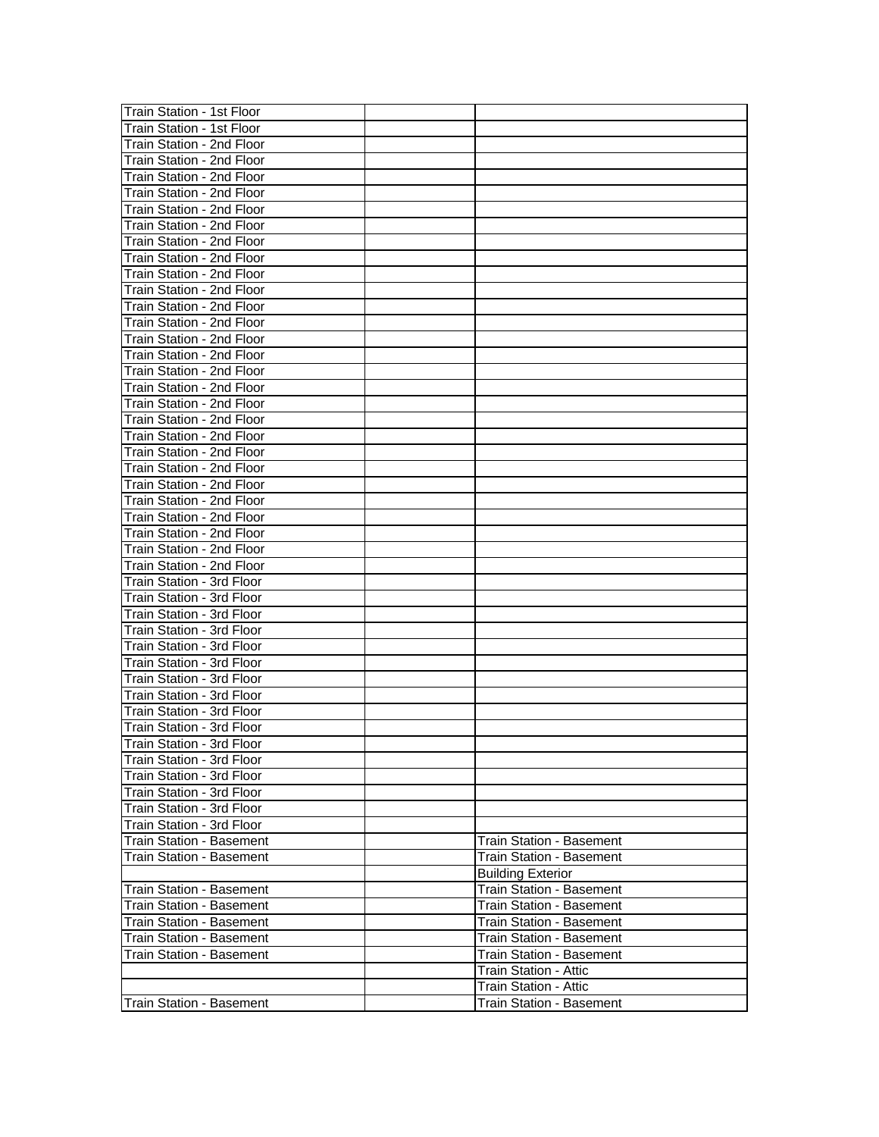| Train Station - 1st Floor  |                                 |
|----------------------------|---------------------------------|
| Train Station - 1st Floor  |                                 |
| Train Station - 2nd Floor  |                                 |
|                            |                                 |
| Train Station - 2nd Floor  |                                 |
| Train Station - 2nd Floor  |                                 |
| Train Station - 2nd Floor  |                                 |
| Train Station - 2nd Floor  |                                 |
| Train Station - 2nd Floor  |                                 |
| Train Station - 2nd Floor  |                                 |
| Train Station - 2nd Floor  |                                 |
| Train Station - 2nd Floor  |                                 |
| Train Station - 2nd Floor  |                                 |
| Train Station - 2nd Floor  |                                 |
| Train Station - 2nd Floor  |                                 |
| Train Station - 2nd Floor  |                                 |
| Train Station - 2nd Floor  |                                 |
| Train Station - 2nd Floor  |                                 |
| Train Station - 2nd Floor  |                                 |
| Train Station - 2nd Floor  |                                 |
| Train Station - 2nd Floor  |                                 |
| Train Station - 2nd Floor  |                                 |
| Train Station - 2nd Floor  |                                 |
| Train Station - 2nd Floor  |                                 |
| Train Station - 2nd Floor  |                                 |
|                            |                                 |
| Train Station - 2nd Floor  |                                 |
| Train Station - 2nd Floor  |                                 |
| Train Station - 2nd Floor  |                                 |
| Train Station - 2nd Floor  |                                 |
| Train Station - 2nd Floor  |                                 |
| Train Station - 3rd Floor  |                                 |
| Train Station - 3rd Floor  |                                 |
| Train Station - 3rd Floor  |                                 |
| Train Station - 3rd Floor  |                                 |
| Train Station - 3rd Floor  |                                 |
| Train Station - 3rd Floor  |                                 |
| Train Station - 3rd Floor  |                                 |
| Train Station - 3rd Floor  |                                 |
| Train Station - 3rd Floor  |                                 |
| Train Station - 3rd Floor  |                                 |
| ITrain Station - 3rd Floor |                                 |
| Train Station - 3rd Floor  |                                 |
| Train Station - 3rd Floor  |                                 |
| Train Station - 3rd Floor  |                                 |
| Train Station - 3rd Floor  |                                 |
| Train Station - 3rd Floor  |                                 |
| Train Station - Basement   | <b>Train Station - Basement</b> |
| Train Station - Basement   | <b>Train Station - Basement</b> |
|                            |                                 |
|                            | <b>Building Exterior</b>        |
| Train Station - Basement   | Train Station - Basement        |
| Train Station - Basement   | Train Station - Basement        |
| Train Station - Basement   | Train Station - Basement        |
| Train Station - Basement   | Train Station - Basement        |
| Train Station - Basement   | Train Station - Basement        |
|                            | <b>Train Station - Attic</b>    |
|                            | Train Station - Attic           |
| Train Station - Basement   | <b>Train Station - Basement</b> |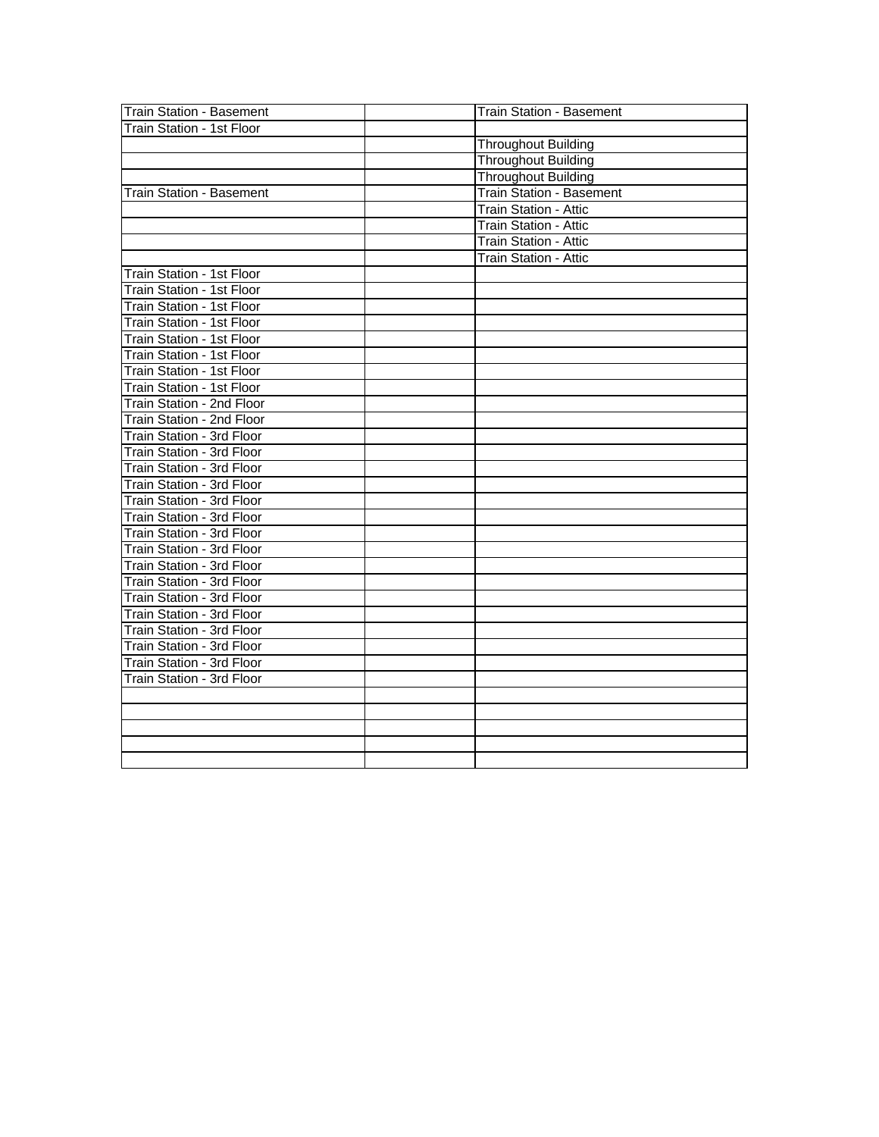| <b>Train Station - Basement</b> | <b>Train Station - Basement</b> |
|---------------------------------|---------------------------------|
| Train Station - 1st Floor       |                                 |
|                                 | <b>Throughout Building</b>      |
|                                 | <b>Throughout Building</b>      |
|                                 | Throughout Building             |
| <b>Train Station - Basement</b> | Train Station - Basement        |
|                                 | Train Station - Attic           |
|                                 | <b>Train Station - Attic</b>    |
|                                 | <b>Train Station - Attic</b>    |
|                                 | <b>Train Station - Attic</b>    |
| Train Station - 1st Floor       |                                 |
| Train Station - 1st Floor       |                                 |
| Train Station - 1st Floor       |                                 |
| Train Station - 1st Floor       |                                 |
| Train Station - 1st Floor       |                                 |
| Train Station - 1st Floor       |                                 |
| Train Station - 1st Floor       |                                 |
| Train Station - 1st Floor       |                                 |
| Train Station - 2nd Floor       |                                 |
| Train Station - 2nd Floor       |                                 |
| Train Station - 3rd Floor       |                                 |
| Train Station - 3rd Floor       |                                 |
| Train Station - 3rd Floor       |                                 |
| Train Station - 3rd Floor       |                                 |
| Train Station - 3rd Floor       |                                 |
| Train Station - 3rd Floor       |                                 |
| Train Station - 3rd Floor       |                                 |
| Train Station - 3rd Floor       |                                 |
| Train Station - 3rd Floor       |                                 |
| Train Station - 3rd Floor       |                                 |
| Train Station - 3rd Floor       |                                 |
| Train Station - 3rd Floor       |                                 |
| Train Station - 3rd Floor       |                                 |
| Train Station - 3rd Floor       |                                 |
| Train Station - 3rd Floor       |                                 |
| Train Station - 3rd Floor       |                                 |
|                                 |                                 |
|                                 |                                 |
|                                 |                                 |
|                                 |                                 |
|                                 |                                 |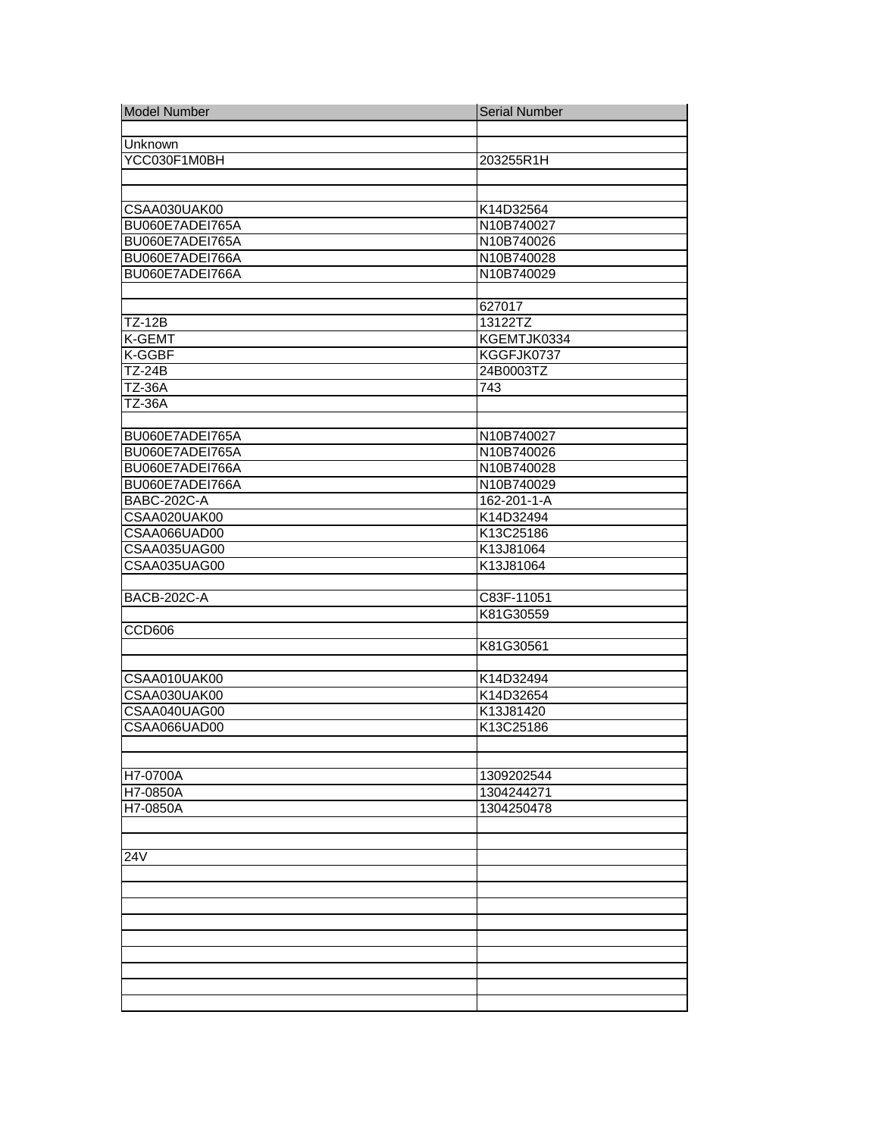| <b>Model Number</b>     | <b>Serial Number</b> |
|-------------------------|----------------------|
|                         |                      |
| Unknown                 |                      |
| YCC030F1M0BH            | 203255R1H            |
|                         |                      |
|                         |                      |
| CSAA030UAK00            | K14D32564            |
| BU060E7ADEI765A         | N10B740027           |
| BU060E7ADEI765A         | N10B740026           |
| BU060E7ADEI766A         | N10B740028           |
| BU060E7ADEI766A         | N10B740029           |
|                         |                      |
|                         | 627017               |
| <b>TZ-12B</b><br>K-GEMT | 13122TZ              |
|                         | KGEMTJK0334          |
| K-GGBF<br><b>TZ-24B</b> | KGGFJK0737           |
| <b>TZ-36A</b>           | 24B0003TZ<br>743     |
| <b>TZ-36A</b>           |                      |
|                         |                      |
| BU060E7ADEI765A         | N10B740027           |
| BU060E7ADEI765A         | N10B740026           |
| BU060E7ADEI766A         | N10B740028           |
| BU060E7ADEI766A         | N10B740029           |
| <b>BABC-202C-A</b>      | 162-201-1-A          |
| CSAA020UAK00            | K14D32494            |
| CSAA066UAD00            | K13C25186            |
| CSAA035UAG00            | K13J81064            |
| CSAA035UAG00            | K13J81064            |
|                         |                      |
| <b>BACB-202C-A</b>      | C83F-11051           |
|                         | K81G30559            |
| CCD606                  |                      |
|                         | K81G30561            |
|                         |                      |
| CSAA010UAK00            | K14D32494            |
| CSAA030UAK00            | K14D32654            |
| CSAA040UAG00            | K13J81420            |
| CSAA066UAD00            | K13C25186            |
|                         |                      |
|                         |                      |
| H7-0700A                | 1309202544           |
| H7-0850A                | 1304244271           |
| H7-0850A                | 1304250478           |
|                         |                      |
|                         |                      |
| 24V                     |                      |
|                         |                      |
|                         |                      |
|                         |                      |
|                         |                      |
|                         |                      |
|                         |                      |
|                         |                      |
|                         |                      |
|                         |                      |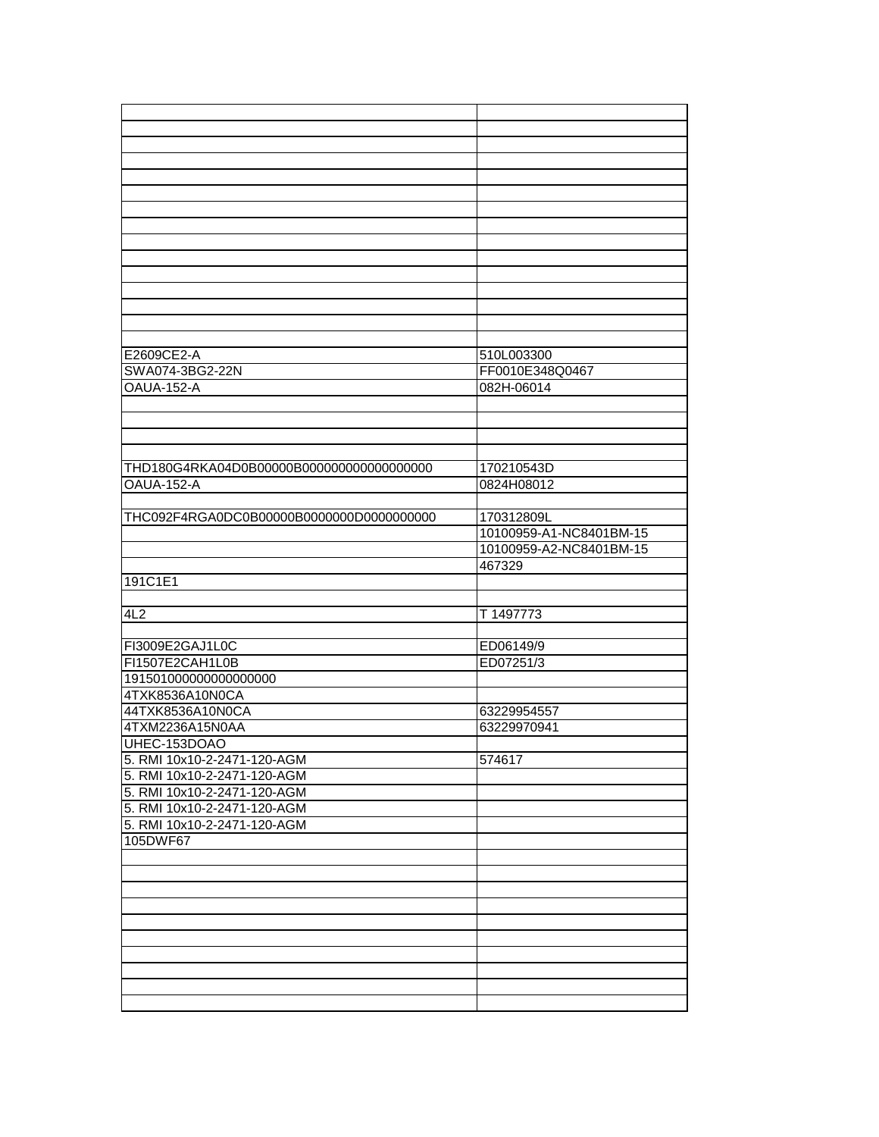| E2609CE2-A                                | 510L003300              |
|-------------------------------------------|-------------------------|
| SWA074-3BG2-22N                           | FF0010E348Q0467         |
| OAUA-152-A                                |                         |
|                                           | 082H-06014              |
|                                           |                         |
|                                           |                         |
|                                           |                         |
| THD180G4RKA04D0B00000B0000000000000000000 | 170210543D              |
| <b>OAUA-152-A</b>                         | 0824H08012              |
|                                           |                         |
| THC092F4RGA0DC0B00000B0000000D0000000000  | 170312809L              |
|                                           | 10100959-A1-NC8401BM-15 |
|                                           | 10100959-A2-NC8401BM-15 |
|                                           |                         |
|                                           |                         |
|                                           | 467329                  |
| 191C1E1                                   |                         |
|                                           |                         |
| 4L2                                       | T 1497773               |
|                                           |                         |
| FI3009E2GAJ1L0C                           | ED06149/9               |
| FI1507E2CAH1L0B                           | ED07251/3               |
| 191501000000000000000                     |                         |
| 4TXK8536A10N0CA                           |                         |
| 44TXK8536A10N0CA                          | 63229954557             |
| 4TXM2236A15N0AA                           | 63229970941             |
| UHEC-153DOAO                              |                         |
| 5. RMI 10x10-2-2471-120-AGM               | 574617                  |
| 5. RMI 10x10-2-2471-120-AGM               |                         |
| 5. RMI 10x10-2-2471-120-AGM               |                         |
| 5. RMI 10x10-2-2471-120-AGM               |                         |
| 5. RMI 10x10-2-2471-120-AGM               |                         |
| 105DWF67                                  |                         |
|                                           |                         |
|                                           |                         |
|                                           |                         |
|                                           |                         |
|                                           |                         |
|                                           |                         |
|                                           |                         |
|                                           |                         |
|                                           |                         |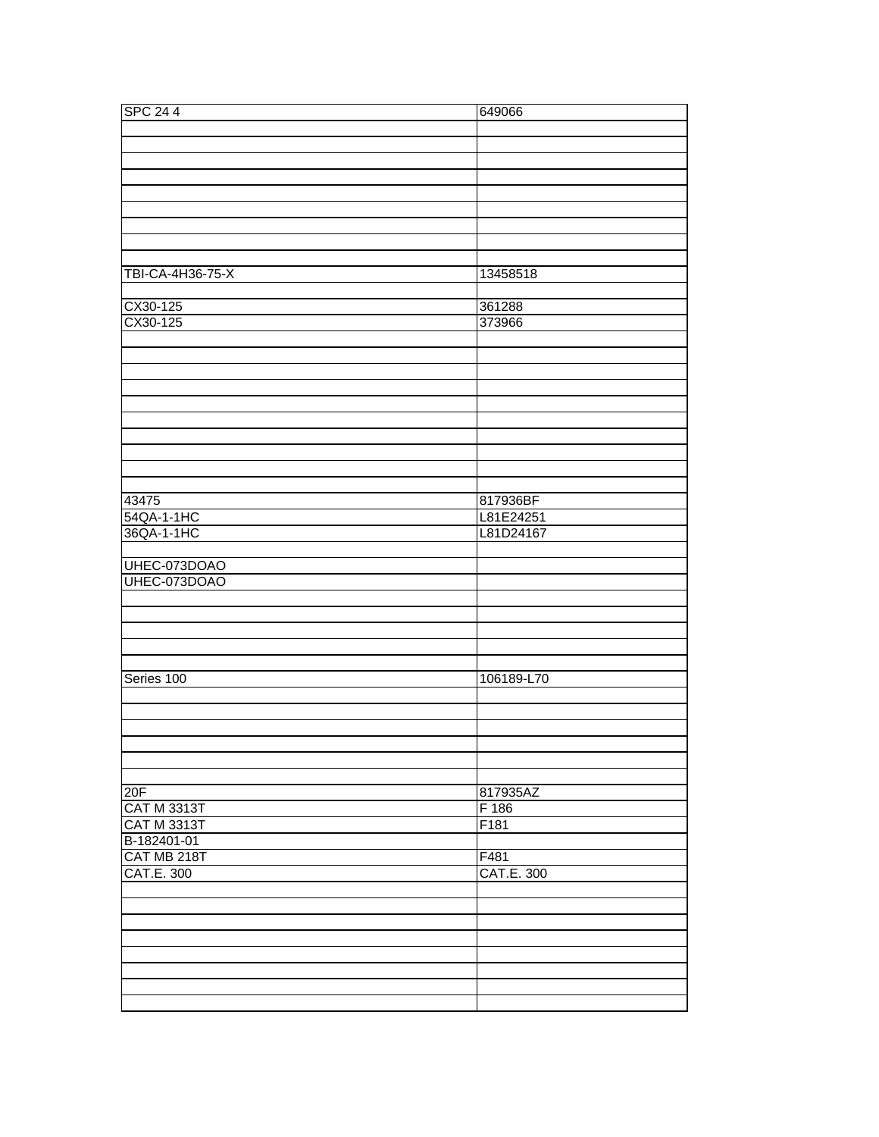| <b>SPC 244</b>     | 649066     |
|--------------------|------------|
|                    |            |
|                    |            |
|                    |            |
|                    |            |
|                    |            |
|                    |            |
|                    |            |
|                    |            |
|                    |            |
| TBI-CA-4H36-75-X   | 13458518   |
|                    |            |
| CX30-125           | 361288     |
| CX30-125           | 373966     |
|                    |            |
|                    |            |
|                    |            |
|                    |            |
|                    |            |
|                    |            |
|                    |            |
|                    |            |
|                    |            |
|                    |            |
|                    |            |
| 43475              | 817936BF   |
| 54QA-1-1HC         | L81E24251  |
| 36QA-1-1HC         | L81D24167  |
|                    |            |
| UHEC-073DOAO       |            |
| UHEC-073DOAO       |            |
|                    |            |
|                    |            |
|                    |            |
|                    |            |
|                    |            |
| Series 100         | 106189-L70 |
|                    |            |
|                    |            |
|                    |            |
|                    |            |
|                    |            |
|                    |            |
| 20F                | 817935AZ   |
| <b>CAT M 3313T</b> | F 186      |
| <b>CAT M 3313T</b> | F181       |
| B-182401-01        |            |
| CAT MB 218T        | F481       |
| CAT.E. 300         | CAT.E. 300 |
|                    |            |
|                    |            |
|                    |            |
|                    |            |
|                    |            |
|                    |            |
|                    |            |
|                    |            |
|                    |            |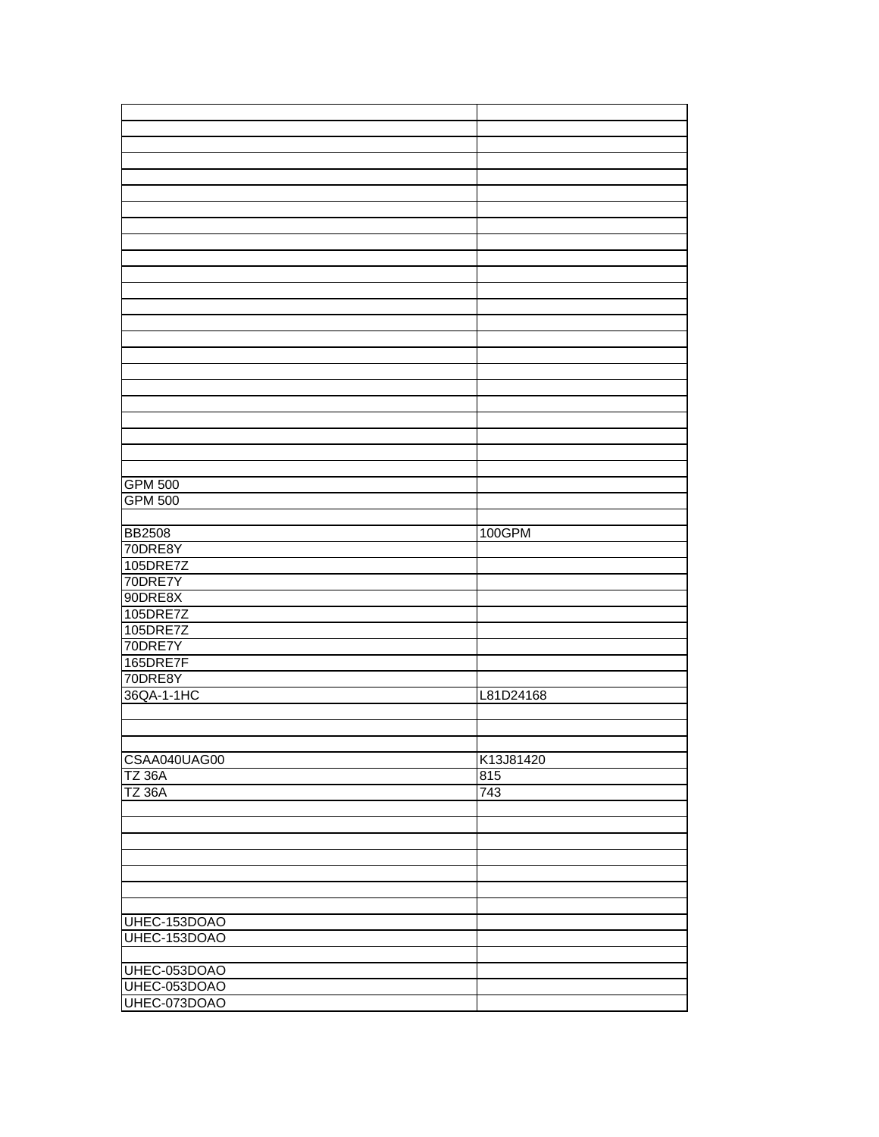| <b>GPM 500</b> |           |
|----------------|-----------|
| <b>GPM 500</b> |           |
|                |           |
|                | 100GPM    |
| <b>BB2508</b>  |           |
| 70DRE8Y        |           |
| 105DRE7Z       |           |
| 70DRE7Y        |           |
| 90DRE8X        |           |
| 105DRE7Z       |           |
| 105DRE7Z       |           |
| 70DRE7Y        |           |
| 165DRE7F       |           |
|                |           |
| 70DRE8Y        |           |
| 36QA-1-1HC     | L81D24168 |
|                |           |
|                |           |
|                |           |
| CSAA040UAG00   | K13J81420 |
| <b>TZ 36A</b>  | 815       |
| <b>TZ 36A</b>  | 743       |
|                |           |
|                |           |
|                |           |
|                |           |
|                |           |
|                |           |
|                |           |
|                |           |
| UHEC-153DOAO   |           |
|                |           |
| UHEC-153DOAO   |           |
|                |           |
| UHEC-053DOAO   |           |
| UHEC-053DOAO   |           |
| UHEC-073DOAO   |           |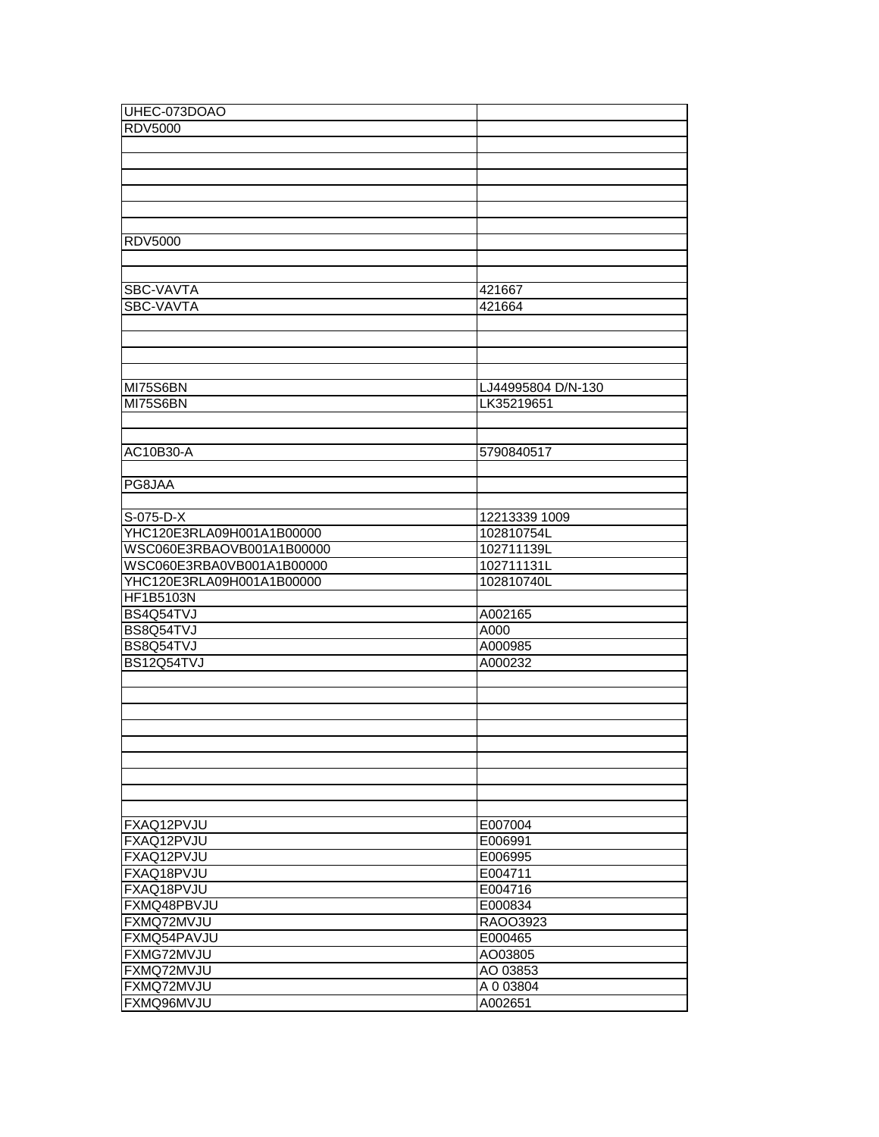| UHEC-073DOAO              |                    |
|---------------------------|--------------------|
| <b>RDV5000</b>            |                    |
|                           |                    |
|                           |                    |
|                           |                    |
|                           |                    |
|                           |                    |
|                           |                    |
| <b>RDV5000</b>            |                    |
|                           |                    |
|                           |                    |
| SBC-VAVTA                 | 421667             |
| SBC-VAVTA                 | 421664             |
|                           |                    |
|                           |                    |
|                           |                    |
|                           |                    |
| MI75S6BN                  | LJ44995804 D/N-130 |
| <b>MI75S6BN</b>           | LK35219651         |
|                           |                    |
|                           |                    |
| AC10B30-A                 | 5790840517         |
|                           |                    |
| PG8JAA                    |                    |
|                           |                    |
| S-075-D-X                 | 12213339 1009      |
| YHC120E3RLA09H001A1B00000 | 102810754L         |
| WSC060E3RBAOVB001A1B00000 | 102711139L         |
| WSC060E3RBA0VB001A1B00000 | 102711131L         |
| YHC120E3RLA09H001A1B00000 | 102810740L         |
| <b>HF1B5103N</b>          |                    |
| BS4Q54TVJ                 | A002165            |
| BS8Q54TVJ                 | A000               |
| BS8Q54TVJ                 | A000985            |
| BS12Q54TVJ                | A000232            |
|                           |                    |
|                           |                    |
|                           |                    |
|                           |                    |
|                           |                    |
|                           |                    |
|                           |                    |
|                           |                    |
|                           |                    |
| FXAQ12PVJU                | E007004            |
| FXAQ12PVJU                | E006991            |
| FXAQ12PVJU                | E006995            |
| FXAQ18PVJU                | E004711            |
| FXAQ18PVJU                | E004716            |
| FXMQ48PBVJU               | E000834            |
| FXMQ72MVJU                | RAOO3923           |
| FXMQ54PAVJU               | E000465            |
| FXMG72MVJU                | AO03805            |
| FXMQ72MVJU                | AO 03853           |
| FXMQ72MVJU                | A 0 03804          |
| FXMQ96MVJU                | A002651            |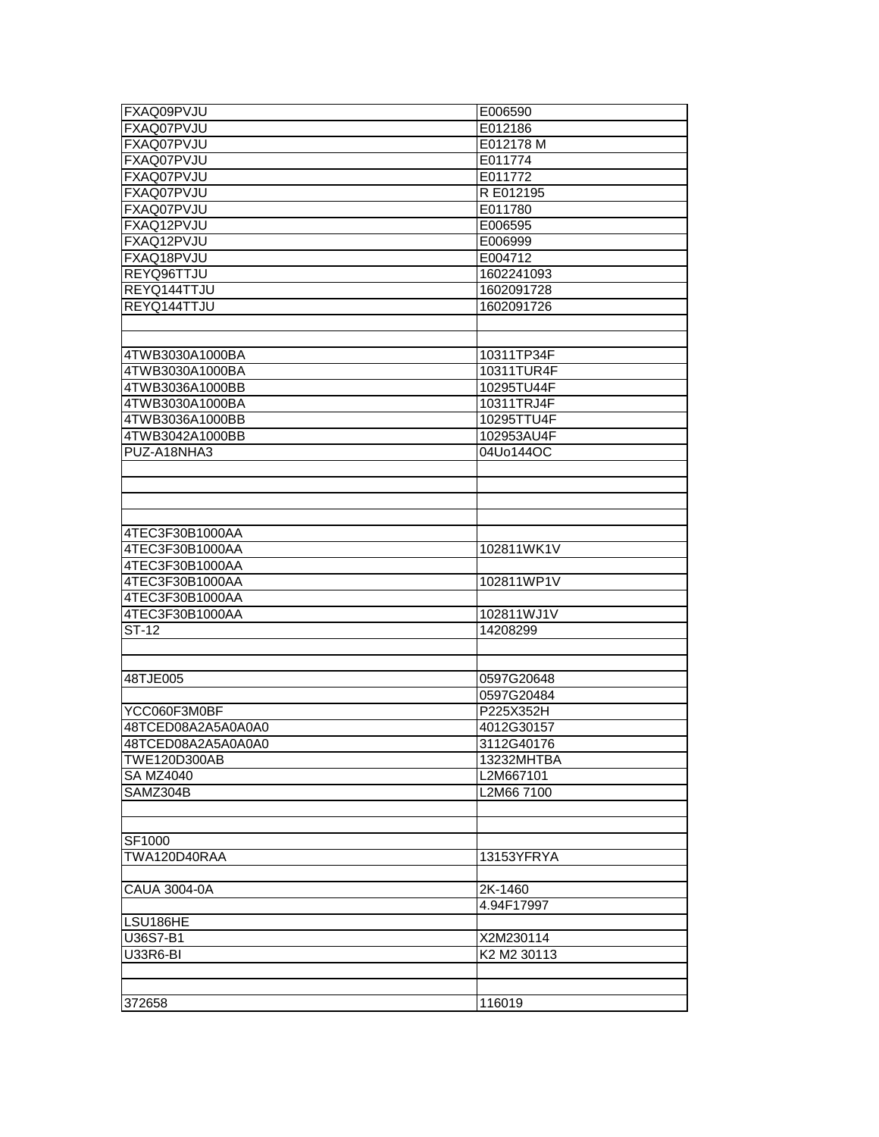| FXAQ09PVJU         | E006590     |
|--------------------|-------------|
| FXAQ07PVJU         | E012186     |
| FXAQ07PVJU         | E012178 M   |
| FXAQ07PVJU         | E011774     |
| FXAQ07PVJU         | E011772     |
| FXAQ07PVJU         | R E012195   |
| FXAQ07PVJU         | E011780     |
| FXAQ12PVJU         | E006595     |
| FXAQ12PVJU         | E006999     |
| FXAQ18PVJU         | E004712     |
| REYQ96TTJU         | 1602241093  |
| REYQ144TTJU        | 1602091728  |
| REYQ144TTJU        | 1602091726  |
|                    |             |
|                    |             |
| 4TWB3030A1000BA    | 10311TP34F  |
| 4TWB3030A1000BA    | 10311TUR4F  |
| 4TWB3036A1000BB    | 10295TU44F  |
| 4TWB3030A1000BA    | 10311TRJ4F  |
| 4TWB3036A1000BB    | 10295TTU4F  |
| 4TWB3042A1000BB    | 102953AU4F  |
| PUZ-A18NHA3        | 04Uo144OC   |
|                    |             |
|                    |             |
|                    |             |
|                    |             |
| 4TEC3F30B1000AA    |             |
| 4TEC3F30B1000AA    | 102811WK1V  |
| 4TEC3F30B1000AA    |             |
| 4TEC3F30B1000AA    | 102811WP1V  |
| 4TEC3F30B1000AA    |             |
| 4TEC3F30B1000AA    | 102811WJ1V  |
| ST-12              | 14208299    |
|                    |             |
|                    |             |
| 48TJE005           | 0597G20648  |
|                    | 0597G20484  |
| YCC060F3M0BF       | P225X352H   |
| 48TCED08A2A5A0A0A0 | 4012G30157  |
| 48TCED08A2A5A0A0A0 | 3112G40176  |
| TWE120D300AB       | 13232MHTBA  |
| <b>SA MZ4040</b>   | L2M667101   |
| SAMZ304B           | L2M66 7100  |
|                    |             |
|                    |             |
| SF1000             |             |
| TWA120D40RAA       | 13153YFRYA  |
|                    |             |
| CAUA 3004-0A       | 2K-1460     |
|                    | 4.94F17997  |
| LSU186HE           |             |
| U36S7-B1           | X2M230114   |
| U33R6-BI           | K2 M2 30113 |
|                    |             |
|                    |             |
| 372658             | 116019      |
|                    |             |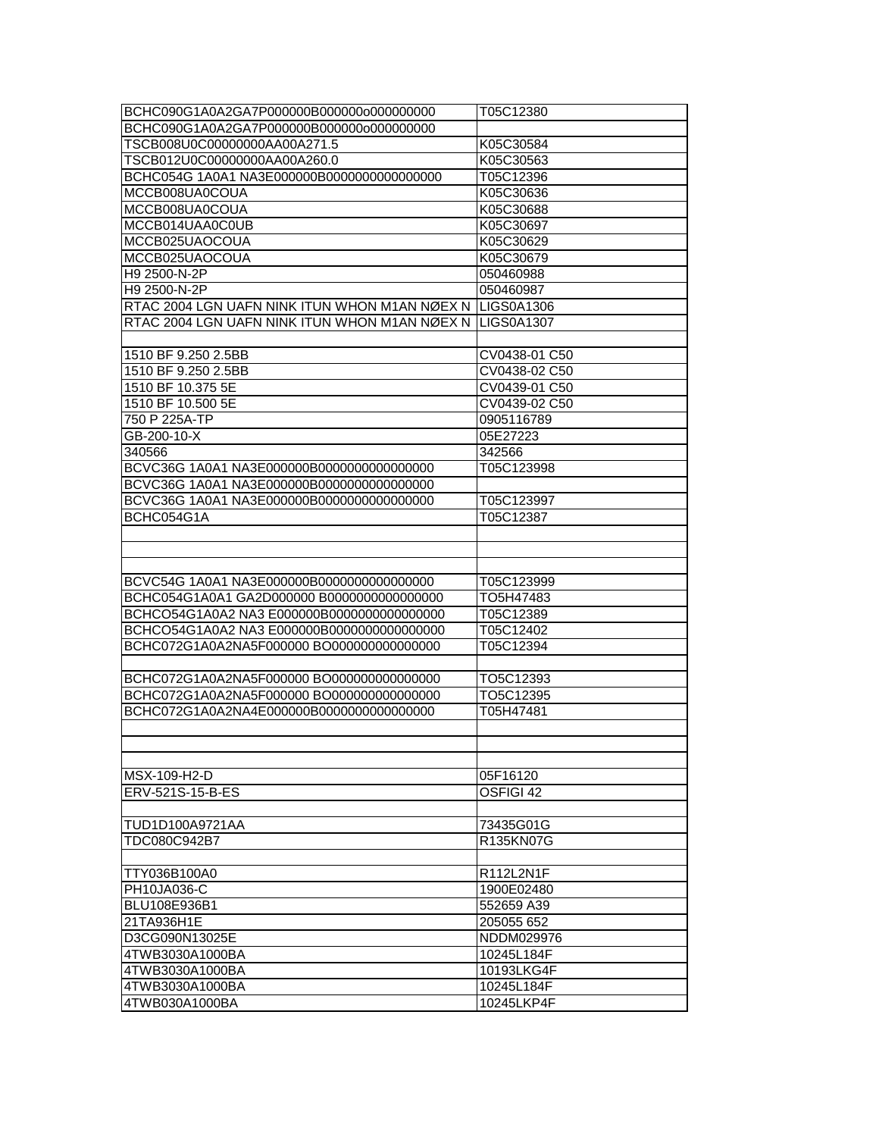| BCHC090G1A0A2GA7P000000B00000000000000000                | T05C12380     |
|----------------------------------------------------------|---------------|
| BCHC090G1A0A2GA7P000000B00000000000000000                |               |
| TSCB008U0C00000000AA00A271.5                             | K05C30584     |
| TSCB012U0C00000000AA00A260.0                             | K05C30563     |
| BCHC054G 1A0A1 NA3E000000B00000000000000000              | T05C12396     |
| MCCB008UA0COUA                                           | K05C30636     |
| MCCB008UA0COUA                                           | K05C30688     |
| MCCB014UAA0C0UB                                          | K05C30697     |
| MCCB025UAOCOUA                                           | K05C30629     |
| MCCB025UAOCOUA                                           | K05C30679     |
| H9 2500-N-2P                                             | 050460988     |
| H9 2500-N-2P                                             | 050460987     |
| RTAC 2004 LGN UAFN NINK ITUN WHON M1AN NØEX N LIGS0A1306 |               |
| RTAC 2004 LGN UAFN NINK ITUN WHON M1AN NØEX N LIGS0A1307 |               |
|                                                          |               |
| 1510 BF 9.250 2.5BB                                      | CV0438-01 C50 |
| 1510 BF 9.250 2.5BB                                      | CV0438-02 C50 |
| 1510 BF 10.375 5E                                        | CV0439-01 C50 |
| 1510 BF 10.500 5E                                        | CV0439-02 C50 |
| 750 P 225A-TP                                            | 0905116789    |
| GB-200-10-X                                              | 05E27223      |
| 340566                                                   | 342566        |
| BCVC36G 1A0A1 NA3E000000B00000000000000000               | T05C123998    |
| BCVC36G 1A0A1 NA3E000000B00000000000000000               |               |
| BCVC36G 1A0A1 NA3E000000B00000000000000000               | T05C123997    |
| BCHC054G1A                                               | T05C12387     |
|                                                          |               |
|                                                          |               |
|                                                          |               |
| BCVC54G 1A0A1 NA3E000000B00000000000000000               | T05C123999    |
| BCHC054G1A0A1 GA2D000000 B0000000000000000               | TO5H47483     |
| BCHCO54G1A0A2 NA3 E000000B00000000000000000              | T05C12389     |
| BCHCO54G1A0A2 NA3 E000000B00000000000000000              | T05C12402     |
| BCHC072G1A0A2NA5F000000 BO000000000000000                | T05C12394     |
|                                                          |               |
| BCHC072G1A0A2NA5F000000 BO000000000000000                | TO5C12393     |
| BCHC072G1A0A2NA5F000000 BO000000000000000                | TO5C12395     |
| BCHC072G1A0A2NA4E000000B00000000000000000                | T05H47481     |
|                                                          |               |
|                                                          |               |
|                                                          |               |
| MSX-109-H2-D                                             | 05F16120      |
| ERV-521S-15-B-ES                                         | OSFIGI 42     |
|                                                          |               |
| TUD1D100A9721AA                                          | 73435G01G     |
| TDC080C942B7                                             | R135KN07G     |
|                                                          |               |
| TTY036B100A0                                             | R112L2N1F     |
| PH10JA036-C                                              | 1900E02480    |
| BLU108E936B1                                             | 552659 A39    |
|                                                          |               |
| 21TA936H1E                                               | 205055 652    |
| D3CG090N13025E                                           | NDDM029976    |
| 4TWB3030A1000BA                                          | 10245L184F    |
| 4TWB3030A1000BA                                          | 10193LKG4F    |
| 4TWB3030A1000BA                                          | 10245L184F    |
| 4TWB030A1000BA                                           | 10245LKP4F    |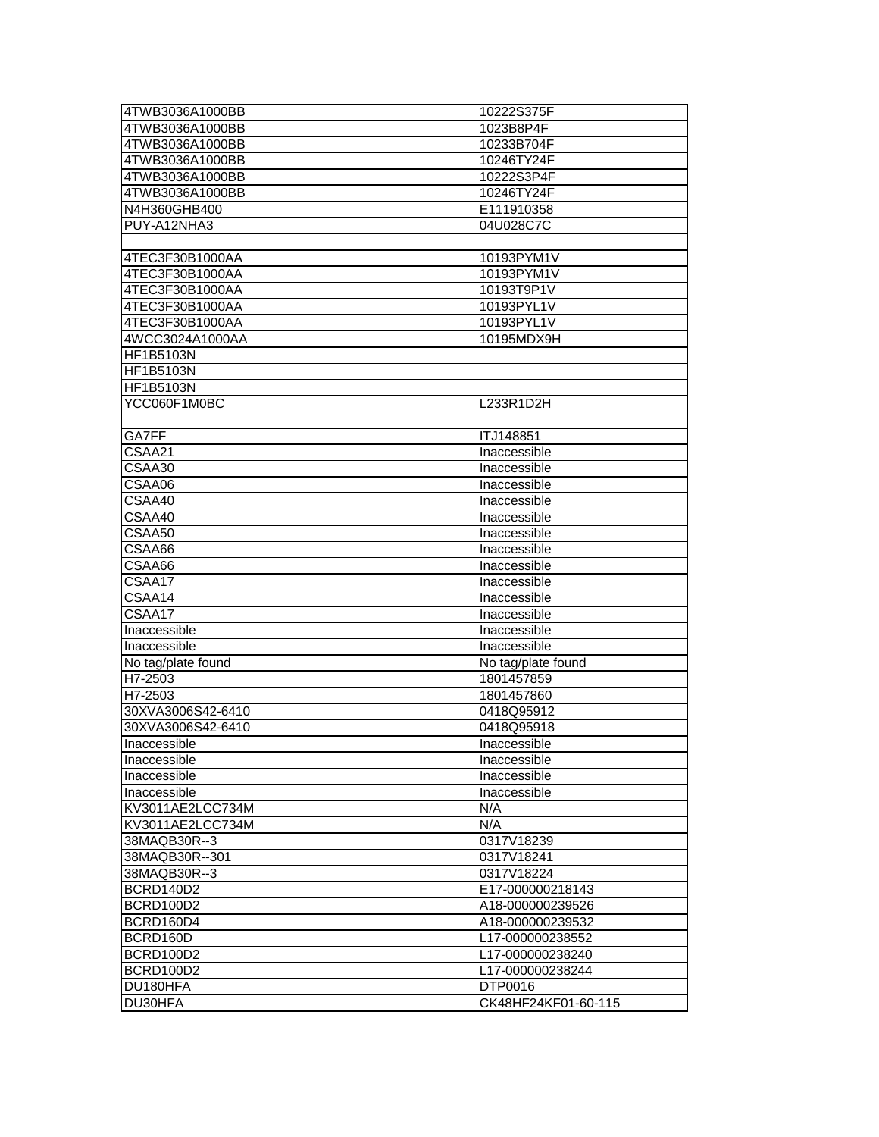| 4TWB3036A1000BB    | 10222S375F          |
|--------------------|---------------------|
| 4TWB3036A1000BB    | 1023B8P4F           |
| 4TWB3036A1000BB    | 10233B704F          |
| 4TWB3036A1000BB    | 10246TY24F          |
| 4TWB3036A1000BB    | 10222S3P4F          |
| 4TWB3036A1000BB    | 10246TY24F          |
| N4H360GHB400       | E111910358          |
| PUY-A12NHA3        | 04U028C7C           |
|                    |                     |
| 4TEC3F30B1000AA    | 10193PYM1V          |
| 4TEC3F30B1000AA    | 10193PYM1V          |
| 4TEC3F30B1000AA    | 10193T9P1V          |
| 4TEC3F30B1000AA    | 10193PYL1V          |
| 4TEC3F30B1000AA    | 10193PYL1V          |
| 4WCC3024A1000AA    | 10195MDX9H          |
| HF1B5103N          |                     |
| HF1B5103N          |                     |
| HF1B5103N          |                     |
| YCC060F1M0BC       | L233R1D2H           |
|                    |                     |
| GA7FF              | ITJ148851           |
| CSAA21             | Inaccessible        |
| CSAA30             | Inaccessible        |
| CSAA06             | Inaccessible        |
| CSAA40             | Inaccessible        |
| CSAA40             | Inaccessible        |
| CSAA50             | Inaccessible        |
| CSAA66             | Inaccessible        |
| CSAA66             | Inaccessible        |
| CSAA17             | Inaccessible        |
| CSAA14             | Inaccessible        |
| CSAA17             | Inaccessible        |
| Inaccessible       | Inaccessible        |
| Inaccessible       | Inaccessible        |
| No tag/plate found | No tag/plate found  |
| H7-2503            | 1801457859          |
| H7-2503            | 1801457860          |
| 30XVA3006S42-6410  | 0418Q95912          |
| 30XVA3006S42-6410  | 0418Q95918          |
|                    |                     |
| Inaccessible       | Inaccessible        |
| Inaccessible       | Inaccessible        |
| Inaccessible       | Inaccessible        |
| Inaccessible       | Inaccessible        |
| KV3011AE2LCC734M   | N/A                 |
| KV3011AE2LCC734M   | N/A                 |
| 38MAQB30R--3       | 0317V18239          |
| 38MAQB30R--301     | 0317V18241          |
| 38MAQB30R--3       | 0317V18224          |
| BCRD140D2          | E17-000000218143    |
| BCRD100D2          | A18-000000239526    |
| BCRD160D4          | A18-000000239532    |
| BCRD160D           | L17-000000238552    |
| BCRD100D2          | L17-000000238240    |
| BCRD100D2          | L17-000000238244    |
| DU180HFA           | DTP0016             |
| DU30HFA            | CK48HF24KF01-60-115 |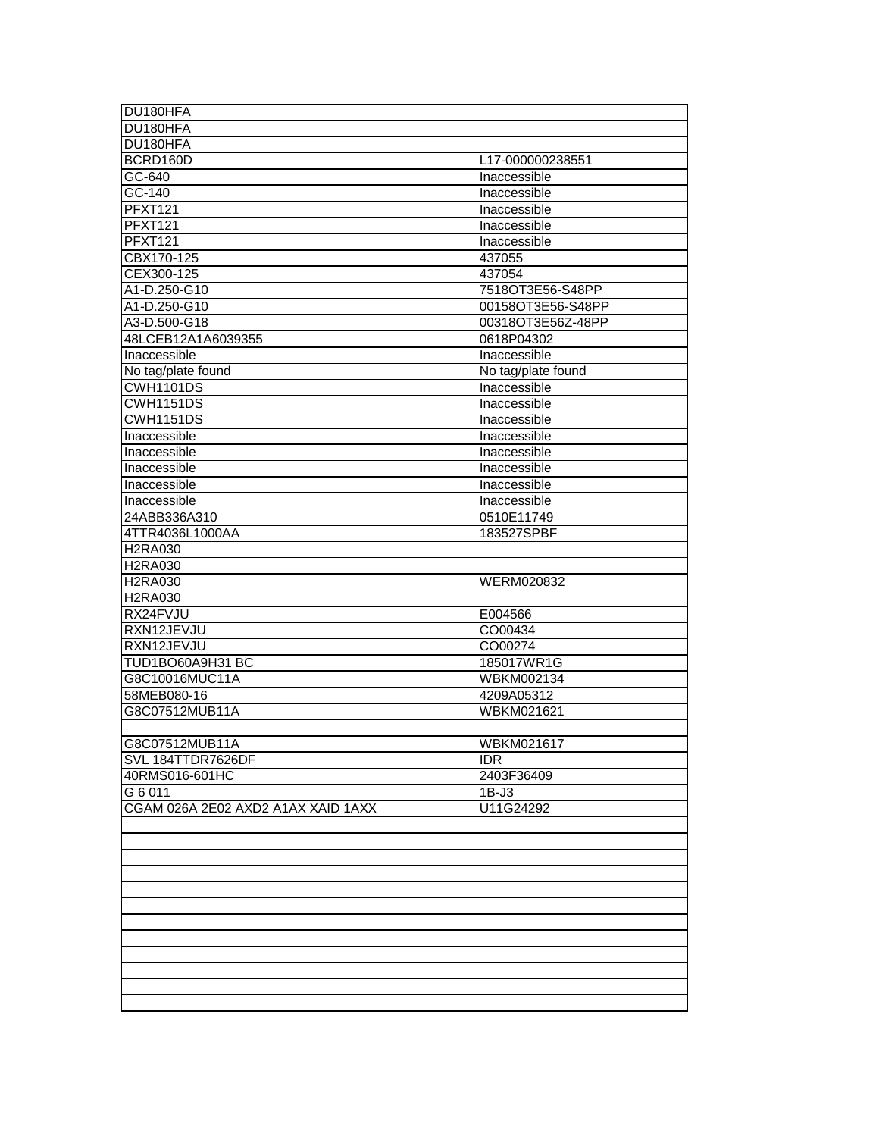| DU180HFA                           |                    |
|------------------------------------|--------------------|
| DU180HFA                           |                    |
| DU180HFA                           |                    |
| BCRD160D                           | L17-000000238551   |
| $GC-640$                           | Inaccessible       |
| GC-140                             | Inaccessible       |
| <b>PFXT121</b>                     | Inaccessible       |
| <b>PFXT121</b>                     | Inaccessible       |
| <b>PFXT121</b>                     | Inaccessible       |
| CBX170-125                         | 437055             |
| CEX300-125                         | 437054             |
| A1-D.250-G10                       | 7518OT3E56-S48PP   |
| A1-D.250-G10                       | 00158OT3E56-S48PP  |
| A3-D.500-G18                       | 00318OT3E56Z-48PP  |
| 48LCEB12A1A6039355                 | 0618P04302         |
| Inaccessible                       | Inaccessible       |
| No tag/plate found                 | No tag/plate found |
| <b>CWH1101DS</b>                   | Inaccessible       |
| <b>CWH1151DS</b>                   | Inaccessible       |
| <b>CWH1151DS</b>                   | Inaccessible       |
| Inaccessible                       | Inaccessible       |
| Inaccessible                       | Inaccessible       |
| Inaccessible                       | Inaccessible       |
| Inaccessible                       | Inaccessible       |
| Inaccessible                       | Inaccessible       |
| 24ABB336A310                       | 0510E11749         |
| 4TTR4036L1000AA                    | 183527SPBF         |
| <b>H2RA030</b>                     |                    |
| <b>H2RA030</b>                     |                    |
| <b>H2RA030</b>                     | WERM020832         |
| <b>H2RA030</b>                     |                    |
| RX24FVJU                           | E004566            |
| RXN12JEVJU                         | CO00434            |
| RXN12JEVJU                         | CO00274            |
| TUD1BO60A9H31 BC                   | 185017WR1G         |
| G8C10016MUC11A                     | WBKM002134         |
| 58MEB080-16                        | 4209A05312         |
| G8C07512MUB11A                     | WBKM021621         |
|                                    |                    |
| G8C07512MUB11A                     | WBKM021617         |
| SVL 184TTDR7626DF                  | <b>IDR</b>         |
| 40RMS016-601HC                     | 2403F36409         |
| G 6 011                            | $1B-J3$            |
| CGAM 026A 2E02 AXD2 A1AX XAID 1AXX | U11G24292          |
|                                    |                    |
|                                    |                    |
|                                    |                    |
|                                    |                    |
|                                    |                    |
|                                    |                    |
|                                    |                    |
|                                    |                    |
|                                    |                    |
|                                    |                    |
|                                    |                    |
|                                    |                    |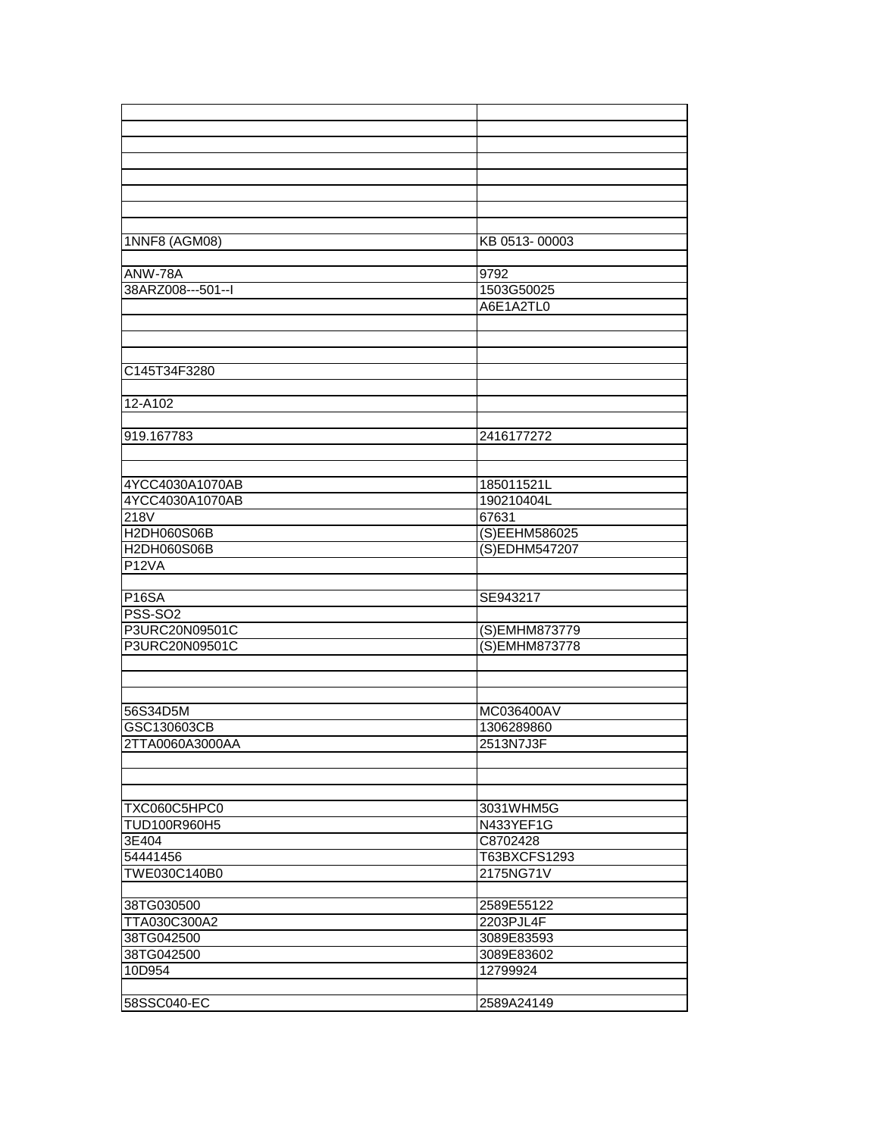| 1NNF8 (AGM08)     | KB 0513-00003 |
|-------------------|---------------|
|                   |               |
| ANW-78A           | 9792          |
| 38ARZ008---501--I | 1503G50025    |
|                   | A6E1A2TL0     |
|                   |               |
|                   |               |
|                   |               |
| C145T34F3280      |               |
|                   |               |
| 12-A102           |               |
|                   |               |
| 919.167783        | 2416177272    |
|                   |               |
|                   |               |
| 4YCC4030A1070AB   | 185011521L    |
| 4YCC4030A1070AB   | 190210404L    |
| 218V              | 67631         |
| H2DH060S06B       | (S)EEHM586025 |
| H2DH060S06B       | (S)EDHM547207 |
| <b>P12VA</b>      |               |
|                   |               |
| <b>P16SA</b>      | SE943217      |
| <b>PSS-SO2</b>    |               |
| P3URC20N09501C    | (S)EMHM873779 |
| P3URC20N09501C    | (S)EMHM873778 |
|                   |               |
|                   |               |
|                   |               |
| 56S34D5M          | MC036400AV    |
| GSC130603CB       | 1306289860    |
| 2TTA0060A3000AA   | 2513N7J3F     |
|                   |               |
|                   |               |
|                   |               |
| TXC060C5HPC0      | 3031WHM5G     |
| TUD100R960H5      | N433YEF1G     |
| 3E404             | C8702428      |
| 54441456          | T63BXCFS1293  |
| TWE030C140B0      | 2175NG71V     |
|                   |               |
| 38TG030500        | 2589E55122    |
| TTA030C300A2      | 2203PJL4F     |
| 38TG042500        | 3089E83593    |
| 38TG042500        | 3089E83602    |
| 10D954            | 12799924      |
|                   |               |
| 58SSC040-EC       | 2589A24149    |
|                   |               |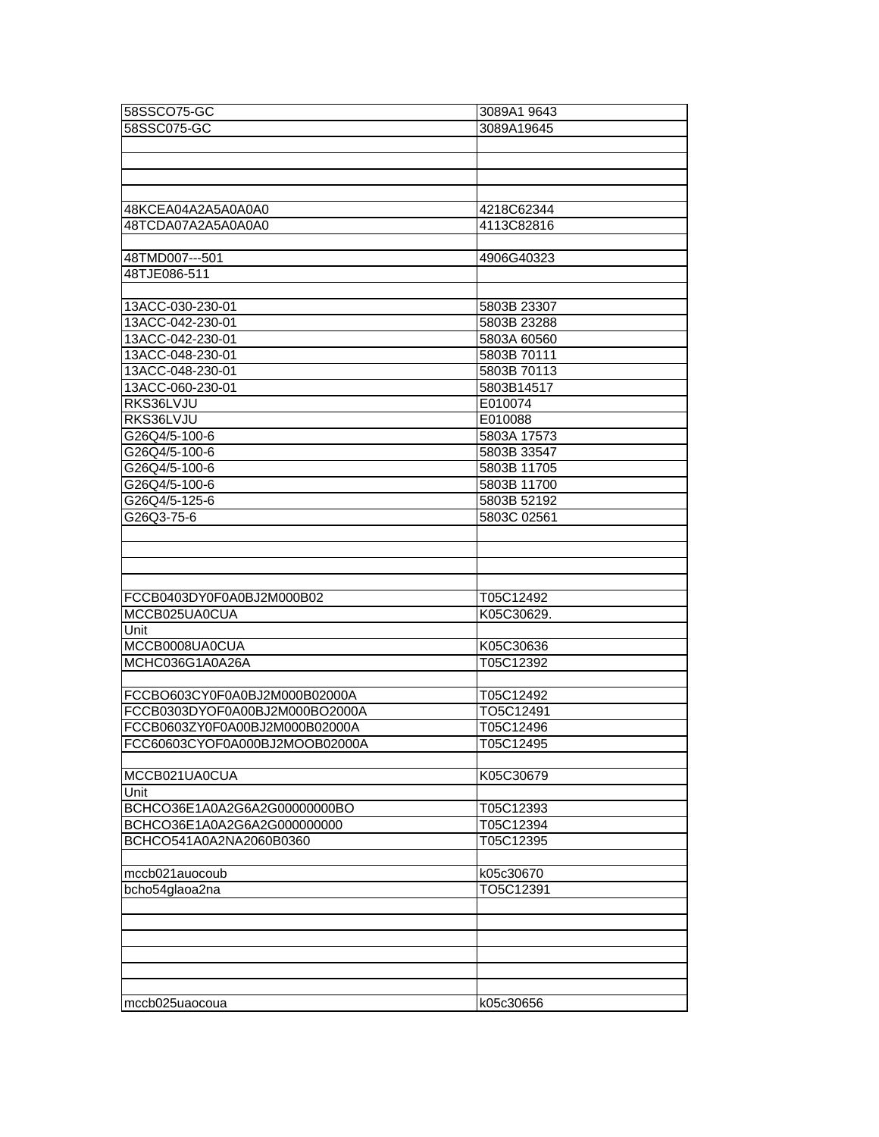| 58SSCO75-GC                    | 3089A1 9643 |
|--------------------------------|-------------|
| 58SSC075-GC                    | 3089A19645  |
|                                |             |
|                                |             |
|                                |             |
|                                |             |
| 48KCEA04A2A5A0A0A0             | 4218C62344  |
| 48TCDA07A2A5A0A0A0             |             |
|                                | 4113C82816  |
|                                |             |
| 48TMD007---501                 | 4906G40323  |
| 48TJE086-511                   |             |
|                                |             |
| 13ACC-030-230-01               | 5803B 23307 |
| 13ACC-042-230-01               | 5803B 23288 |
| 13ACC-042-230-01               | 5803A 60560 |
| 13ACC-048-230-01               | 5803B 70111 |
| 13ACC-048-230-01               | 5803B 70113 |
| 13ACC-060-230-01               | 5803B14517  |
| RKS36LVJU                      | E010074     |
| RKS36LVJU                      | E010088     |
| G26Q4/5-100-6                  | 5803A 17573 |
| G26Q4/5-100-6                  | 5803B 33547 |
| G26Q4/5-100-6                  | 5803B 11705 |
| G26Q4/5-100-6                  | 5803B 11700 |
| G26Q4/5-125-6                  | 5803B 52192 |
| G26Q3-75-6                     | 5803C 02561 |
|                                |             |
|                                |             |
|                                |             |
|                                |             |
| FCCB0403DY0F0A0BJ2M000B02      | T05C12492   |
| MCCB025UA0CUA                  | K05C30629.  |
| Unit                           |             |
| MCCB0008UA0CUA                 | K05C30636   |
| MCHC036G1A0A26A                | T05C12392   |
|                                |             |
| FCCBO603CY0F0A0BJ2M000B02000A  | T05C12492   |
| FCCB0303DYOF0A00BJ2M000BO2000A | TO5C12491   |
| FCCB0603ZY0F0A00BJ2M000B02000A | T05C12496   |
| FCC60603CYOF0A000BJ2MOOB02000A | T05C12495   |
|                                |             |
| MCCB021UA0CUA                  | K05C30679   |
| Unit                           |             |
| BCHCO36E1A0A2G6A2G00000000BO   | T05C12393   |
| BCHCO36E1A0A2G6A2G000000000    | T05C12394   |
| BCHCO541A0A2NA2060B0360        | T05C12395   |
|                                |             |
| mccb021auocoub                 | k05c30670   |
| bcho54glaoa2na                 | TO5C12391   |
|                                |             |
|                                |             |
|                                |             |
|                                |             |
|                                |             |
|                                |             |
| mccb025uaocoua                 | k05c30656   |
|                                |             |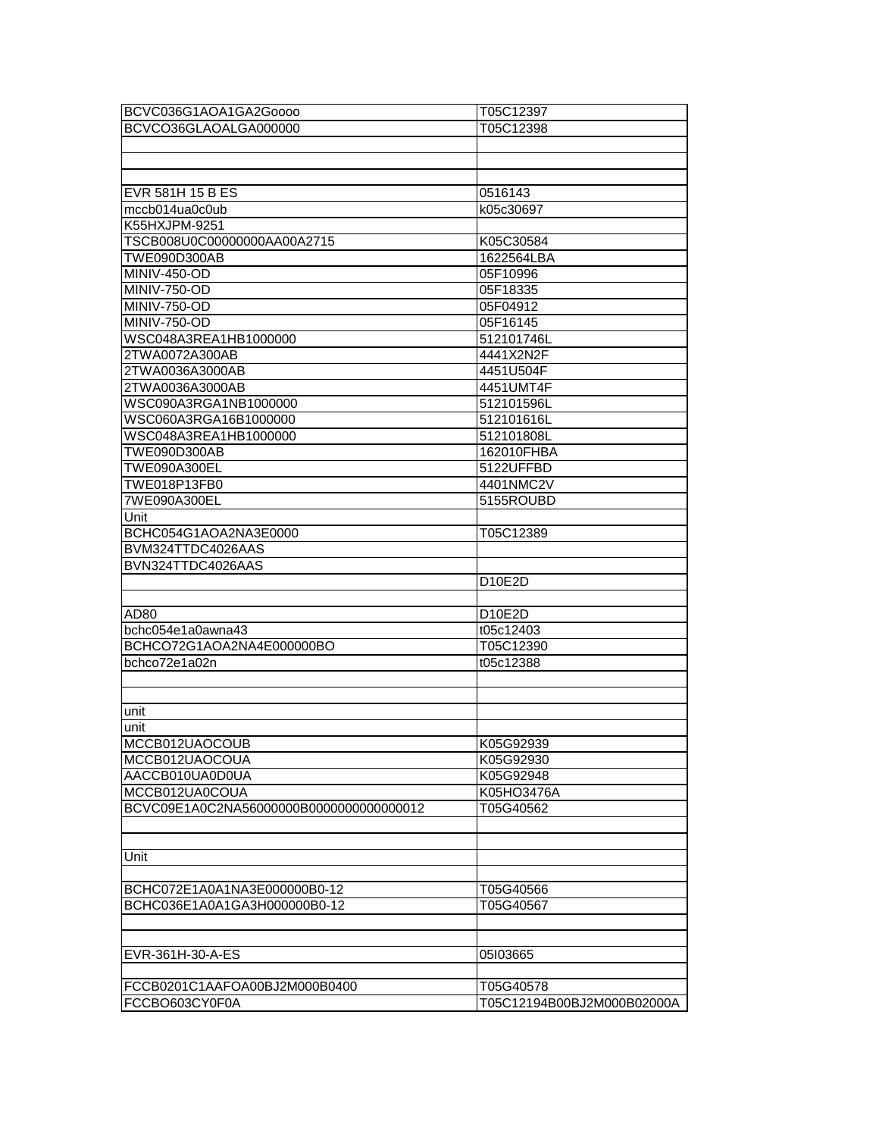| BCVC036G1AOA1GA2Goooo                    | T05C12397  |
|------------------------------------------|------------|
| BCVCO36GLAOALGA000000                    | T05C12398  |
|                                          |            |
|                                          |            |
|                                          |            |
| EVR 581H 15 B ES                         | 0516143    |
| mccb014ua0c0ub                           | k05c30697  |
| K55HXJPM-9251                            |            |
| TSCB008U0C00000000AA00A2715              | K05C30584  |
| TWE090D300AB                             | 1622564LBA |
| MINIV-450-OD                             | 05F10996   |
| <b>MINIV-750-OD</b>                      | 05F18335   |
| MINIV-750-OD                             | 05F04912   |
| MINIV-750-OD                             | 05F16145   |
| WSC048A3REA1HB1000000                    | 512101746L |
| 2TWA0072A300AB                           | 4441X2N2F  |
| 2TWA0036A3000AB                          | 4451U504F  |
| 2TWA0036A3000AB                          | 4451UMT4F  |
| WSC090A3RGA1NB1000000                    | 512101596L |
| WSC060A3RGA16B1000000                    | 512101616L |
| WSC048A3REA1HB1000000                    | 512101808L |
| TWE090D300AB                             | 162010FHBA |
| TWE090A300EL                             | 5122UFFBD  |
| TWE018P13FB0                             | 4401NMC2V  |
| 7WE090A300EL                             | 5155ROUBD  |
| Unit                                     |            |
| BCHC054G1AOA2NA3E0000                    | T05C12389  |
| BVM324TTDC4026AAS                        |            |
| BVN324TTDC4026AAS                        |            |
|                                          | D10E2D     |
|                                          |            |
| AD <sub>80</sub>                         | D10E2D     |
| bchc054e1a0awna43                        | t05c12403  |
| BCHCO72G1AOA2NA4E000000BO                | T05C12390  |
| bchco72e1a02n                            | t05c12388  |
|                                          |            |
|                                          |            |
| unit                                     |            |
| unit                                     |            |
| MCCB012UAOCOUB                           | K05G92939  |
| MCCB012UAOCOUA                           | K05G92930  |
| AACCB010UA0D0UA                          | K05G92948  |
| MCCB012UA0COUA                           | K05HO3476A |
| BCVC09E1A0C2NA56000000B00000000000000012 | T05G40562  |
|                                          |            |
|                                          |            |
| Unit                                     |            |
|                                          |            |
| BCHC072E1A0A1NA3E000000B0-12             | T05G40566  |
| BCHC036E1A0A1GA3H000000B0-12             | T05G40567  |
|                                          |            |
|                                          |            |
| EVR-361H-30-A-ES                         | 05I03665   |
|                                          |            |
| FCCB0201C1AAFOA00BJ2M000B0400            |            |
|                                          | T05G40578  |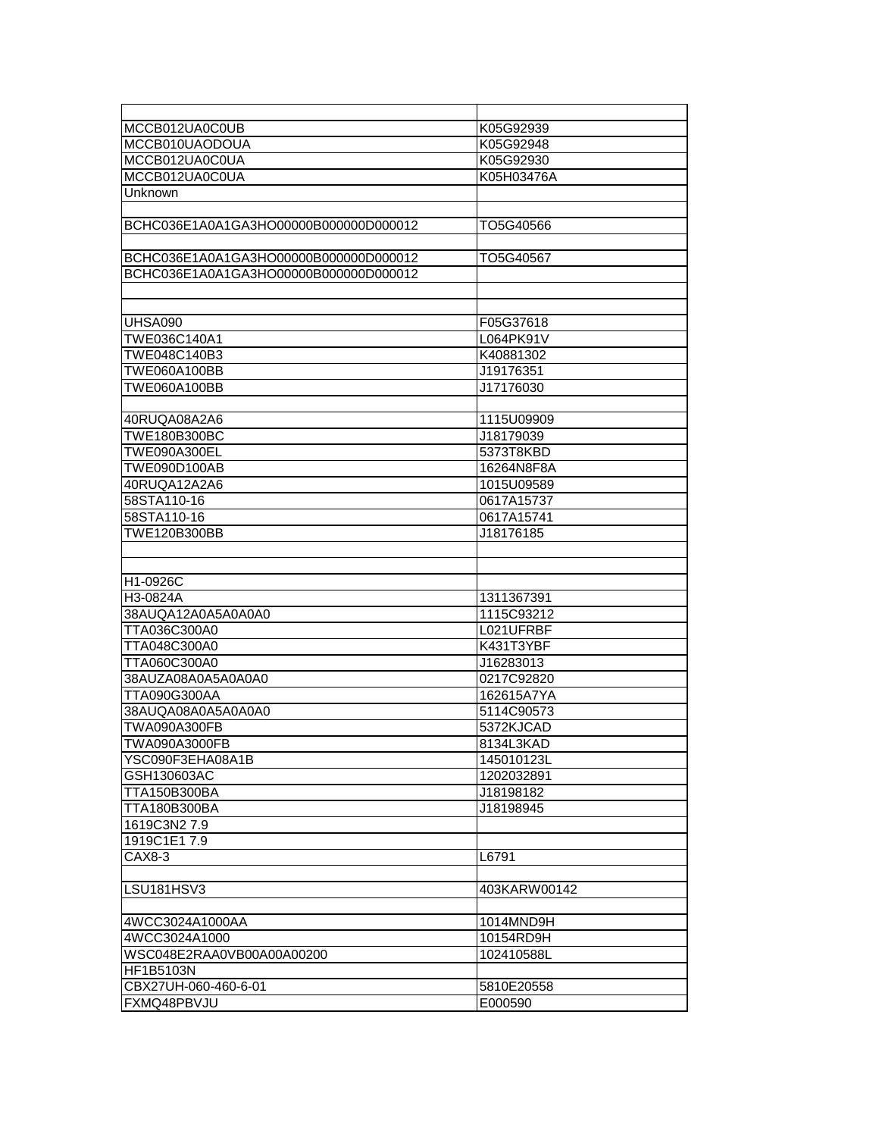| MCCB012UA0C0UB                        | K05G92939    |
|---------------------------------------|--------------|
| MCCB010UAODOUA                        | K05G92948    |
| MCCB012UA0C0UA                        | K05G92930    |
| MCCB012UA0C0UA                        | K05H03476A   |
| Unknown                               |              |
|                                       |              |
| BCHC036E1A0A1GA3HO00000B000000D000012 | TO5G40566    |
|                                       |              |
| BCHC036E1A0A1GA3HO00000B000000D000012 | TO5G40567    |
| BCHC036E1A0A1GA3HO00000B000000D000012 |              |
|                                       |              |
|                                       |              |
| UHSA090                               | F05G37618    |
| TWE036C140A1                          | L064PK91V    |
| TWE048C140B3                          | K40881302    |
| TWE060A100BB                          | J19176351    |
| TWE060A100BB                          | J17176030    |
|                                       |              |
| 40RUQA08A2A6                          | 1115U09909   |
| TWE180B300BC                          | J18179039    |
| TWE090A300EL                          | 5373T8KBD    |
| TWE090D100AB                          | 16264N8F8A   |
| 40RUQA12A2A6                          | 1015U09589   |
| 58STA110-16                           | 0617A15737   |
| 58STA110-16                           | 0617A15741   |
| TWE120B300BB                          | J18176185    |
|                                       |              |
|                                       |              |
| H1-0926C                              |              |
| H3-0824A                              | 1311367391   |
| 38AUQA12A0A5A0A0A0                    | 1115C93212   |
| TTA036C300A0                          | L021UFRBF    |
| TTA048C300A0                          | K431T3YBF    |
| TTA060C300A0                          | J16283013    |
| 38AUZA08A0A5A0A0A0                    | 0217C92820   |
| TTA090G300AA                          | 162615A7YA   |
| 38AUQA08A0A5A0A0A0                    | 5114C90573   |
| TWA090A300FB                          | 5372KJCAD    |
| TWA090A3000FB                         | 8134L3KAD    |
| YSC090F3EHA08A1B                      | 145010123L   |
| GSH130603AC                           | 1202032891   |
| TTA150B300BA                          | J18198182    |
| TTA180B300BA                          | J18198945    |
| 1619C3N27.9                           |              |
| 1919C1E17.9                           |              |
| CAX8-3                                | L6791        |
|                                       |              |
| LSU181HSV3                            | 403KARW00142 |
|                                       |              |
| 4WCC3024A1000AA                       | 1014MND9H    |
| 4WCC3024A1000                         | 10154RD9H    |
| WSC048E2RAA0VB00A00A00200             | 102410588L   |
| HF1B5103N                             |              |
| CBX27UH-060-460-6-01                  | 5810E20558   |
| FXMQ48PBVJU                           | E000590      |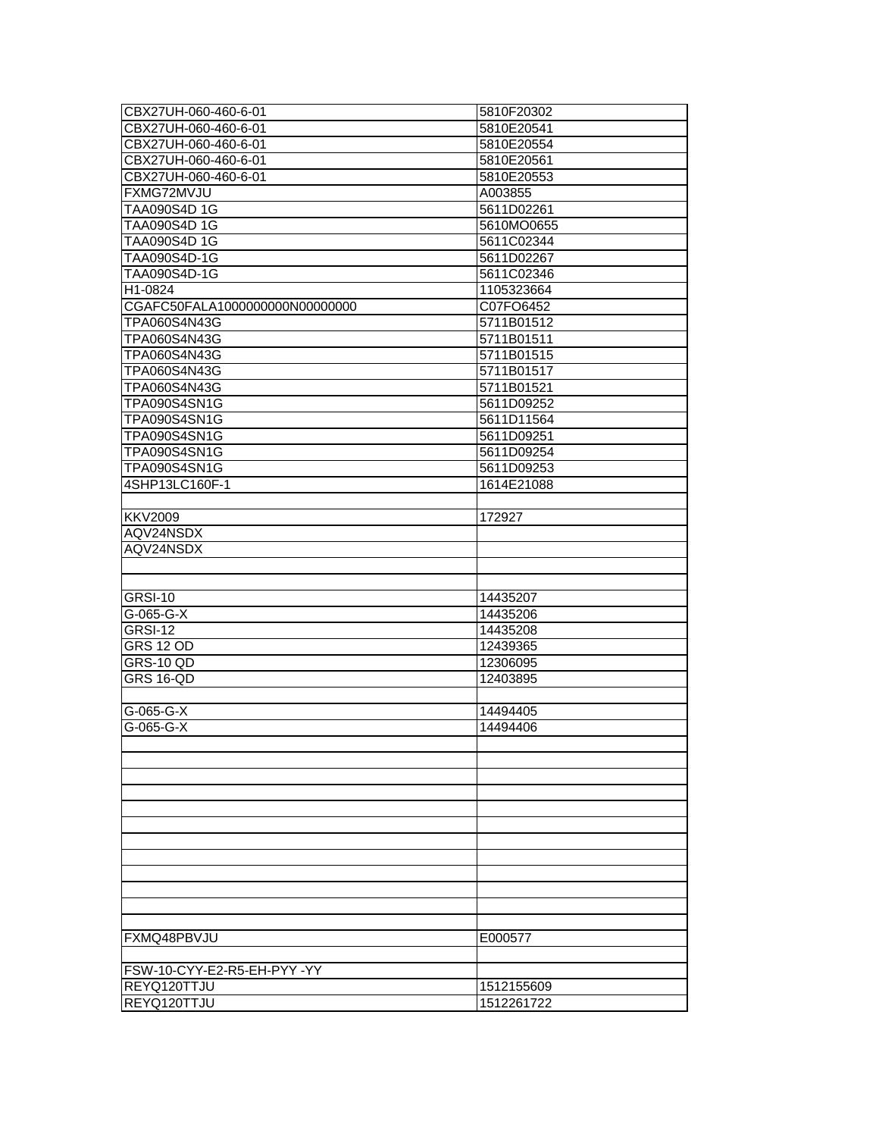|                                           | 5810F20302 |
|-------------------------------------------|------------|
| CBX27UH-060-460-6-01                      | 5810E20541 |
| CBX27UH-060-460-6-01                      | 5810E20554 |
| CBX27UH-060-460-6-01                      | 5810E20561 |
| CBX27UH-060-460-6-01                      | 5810E20553 |
| FXMG72MVJU                                | A003855    |
| TAA090S4D 1G                              | 5611D02261 |
| TAA090S4D 1G                              | 5610MO0655 |
| TAA090S4D 1G                              | 5611C02344 |
| TAA090S4D-1G                              | 5611D02267 |
| TAA090S4D-1G                              | 5611C02346 |
| H1-0824                                   | 1105323664 |
| CGAFC50FALA1000000000N00000000            | C07FO6452  |
| TPA060S4N43G                              | 5711B01512 |
| TPA060S4N43G                              | 5711B01511 |
| TPA060S4N43G                              | 5711B01515 |
| TPA060S4N43G                              | 5711B01517 |
| TPA060S4N43G                              | 5711B01521 |
| TPA090S4SN1G                              | 5611D09252 |
| TPA090S4SN1G                              | 5611D11564 |
| TPA090S4SN1G                              | 5611D09251 |
| TPA090S4SN1G                              | 5611D09254 |
| TPA090S4SN1G                              | 5611D09253 |
| 4SHP13LC160F-1                            | 1614E21088 |
|                                           |            |
| <b>KKV2009</b>                            | 172927     |
| AQV24NSDX                                 |            |
| AQV24NSDX                                 |            |
|                                           |            |
|                                           |            |
| GRSI-10                                   | 14435207   |
| G-065-G-X                                 | 14435206   |
| GRSI-12                                   | 14435208   |
|                                           |            |
|                                           |            |
| <b>GRS 12 OD</b>                          | 12439365   |
| GRS-10 QD                                 | 12306095   |
| <b>GRS 16-QD</b>                          | 12403895   |
|                                           |            |
| $G-065-G-X$                               | 14494405   |
| G-065-G-X                                 | 14494406   |
|                                           |            |
|                                           |            |
|                                           |            |
|                                           |            |
|                                           |            |
|                                           |            |
|                                           |            |
|                                           |            |
|                                           |            |
|                                           |            |
|                                           |            |
|                                           |            |
| FXMQ48PBVJU                               | E000577    |
|                                           |            |
| FSW-10-CYY-E2-R5-EH-PYY-YY<br>REYQ120TTJU | 1512155609 |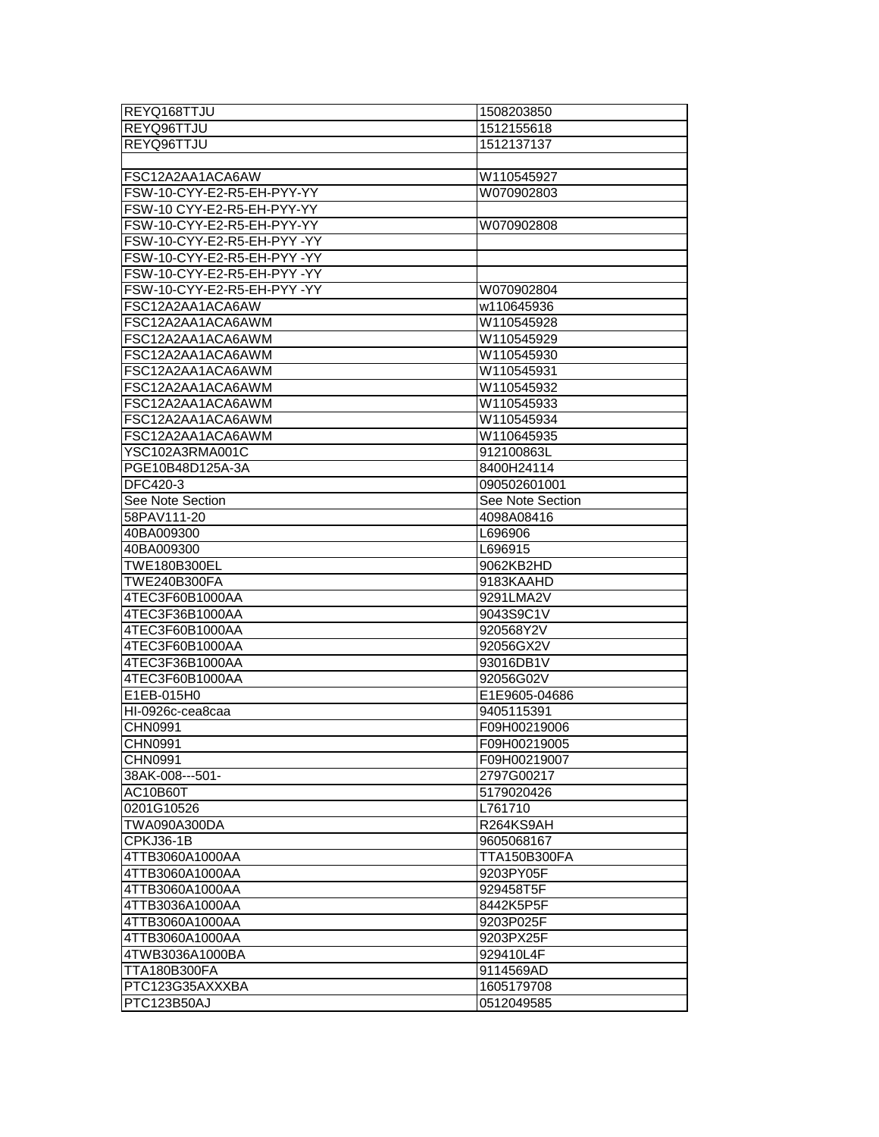| REYQ168TTJU                | 1508203850          |
|----------------------------|---------------------|
| REYQ96TTJU                 | 1512155618          |
| REYQ96TTJU                 | 1512137137          |
|                            |                     |
| FSC12A2AA1ACA6AW           | W110545927          |
| FSW-10-CYY-E2-R5-EH-PYY-YY | W070902803          |
| FSW-10 CYY-E2-R5-EH-PYY-YY |                     |
| FSW-10-CYY-E2-R5-EH-PYY-YY | W070902808          |
| FSW-10-CYY-E2-R5-EH-PYY-YY |                     |
| FSW-10-CYY-E2-R5-EH-PYY-YY |                     |
| FSW-10-CYY-E2-R5-EH-PYY-YY |                     |
| FSW-10-CYY-E2-R5-EH-PYY-YY | W070902804          |
| FSC12A2AA1ACA6AW           | w110645936          |
| FSC12A2AA1ACA6AWM          | W110545928          |
| FSC12A2AA1ACA6AWM          | W110545929          |
| FSC12A2AA1ACA6AWM          | W110545930          |
| FSC12A2AA1ACA6AWM          | W110545931          |
| FSC12A2AA1ACA6AWM          | W110545932          |
| FSC12A2AA1ACA6AWM          | W110545933          |
| FSC12A2AA1ACA6AWM          | W110545934          |
| FSC12A2AA1ACA6AWM          | W110645935          |
| YSC102A3RMA001C            | 912100863L          |
| PGE10B48D125A-3A           | 8400H24114          |
| DFC420-3                   | 090502601001        |
| See Note Section           | See Note Section    |
| 58PAV111-20                | 4098A08416          |
| 40BA009300                 | L696906             |
| 40BA009300                 | L696915             |
| <b>TWE180B300EL</b>        | 9062KB2HD           |
| <b>TWE240B300FA</b>        | 9183KAAHD           |
| 4TEC3F60B1000AA            | 9291LMA2V           |
| 4TEC3F36B1000AA            | 9043S9C1V           |
| 4TEC3F60B1000AA            | 920568Y2V           |
| 4TEC3F60B1000AA            | 92056GX2V           |
| 4TEC3F36B1000AA            | 93016DB1V           |
| 4TEC3F60B1000AA            | 92056G02V           |
| E1EB-015H0                 | E1E9605-04686       |
| HI-0926c-cea8caa           | 9405115391          |
| CHN0991                    | F09H00219006        |
| <b>CHN0991</b>             | F09H00219005        |
| CHN0991                    | F09H00219007        |
| 38AK-008---501-            | 2797G00217          |
| AC10B60T                   | 5179020426          |
| 0201G10526                 | L761710             |
| TWA090A300DA               | R264KS9AH           |
| CPKJ36-1B                  | 9605068167          |
| 4TTB3060A1000AA            | <b>TTA150B300FA</b> |
| 4TTB3060A1000AA            | 9203PY05F           |
| 4TTB3060A1000AA            | 929458T5F           |
| 4TTB3036A1000AA            | 8442K5P5F           |
| 4TTB3060A1000AA            | 9203P025F           |
| 4TTB3060A1000AA            | 9203PX25F           |
| 4TWB3036A1000BA            | 929410L4F           |
| <b>TTA180B300FA</b>        | 9114569AD           |
| PTC123G35AXXXBA            | 1605179708          |
| PTC123B50AJ                | 0512049585          |
|                            |                     |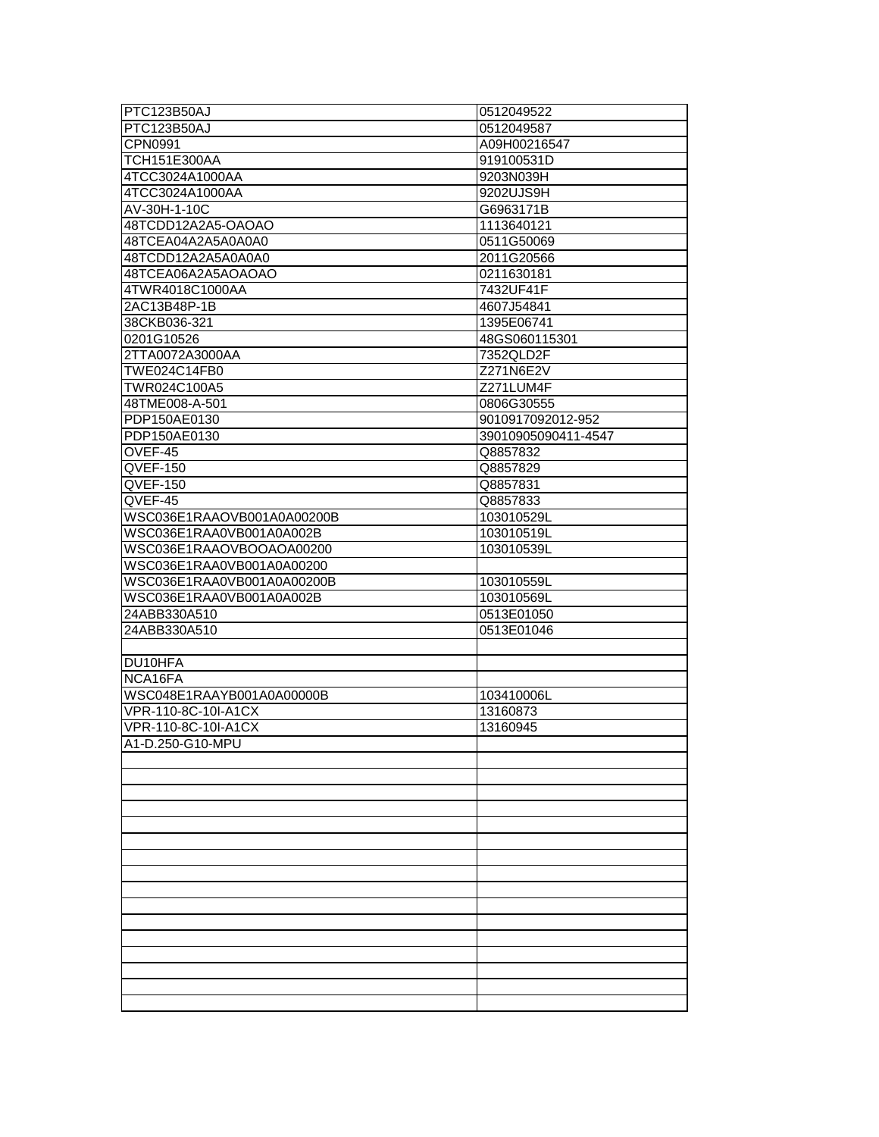| PTC123B50AJ                | 0512049522          |
|----------------------------|---------------------|
| PTC123B50AJ                | 0512049587          |
| CPN0991                    | A09H00216547        |
| <b>TCH151E300AA</b>        | 919100531D          |
| 4TCC3024A1000AA            | 9203N039H           |
| 4TCC3024A1000AA            | 9202UJS9H           |
| AV-30H-1-10C               | G6963171B           |
| 48TCDD12A2A5-OAOAO         | 1113640121          |
| 48TCEA04A2A5A0A0A0         | 0511G50069          |
| 48TCDD12A2A5A0A0A0         | 2011G20566          |
| 48TCEA06A2A5AOAOAO         | 0211630181          |
| 4TWR4018C1000AA            | 7432UF41F           |
| 2AC13B48P-1B               | 4607J54841          |
| 38CKB036-321               | 1395E06741          |
| 0201G10526                 | 48GS060115301       |
| 2TTA0072A3000AA            | 7352QLD2F           |
| TWE024C14FB0               | Z271N6E2V           |
| TWR024C100A5               | Z271LUM4F           |
| 48TME008-A-501             | 0806G30555          |
| PDP150AE0130               | 9010917092012-952   |
| PDP150AE0130               | 39010905090411-4547 |
| OVEF-45                    | Q8857832            |
| QVEF-150                   | Q8857829            |
| QVEF-150                   | Q8857831            |
| QVEF-45                    | Q8857833            |
| WSC036E1RAAOVB001A0A00200B | 103010529L          |
| WSC036E1RAA0VB001A0A002B   | 103010519L          |
| WSC036E1RAAOVBOOAOA00200   | 103010539L          |
| WSC036E1RAA0VB001A0A00200  |                     |
| WSC036E1RAA0VB001A0A00200B | 103010559L          |
| WSC036E1RAA0VB001A0A002B   | 103010569L          |
| 24ABB330A510               | 0513E01050          |
| 24ABB330A510               | 0513E01046          |
|                            |                     |
| DU10HFA                    |                     |
| NCA16FA                    |                     |
| WSC048E1RAAYB001A0A00000B  | 103410006L          |
| VPR-110-8C-10I-A1CX        | 13160873            |
| VPR-110-8C-10I-A1CX        | 13160945            |
| A1-D.250-G10-MPU           |                     |
|                            |                     |
|                            |                     |
|                            |                     |
|                            |                     |
|                            |                     |
|                            |                     |
|                            |                     |
|                            |                     |
|                            |                     |
|                            |                     |
|                            |                     |
|                            |                     |
|                            |                     |
|                            |                     |
|                            |                     |
|                            |                     |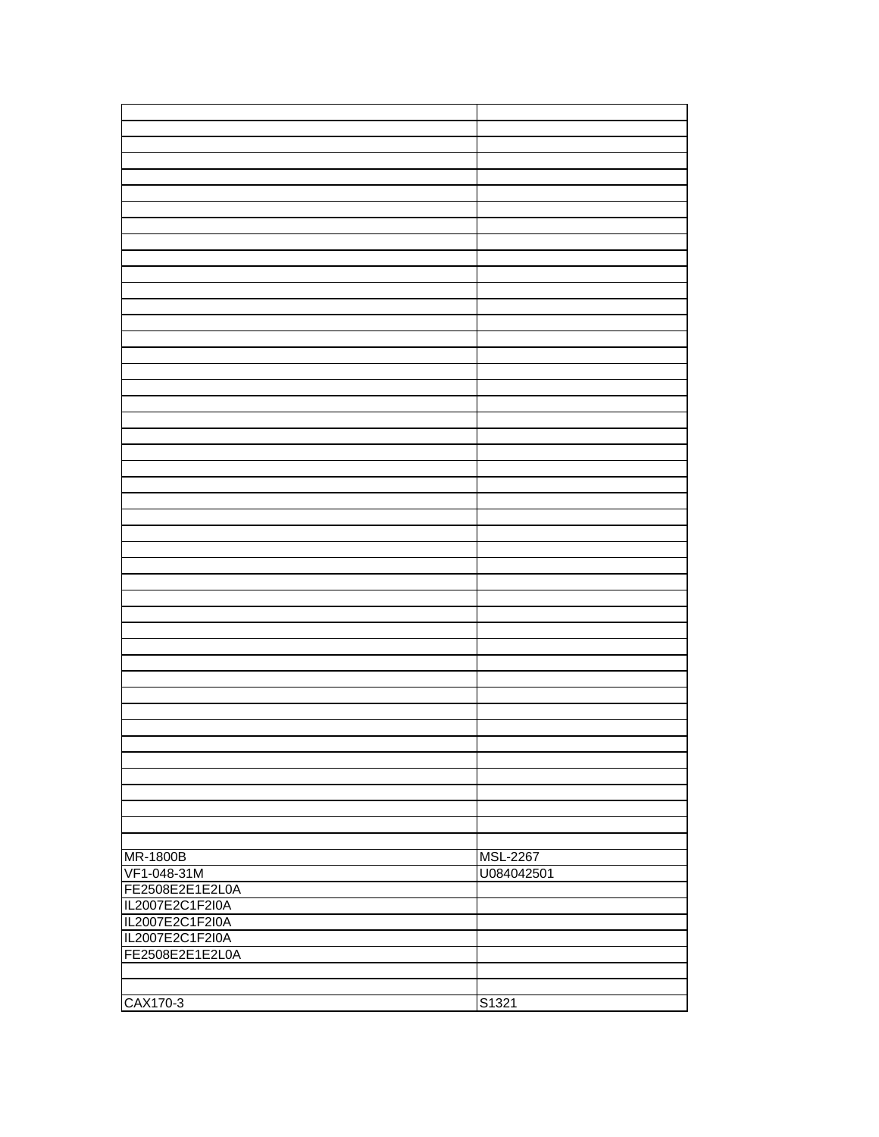| <b>MR-1800B</b> |                 |
|-----------------|-----------------|
|                 | <b>MSL-2267</b> |
| VF1-048-31M     | U084042501      |
| FE2508E2E1E2L0A |                 |
| IL2007E2C1F2I0A |                 |
| IL2007E2C1F2I0A |                 |
| IL2007E2C1F2I0A |                 |
|                 |                 |
| FE2508E2E1E2L0A |                 |
|                 |                 |
|                 |                 |
| CAX170-3        | S1321           |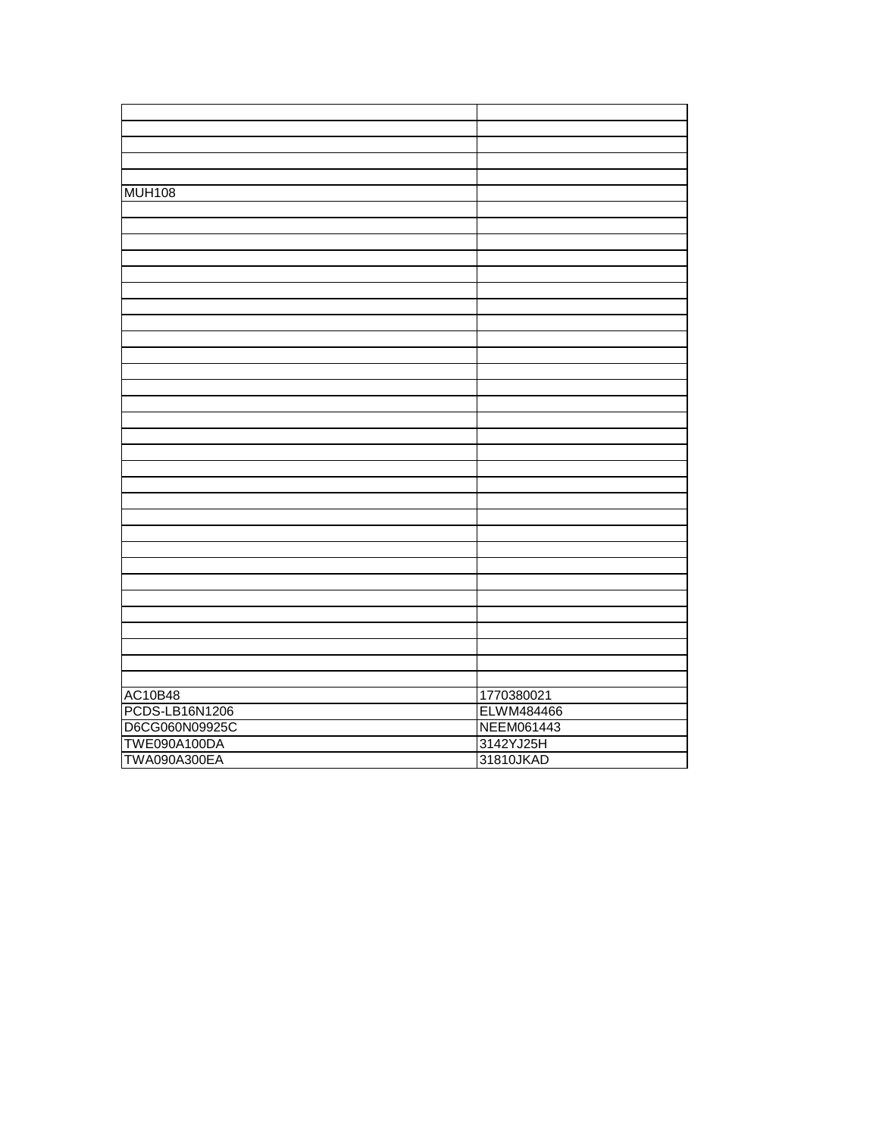| <b>MUH108</b>       |            |
|---------------------|------------|
|                     |            |
|                     |            |
|                     |            |
|                     |            |
|                     |            |
|                     |            |
|                     |            |
|                     |            |
|                     |            |
|                     |            |
|                     |            |
|                     |            |
|                     |            |
|                     |            |
|                     |            |
|                     |            |
|                     |            |
|                     |            |
|                     |            |
|                     |            |
|                     |            |
|                     |            |
|                     |            |
|                     |            |
|                     |            |
|                     |            |
|                     |            |
|                     |            |
|                     |            |
|                     |            |
| <b>AC10B48</b>      | 1770380021 |
|                     |            |
| PCDS-LB16N1206      | ELWM484466 |
| D6CG060N09925C      | NEEM061443 |
| <b>TWE090A100DA</b> | 3142YJ25H  |
| <b>TWA090A300EA</b> | 31810JKAD  |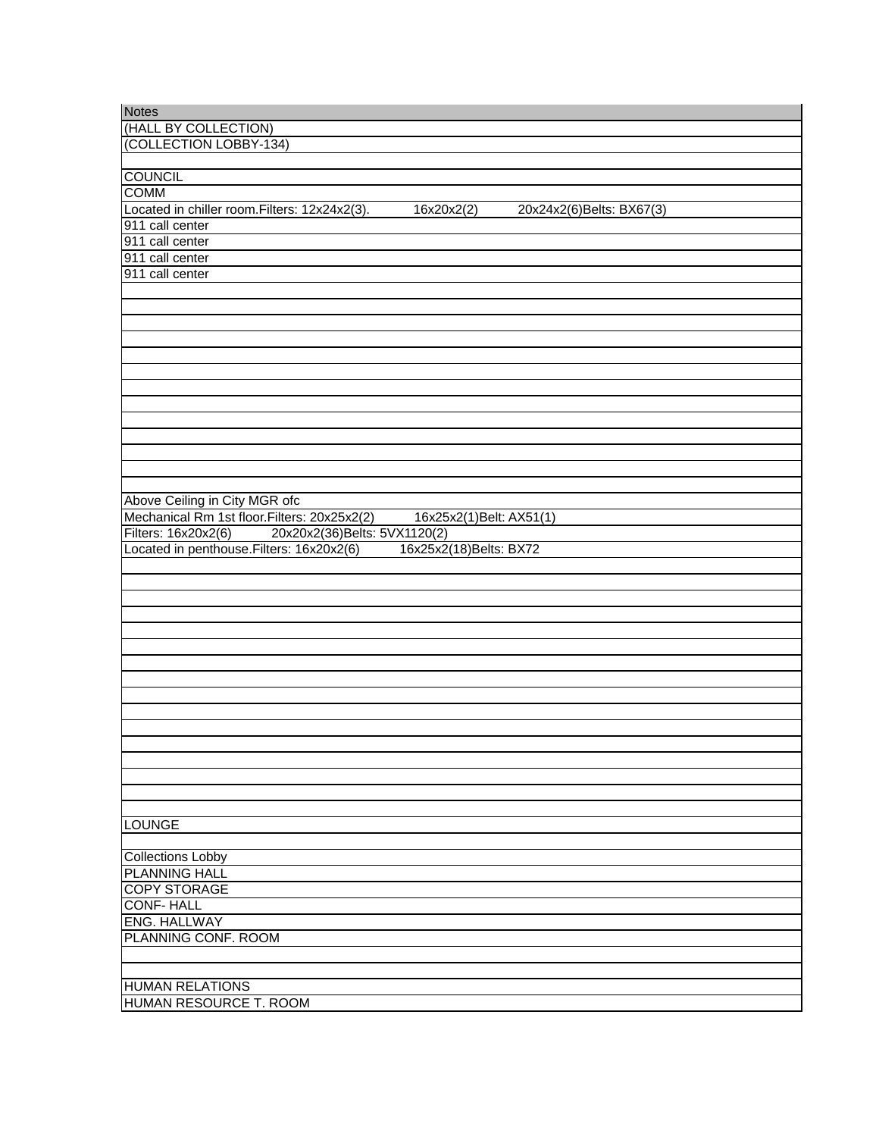| <b>Notes</b>                                                                            |
|-----------------------------------------------------------------------------------------|
| (HALL BY COLLECTION)                                                                    |
| (COLLECTION LOBBY-134)                                                                  |
|                                                                                         |
| <b>COUNCIL</b>                                                                          |
| <b>COMM</b>                                                                             |
| Located in chiller room. Filters: 12x24x2(3).<br>16x20x2(2)<br>20x24x2(6)Belts: BX67(3) |
| 911 call center                                                                         |
| 911 call center                                                                         |
| 911 call center                                                                         |
| 911 call center                                                                         |
|                                                                                         |
|                                                                                         |
|                                                                                         |
|                                                                                         |
|                                                                                         |
|                                                                                         |
|                                                                                         |
|                                                                                         |
|                                                                                         |
|                                                                                         |
|                                                                                         |
|                                                                                         |
|                                                                                         |
|                                                                                         |
| Above Ceiling in City MGR ofc                                                           |
| Mechanical Rm 1st floor. Filters: 20x25x2(2)<br>16x25x2(1)Belt: AX51(1)                 |
| 20x20x2(36)Belts: 5VX1120(2)<br>Filters: 16x20x2(6)                                     |
| Located in penthouse. Filters: 16x20x2(6)<br>16x25x2(18)Belts: BX72                     |
|                                                                                         |
|                                                                                         |
|                                                                                         |
|                                                                                         |
|                                                                                         |
|                                                                                         |
|                                                                                         |
|                                                                                         |
|                                                                                         |
|                                                                                         |
|                                                                                         |
|                                                                                         |
|                                                                                         |
|                                                                                         |
|                                                                                         |
|                                                                                         |
|                                                                                         |
| <b>LOUNGE</b>                                                                           |
|                                                                                         |
| <b>Collections Lobby</b>                                                                |
| <b>PLANNING HALL</b>                                                                    |
| <b>COPY STORAGE</b>                                                                     |
| <b>CONF-HALL</b>                                                                        |
| ENG. HALLWAY                                                                            |
| PLANNING CONF. ROOM                                                                     |
|                                                                                         |
|                                                                                         |
| <b>HUMAN RELATIONS</b>                                                                  |
| <b>HUMAN RESOURCE T. ROOM</b>                                                           |
|                                                                                         |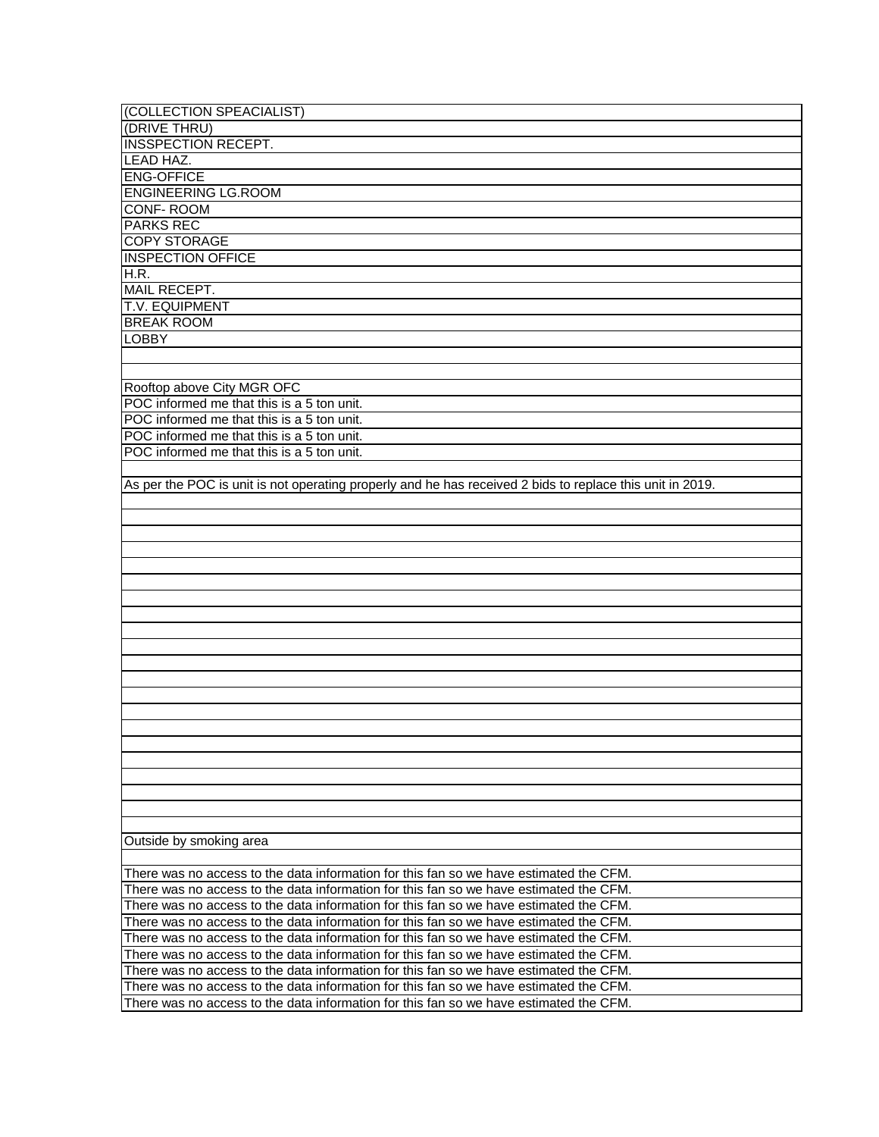| (COLLECTION SPEACIALIST)                                                                                  |
|-----------------------------------------------------------------------------------------------------------|
| (DRIVE THRU)                                                                                              |
| INSSPECTION RECEPT.                                                                                       |
| <b>LEAD HAZ.</b>                                                                                          |
| <b>ENG-OFFICE</b>                                                                                         |
| <b>ENGINEERING LG.ROOM</b>                                                                                |
| <b>CONF-ROOM</b>                                                                                          |
| <b>PARKS REC</b>                                                                                          |
| <b>COPY STORAGE</b>                                                                                       |
| <b>INSPECTION OFFICE</b>                                                                                  |
| H.R.                                                                                                      |
| <b>MAIL RECEPT.</b>                                                                                       |
| T.V. EQUIPMENT                                                                                            |
| <b>BREAK ROOM</b>                                                                                         |
| <b>LOBBY</b>                                                                                              |
|                                                                                                           |
|                                                                                                           |
|                                                                                                           |
| Rooftop above City MGR OFC                                                                                |
| POC informed me that this is a 5 ton unit.                                                                |
| POC informed me that this is a 5 ton unit.                                                                |
| POC informed me that this is a 5 ton unit.                                                                |
| POC informed me that this is a 5 ton unit.                                                                |
|                                                                                                           |
| As per the POC is unit is not operating properly and he has received 2 bids to replace this unit in 2019. |
|                                                                                                           |
|                                                                                                           |
|                                                                                                           |
|                                                                                                           |
|                                                                                                           |
|                                                                                                           |
|                                                                                                           |
|                                                                                                           |
|                                                                                                           |
|                                                                                                           |
|                                                                                                           |
|                                                                                                           |
|                                                                                                           |
|                                                                                                           |
|                                                                                                           |
|                                                                                                           |
|                                                                                                           |
|                                                                                                           |
|                                                                                                           |
|                                                                                                           |
|                                                                                                           |
|                                                                                                           |
| Outside by smoking area                                                                                   |
|                                                                                                           |
| There was no access to the data information for this fan so we have estimated the CFM.                    |
| There was no access to the data information for this fan so we have estimated the CFM.                    |
| There was no access to the data information for this fan so we have estimated the CFM.                    |
| There was no access to the data information for this fan so we have estimated the CFM.                    |
| There was no access to the data information for this fan so we have estimated the CFM.                    |
| There was no access to the data information for this fan so we have estimated the CFM.                    |
| There was no access to the data information for this fan so we have estimated the CFM.                    |
| There was no access to the data information for this fan so we have estimated the CFM.                    |
| There was no access to the data information for this fan so we have estimated the CFM.                    |
|                                                                                                           |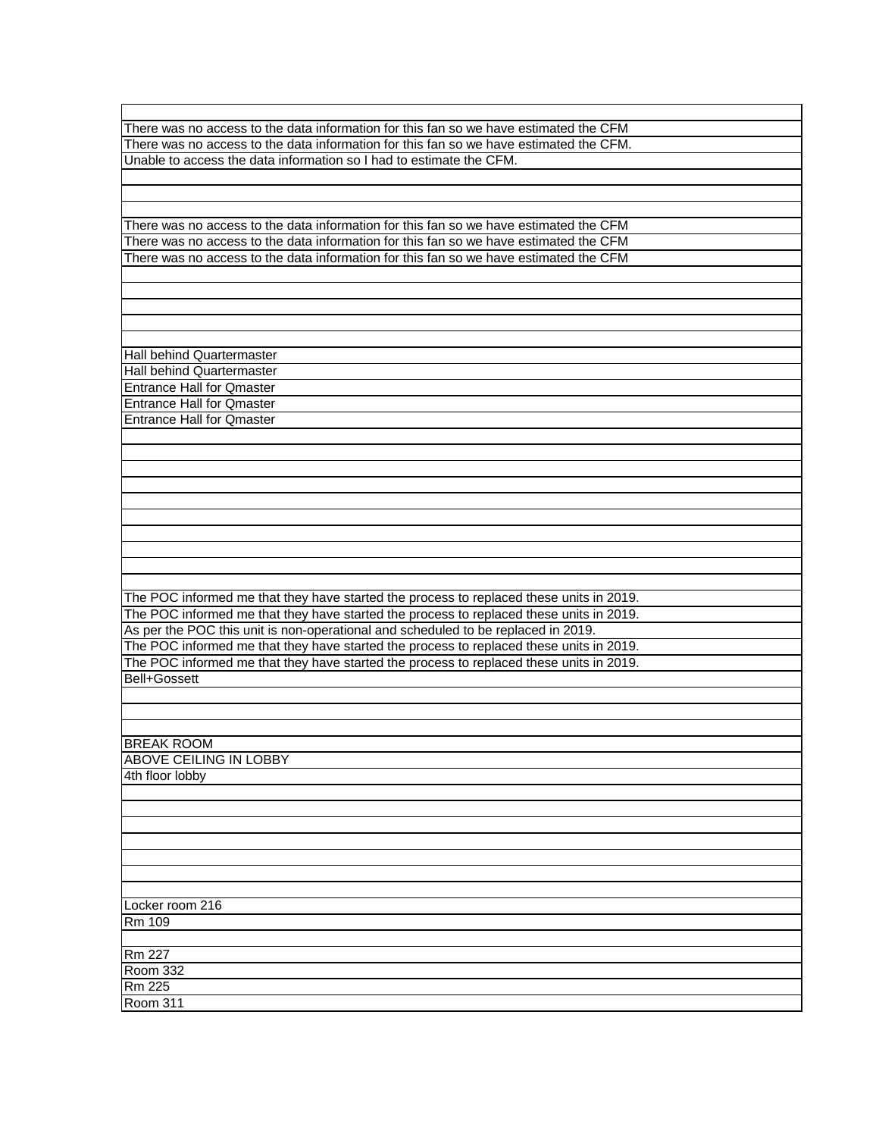| There was no access to the data information for this fan so we have estimated the CFM   |
|-----------------------------------------------------------------------------------------|
| There was no access to the data information for this fan so we have estimated the CFM.  |
|                                                                                         |
| Unable to access the data information so I had to estimate the CFM.                     |
|                                                                                         |
|                                                                                         |
|                                                                                         |
| There was no access to the data information for this fan so we have estimated the CFM   |
|                                                                                         |
| There was no access to the data information for this fan so we have estimated the CFM   |
| There was no access to the data information for this fan so we have estimated the CFM   |
|                                                                                         |
|                                                                                         |
|                                                                                         |
|                                                                                         |
|                                                                                         |
|                                                                                         |
| Hall behind Quartermaster                                                               |
| Hall behind Quartermaster                                                               |
| <b>Entrance Hall for Qmaster</b>                                                        |
| <b>Entrance Hall for Qmaster</b>                                                        |
| <b>Entrance Hall for Qmaster</b>                                                        |
|                                                                                         |
|                                                                                         |
|                                                                                         |
|                                                                                         |
|                                                                                         |
|                                                                                         |
|                                                                                         |
|                                                                                         |
|                                                                                         |
|                                                                                         |
|                                                                                         |
|                                                                                         |
| The POC informed me that they have started the process to replaced these units in 2019. |
|                                                                                         |
| The POC informed me that they have started the process to replaced these units in 2019. |
| As per the POC this unit is non-operational and scheduled to be replaced in 2019.       |
| The POC informed me that they have started the process to replaced these units in 2019. |
| The POC informed me that they have started the process to replaced these units in 2019. |
| Bell+Gossett                                                                            |
|                                                                                         |
|                                                                                         |
|                                                                                         |
|                                                                                         |
| <b>BREAK ROOM</b>                                                                       |
|                                                                                         |
|                                                                                         |
| <b>ABOVE CEILING IN LOBBY</b>                                                           |
| 4th floor lobby                                                                         |
|                                                                                         |
|                                                                                         |
|                                                                                         |
|                                                                                         |
|                                                                                         |
|                                                                                         |
|                                                                                         |
|                                                                                         |
| Locker room 216                                                                         |
| Rm 109                                                                                  |
|                                                                                         |
|                                                                                         |
| <b>Rm 227</b>                                                                           |
| <b>Room 332</b>                                                                         |
| $Rm$ 225<br><b>Room 311</b>                                                             |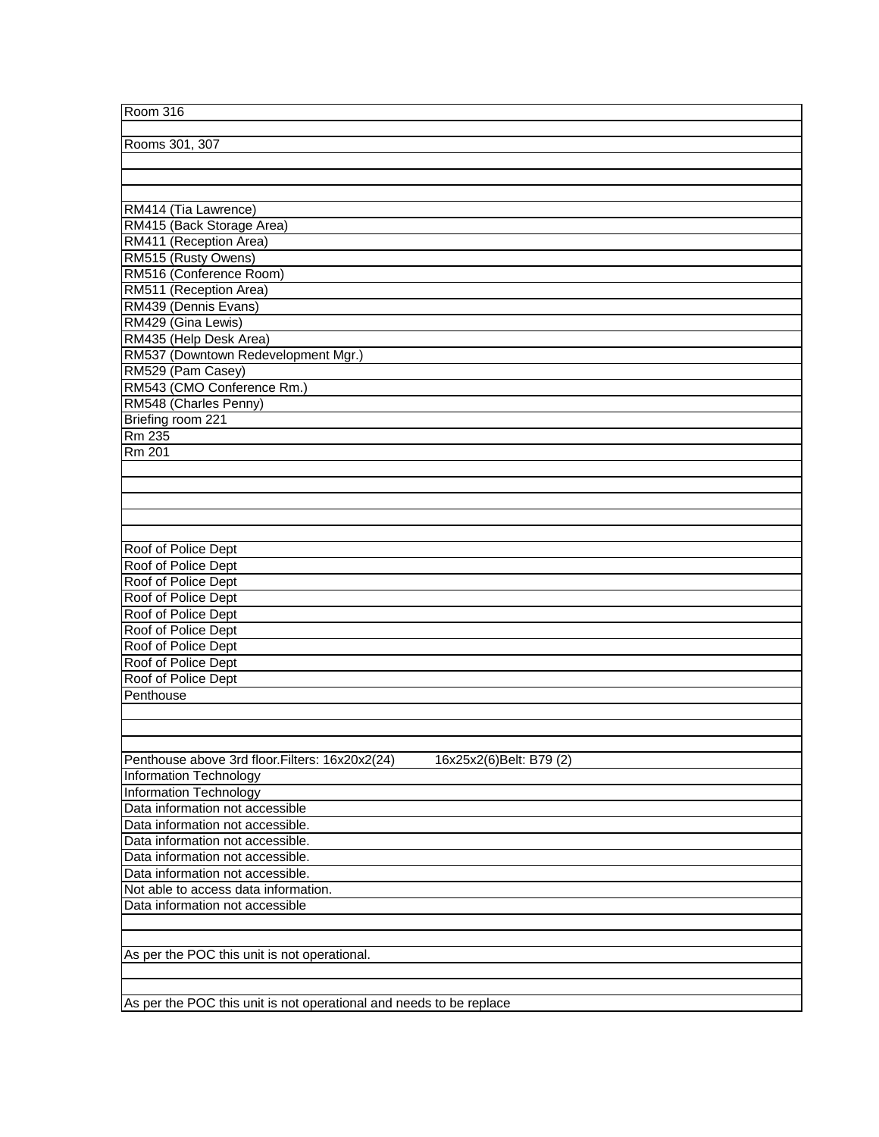| Room 316                                                                   |
|----------------------------------------------------------------------------|
|                                                                            |
| Rooms 301, 307                                                             |
|                                                                            |
|                                                                            |
|                                                                            |
| RM414 (Tia Lawrence)                                                       |
| RM415 (Back Storage Area)                                                  |
| RM411 (Reception Area)                                                     |
| RM515 (Rusty Owens)                                                        |
| RM516 (Conference Room)                                                    |
|                                                                            |
| RM511 (Reception Area)                                                     |
| RM439 (Dennis Evans)                                                       |
| RM429 (Gina Lewis)                                                         |
| RM435 (Help Desk Area)                                                     |
| RM537 (Downtown Redevelopment Mgr.)                                        |
| RM529 (Pam Casey)                                                          |
| RM543 (CMO Conference Rm.)                                                 |
| RM548 (Charles Penny)                                                      |
| Briefing room 221                                                          |
| Rm 235                                                                     |
| <b>Rm 201</b>                                                              |
|                                                                            |
|                                                                            |
|                                                                            |
|                                                                            |
|                                                                            |
| Roof of Police Dept                                                        |
| Roof of Police Dept                                                        |
| Roof of Police Dept                                                        |
| Roof of Police Dept                                                        |
| Roof of Police Dept                                                        |
| Roof of Police Dept                                                        |
| Roof of Police Dept                                                        |
| Roof of Police Dept                                                        |
| Roof of Police Dept                                                        |
| Penthouse                                                                  |
|                                                                            |
|                                                                            |
|                                                                            |
|                                                                            |
| Penthouse above 3rd floor. Filters: 16x20x2(24)<br>16x25x2(6)Belt: B79 (2) |
| Information Technology                                                     |
| <b>Information Technology</b>                                              |
| Data information not accessible                                            |
| Data information not accessible.                                           |
| Data information not accessible.                                           |
| Data information not accessible.                                           |
| Data information not accessible.                                           |
| Not able to access data information.                                       |
| Data information not accessible                                            |
|                                                                            |
|                                                                            |
| As per the POC this unit is not operational.                               |
|                                                                            |
|                                                                            |
| As per the POC this unit is not operational and needs to be replace        |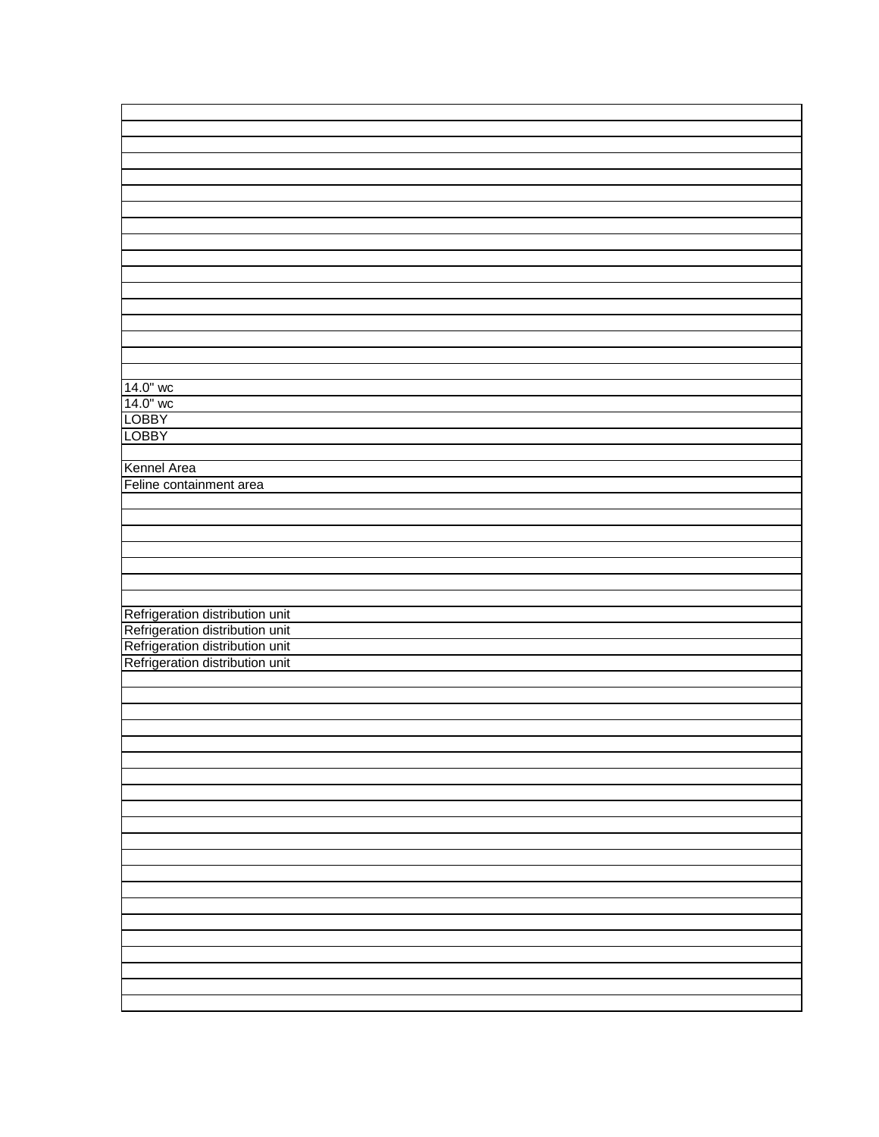| 14.0" wc                                                                                                                                 |
|------------------------------------------------------------------------------------------------------------------------------------------|
| 14.0" wc                                                                                                                                 |
| <b>LOBBY</b>                                                                                                                             |
| <b>LOBBY</b>                                                                                                                             |
|                                                                                                                                          |
|                                                                                                                                          |
| Kennel Area                                                                                                                              |
| Feline containment area                                                                                                                  |
|                                                                                                                                          |
|                                                                                                                                          |
|                                                                                                                                          |
|                                                                                                                                          |
|                                                                                                                                          |
|                                                                                                                                          |
|                                                                                                                                          |
|                                                                                                                                          |
|                                                                                                                                          |
|                                                                                                                                          |
|                                                                                                                                          |
| Refrigeration distribution unit<br>Refrigeration distribution unit<br>Refrigeration distribution unit<br>Refrigeration distribution unit |
|                                                                                                                                          |
|                                                                                                                                          |
|                                                                                                                                          |
|                                                                                                                                          |
|                                                                                                                                          |
|                                                                                                                                          |
|                                                                                                                                          |
|                                                                                                                                          |
|                                                                                                                                          |
|                                                                                                                                          |
|                                                                                                                                          |
|                                                                                                                                          |
|                                                                                                                                          |
|                                                                                                                                          |
|                                                                                                                                          |
|                                                                                                                                          |
|                                                                                                                                          |
|                                                                                                                                          |
|                                                                                                                                          |
|                                                                                                                                          |
|                                                                                                                                          |
|                                                                                                                                          |
|                                                                                                                                          |
|                                                                                                                                          |
|                                                                                                                                          |
|                                                                                                                                          |
|                                                                                                                                          |
|                                                                                                                                          |
|                                                                                                                                          |
|                                                                                                                                          |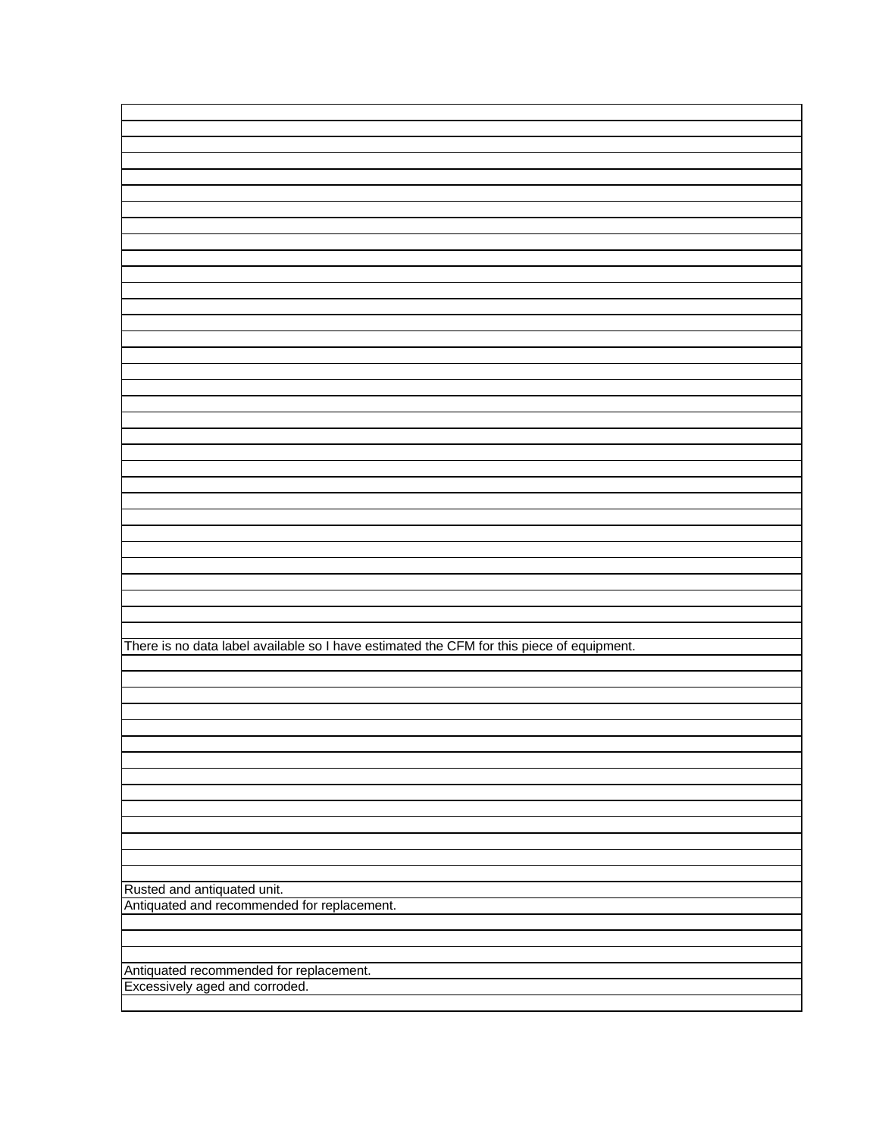There is no data label available so I have estimated the CFM for this piece of equipment.

Rusted and antiquated unit. Antiquated and recommended for replacement.

Antiquated recommended for replacement. Excessively aged and corroded.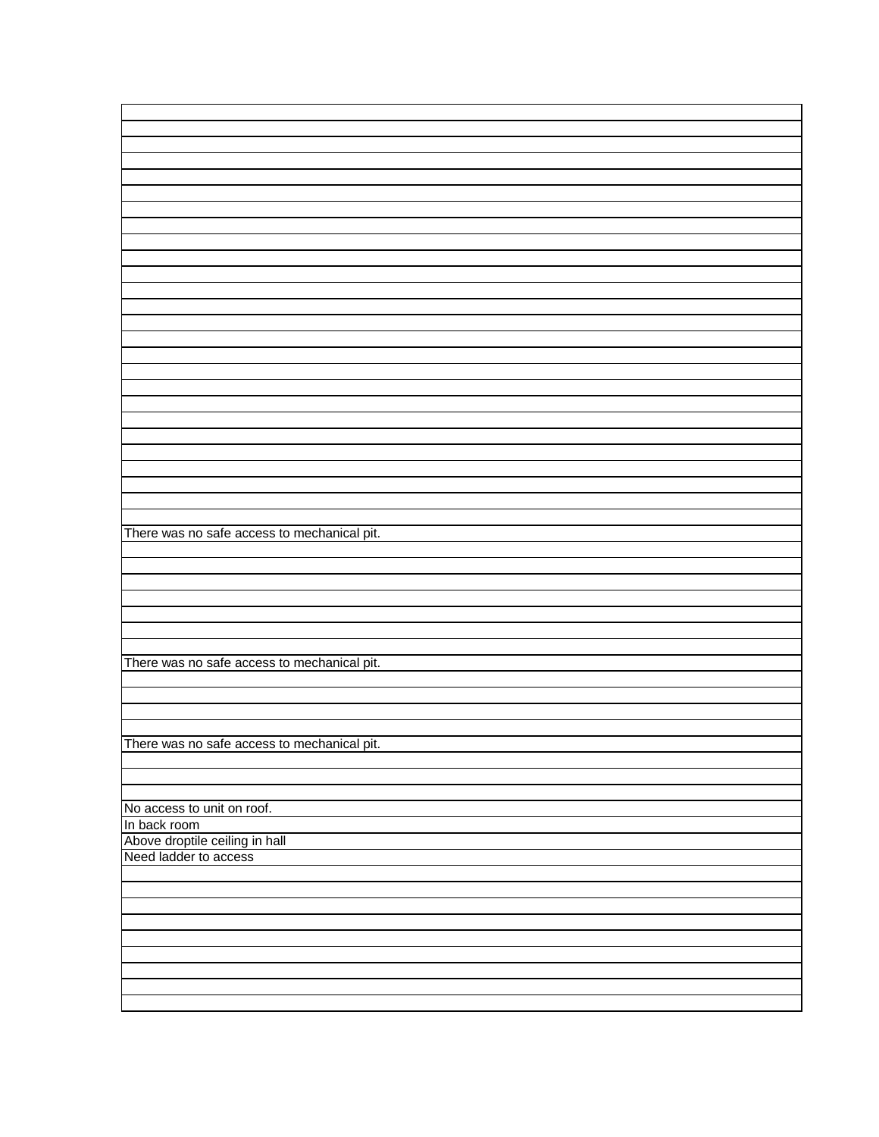| There was no safe access to mechanical pit. |
|---------------------------------------------|
|                                             |
|                                             |
|                                             |
|                                             |
|                                             |
|                                             |
|                                             |
| There was no safe access to mechanical pit. |
|                                             |
|                                             |
|                                             |
|                                             |
| There was no safe access to mechanical pit. |
|                                             |
|                                             |
|                                             |
|                                             |
| No access to unit on roof.                  |
| In back room                                |
| Above droptile ceiling in hall              |
| Need ladder to access                       |
|                                             |
|                                             |
|                                             |
|                                             |
|                                             |
|                                             |
|                                             |
|                                             |
|                                             |
|                                             |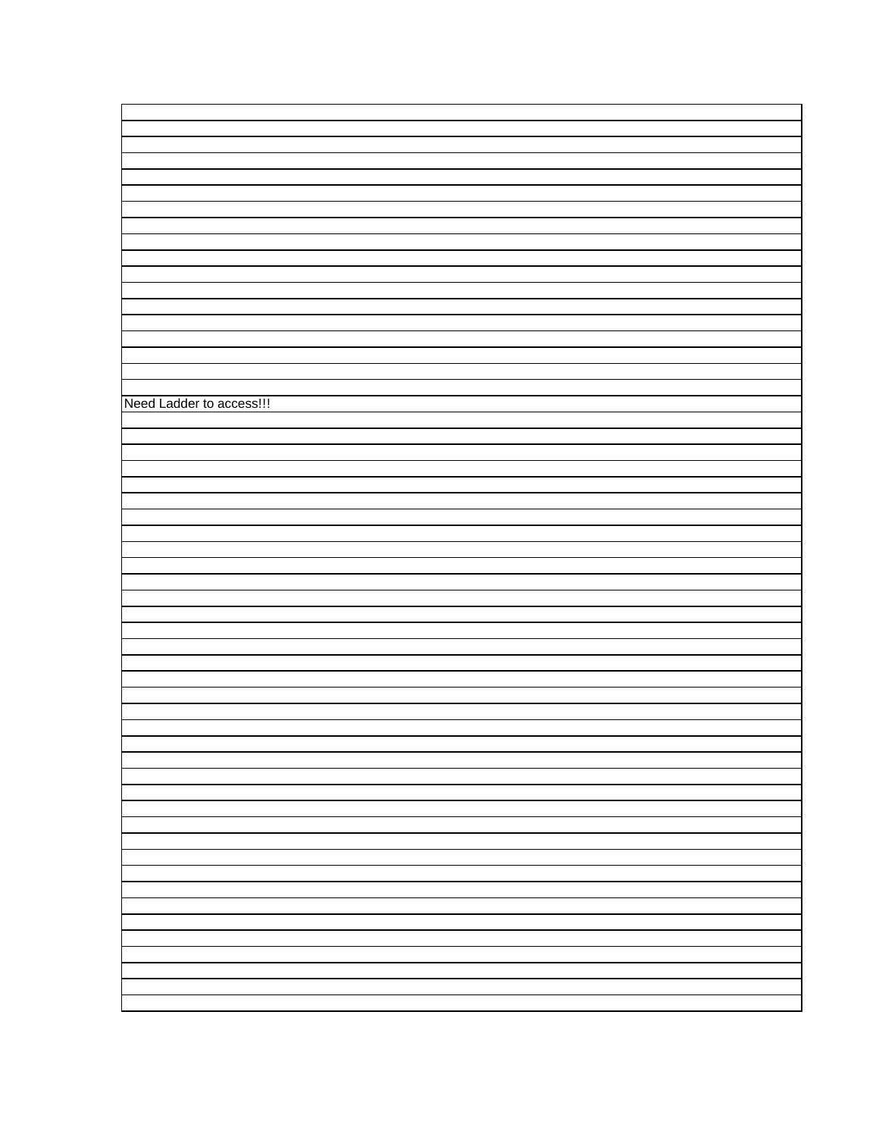| Need Ladder to access!!! |  |
|--------------------------|--|
|                          |  |
|                          |  |
|                          |  |
|                          |  |
|                          |  |
|                          |  |
|                          |  |
|                          |  |
|                          |  |
|                          |  |
|                          |  |
|                          |  |
|                          |  |
|                          |  |
|                          |  |
|                          |  |
|                          |  |
|                          |  |
|                          |  |
|                          |  |
|                          |  |
|                          |  |
|                          |  |
|                          |  |
|                          |  |
|                          |  |
|                          |  |
|                          |  |
|                          |  |
|                          |  |
|                          |  |
|                          |  |
|                          |  |
|                          |  |
|                          |  |
|                          |  |
|                          |  |
|                          |  |
|                          |  |
|                          |  |
|                          |  |
|                          |  |
|                          |  |
|                          |  |
|                          |  |
|                          |  |
|                          |  |
|                          |  |
|                          |  |
|                          |  |
|                          |  |
|                          |  |
|                          |  |
|                          |  |
|                          |  |
|                          |  |
|                          |  |
|                          |  |
|                          |  |
|                          |  |
|                          |  |
|                          |  |
|                          |  |
|                          |  |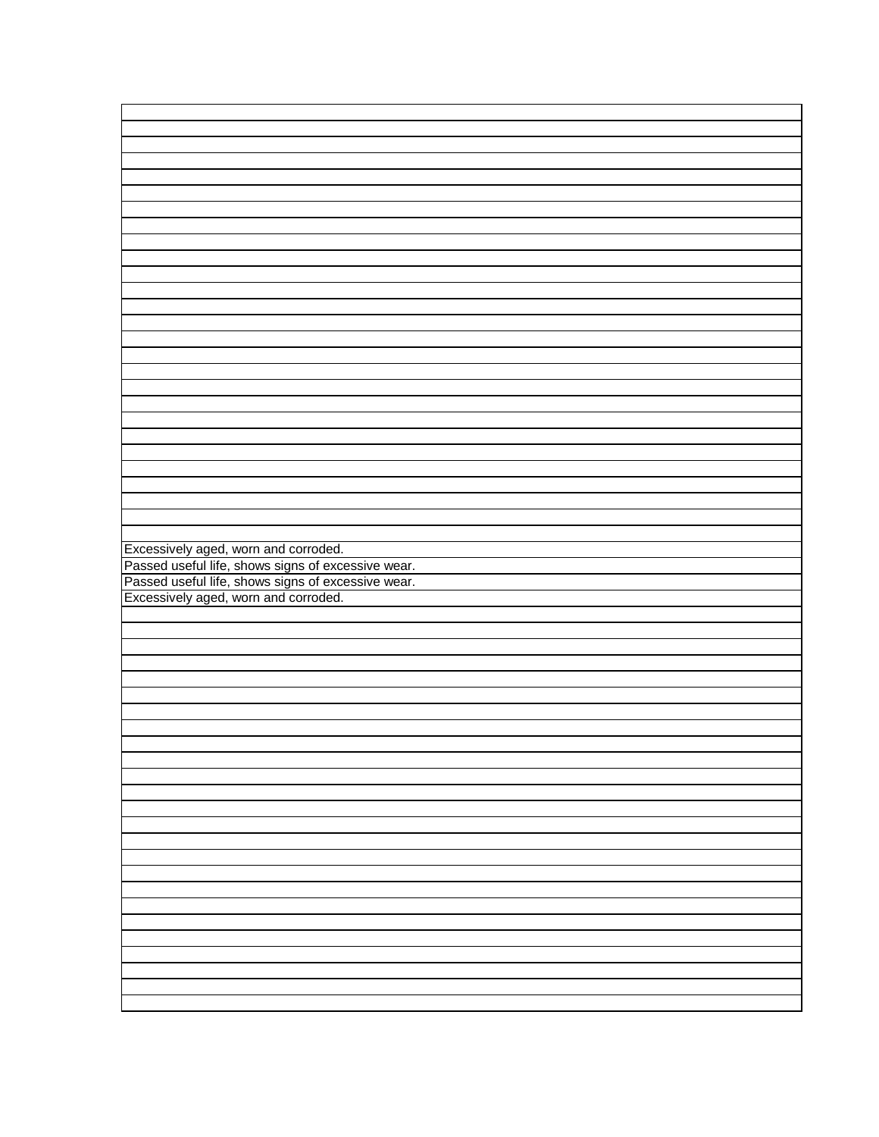| Excessively aged, worn and corroded.                                                                                                             |  |
|--------------------------------------------------------------------------------------------------------------------------------------------------|--|
|                                                                                                                                                  |  |
|                                                                                                                                                  |  |
|                                                                                                                                                  |  |
|                                                                                                                                                  |  |
|                                                                                                                                                  |  |
| Excessively aged, worn and corroded.<br>Passed useful life, shows signs of excessive wear.<br>Passed useful life, shows signs of excessive wear. |  |
|                                                                                                                                                  |  |
|                                                                                                                                                  |  |
|                                                                                                                                                  |  |
|                                                                                                                                                  |  |
|                                                                                                                                                  |  |
|                                                                                                                                                  |  |
|                                                                                                                                                  |  |
|                                                                                                                                                  |  |
|                                                                                                                                                  |  |
|                                                                                                                                                  |  |
|                                                                                                                                                  |  |
|                                                                                                                                                  |  |
|                                                                                                                                                  |  |
|                                                                                                                                                  |  |
|                                                                                                                                                  |  |
|                                                                                                                                                  |  |
|                                                                                                                                                  |  |
|                                                                                                                                                  |  |
|                                                                                                                                                  |  |
|                                                                                                                                                  |  |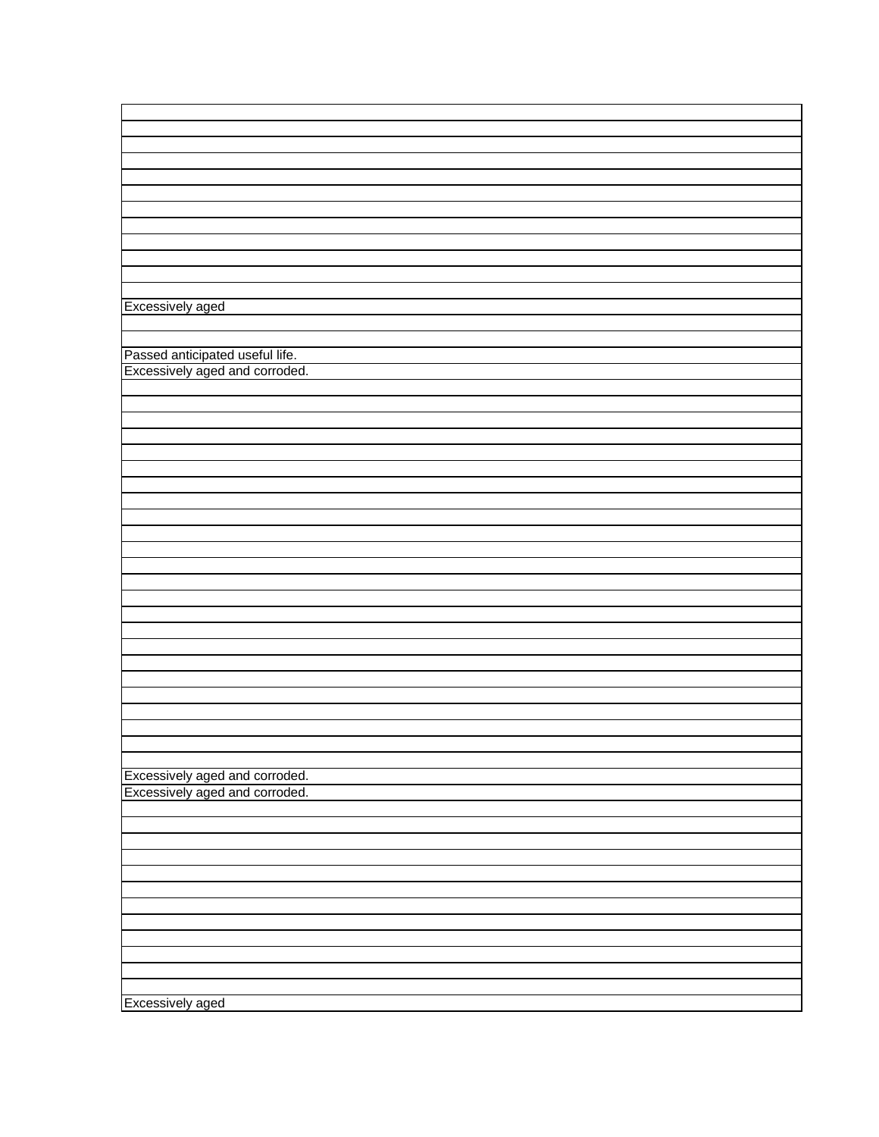| Excessively aged<br>Passed anticipated useful life.<br>Excessively aged and corroded.<br>Excessively aged and corroded.<br>Excessively aged and corroded.<br>Excessively aged |  |
|-------------------------------------------------------------------------------------------------------------------------------------------------------------------------------|--|
|                                                                                                                                                                               |  |
|                                                                                                                                                                               |  |
|                                                                                                                                                                               |  |
|                                                                                                                                                                               |  |
|                                                                                                                                                                               |  |
|                                                                                                                                                                               |  |
|                                                                                                                                                                               |  |
|                                                                                                                                                                               |  |
|                                                                                                                                                                               |  |
|                                                                                                                                                                               |  |
|                                                                                                                                                                               |  |
|                                                                                                                                                                               |  |
|                                                                                                                                                                               |  |
|                                                                                                                                                                               |  |
|                                                                                                                                                                               |  |
|                                                                                                                                                                               |  |
|                                                                                                                                                                               |  |
|                                                                                                                                                                               |  |
|                                                                                                                                                                               |  |
|                                                                                                                                                                               |  |
|                                                                                                                                                                               |  |
|                                                                                                                                                                               |  |
|                                                                                                                                                                               |  |
|                                                                                                                                                                               |  |
|                                                                                                                                                                               |  |
|                                                                                                                                                                               |  |
|                                                                                                                                                                               |  |
|                                                                                                                                                                               |  |
|                                                                                                                                                                               |  |
|                                                                                                                                                                               |  |
|                                                                                                                                                                               |  |
|                                                                                                                                                                               |  |
|                                                                                                                                                                               |  |
|                                                                                                                                                                               |  |
|                                                                                                                                                                               |  |
|                                                                                                                                                                               |  |
|                                                                                                                                                                               |  |
|                                                                                                                                                                               |  |
|                                                                                                                                                                               |  |
|                                                                                                                                                                               |  |
|                                                                                                                                                                               |  |
|                                                                                                                                                                               |  |
|                                                                                                                                                                               |  |
|                                                                                                                                                                               |  |
|                                                                                                                                                                               |  |
|                                                                                                                                                                               |  |
|                                                                                                                                                                               |  |
|                                                                                                                                                                               |  |
|                                                                                                                                                                               |  |
|                                                                                                                                                                               |  |
|                                                                                                                                                                               |  |
|                                                                                                                                                                               |  |
|                                                                                                                                                                               |  |
|                                                                                                                                                                               |  |
|                                                                                                                                                                               |  |
|                                                                                                                                                                               |  |
|                                                                                                                                                                               |  |
|                                                                                                                                                                               |  |
|                                                                                                                                                                               |  |
|                                                                                                                                                                               |  |
|                                                                                                                                                                               |  |
|                                                                                                                                                                               |  |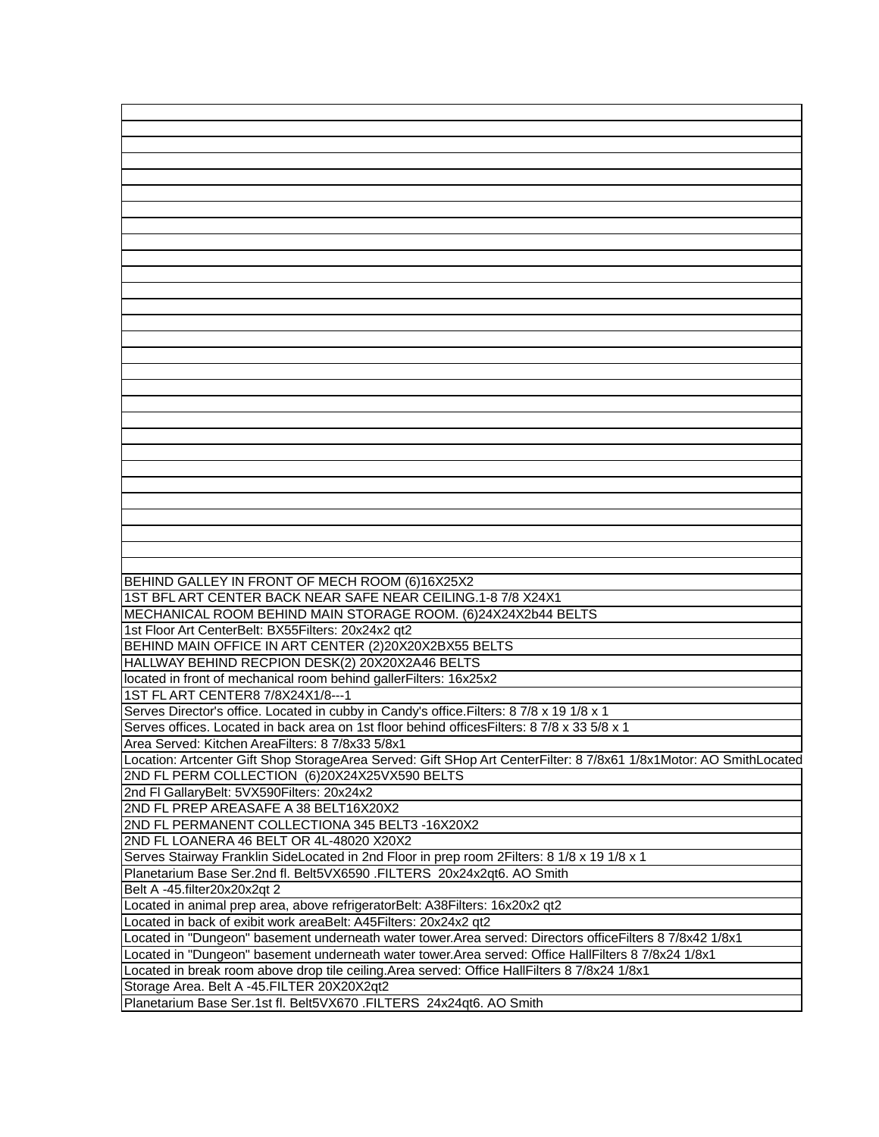| BEHIND GALLEY IN FRONT OF MECH ROOM (6)16X25X2                                                                     |
|--------------------------------------------------------------------------------------------------------------------|
| 1ST BFL ART CENTER BACK NEAR SAFE NEAR CEILING.1-8 7/8 X24X1                                                       |
| MECHANICAL ROOM BEHIND MAIN STORAGE ROOM. (6)24X24X2b44 BELTS                                                      |
| 1st Floor Art CenterBelt: BX55Filters: 20x24x2 qt2                                                                 |
| BEHIND MAIN OFFICE IN ART CENTER (2)20X20X2BX55 BELTS                                                              |
| HALLWAY BEHIND RECPION DESK(2) 20X20X2A46 BELTS                                                                    |
| located in front of mechanical room behind gallerFilters: 16x25x2                                                  |
| 1ST FL ART CENTER8 7/8X24X1/8---1                                                                                  |
| Serves Director's office. Located in cubby in Candy's office. Filters: 8 7/8 x 19 1/8 x 1                          |
| Serves offices. Located in back area on 1st floor behind offices Filters: 8 7/8 x 33 5/8 x 1                       |
|                                                                                                                    |
| Area Served: Kitchen AreaFilters: 8 7/8x33 5/8x1                                                                   |
| Location: Artcenter Gift Shop StorageArea Served: Gift SHop Art CenterFilter: 8 7/8x61 1/8x1Motor: AO SmithLocated |
| 2ND FL PERM COLLECTION (6)20X24X25VX590 BELTS                                                                      |
| 2nd FI GallaryBelt: 5VX590Filters: 20x24x2                                                                         |
| 2ND FL PREP AREASAFE A 38 BELT16X20X2                                                                              |
| 2ND FL PERMANENT COLLECTIONA 345 BELT3 -16X20X2                                                                    |
| 2ND FL LOANERA 46 BELT OR 4L-48020 X20X2                                                                           |
| Serves Stairway Franklin SideLocated in 2nd Floor in prep room 2Filters: 8 1/8 x 19 1/8 x 1                        |
| Planetarium Base Ser.2nd fl. Belt5VX6590 .FILTERS 20x24x2qt6. AO Smith                                             |
| Belt A -45.filter20x20x2qt 2                                                                                       |
| Located in animal prep area, above refrigeratorBelt: A38Filters: 16x20x2 qt2                                       |
| Located in back of exibit work areaBelt: A45Filters: 20x24x2 qt2                                                   |
| Located in "Dungeon" basement underneath water tower.Area served: Directors officeFilters 8 7/8x42 1/8x1           |
|                                                                                                                    |
| Located in "Dungeon" basement underneath water tower.Area served: Office HallFilters 8 7/8x24 1/8x1                |
| Located in break room above drop tile ceiling. Area served: Office HallFilters 8 7/8x24 1/8x1                      |
| Storage Area. Belt A -45. FILTER 20X20X2qt2                                                                        |
| Planetarium Base Ser.1st fl. Belt5VX670 .FILTERS 24x24qt6. AO Smith                                                |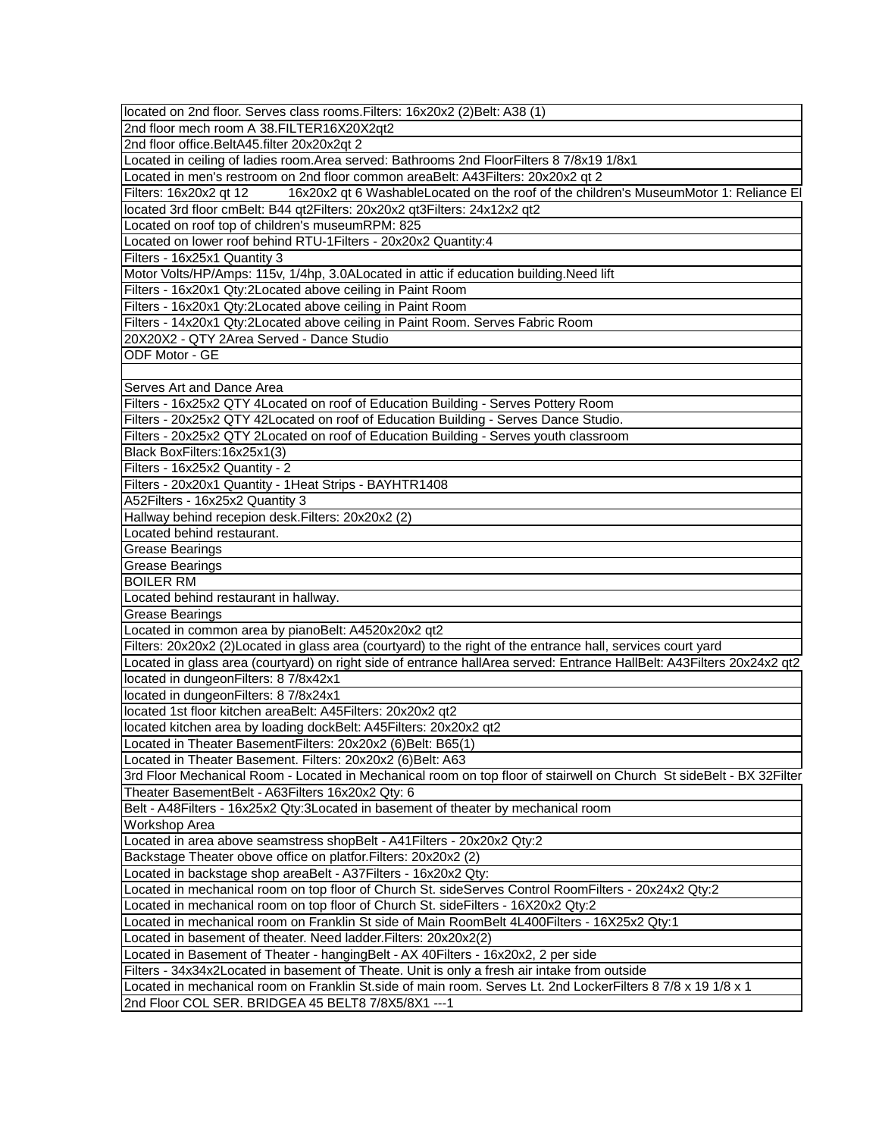| located on 2nd floor. Serves class rooms. Filters: 16x20x2 (2) Belt: A38 (1)                                           |
|------------------------------------------------------------------------------------------------------------------------|
| 2nd floor mech room A 38. FILTER16X20X2qt2                                                                             |
| 2nd floor office.BeltA45.filter 20x20x2qt 2                                                                            |
| Located in ceiling of ladies room. Area served: Bathrooms 2nd FloorFilters 8 7/8x19 1/8x1                              |
| Located in men's restroom on 2nd floor common areaBelt: A43Filters: 20x20x2 qt 2                                       |
| Filters: 16x20x2 qt 12<br>16x20x2 qt 6 WashableLocated on the roof of the children's MuseumMotor 1: Reliance El        |
| located 3rd floor cmBelt: B44 qt2Filters: 20x20x2 qt3Filters: 24x12x2 qt2                                              |
| Located on roof top of children's museumRPM: 825                                                                       |
| Located on lower roof behind RTU-1Filters - 20x20x2 Quantity:4                                                         |
| Filters - 16x25x1 Quantity 3                                                                                           |
| Motor Volts/HP/Amps: 115v, 1/4hp, 3.0ALocated in attic if education building. Need lift                                |
| Filters - 16x20x1 Qty:2Located above ceiling in Paint Room                                                             |
| Filters - 16x20x1 Qty:2Located above ceiling in Paint Room                                                             |
| Filters - 14x20x1 Qty:2Located above ceiling in Paint Room. Serves Fabric Room                                         |
| 20X20X2 - QTY 2Area Served - Dance Studio                                                                              |
| ODF Motor - GE                                                                                                         |
|                                                                                                                        |
| Serves Art and Dance Area                                                                                              |
| Filters - 16x25x2 QTY 4Located on roof of Education Building - Serves Pottery Room                                     |
| Filters - 20x25x2 QTY 42Located on roof of Education Building - Serves Dance Studio.                                   |
| Filters - 20x25x2 QTY 2Located on roof of Education Building - Serves youth classroom                                  |
| Black BoxFilters: 16x25x1(3)                                                                                           |
| Filters - 16x25x2 Quantity - 2                                                                                         |
| Filters - 20x20x1 Quantity - 1Heat Strips - BAYHTR1408                                                                 |
| A52Filters - 16x25x2 Quantity 3                                                                                        |
| Hallway behind recepion desk. Filters: 20x20x2 (2)                                                                     |
| Located behind restaurant.                                                                                             |
| <b>Grease Bearings</b>                                                                                                 |
| Grease Bearings                                                                                                        |
| <b>BOILER RM</b>                                                                                                       |
| Located behind restaurant in hallway.                                                                                  |
| Grease Bearings                                                                                                        |
| Located in common area by pianoBelt: A4520x20x2 qt2                                                                    |
|                                                                                                                        |
| Filters: 20x20x2 (2)Located in glass area (courtyard) to the right of the entrance hall, services court yard           |
| Located in glass area (courtyard) on right side of entrance hallArea served: Entrance HallBelt: A43Filters 20x24x2 qt2 |
| located in dungeonFilters: 8 7/8x42x1                                                                                  |
| located in dungeonFilters: 8 7/8x24x1                                                                                  |
| located 1st floor kitchen areaBelt: A45Filters: 20x20x2 qt2                                                            |
| located kitchen area by loading dockBelt: A45Filters: 20x20x2 qt2                                                      |
| Located in Theater BasementFilters: 20x20x2 (6)Belt: B65(1)                                                            |
| Located in Theater Basement. Filters: 20x20x2 (6)Belt: A63                                                             |
| 3rd Floor Mechanical Room - Located in Mechanical room on top floor of stairwell on Church St sideBelt - BX 32Filter   |
| Theater BasementBelt - A63Filters 16x20x2 Qty: 6                                                                       |
| Belt - A48Filters - 16x25x2 Qty:3Located in basement of theater by mechanical room                                     |
| <b>Workshop Area</b>                                                                                                   |
| Located in area above seamstress shopBelt - A41 Filters - 20x20x2 Qty:2                                                |
| Backstage Theater obove office on platfor. Filters: 20x20x2 (2)                                                        |
| Located in backstage shop areaBelt - A37Filters - 16x20x2 Qty:                                                         |
| Located in mechanical room on top floor of Church St. sideServes Control RoomFilters - 20x24x2 Qty:2                   |
| Located in mechanical room on top floor of Church St. sideFilters - 16X20x2 Qty:2                                      |
| Located in mechanical room on Franklin St side of Main RoomBelt 4L400Filters - 16X25x2 Qty:1                           |
| Located in basement of theater. Need ladder. Filters: 20x20x2(2)                                                       |
| Located in Basement of Theater - hangingBelt - AX 40Filters - 16x20x2, 2 per side                                      |
| Filters - 34x34x2Located in basement of Theate. Unit is only a fresh air intake from outside                           |
| Located in mechanical room on Franklin St.side of main room. Serves Lt. 2nd LockerFilters 8 7/8 x 19 1/8 x 1           |
| 2nd Floor COL SER. BRIDGEA 45 BELT8 7/8X5/8X1 --- 1                                                                    |
|                                                                                                                        |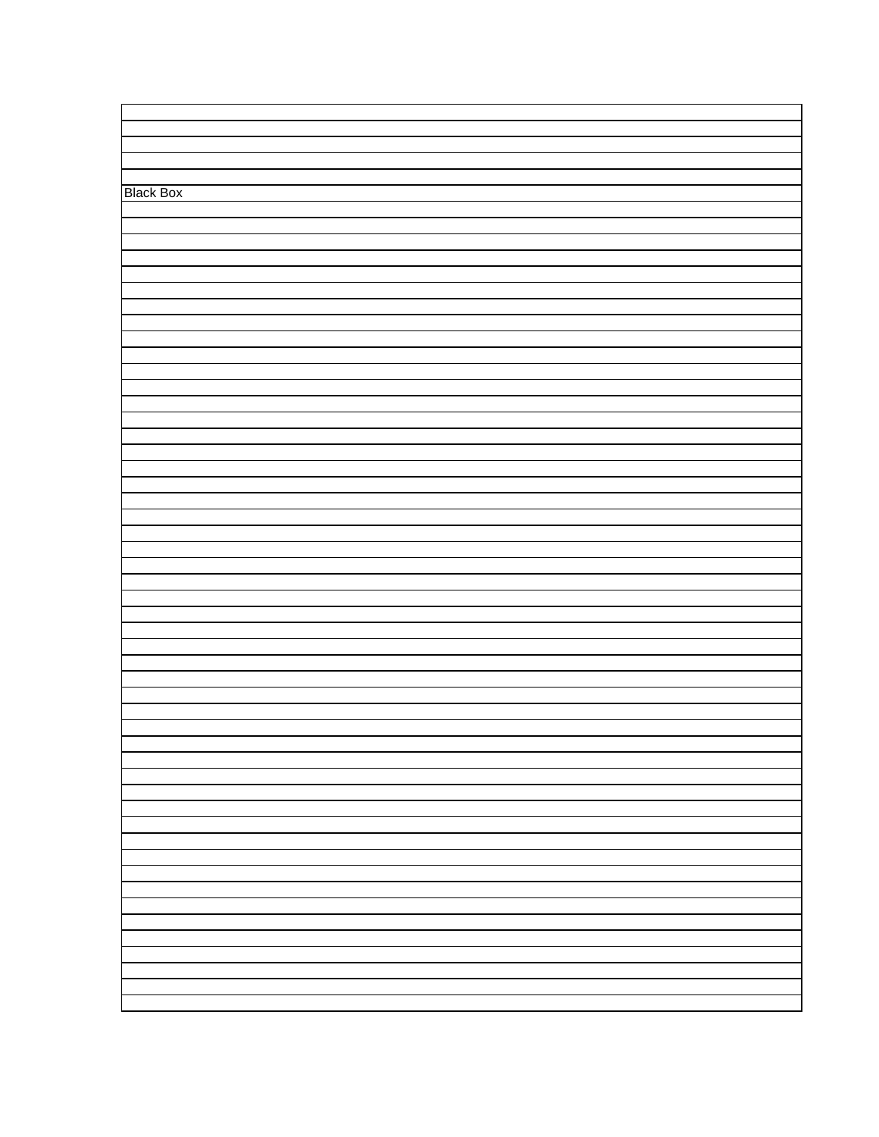| <b>Black Box</b> |  |
|------------------|--|
|                  |  |
|                  |  |
|                  |  |
|                  |  |
|                  |  |
|                  |  |
|                  |  |
|                  |  |
|                  |  |
|                  |  |
|                  |  |
|                  |  |
|                  |  |
|                  |  |
|                  |  |
|                  |  |
|                  |  |
|                  |  |
|                  |  |
|                  |  |
|                  |  |
|                  |  |
|                  |  |
|                  |  |
|                  |  |
|                  |  |
|                  |  |
|                  |  |
|                  |  |
|                  |  |
|                  |  |
|                  |  |
|                  |  |
|                  |  |
|                  |  |
|                  |  |
|                  |  |
|                  |  |
|                  |  |
|                  |  |
|                  |  |
|                  |  |
|                  |  |
|                  |  |
|                  |  |
|                  |  |
|                  |  |
|                  |  |
|                  |  |
|                  |  |
|                  |  |
|                  |  |
|                  |  |
|                  |  |
|                  |  |
|                  |  |
|                  |  |
|                  |  |
|                  |  |
|                  |  |
|                  |  |
|                  |  |
|                  |  |
|                  |  |
|                  |  |
|                  |  |
|                  |  |
|                  |  |
|                  |  |
|                  |  |
|                  |  |
|                  |  |
|                  |  |
|                  |  |
|                  |  |
|                  |  |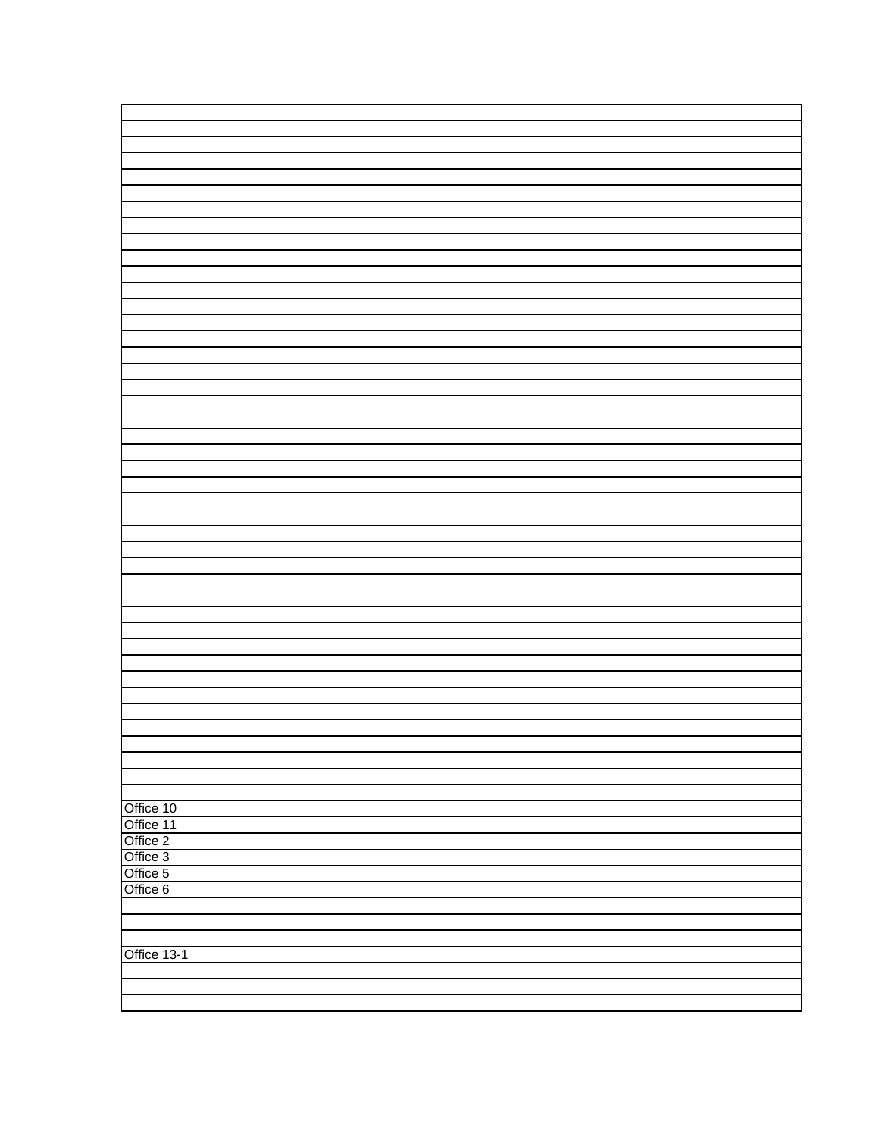| Office 10   |  |
|-------------|--|
|             |  |
| Office 11   |  |
| Office 2    |  |
|             |  |
| Office 3    |  |
|             |  |
| Office 5    |  |
| Office 6    |  |
|             |  |
|             |  |
|             |  |
|             |  |
|             |  |
| Office 13-1 |  |
|             |  |
|             |  |
|             |  |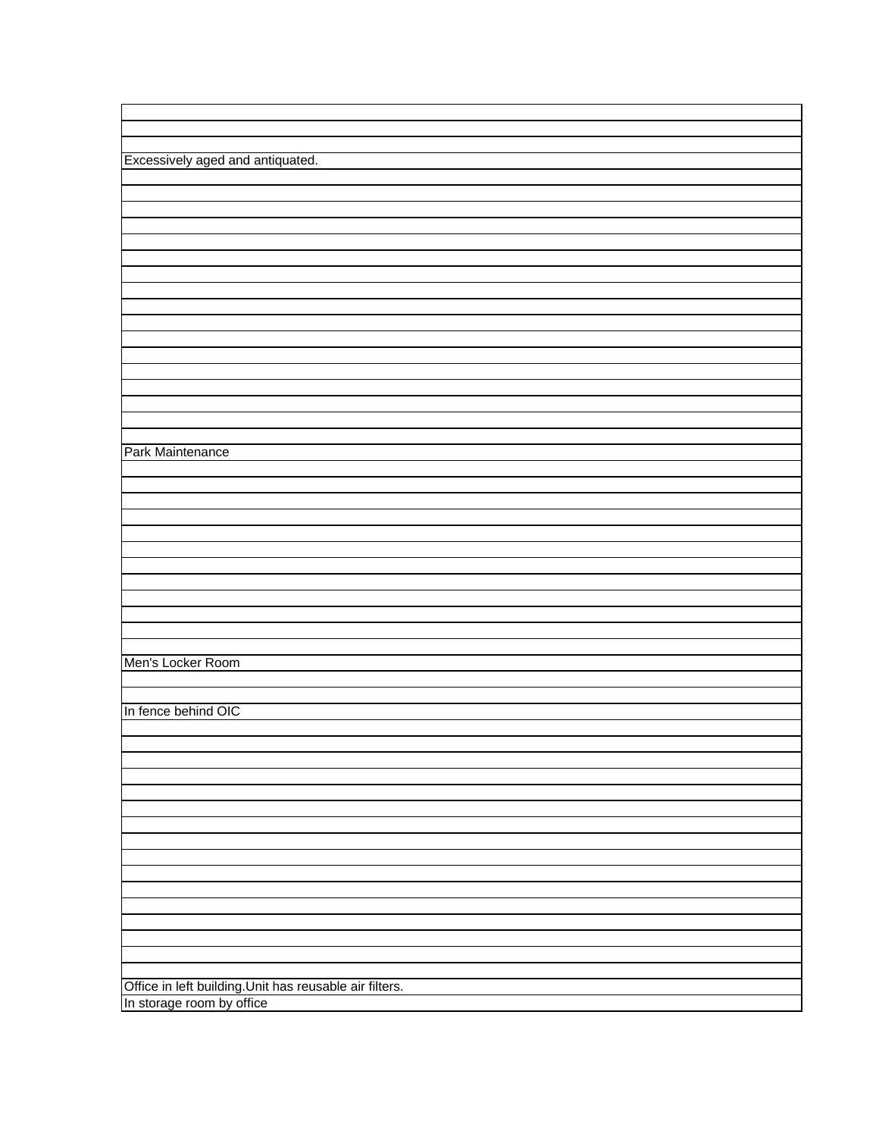| Excessively aged and antiquated.                                                     |
|--------------------------------------------------------------------------------------|
|                                                                                      |
|                                                                                      |
|                                                                                      |
|                                                                                      |
|                                                                                      |
|                                                                                      |
|                                                                                      |
|                                                                                      |
|                                                                                      |
|                                                                                      |
|                                                                                      |
|                                                                                      |
|                                                                                      |
|                                                                                      |
|                                                                                      |
|                                                                                      |
|                                                                                      |
| Park Maintenance                                                                     |
|                                                                                      |
|                                                                                      |
|                                                                                      |
|                                                                                      |
|                                                                                      |
|                                                                                      |
|                                                                                      |
|                                                                                      |
|                                                                                      |
|                                                                                      |
|                                                                                      |
|                                                                                      |
| Men's Locker Room                                                                    |
|                                                                                      |
|                                                                                      |
| In fence behind OIC                                                                  |
|                                                                                      |
|                                                                                      |
|                                                                                      |
|                                                                                      |
|                                                                                      |
|                                                                                      |
|                                                                                      |
|                                                                                      |
|                                                                                      |
|                                                                                      |
|                                                                                      |
|                                                                                      |
|                                                                                      |
|                                                                                      |
|                                                                                      |
|                                                                                      |
|                                                                                      |
| Office in left building. Unit has reusable air filters.<br>In storage room by office |
|                                                                                      |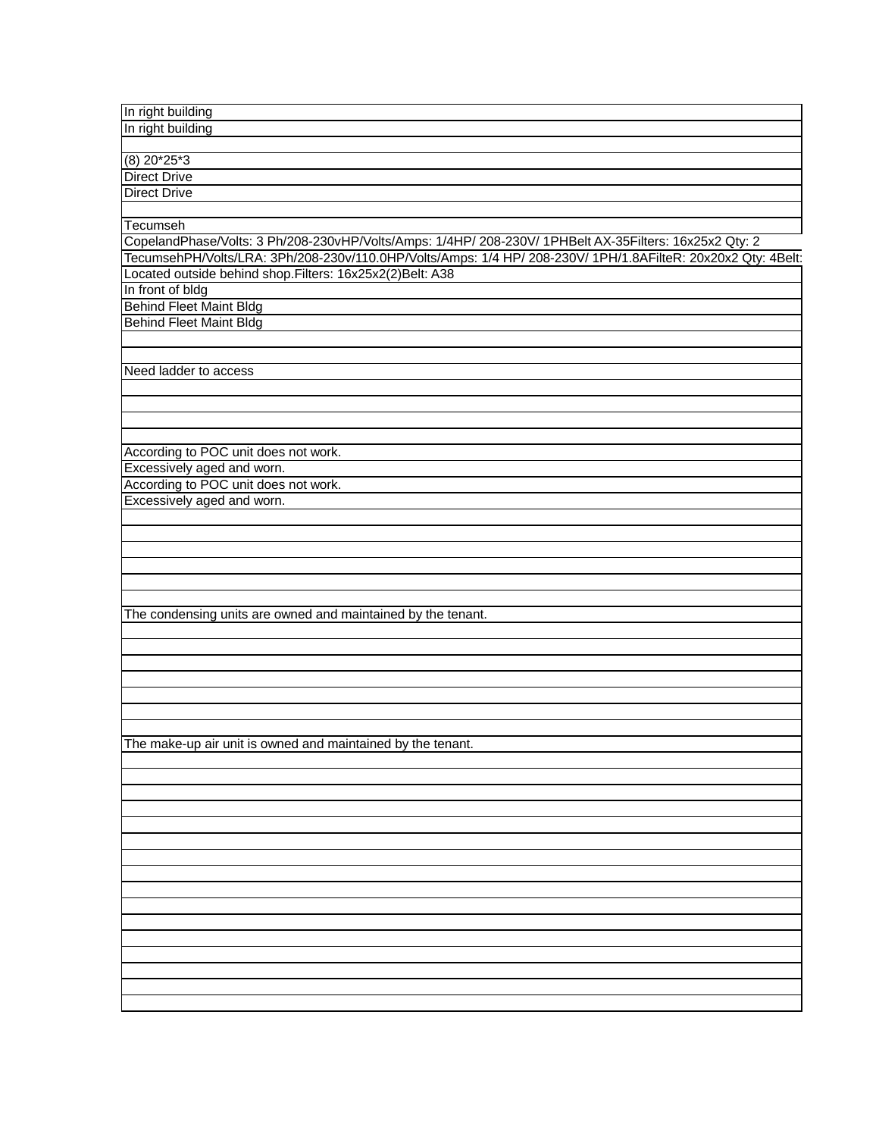| In right building                                                                                            |
|--------------------------------------------------------------------------------------------------------------|
| In right building                                                                                            |
|                                                                                                              |
| $(8)$ 20*25*3                                                                                                |
| <b>Direct Drive</b>                                                                                          |
| <b>Direct Drive</b>                                                                                          |
|                                                                                                              |
| Tecumseh                                                                                                     |
| CopelandPhase/Volts: 3 Ph/208-230vHP/Volts/Amps: 1/4HP/ 208-230V/ 1PHBelt AX-35Filters: 16x25x2 Qty: 2       |
| TecumsehPH/Volts/LRA: 3Ph/208-230v/110.0HP/Volts/Amps: 1/4 HP/ 208-230V/ 1PH/1.8AFilteR: 20x20x2 Qty: 4Belt: |
| Located outside behind shop. Filters: 16x25x2(2) Belt: A38                                                   |
| In front of bldg                                                                                             |
|                                                                                                              |
| <b>Behind Fleet Maint Bldg</b><br>Behind Fleet Maint Bldg                                                    |
|                                                                                                              |
|                                                                                                              |
|                                                                                                              |
| Need ladder to access                                                                                        |
|                                                                                                              |
|                                                                                                              |
|                                                                                                              |
|                                                                                                              |
| According to POC unit does not work.                                                                         |
| Excessively aged and worn.                                                                                   |
| According to POC unit does not work.                                                                         |
| Excessively aged and worn.                                                                                   |
|                                                                                                              |
|                                                                                                              |
|                                                                                                              |
|                                                                                                              |
|                                                                                                              |
|                                                                                                              |
| The condensing units are owned and maintained by the tenant.                                                 |
|                                                                                                              |
|                                                                                                              |
|                                                                                                              |
|                                                                                                              |
|                                                                                                              |
|                                                                                                              |
|                                                                                                              |
| The make-up air unit is owned and maintained by the tenant.                                                  |
|                                                                                                              |
|                                                                                                              |
|                                                                                                              |
|                                                                                                              |
|                                                                                                              |
|                                                                                                              |
|                                                                                                              |
|                                                                                                              |
|                                                                                                              |
|                                                                                                              |
|                                                                                                              |
|                                                                                                              |
|                                                                                                              |
|                                                                                                              |
|                                                                                                              |
|                                                                                                              |
|                                                                                                              |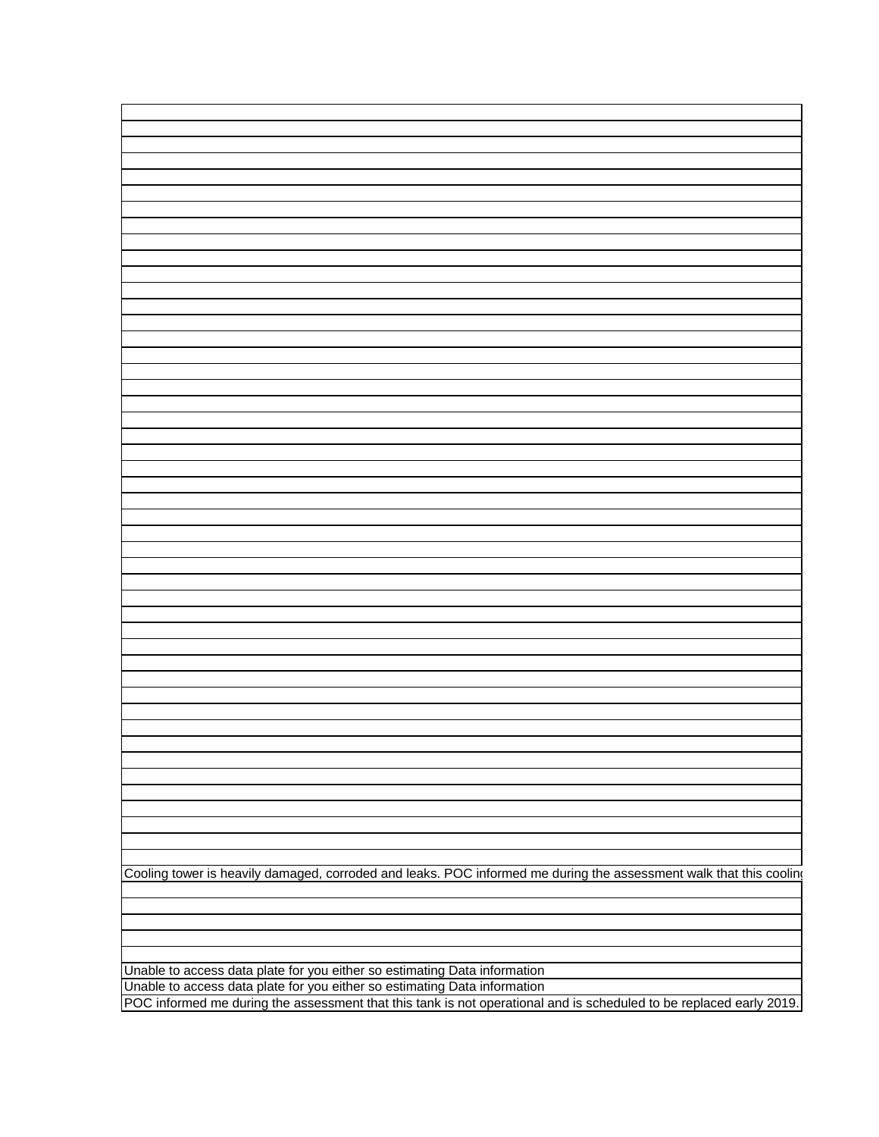| Cooling tower is heavily damaged, corroded and leaks. POC informed me during the assessment walk that this cooling                                                                               |
|--------------------------------------------------------------------------------------------------------------------------------------------------------------------------------------------------|
|                                                                                                                                                                                                  |
|                                                                                                                                                                                                  |
|                                                                                                                                                                                                  |
|                                                                                                                                                                                                  |
|                                                                                                                                                                                                  |
| Unable to access data plate for you either so estimating Data information                                                                                                                        |
|                                                                                                                                                                                                  |
| Unable to access data plate for you either so estimating Data information<br>POC informed me during the assessment that this tank is not operational and is scheduled to be replaced early 2019. |
|                                                                                                                                                                                                  |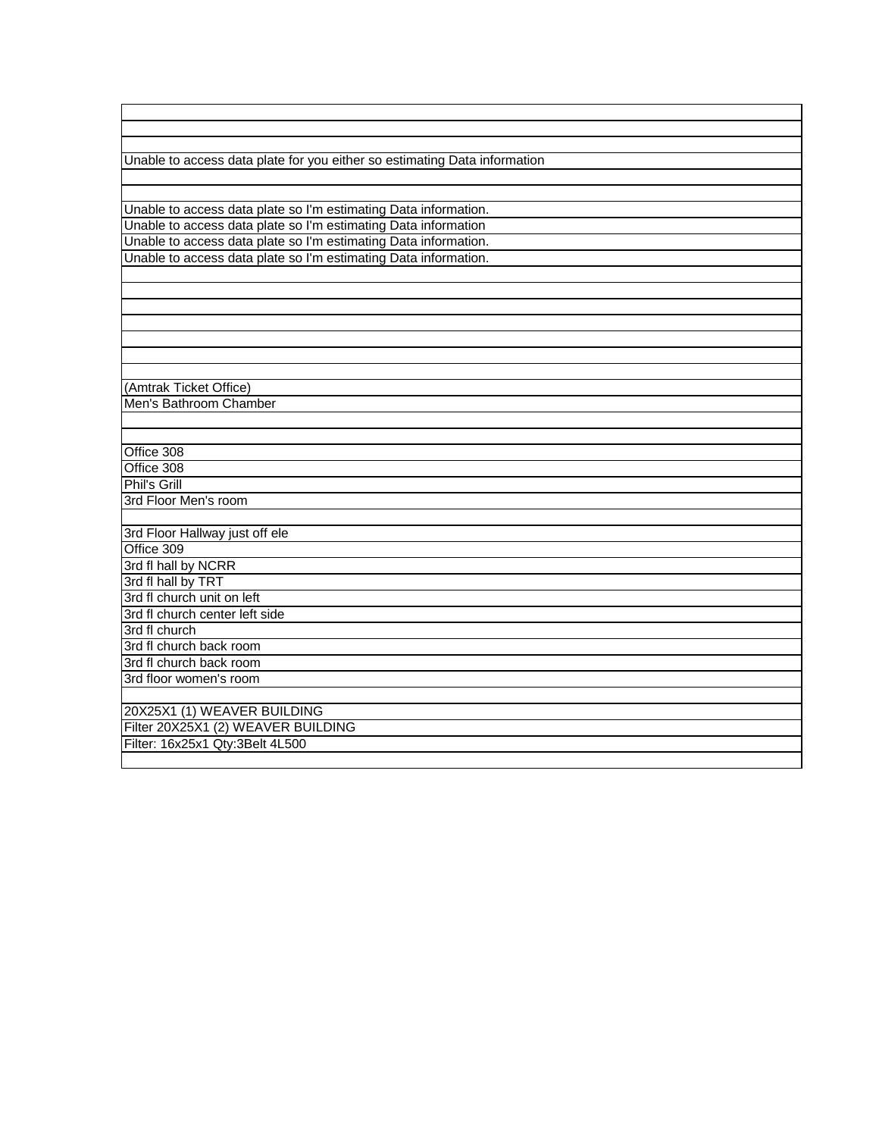Unable to access data plate for you either so estimating Data information

Unable to access data plate so I'm estimating Data information. Unable to access data plate so I'm estimating Data information Unable to access data plate so I'm estimating Data information. Unable to access data plate so I'm estimating Data information.

(Amtrak Ticket Office) Men's Bathroom Chamber

Office 308 Office 308

3rd Floor Men's room

3rd Floor Hallway just off ele Office 309 3rd fl hall by NCRR 3rd fl hall by TRT 3rd fl church unit on left

3rd fl church 3rd fl church back room 3rd fl church back room 3rd floor women's room

20X25X1 (1) WEAVER BUILDING Filter 20X25X1 (2) WEAVER BUILDING Filter: 16x25x1 Qty:3 Belt 4L500

Phil's Grill

3rd fl church center left side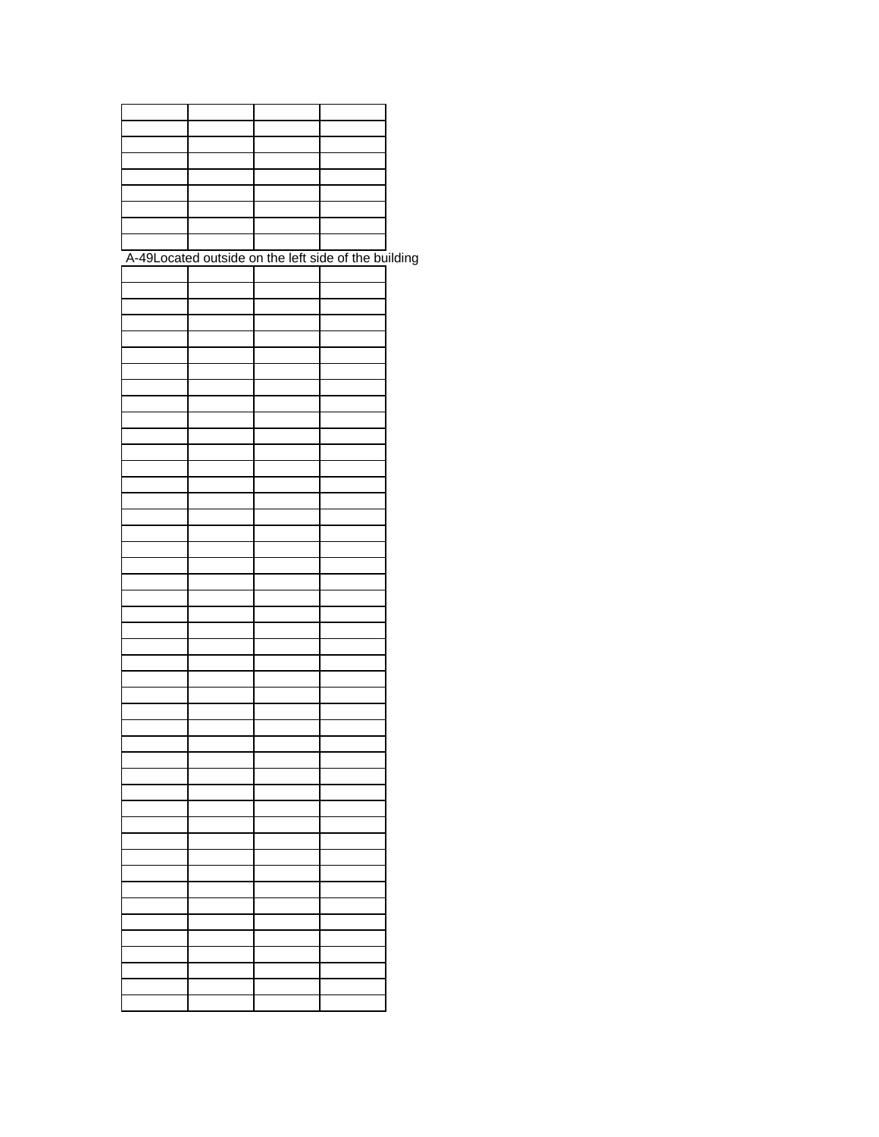| A-49Located outside on the left side of the building |  |  |
|------------------------------------------------------|--|--|
|                                                      |  |  |
|                                                      |  |  |
|                                                      |  |  |
|                                                      |  |  |
|                                                      |  |  |
|                                                      |  |  |
|                                                      |  |  |
|                                                      |  |  |
|                                                      |  |  |
|                                                      |  |  |
|                                                      |  |  |
|                                                      |  |  |
|                                                      |  |  |
|                                                      |  |  |
|                                                      |  |  |
|                                                      |  |  |
|                                                      |  |  |
|                                                      |  |  |
|                                                      |  |  |
|                                                      |  |  |
|                                                      |  |  |
|                                                      |  |  |
|                                                      |  |  |
|                                                      |  |  |
|                                                      |  |  |
|                                                      |  |  |
|                                                      |  |  |
|                                                      |  |  |
|                                                      |  |  |
|                                                      |  |  |
|                                                      |  |  |
|                                                      |  |  |
|                                                      |  |  |
|                                                      |  |  |
|                                                      |  |  |
|                                                      |  |  |
|                                                      |  |  |
|                                                      |  |  |
|                                                      |  |  |
|                                                      |  |  |
|                                                      |  |  |
|                                                      |  |  |
|                                                      |  |  |
|                                                      |  |  |
|                                                      |  |  |
|                                                      |  |  |
|                                                      |  |  |
|                                                      |  |  |
|                                                      |  |  |
|                                                      |  |  |
|                                                      |  |  |
|                                                      |  |  |
|                                                      |  |  |
|                                                      |  |  |
|                                                      |  |  |
|                                                      |  |  |
|                                                      |  |  |
|                                                      |  |  |